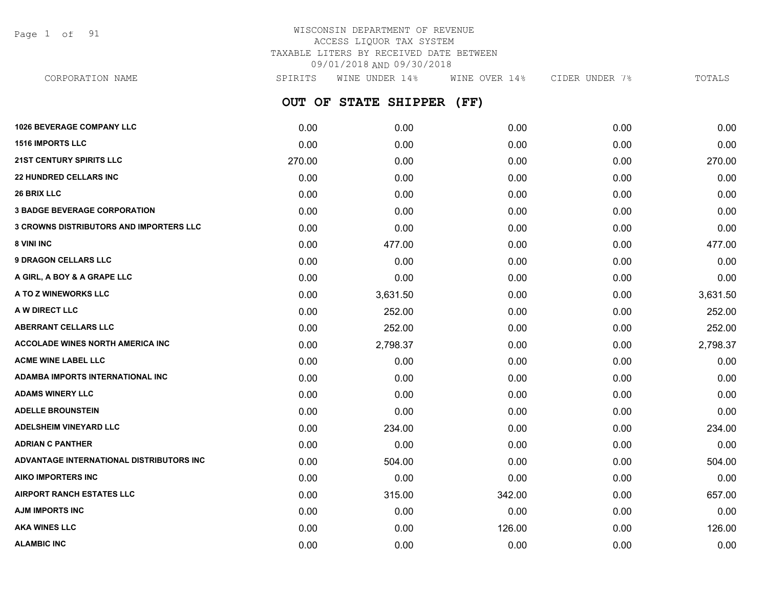Page 1 of 91

## WISCONSIN DEPARTMENT OF REVENUE ACCESS LIQUOR TAX SYSTEM TAXABLE LITERS BY RECEIVED DATE BETWEEN 09/01/2018 AND 09/30/2018

| CORPORATION NAME                         | SPIRITS | WINE UNDER 14%            | WINE OVER 14% | CIDER UNDER 7% | TOTALS   |
|------------------------------------------|---------|---------------------------|---------------|----------------|----------|
|                                          |         | OUT OF STATE SHIPPER (FF) |               |                |          |
| <b>1026 BEVERAGE COMPANY LLC</b>         | 0.00    | 0.00                      | 0.00          | 0.00           | 0.00     |
| <b>1516 IMPORTS LLC</b>                  | 0.00    | 0.00                      | 0.00          | 0.00           | 0.00     |
| <b>21ST CENTURY SPIRITS LLC</b>          | 270.00  | 0.00                      | 0.00          | 0.00           | 270.00   |
| <b>22 HUNDRED CELLARS INC</b>            | 0.00    | 0.00                      | 0.00          | 0.00           | 0.00     |
| <b>26 BRIX LLC</b>                       | 0.00    | 0.00                      | 0.00          | 0.00           | 0.00     |
| <b>3 BADGE BEVERAGE CORPORATION</b>      | 0.00    | 0.00                      | 0.00          | 0.00           | 0.00     |
| 3 CROWNS DISTRIBUTORS AND IMPORTERS LLC  | 0.00    | 0.00                      | 0.00          | 0.00           | 0.00     |
| 8 VINI INC                               | 0.00    | 477.00                    | 0.00          | 0.00           | 477.00   |
| <b>9 DRAGON CELLARS LLC</b>              | 0.00    | 0.00                      | 0.00          | 0.00           | 0.00     |
| A GIRL, A BOY & A GRAPE LLC              | 0.00    | 0.00                      | 0.00          | 0.00           | 0.00     |
| A TO Z WINEWORKS LLC                     | 0.00    | 3,631.50                  | 0.00          | 0.00           | 3,631.50 |
| <b>A W DIRECT LLC</b>                    | 0.00    | 252.00                    | 0.00          | 0.00           | 252.00   |
| ABERRANT CELLARS LLC                     | 0.00    | 252.00                    | 0.00          | 0.00           | 252.00   |
| ACCOLADE WINES NORTH AMERICA INC         | 0.00    | 2,798.37                  | 0.00          | 0.00           | 2,798.37 |
| <b>ACME WINE LABEL LLC</b>               | 0.00    | 0.00                      | 0.00          | 0.00           | 0.00     |
| ADAMBA IMPORTS INTERNATIONAL INC         | 0.00    | 0.00                      | 0.00          | 0.00           | 0.00     |
| <b>ADAMS WINERY LLC</b>                  | 0.00    | 0.00                      | 0.00          | 0.00           | 0.00     |
| <b>ADELLE BROUNSTEIN</b>                 | 0.00    | 0.00                      | 0.00          | 0.00           | 0.00     |
| <b>ADELSHEIM VINEYARD LLC</b>            | 0.00    | 234.00                    | 0.00          | 0.00           | 234.00   |
| <b>ADRIAN C PANTHER</b>                  | 0.00    | 0.00                      | 0.00          | 0.00           | 0.00     |
| ADVANTAGE INTERNATIONAL DISTRIBUTORS INC | 0.00    | 504.00                    | 0.00          | 0.00           | 504.00   |
| AIKO IMPORTERS INC                       | 0.00    | 0.00                      | 0.00          | 0.00           | 0.00     |
| <b>AIRPORT RANCH ESTATES LLC</b>         | 0.00    | 315.00                    | 342.00        | 0.00           | 657.00   |
| AJM IMPORTS INC                          | 0.00    | 0.00                      | 0.00          | 0.00           | 0.00     |
| <b>AKA WINES LLC</b>                     | 0.00    | 0.00                      | 126.00        | 0.00           | 126.00   |
|                                          |         |                           |               |                |          |

**ALAMBIC INC** 0.00 0.00 0.00 0.00 0.00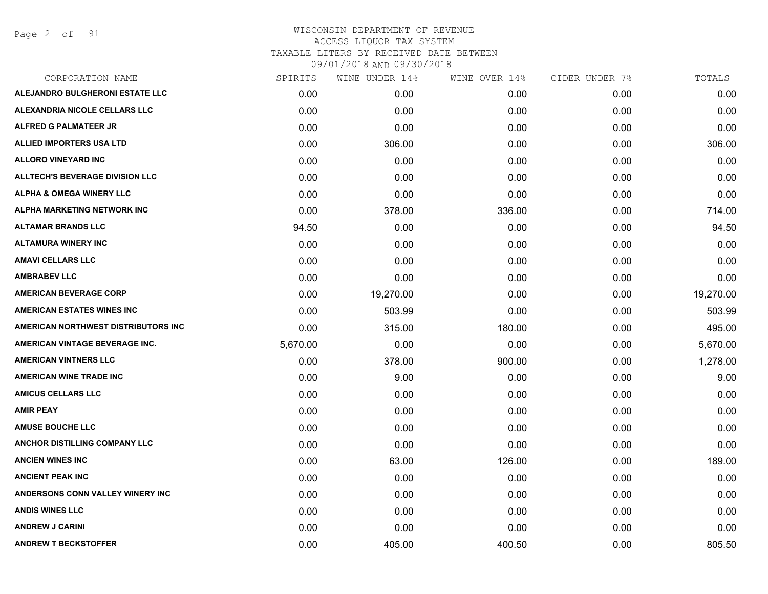Page 2 of 91

| CORPORATION NAME                       | SPIRITS  | WINE UNDER 14% | WINE OVER 14% | CIDER UNDER 7% | TOTALS    |
|----------------------------------------|----------|----------------|---------------|----------------|-----------|
| ALEJANDRO BULGHERONI ESTATE LLC        | 0.00     | 0.00           | 0.00          | 0.00           | 0.00      |
| ALEXANDRIA NICOLE CELLARS LLC          | 0.00     | 0.00           | 0.00          | 0.00           | 0.00      |
| <b>ALFRED G PALMATEER JR</b>           | 0.00     | 0.00           | 0.00          | 0.00           | 0.00      |
| ALLIED IMPORTERS USA LTD               | 0.00     | 306.00         | 0.00          | 0.00           | 306.00    |
| <b>ALLORO VINEYARD INC</b>             | 0.00     | 0.00           | 0.00          | 0.00           | 0.00      |
| <b>ALLTECH'S BEVERAGE DIVISION LLC</b> | 0.00     | 0.00           | 0.00          | 0.00           | 0.00      |
| <b>ALPHA &amp; OMEGA WINERY LLC</b>    | 0.00     | 0.00           | 0.00          | 0.00           | 0.00      |
| <b>ALPHA MARKETING NETWORK INC</b>     | 0.00     | 378.00         | 336.00        | 0.00           | 714.00    |
| <b>ALTAMAR BRANDS LLC</b>              | 94.50    | 0.00           | 0.00          | 0.00           | 94.50     |
| <b>ALTAMURA WINERY INC</b>             | 0.00     | 0.00           | 0.00          | 0.00           | 0.00      |
| <b>AMAVI CELLARS LLC</b>               | 0.00     | 0.00           | 0.00          | 0.00           | 0.00      |
| <b>AMBRABEV LLC</b>                    | 0.00     | 0.00           | 0.00          | 0.00           | 0.00      |
| <b>AMERICAN BEVERAGE CORP</b>          | 0.00     | 19,270.00      | 0.00          | 0.00           | 19,270.00 |
| <b>AMERICAN ESTATES WINES INC</b>      | 0.00     | 503.99         | 0.00          | 0.00           | 503.99    |
| AMERICAN NORTHWEST DISTRIBUTORS INC    | 0.00     | 315.00         | 180.00        | 0.00           | 495.00    |
| AMERICAN VINTAGE BEVERAGE INC.         | 5,670.00 | 0.00           | 0.00          | 0.00           | 5,670.00  |
| <b>AMERICAN VINTNERS LLC</b>           | 0.00     | 378.00         | 900.00        | 0.00           | 1,278.00  |
| <b>AMERICAN WINE TRADE INC</b>         | 0.00     | 9.00           | 0.00          | 0.00           | 9.00      |
| <b>AMICUS CELLARS LLC</b>              | 0.00     | 0.00           | 0.00          | 0.00           | 0.00      |
| <b>AMIR PEAY</b>                       | 0.00     | 0.00           | 0.00          | 0.00           | 0.00      |
| <b>AMUSE BOUCHE LLC</b>                | 0.00     | 0.00           | 0.00          | 0.00           | 0.00      |
| ANCHOR DISTILLING COMPANY LLC          | 0.00     | 0.00           | 0.00          | 0.00           | 0.00      |
| <b>ANCIEN WINES INC</b>                | 0.00     | 63.00          | 126.00        | 0.00           | 189.00    |
| <b>ANCIENT PEAK INC</b>                | 0.00     | 0.00           | 0.00          | 0.00           | 0.00      |
| ANDERSONS CONN VALLEY WINERY INC       | 0.00     | 0.00           | 0.00          | 0.00           | 0.00      |
| <b>ANDIS WINES LLC</b>                 | 0.00     | 0.00           | 0.00          | 0.00           | 0.00      |
| <b>ANDREW J CARINI</b>                 | 0.00     | 0.00           | 0.00          | 0.00           | 0.00      |
| <b>ANDREW T BECKSTOFFER</b>            | 0.00     | 405.00         | 400.50        | 0.00           | 805.50    |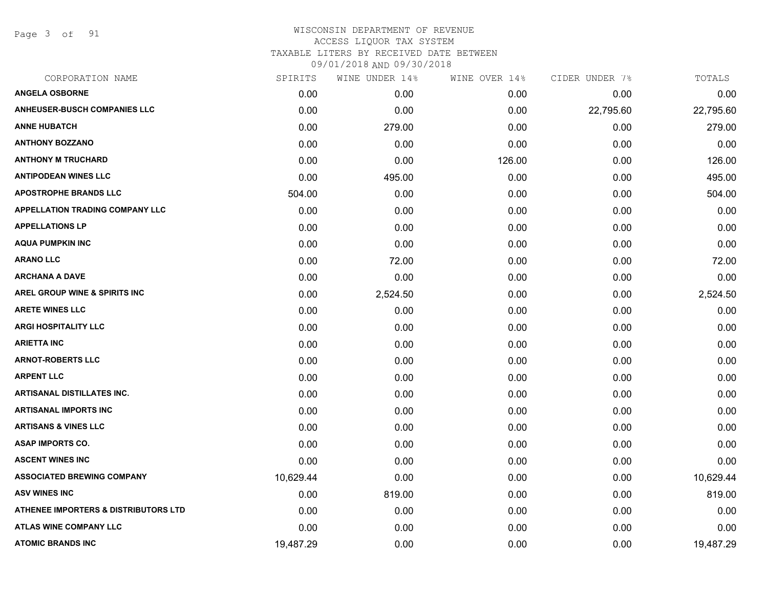Page 3 of 91

| SPIRITS   | WINE UNDER 14% |        | CIDER UNDER 7% | TOTALS    |
|-----------|----------------|--------|----------------|-----------|
| 0.00      | 0.00           | 0.00   | 0.00           | 0.00      |
| 0.00      | 0.00           | 0.00   | 22,795.60      | 22,795.60 |
| 0.00      | 279.00         | 0.00   | 0.00           | 279.00    |
| 0.00      | 0.00           | 0.00   | 0.00           | 0.00      |
| 0.00      | 0.00           | 126.00 | 0.00           | 126.00    |
| 0.00      | 495.00         | 0.00   | 0.00           | 495.00    |
| 504.00    | 0.00           | 0.00   | 0.00           | 504.00    |
| 0.00      | 0.00           | 0.00   | 0.00           | 0.00      |
| 0.00      | 0.00           | 0.00   | 0.00           | 0.00      |
| 0.00      | 0.00           | 0.00   | 0.00           | 0.00      |
| 0.00      | 72.00          | 0.00   | 0.00           | 72.00     |
| 0.00      | 0.00           | 0.00   | 0.00           | 0.00      |
| 0.00      | 2,524.50       | 0.00   | 0.00           | 2,524.50  |
| 0.00      | 0.00           | 0.00   | 0.00           | 0.00      |
| 0.00      | 0.00           | 0.00   | 0.00           | 0.00      |
| 0.00      | 0.00           | 0.00   | 0.00           | 0.00      |
| 0.00      | 0.00           | 0.00   | 0.00           | 0.00      |
| 0.00      | 0.00           | 0.00   | 0.00           | 0.00      |
| 0.00      | 0.00           | 0.00   | 0.00           | 0.00      |
| 0.00      | 0.00           | 0.00   | 0.00           | 0.00      |
| 0.00      | 0.00           | 0.00   | 0.00           | 0.00      |
| 0.00      | 0.00           | 0.00   | 0.00           | 0.00      |
| 0.00      | 0.00           | 0.00   | 0.00           | 0.00      |
| 10,629.44 | 0.00           | 0.00   | 0.00           | 10,629.44 |
| 0.00      | 819.00         | 0.00   | 0.00           | 819.00    |
| 0.00      | 0.00           | 0.00   | 0.00           | 0.00      |
| 0.00      | 0.00           | 0.00   | 0.00           | 0.00      |
| 19,487.29 | 0.00           | 0.00   | 0.00           | 19,487.29 |
|           |                |        | WINE OVER 14%  |           |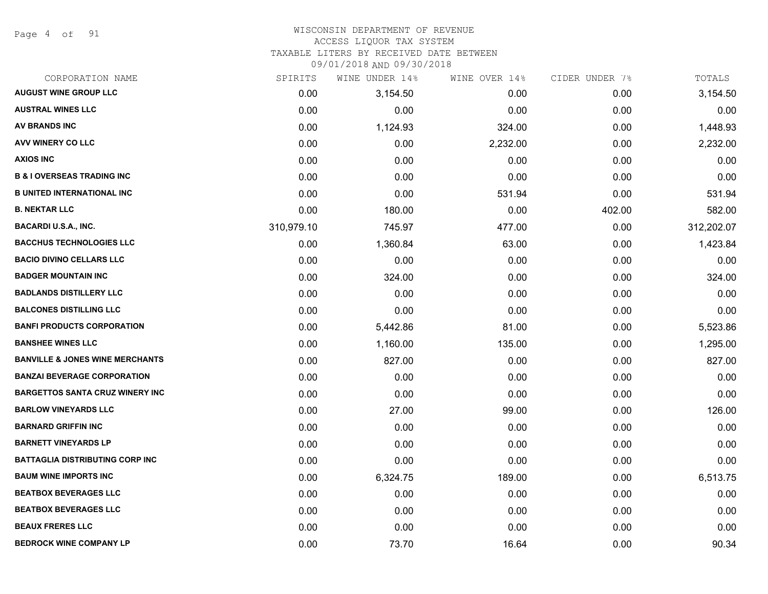Page 4 of 91

#### WISCONSIN DEPARTMENT OF REVENUE ACCESS LIQUOR TAX SYSTEM

TAXABLE LITERS BY RECEIVED DATE BETWEEN

| CORPORATION NAME                           | SPIRITS    | WINE UNDER 14% | WINE OVER 14% | CIDER UNDER 7% | TOTALS     |
|--------------------------------------------|------------|----------------|---------------|----------------|------------|
| <b>AUGUST WINE GROUP LLC</b>               | 0.00       | 3,154.50       | 0.00          | 0.00           | 3,154.50   |
| <b>AUSTRAL WINES LLC</b>                   | 0.00       | 0.00           | 0.00          | 0.00           | 0.00       |
| AV BRANDS INC                              | 0.00       | 1,124.93       | 324.00        | 0.00           | 1,448.93   |
| AVV WINERY CO LLC                          | 0.00       | 0.00           | 2,232.00      | 0.00           | 2,232.00   |
| <b>AXIOS INC</b>                           | 0.00       | 0.00           | 0.00          | 0.00           | 0.00       |
| <b>B &amp; I OVERSEAS TRADING INC</b>      | 0.00       | 0.00           | 0.00          | 0.00           | 0.00       |
| <b>B UNITED INTERNATIONAL INC</b>          | 0.00       | 0.00           | 531.94        | 0.00           | 531.94     |
| <b>B. NEKTAR LLC</b>                       | 0.00       | 180.00         | 0.00          | 402.00         | 582.00     |
| <b>BACARDI U.S.A., INC.</b>                | 310,979.10 | 745.97         | 477.00        | 0.00           | 312,202.07 |
| <b>BACCHUS TECHNOLOGIES LLC</b>            | 0.00       | 1,360.84       | 63.00         | 0.00           | 1,423.84   |
| <b>BACIO DIVINO CELLARS LLC</b>            | 0.00       | 0.00           | 0.00          | 0.00           | 0.00       |
| <b>BADGER MOUNTAIN INC</b>                 | 0.00       | 324.00         | 0.00          | 0.00           | 324.00     |
| <b>BADLANDS DISTILLERY LLC</b>             | 0.00       | 0.00           | 0.00          | 0.00           | 0.00       |
| <b>BALCONES DISTILLING LLC</b>             | 0.00       | 0.00           | 0.00          | 0.00           | 0.00       |
| <b>BANFI PRODUCTS CORPORATION</b>          | 0.00       | 5,442.86       | 81.00         | 0.00           | 5,523.86   |
| <b>BANSHEE WINES LLC</b>                   | 0.00       | 1,160.00       | 135.00        | 0.00           | 1,295.00   |
| <b>BANVILLE &amp; JONES WINE MERCHANTS</b> | 0.00       | 827.00         | 0.00          | 0.00           | 827.00     |
| <b>BANZAI BEVERAGE CORPORATION</b>         | 0.00       | 0.00           | 0.00          | 0.00           | 0.00       |
| <b>BARGETTOS SANTA CRUZ WINERY INC</b>     | 0.00       | 0.00           | 0.00          | 0.00           | 0.00       |
| <b>BARLOW VINEYARDS LLC</b>                | 0.00       | 27.00          | 99.00         | 0.00           | 126.00     |
| <b>BARNARD GRIFFIN INC</b>                 | 0.00       | 0.00           | 0.00          | 0.00           | 0.00       |
| <b>BARNETT VINEYARDS LP</b>                | 0.00       | 0.00           | 0.00          | 0.00           | 0.00       |
| <b>BATTAGLIA DISTRIBUTING CORP INC</b>     | 0.00       | 0.00           | 0.00          | 0.00           | 0.00       |
| <b>BAUM WINE IMPORTS INC</b>               | 0.00       | 6,324.75       | 189.00        | 0.00           | 6,513.75   |
| <b>BEATBOX BEVERAGES LLC</b>               | 0.00       | 0.00           | 0.00          | 0.00           | 0.00       |
| <b>BEATBOX BEVERAGES LLC</b>               | 0.00       | 0.00           | 0.00          | 0.00           | 0.00       |
| <b>BEAUX FRERES LLC</b>                    | 0.00       | 0.00           | 0.00          | 0.00           | 0.00       |
| <b>BEDROCK WINE COMPANY LP</b>             | 0.00       | 73.70          | 16.64         | 0.00           | 90.34      |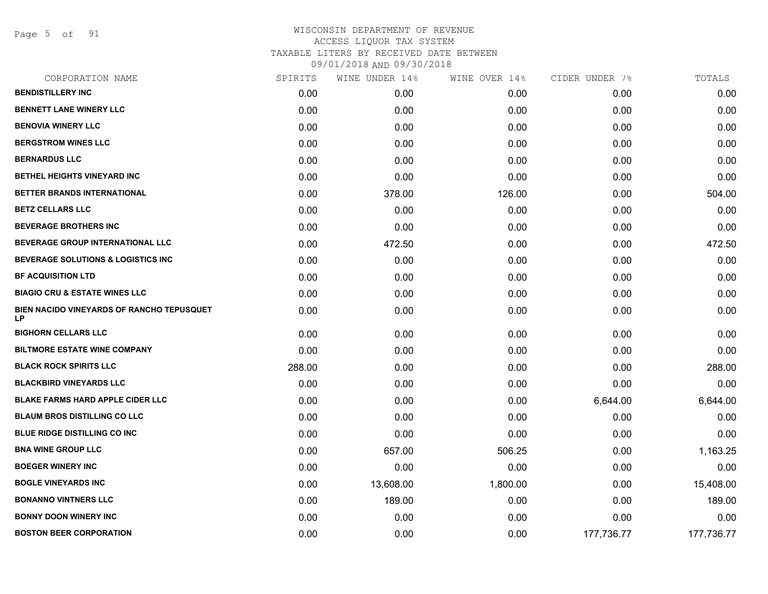Page 5 of 91

|        | WINE UNDER 14% | WINE OVER 14% | CIDER UNDER 7% | TOTALS     |
|--------|----------------|---------------|----------------|------------|
| 0.00   | 0.00           | 0.00          | 0.00           | 0.00       |
| 0.00   | 0.00           | 0.00          | 0.00           | 0.00       |
| 0.00   | 0.00           | 0.00          | 0.00           | 0.00       |
| 0.00   | 0.00           | 0.00          | 0.00           | 0.00       |
| 0.00   | 0.00           | 0.00          | 0.00           | 0.00       |
| 0.00   | 0.00           | 0.00          | 0.00           | 0.00       |
| 0.00   | 378.00         | 126.00        | 0.00           | 504.00     |
| 0.00   | 0.00           | 0.00          | 0.00           | 0.00       |
| 0.00   | 0.00           | 0.00          | 0.00           | 0.00       |
| 0.00   | 472.50         | 0.00          | 0.00           | 472.50     |
| 0.00   | 0.00           | 0.00          | 0.00           | 0.00       |
| 0.00   | 0.00           | 0.00          | 0.00           | 0.00       |
| 0.00   | 0.00           | 0.00          | 0.00           | 0.00       |
| 0.00   | 0.00           | 0.00          | 0.00           | 0.00       |
| 0.00   | 0.00           | 0.00          | 0.00           | 0.00       |
| 0.00   | 0.00           | 0.00          | 0.00           | 0.00       |
| 288.00 | 0.00           | 0.00          | 0.00           | 288.00     |
| 0.00   | 0.00           | 0.00          | 0.00           | 0.00       |
| 0.00   | 0.00           | 0.00          | 6,644.00       | 6,644.00   |
| 0.00   | 0.00           | 0.00          | 0.00           | 0.00       |
| 0.00   | 0.00           | 0.00          | 0.00           | 0.00       |
| 0.00   | 657.00         | 506.25        | 0.00           | 1,163.25   |
| 0.00   | 0.00           | 0.00          | 0.00           | 0.00       |
| 0.00   | 13,608.00      | 1,800.00      | 0.00           | 15,408.00  |
| 0.00   | 189.00         | 0.00          | 0.00           | 189.00     |
| 0.00   | 0.00           | 0.00          | 0.00           | 0.00       |
| 0.00   | 0.00           | 0.00          | 177,736.77     | 177,736.77 |
|        |                | SPIRITS       |                |            |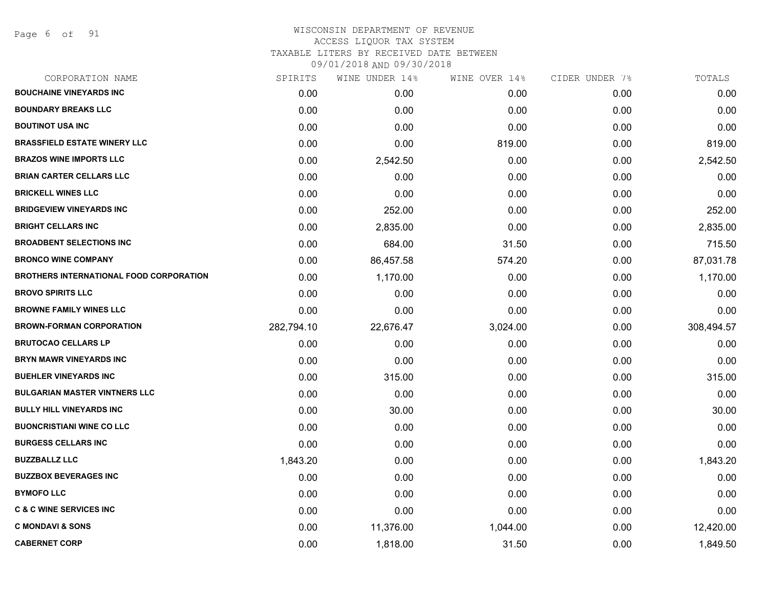Page 6 of 91

| CORPORATION NAME                               | SPIRITS    | WINE UNDER 14% | WINE OVER 14% | CIDER UNDER 7% | TOTALS     |
|------------------------------------------------|------------|----------------|---------------|----------------|------------|
| <b>BOUCHAINE VINEYARDS INC</b>                 | 0.00       | 0.00           | 0.00          | 0.00           | 0.00       |
| <b>BOUNDARY BREAKS LLC</b>                     | 0.00       | 0.00           | 0.00          | 0.00           | 0.00       |
| <b>BOUTINOT USA INC</b>                        | 0.00       | 0.00           | 0.00          | 0.00           | 0.00       |
| <b>BRASSFIELD ESTATE WINERY LLC</b>            | 0.00       | 0.00           | 819.00        | 0.00           | 819.00     |
| <b>BRAZOS WINE IMPORTS LLC</b>                 | 0.00       | 2,542.50       | 0.00          | 0.00           | 2,542.50   |
| <b>BRIAN CARTER CELLARS LLC</b>                | 0.00       | 0.00           | 0.00          | 0.00           | 0.00       |
| <b>BRICKELL WINES LLC</b>                      | 0.00       | 0.00           | 0.00          | 0.00           | 0.00       |
| <b>BRIDGEVIEW VINEYARDS INC</b>                | 0.00       | 252.00         | 0.00          | 0.00           | 252.00     |
| <b>BRIGHT CELLARS INC</b>                      | 0.00       | 2,835.00       | 0.00          | 0.00           | 2,835.00   |
| <b>BROADBENT SELECTIONS INC</b>                | 0.00       | 684.00         | 31.50         | 0.00           | 715.50     |
| <b>BRONCO WINE COMPANY</b>                     | 0.00       | 86,457.58      | 574.20        | 0.00           | 87,031.78  |
| <b>BROTHERS INTERNATIONAL FOOD CORPORATION</b> | 0.00       | 1,170.00       | 0.00          | 0.00           | 1,170.00   |
| <b>BROVO SPIRITS LLC</b>                       | 0.00       | 0.00           | 0.00          | 0.00           | 0.00       |
| <b>BROWNE FAMILY WINES LLC</b>                 | 0.00       | 0.00           | 0.00          | 0.00           | 0.00       |
| <b>BROWN-FORMAN CORPORATION</b>                | 282,794.10 | 22,676.47      | 3,024.00      | 0.00           | 308,494.57 |
| <b>BRUTOCAO CELLARS LP</b>                     | 0.00       | 0.00           | 0.00          | 0.00           | 0.00       |
| <b>BRYN MAWR VINEYARDS INC</b>                 | 0.00       | 0.00           | 0.00          | 0.00           | 0.00       |
| <b>BUEHLER VINEYARDS INC</b>                   | 0.00       | 315.00         | 0.00          | 0.00           | 315.00     |
| <b>BULGARIAN MASTER VINTNERS LLC</b>           | 0.00       | 0.00           | 0.00          | 0.00           | 0.00       |
| <b>BULLY HILL VINEYARDS INC</b>                | 0.00       | 30.00          | 0.00          | 0.00           | 30.00      |
| <b>BUONCRISTIANI WINE CO LLC</b>               | 0.00       | 0.00           | 0.00          | 0.00           | 0.00       |
| <b>BURGESS CELLARS INC</b>                     | 0.00       | 0.00           | 0.00          | 0.00           | 0.00       |
| <b>BUZZBALLZ LLC</b>                           | 1,843.20   | 0.00           | 0.00          | 0.00           | 1,843.20   |
| <b>BUZZBOX BEVERAGES INC</b>                   | 0.00       | 0.00           | 0.00          | 0.00           | 0.00       |
| <b>BYMOFO LLC</b>                              | 0.00       | 0.00           | 0.00          | 0.00           | 0.00       |
| <b>C &amp; C WINE SERVICES INC</b>             | 0.00       | 0.00           | 0.00          | 0.00           | 0.00       |
| <b>C MONDAVI &amp; SONS</b>                    | 0.00       | 11,376.00      | 1,044.00      | 0.00           | 12,420.00  |
| <b>CABERNET CORP</b>                           | 0.00       | 1,818.00       | 31.50         | 0.00           | 1,849.50   |
|                                                |            |                |               |                |            |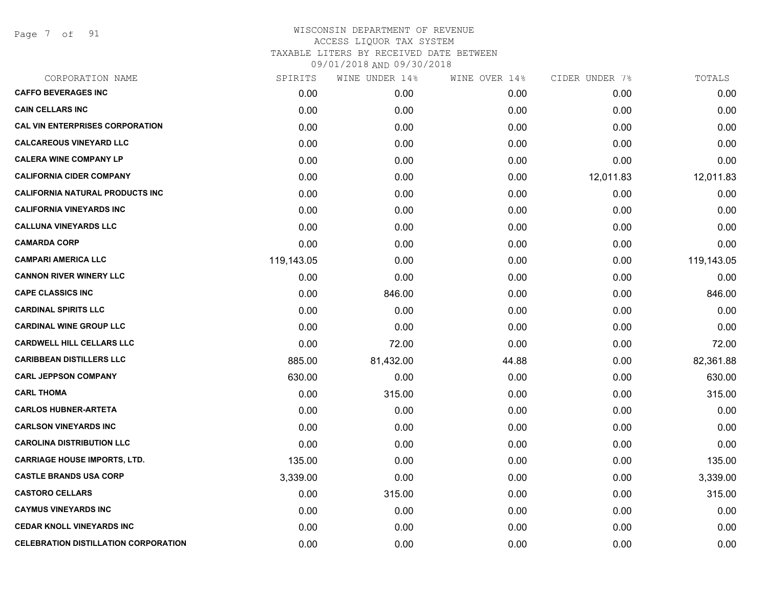Page 7 of 91

| SPIRITS    | WINE UNDER 14%    |       |               | TOTALS         |
|------------|-------------------|-------|---------------|----------------|
| 0.00       | 0.00 <sub>1</sub> | 0.00  | 0.00          | 0.00           |
| 0.00       | 0.00              | 0.00  | 0.00          | 0.00           |
| 0.00       | 0.00              | 0.00  | 0.00          | 0.00           |
| 0.00       | 0.00              | 0.00  | 0.00          | 0.00           |
| 0.00       | 0.00              | 0.00  | 0.00          | 0.00           |
| 0.00       | 0.00              | 0.00  | 12,011.83     | 12,011.83      |
| 0.00       | 0.00              | 0.00  | 0.00          | 0.00           |
| 0.00       | 0.00              | 0.00  | 0.00          | 0.00           |
| 0.00       | 0.00              | 0.00  | 0.00          | 0.00           |
| 0.00       | 0.00              | 0.00  | 0.00          | 0.00           |
| 119,143.05 | 0.00              | 0.00  | 0.00          | 119,143.05     |
| 0.00       | 0.00              | 0.00  | 0.00          | 0.00           |
| 0.00       | 846.00            | 0.00  | 0.00          | 846.00         |
| 0.00       | 0.00              | 0.00  | 0.00          | 0.00           |
| 0.00       | 0.00              | 0.00  | 0.00          | 0.00           |
| 0.00       | 72.00             | 0.00  | 0.00          | 72.00          |
| 885.00     | 81,432.00         | 44.88 | 0.00          | 82,361.88      |
| 630.00     | 0.00              | 0.00  | 0.00          | 630.00         |
| 0.00       | 315.00            | 0.00  | 0.00          | 315.00         |
| 0.00       | 0.00              | 0.00  | 0.00          | 0.00           |
| 0.00       | 0.00              | 0.00  | 0.00          | 0.00           |
| 0.00       | 0.00              | 0.00  | 0.00          | 0.00           |
| 135.00     | 0.00              | 0.00  | 0.00          | 135.00         |
| 3,339.00   | 0.00              | 0.00  | 0.00          | 3,339.00       |
| 0.00       | 315.00            | 0.00  | 0.00          | 315.00         |
| 0.00       | 0.00              | 0.00  | 0.00          | 0.00           |
| 0.00       | 0.00              | 0.00  | 0.00          | 0.00           |
| 0.00       | 0.00              | 0.00  | 0.00          | 0.00           |
|            |                   |       | WINE OVER 14% | CIDER UNDER 7% |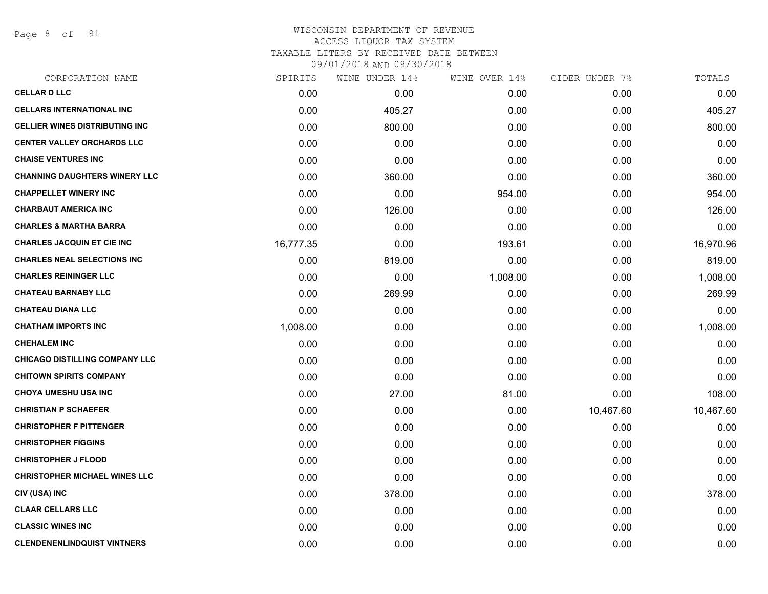Page 8 of 91

| <b>CELLAR D LLC</b><br>0.00<br>0.00<br>0.00<br>0.00<br><b>CELLARS INTERNATIONAL INC</b><br>0.00<br>0.00<br>405.27<br>0.00<br><b>CELLIER WINES DISTRIBUTING INC</b><br>0.00<br>0.00<br>800.00<br>0.00<br><b>CENTER VALLEY ORCHARDS LLC</b><br>0.00<br>0.00<br>0.00<br>0.00<br><b>CHAISE VENTURES INC</b><br>0.00<br>0.00<br>0.00<br>0.00<br><b>CHANNING DAUGHTERS WINERY LLC</b><br>0.00<br>360.00<br>0.00<br>0.00<br><b>CHAPPELLET WINERY INC</b><br>0.00<br>0.00<br>954.00<br>0.00<br><b>CHARBAUT AMERICA INC</b><br>0.00<br>126.00<br>0.00<br>0.00<br><b>CHARLES &amp; MARTHA BARRA</b><br>0.00<br>0.00<br>0.00<br>0.00<br><b>CHARLES JACQUIN ET CIE INC</b><br>0.00<br>16,777.35<br>193.61<br>0.00<br><b>CHARLES NEAL SELECTIONS INC</b><br>0.00<br>0.00<br>819.00<br>0.00<br><b>CHARLES REININGER LLC</b><br>0.00<br>0.00<br>1,008.00<br>0.00<br><b>CHATEAU BARNABY LLC</b><br>0.00<br>269.99<br>0.00<br>0.00<br><b>CHATEAU DIANA LLC</b><br>0.00<br>0.00<br>0.00<br>0.00<br><b>CHATHAM IMPORTS INC</b><br>1,008.00<br>0.00<br>0.00<br>0.00<br><b>CHEHALEM INC</b><br>0.00<br>0.00<br>0.00<br>0.00<br><b>CHICAGO DISTILLING COMPANY LLC</b><br>0.00<br>0.00<br>0.00<br>0.00<br><b>CHITOWN SPIRITS COMPANY</b><br>0.00<br>0.00<br>0.00<br>0.00<br><b>CHOYA UMESHU USA INC</b><br>0.00<br>27.00<br>81.00<br>0.00<br><b>CHRISTIAN P SCHAEFER</b><br>0.00<br>0.00<br>0.00<br>10,467.60<br><b>CHRISTOPHER F PITTENGER</b><br>0.00<br>0.00<br>0.00<br>0.00<br><b>CHRISTOPHER FIGGINS</b><br>0.00<br>0.00<br>0.00<br>0.00<br><b>CHRISTOPHER J FLOOD</b><br>0.00<br>0.00<br>0.00<br>0.00<br><b>CHRISTOPHER MICHAEL WINES LLC</b><br>0.00<br>0.00<br>0.00<br>0.00<br>CIV (USA) INC<br>0.00<br>378.00<br>0.00<br>0.00<br><b>CLAAR CELLARS LLC</b><br>0.00<br>0.00<br>0.00<br>0.00<br><b>CLASSIC WINES INC</b><br>0.00<br>0.00<br>0.00<br>0.00<br><b>CLENDENENLINDQUIST VINTNERS</b><br>0.00<br>0.00<br>0.00<br>0.00 | CORPORATION NAME | SPIRITS | WINE UNDER 14% | WINE OVER 14% | CIDER UNDER 7% | TOTALS    |
|---------------------------------------------------------------------------------------------------------------------------------------------------------------------------------------------------------------------------------------------------------------------------------------------------------------------------------------------------------------------------------------------------------------------------------------------------------------------------------------------------------------------------------------------------------------------------------------------------------------------------------------------------------------------------------------------------------------------------------------------------------------------------------------------------------------------------------------------------------------------------------------------------------------------------------------------------------------------------------------------------------------------------------------------------------------------------------------------------------------------------------------------------------------------------------------------------------------------------------------------------------------------------------------------------------------------------------------------------------------------------------------------------------------------------------------------------------------------------------------------------------------------------------------------------------------------------------------------------------------------------------------------------------------------------------------------------------------------------------------------------------------------------------------------------------------------------------------------------------------------------------------------------------------|------------------|---------|----------------|---------------|----------------|-----------|
|                                                                                                                                                                                                                                                                                                                                                                                                                                                                                                                                                                                                                                                                                                                                                                                                                                                                                                                                                                                                                                                                                                                                                                                                                                                                                                                                                                                                                                                                                                                                                                                                                                                                                                                                                                                                                                                                                                               |                  |         |                |               |                | 0.00      |
|                                                                                                                                                                                                                                                                                                                                                                                                                                                                                                                                                                                                                                                                                                                                                                                                                                                                                                                                                                                                                                                                                                                                                                                                                                                                                                                                                                                                                                                                                                                                                                                                                                                                                                                                                                                                                                                                                                               |                  |         |                |               |                | 405.27    |
|                                                                                                                                                                                                                                                                                                                                                                                                                                                                                                                                                                                                                                                                                                                                                                                                                                                                                                                                                                                                                                                                                                                                                                                                                                                                                                                                                                                                                                                                                                                                                                                                                                                                                                                                                                                                                                                                                                               |                  |         |                |               |                | 800.00    |
|                                                                                                                                                                                                                                                                                                                                                                                                                                                                                                                                                                                                                                                                                                                                                                                                                                                                                                                                                                                                                                                                                                                                                                                                                                                                                                                                                                                                                                                                                                                                                                                                                                                                                                                                                                                                                                                                                                               |                  |         |                |               |                | 0.00      |
|                                                                                                                                                                                                                                                                                                                                                                                                                                                                                                                                                                                                                                                                                                                                                                                                                                                                                                                                                                                                                                                                                                                                                                                                                                                                                                                                                                                                                                                                                                                                                                                                                                                                                                                                                                                                                                                                                                               |                  |         |                |               |                | 0.00      |
|                                                                                                                                                                                                                                                                                                                                                                                                                                                                                                                                                                                                                                                                                                                                                                                                                                                                                                                                                                                                                                                                                                                                                                                                                                                                                                                                                                                                                                                                                                                                                                                                                                                                                                                                                                                                                                                                                                               |                  |         |                |               |                | 360.00    |
|                                                                                                                                                                                                                                                                                                                                                                                                                                                                                                                                                                                                                                                                                                                                                                                                                                                                                                                                                                                                                                                                                                                                                                                                                                                                                                                                                                                                                                                                                                                                                                                                                                                                                                                                                                                                                                                                                                               |                  |         |                |               |                | 954.00    |
|                                                                                                                                                                                                                                                                                                                                                                                                                                                                                                                                                                                                                                                                                                                                                                                                                                                                                                                                                                                                                                                                                                                                                                                                                                                                                                                                                                                                                                                                                                                                                                                                                                                                                                                                                                                                                                                                                                               |                  |         |                |               |                | 126.00    |
|                                                                                                                                                                                                                                                                                                                                                                                                                                                                                                                                                                                                                                                                                                                                                                                                                                                                                                                                                                                                                                                                                                                                                                                                                                                                                                                                                                                                                                                                                                                                                                                                                                                                                                                                                                                                                                                                                                               |                  |         |                |               |                | 0.00      |
|                                                                                                                                                                                                                                                                                                                                                                                                                                                                                                                                                                                                                                                                                                                                                                                                                                                                                                                                                                                                                                                                                                                                                                                                                                                                                                                                                                                                                                                                                                                                                                                                                                                                                                                                                                                                                                                                                                               |                  |         |                |               |                | 16,970.96 |
|                                                                                                                                                                                                                                                                                                                                                                                                                                                                                                                                                                                                                                                                                                                                                                                                                                                                                                                                                                                                                                                                                                                                                                                                                                                                                                                                                                                                                                                                                                                                                                                                                                                                                                                                                                                                                                                                                                               |                  |         |                |               |                | 819.00    |
|                                                                                                                                                                                                                                                                                                                                                                                                                                                                                                                                                                                                                                                                                                                                                                                                                                                                                                                                                                                                                                                                                                                                                                                                                                                                                                                                                                                                                                                                                                                                                                                                                                                                                                                                                                                                                                                                                                               |                  |         |                |               |                | 1,008.00  |
|                                                                                                                                                                                                                                                                                                                                                                                                                                                                                                                                                                                                                                                                                                                                                                                                                                                                                                                                                                                                                                                                                                                                                                                                                                                                                                                                                                                                                                                                                                                                                                                                                                                                                                                                                                                                                                                                                                               |                  |         |                |               |                | 269.99    |
|                                                                                                                                                                                                                                                                                                                                                                                                                                                                                                                                                                                                                                                                                                                                                                                                                                                                                                                                                                                                                                                                                                                                                                                                                                                                                                                                                                                                                                                                                                                                                                                                                                                                                                                                                                                                                                                                                                               |                  |         |                |               |                | 0.00      |
|                                                                                                                                                                                                                                                                                                                                                                                                                                                                                                                                                                                                                                                                                                                                                                                                                                                                                                                                                                                                                                                                                                                                                                                                                                                                                                                                                                                                                                                                                                                                                                                                                                                                                                                                                                                                                                                                                                               |                  |         |                |               |                | 1,008.00  |
|                                                                                                                                                                                                                                                                                                                                                                                                                                                                                                                                                                                                                                                                                                                                                                                                                                                                                                                                                                                                                                                                                                                                                                                                                                                                                                                                                                                                                                                                                                                                                                                                                                                                                                                                                                                                                                                                                                               |                  |         |                |               |                | 0.00      |
|                                                                                                                                                                                                                                                                                                                                                                                                                                                                                                                                                                                                                                                                                                                                                                                                                                                                                                                                                                                                                                                                                                                                                                                                                                                                                                                                                                                                                                                                                                                                                                                                                                                                                                                                                                                                                                                                                                               |                  |         |                |               |                | 0.00      |
|                                                                                                                                                                                                                                                                                                                                                                                                                                                                                                                                                                                                                                                                                                                                                                                                                                                                                                                                                                                                                                                                                                                                                                                                                                                                                                                                                                                                                                                                                                                                                                                                                                                                                                                                                                                                                                                                                                               |                  |         |                |               |                | 0.00      |
|                                                                                                                                                                                                                                                                                                                                                                                                                                                                                                                                                                                                                                                                                                                                                                                                                                                                                                                                                                                                                                                                                                                                                                                                                                                                                                                                                                                                                                                                                                                                                                                                                                                                                                                                                                                                                                                                                                               |                  |         |                |               |                | 108.00    |
|                                                                                                                                                                                                                                                                                                                                                                                                                                                                                                                                                                                                                                                                                                                                                                                                                                                                                                                                                                                                                                                                                                                                                                                                                                                                                                                                                                                                                                                                                                                                                                                                                                                                                                                                                                                                                                                                                                               |                  |         |                |               |                | 10,467.60 |
|                                                                                                                                                                                                                                                                                                                                                                                                                                                                                                                                                                                                                                                                                                                                                                                                                                                                                                                                                                                                                                                                                                                                                                                                                                                                                                                                                                                                                                                                                                                                                                                                                                                                                                                                                                                                                                                                                                               |                  |         |                |               |                | 0.00      |
|                                                                                                                                                                                                                                                                                                                                                                                                                                                                                                                                                                                                                                                                                                                                                                                                                                                                                                                                                                                                                                                                                                                                                                                                                                                                                                                                                                                                                                                                                                                                                                                                                                                                                                                                                                                                                                                                                                               |                  |         |                |               |                | 0.00      |
|                                                                                                                                                                                                                                                                                                                                                                                                                                                                                                                                                                                                                                                                                                                                                                                                                                                                                                                                                                                                                                                                                                                                                                                                                                                                                                                                                                                                                                                                                                                                                                                                                                                                                                                                                                                                                                                                                                               |                  |         |                |               |                | 0.00      |
|                                                                                                                                                                                                                                                                                                                                                                                                                                                                                                                                                                                                                                                                                                                                                                                                                                                                                                                                                                                                                                                                                                                                                                                                                                                                                                                                                                                                                                                                                                                                                                                                                                                                                                                                                                                                                                                                                                               |                  |         |                |               |                | 0.00      |
|                                                                                                                                                                                                                                                                                                                                                                                                                                                                                                                                                                                                                                                                                                                                                                                                                                                                                                                                                                                                                                                                                                                                                                                                                                                                                                                                                                                                                                                                                                                                                                                                                                                                                                                                                                                                                                                                                                               |                  |         |                |               |                | 378.00    |
|                                                                                                                                                                                                                                                                                                                                                                                                                                                                                                                                                                                                                                                                                                                                                                                                                                                                                                                                                                                                                                                                                                                                                                                                                                                                                                                                                                                                                                                                                                                                                                                                                                                                                                                                                                                                                                                                                                               |                  |         |                |               |                | 0.00      |
|                                                                                                                                                                                                                                                                                                                                                                                                                                                                                                                                                                                                                                                                                                                                                                                                                                                                                                                                                                                                                                                                                                                                                                                                                                                                                                                                                                                                                                                                                                                                                                                                                                                                                                                                                                                                                                                                                                               |                  |         |                |               |                | 0.00      |
|                                                                                                                                                                                                                                                                                                                                                                                                                                                                                                                                                                                                                                                                                                                                                                                                                                                                                                                                                                                                                                                                                                                                                                                                                                                                                                                                                                                                                                                                                                                                                                                                                                                                                                                                                                                                                                                                                                               |                  |         |                |               |                | 0.00      |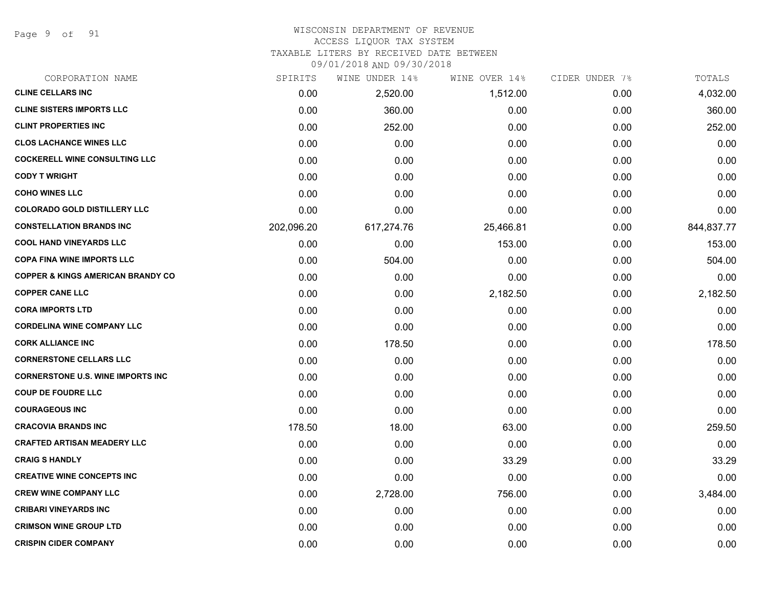Page 9 of 91

# WISCONSIN DEPARTMENT OF REVENUE

# ACCESS LIQUOR TAX SYSTEM

TAXABLE LITERS BY RECEIVED DATE BETWEEN

| CORPORATION NAME                             | SPIRITS    | WINE UNDER 14% | WINE OVER 14% | CIDER UNDER 7% | TOTALS     |
|----------------------------------------------|------------|----------------|---------------|----------------|------------|
| <b>CLINE CELLARS INC</b>                     | 0.00       | 2,520.00       | 1,512.00      | 0.00           | 4,032.00   |
| <b>CLINE SISTERS IMPORTS LLC</b>             | 0.00       | 360.00         | 0.00          | 0.00           | 360.00     |
| <b>CLINT PROPERTIES INC</b>                  | 0.00       | 252.00         | 0.00          | 0.00           | 252.00     |
| <b>CLOS LACHANCE WINES LLC</b>               | 0.00       | 0.00           | 0.00          | 0.00           | 0.00       |
| <b>COCKERELL WINE CONSULTING LLC</b>         | 0.00       | 0.00           | 0.00          | 0.00           | 0.00       |
| <b>CODY T WRIGHT</b>                         | 0.00       | 0.00           | 0.00          | 0.00           | 0.00       |
| <b>COHO WINES LLC</b>                        | 0.00       | 0.00           | 0.00          | 0.00           | 0.00       |
| <b>COLORADO GOLD DISTILLERY LLC</b>          | 0.00       | 0.00           | 0.00          | 0.00           | 0.00       |
| <b>CONSTELLATION BRANDS INC</b>              | 202,096.20 | 617,274.76     | 25,466.81     | 0.00           | 844,837.77 |
| <b>COOL HAND VINEYARDS LLC</b>               | 0.00       | 0.00           | 153.00        | 0.00           | 153.00     |
| <b>COPA FINA WINE IMPORTS LLC</b>            | 0.00       | 504.00         | 0.00          | 0.00           | 504.00     |
| <b>COPPER &amp; KINGS AMERICAN BRANDY CO</b> | 0.00       | 0.00           | 0.00          | 0.00           | 0.00       |
| <b>COPPER CANE LLC</b>                       | 0.00       | 0.00           | 2,182.50      | 0.00           | 2,182.50   |
| <b>CORA IMPORTS LTD</b>                      | 0.00       | 0.00           | 0.00          | 0.00           | 0.00       |
| <b>CORDELINA WINE COMPANY LLC</b>            | 0.00       | 0.00           | 0.00          | 0.00           | 0.00       |
| <b>CORK ALLIANCE INC</b>                     | 0.00       | 178.50         | 0.00          | 0.00           | 178.50     |
| <b>CORNERSTONE CELLARS LLC</b>               | 0.00       | 0.00           | 0.00          | 0.00           | 0.00       |
| <b>CORNERSTONE U.S. WINE IMPORTS INC.</b>    | 0.00       | 0.00           | 0.00          | 0.00           | 0.00       |
| <b>COUP DE FOUDRE LLC</b>                    | 0.00       | 0.00           | 0.00          | 0.00           | 0.00       |
| <b>COURAGEOUS INC</b>                        | 0.00       | 0.00           | 0.00          | 0.00           | 0.00       |
| <b>CRACOVIA BRANDS INC</b>                   | 178.50     | 18.00          | 63.00         | 0.00           | 259.50     |
| <b>CRAFTED ARTISAN MEADERY LLC</b>           | 0.00       | 0.00           | 0.00          | 0.00           | 0.00       |
| <b>CRAIG S HANDLY</b>                        | 0.00       | 0.00           | 33.29         | 0.00           | 33.29      |
| <b>CREATIVE WINE CONCEPTS INC</b>            | 0.00       | 0.00           | 0.00          | 0.00           | 0.00       |
| <b>CREW WINE COMPANY LLC</b>                 | 0.00       | 2,728.00       | 756.00        | 0.00           | 3,484.00   |
| <b>CRIBARI VINEYARDS INC</b>                 | 0.00       | 0.00           | 0.00          | 0.00           | 0.00       |
| <b>CRIMSON WINE GROUP LTD</b>                | 0.00       | 0.00           | 0.00          | 0.00           | 0.00       |
| <b>CRISPIN CIDER COMPANY</b>                 | 0.00       | 0.00           | 0.00          | 0.00           | 0.00       |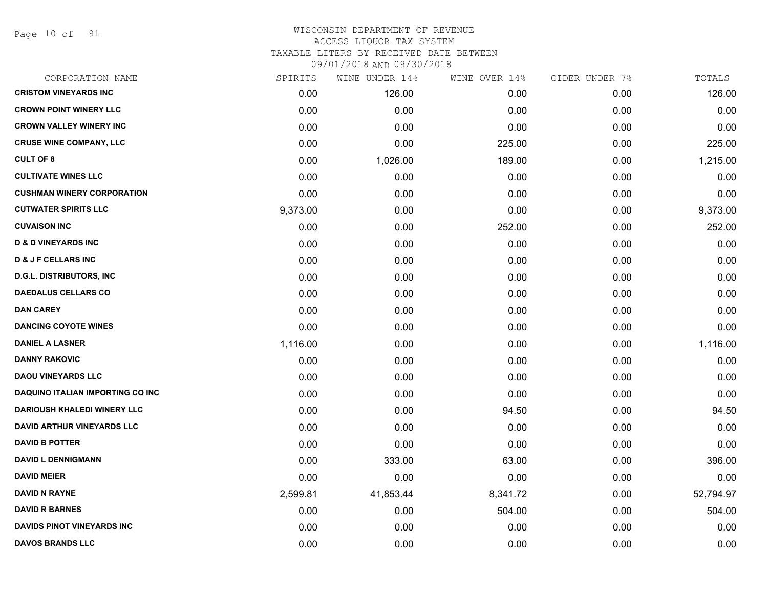Page 10 of 91

## WISCONSIN DEPARTMENT OF REVENUE ACCESS LIQUOR TAX SYSTEM TAXABLE LITERS BY RECEIVED DATE BETWEEN

| CORPORATION NAME                   | SPIRITS  | WINE UNDER 14% | WINE OVER 14% | CIDER UNDER 7% | TOTALS    |
|------------------------------------|----------|----------------|---------------|----------------|-----------|
| <b>CRISTOM VINEYARDS INC</b>       | 0.00     | 126.00         | 0.00          | 0.00           | 126.00    |
| <b>CROWN POINT WINERY LLC</b>      | 0.00     | 0.00           | 0.00          | 0.00           | 0.00      |
| <b>CROWN VALLEY WINERY INC</b>     | 0.00     | 0.00           | 0.00          | 0.00           | 0.00      |
| <b>CRUSE WINE COMPANY, LLC</b>     | 0.00     | 0.00           | 225.00        | 0.00           | 225.00    |
| <b>CULT OF 8</b>                   | 0.00     | 1,026.00       | 189.00        | 0.00           | 1,215.00  |
| <b>CULTIVATE WINES LLC</b>         | 0.00     | 0.00           | 0.00          | 0.00           | 0.00      |
| <b>CUSHMAN WINERY CORPORATION</b>  | 0.00     | 0.00           | 0.00          | 0.00           | 0.00      |
| <b>CUTWATER SPIRITS LLC</b>        | 9,373.00 | 0.00           | 0.00          | 0.00           | 9,373.00  |
| <b>CUVAISON INC</b>                | 0.00     | 0.00           | 252.00        | 0.00           | 252.00    |
| <b>D &amp; D VINEYARDS INC</b>     | 0.00     | 0.00           | 0.00          | 0.00           | 0.00      |
| <b>D &amp; J F CELLARS INC</b>     | 0.00     | 0.00           | 0.00          | 0.00           | 0.00      |
| <b>D.G.L. DISTRIBUTORS, INC</b>    | 0.00     | 0.00           | 0.00          | 0.00           | 0.00      |
| <b>DAEDALUS CELLARS CO</b>         | 0.00     | 0.00           | 0.00          | 0.00           | 0.00      |
| <b>DAN CAREY</b>                   | 0.00     | 0.00           | 0.00          | 0.00           | 0.00      |
| <b>DANCING COYOTE WINES</b>        | 0.00     | 0.00           | 0.00          | 0.00           | 0.00      |
| <b>DANIEL A LASNER</b>             | 1,116.00 | 0.00           | 0.00          | 0.00           | 1,116.00  |
| <b>DANNY RAKOVIC</b>               | 0.00     | 0.00           | 0.00          | 0.00           | 0.00      |
| <b>DAOU VINEYARDS LLC</b>          | 0.00     | 0.00           | 0.00          | 0.00           | 0.00      |
| DAQUINO ITALIAN IMPORTING CO INC   | 0.00     | 0.00           | 0.00          | 0.00           | 0.00      |
| <b>DARIOUSH KHALEDI WINERY LLC</b> | 0.00     | 0.00           | 94.50         | 0.00           | 94.50     |
| <b>DAVID ARTHUR VINEYARDS LLC</b>  | 0.00     | 0.00           | 0.00          | 0.00           | 0.00      |
| <b>DAVID B POTTER</b>              | 0.00     | 0.00           | 0.00          | 0.00           | 0.00      |
| <b>DAVID L DENNIGMANN</b>          | 0.00     | 333.00         | 63.00         | 0.00           | 396.00    |
| <b>DAVID MEIER</b>                 | 0.00     | 0.00           | 0.00          | 0.00           | 0.00      |
| <b>DAVID N RAYNE</b>               | 2,599.81 | 41,853.44      | 8,341.72      | 0.00           | 52,794.97 |
| <b>DAVID R BARNES</b>              | 0.00     | 0.00           | 504.00        | 0.00           | 504.00    |
| DAVIDS PINOT VINEYARDS INC         | 0.00     | 0.00           | 0.00          | 0.00           | 0.00      |
| <b>DAVOS BRANDS LLC</b>            | 0.00     | 0.00           | 0.00          | 0.00           | 0.00      |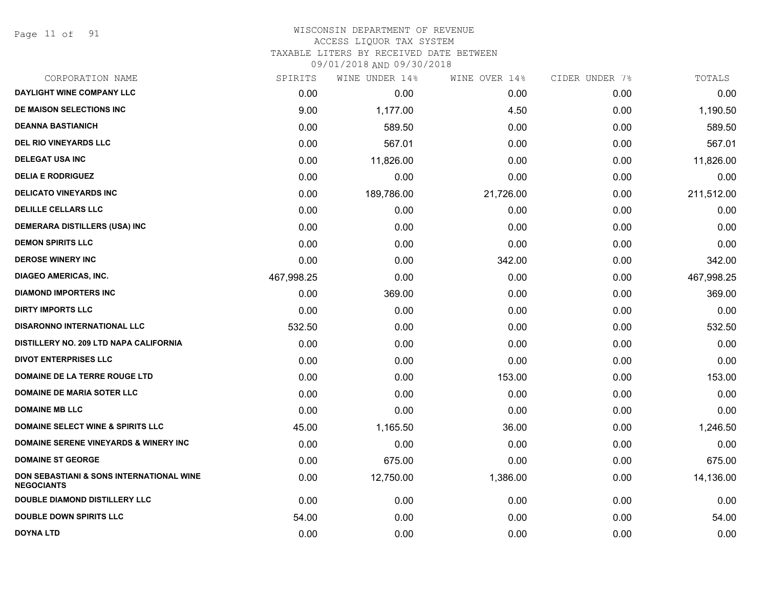Page 11 of 91

## WISCONSIN DEPARTMENT OF REVENUE ACCESS LIQUOR TAX SYSTEM TAXABLE LITERS BY RECEIVED DATE BETWEEN

| CORPORATION NAME                                              | SPIRITS    | WINE UNDER 14% | WINE OVER 14% | CIDER UNDER 7% | TOTALS     |
|---------------------------------------------------------------|------------|----------------|---------------|----------------|------------|
| <b>DAYLIGHT WINE COMPANY LLC</b>                              | 0.00       | 0.00           | 0.00          | 0.00           | 0.00       |
| DE MAISON SELECTIONS INC                                      | 9.00       | 1,177.00       | 4.50          | 0.00           | 1,190.50   |
| <b>DEANNA BASTIANICH</b>                                      | 0.00       | 589.50         | 0.00          | 0.00           | 589.50     |
| <b>DEL RIO VINEYARDS LLC</b>                                  | 0.00       | 567.01         | 0.00          | 0.00           | 567.01     |
| <b>DELEGAT USA INC</b>                                        | 0.00       | 11,826.00      | 0.00          | 0.00           | 11,826.00  |
| <b>DELIA E RODRIGUEZ</b>                                      | 0.00       | 0.00           | 0.00          | 0.00           | 0.00       |
| <b>DELICATO VINEYARDS INC</b>                                 | 0.00       | 189,786.00     | 21,726.00     | 0.00           | 211,512.00 |
| <b>DELILLE CELLARS LLC</b>                                    | 0.00       | 0.00           | 0.00          | 0.00           | 0.00       |
| DEMERARA DISTILLERS (USA) INC                                 | 0.00       | 0.00           | 0.00          | 0.00           | 0.00       |
| <b>DEMON SPIRITS LLC</b>                                      | 0.00       | 0.00           | 0.00          | 0.00           | 0.00       |
| <b>DEROSE WINERY INC</b>                                      | 0.00       | 0.00           | 342.00        | 0.00           | 342.00     |
| <b>DIAGEO AMERICAS, INC.</b>                                  | 467,998.25 | 0.00           | 0.00          | 0.00           | 467,998.25 |
| <b>DIAMOND IMPORTERS INC</b>                                  | 0.00       | 369.00         | 0.00          | 0.00           | 369.00     |
| <b>DIRTY IMPORTS LLC</b>                                      | 0.00       | 0.00           | 0.00          | 0.00           | 0.00       |
| <b>DISARONNO INTERNATIONAL LLC</b>                            | 532.50     | 0.00           | 0.00          | 0.00           | 532.50     |
| DISTILLERY NO. 209 LTD NAPA CALIFORNIA                        | 0.00       | 0.00           | 0.00          | 0.00           | 0.00       |
| <b>DIVOT ENTERPRISES LLC</b>                                  | 0.00       | 0.00           | 0.00          | 0.00           | 0.00       |
| <b>DOMAINE DE LA TERRE ROUGE LTD</b>                          | 0.00       | 0.00           | 153.00        | 0.00           | 153.00     |
| <b>DOMAINE DE MARIA SOTER LLC</b>                             | 0.00       | 0.00           | 0.00          | 0.00           | 0.00       |
| <b>DOMAINE MB LLC</b>                                         | 0.00       | 0.00           | 0.00          | 0.00           | 0.00       |
| <b>DOMAINE SELECT WINE &amp; SPIRITS LLC</b>                  | 45.00      | 1,165.50       | 36.00         | 0.00           | 1,246.50   |
| <b>DOMAINE SERENE VINEYARDS &amp; WINERY INC</b>              | 0.00       | 0.00           | 0.00          | 0.00           | 0.00       |
| <b>DOMAINE ST GEORGE</b>                                      | 0.00       | 675.00         | 0.00          | 0.00           | 675.00     |
| DON SEBASTIANI & SONS INTERNATIONAL WINE<br><b>NEGOCIANTS</b> | 0.00       | 12,750.00      | 1,386.00      | 0.00           | 14,136.00  |
| <b>DOUBLE DIAMOND DISTILLERY LLC</b>                          | 0.00       | 0.00           | 0.00          | 0.00           | 0.00       |
| <b>DOUBLE DOWN SPIRITS LLC</b>                                | 54.00      | 0.00           | 0.00          | 0.00           | 54.00      |
| <b>DOYNA LTD</b>                                              | 0.00       | 0.00           | 0.00          | 0.00           | 0.00       |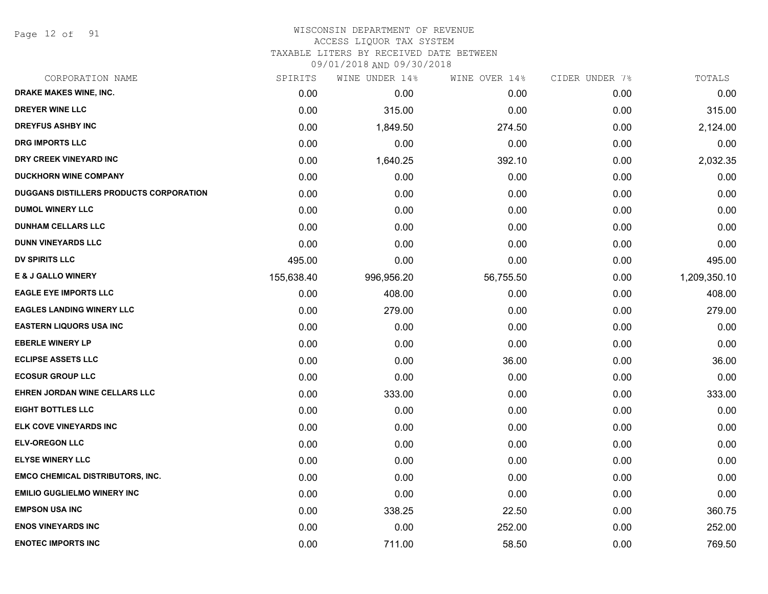Page 12 of 91

#### WISCONSIN DEPARTMENT OF REVENUE ACCESS LIQUOR TAX SYSTEM TAXABLE LITERS BY RECEIVED DATE BETWEEN

| CORPORATION NAME                               | SPIRITS    | WINE UNDER 14% | WINE OVER 14% | CIDER UNDER 7% | TOTALS       |
|------------------------------------------------|------------|----------------|---------------|----------------|--------------|
| DRAKE MAKES WINE, INC.                         | 0.00       | 0.00           | 0.00          | 0.00           | 0.00         |
| <b>DREYER WINE LLC</b>                         | 0.00       | 315.00         | 0.00          | 0.00           | 315.00       |
| <b>DREYFUS ASHBY INC</b>                       | 0.00       | 1,849.50       | 274.50        | 0.00           | 2,124.00     |
| <b>DRG IMPORTS LLC</b>                         | 0.00       | 0.00           | 0.00          | 0.00           | 0.00         |
| DRY CREEK VINEYARD INC                         | 0.00       | 1,640.25       | 392.10        | 0.00           | 2,032.35     |
| <b>DUCKHORN WINE COMPANY</b>                   | 0.00       | 0.00           | 0.00          | 0.00           | 0.00         |
| <b>DUGGANS DISTILLERS PRODUCTS CORPORATION</b> | 0.00       | 0.00           | 0.00          | 0.00           | 0.00         |
| <b>DUMOL WINERY LLC</b>                        | 0.00       | 0.00           | 0.00          | 0.00           | 0.00         |
| <b>DUNHAM CELLARS LLC</b>                      | 0.00       | 0.00           | 0.00          | 0.00           | 0.00         |
| <b>DUNN VINEYARDS LLC</b>                      | 0.00       | 0.00           | 0.00          | 0.00           | 0.00         |
| <b>DV SPIRITS LLC</b>                          | 495.00     | 0.00           | 0.00          | 0.00           | 495.00       |
| <b>E &amp; J GALLO WINERY</b>                  | 155,638.40 | 996,956.20     | 56,755.50     | 0.00           | 1,209,350.10 |
| <b>EAGLE EYE IMPORTS LLC</b>                   | 0.00       | 408.00         | 0.00          | 0.00           | 408.00       |
| <b>EAGLES LANDING WINERY LLC</b>               | 0.00       | 279.00         | 0.00          | 0.00           | 279.00       |
| <b>EASTERN LIQUORS USA INC</b>                 | 0.00       | 0.00           | 0.00          | 0.00           | 0.00         |
| <b>EBERLE WINERY LP</b>                        | 0.00       | 0.00           | 0.00          | 0.00           | 0.00         |
| <b>ECLIPSE ASSETS LLC</b>                      | 0.00       | 0.00           | 36.00         | 0.00           | 36.00        |
| <b>ECOSUR GROUP LLC</b>                        | 0.00       | 0.00           | 0.00          | 0.00           | 0.00         |
| EHREN JORDAN WINE CELLARS LLC                  | 0.00       | 333.00         | 0.00          | 0.00           | 333.00       |
| <b>EIGHT BOTTLES LLC</b>                       | 0.00       | 0.00           | 0.00          | 0.00           | 0.00         |
| <b>ELK COVE VINEYARDS INC</b>                  | 0.00       | 0.00           | 0.00          | 0.00           | 0.00         |
| <b>ELV-OREGON LLC</b>                          | 0.00       | 0.00           | 0.00          | 0.00           | 0.00         |
| <b>ELYSE WINERY LLC</b>                        | 0.00       | 0.00           | 0.00          | 0.00           | 0.00         |
| <b>EMCO CHEMICAL DISTRIBUTORS, INC.</b>        | 0.00       | 0.00           | 0.00          | 0.00           | 0.00         |
| <b>EMILIO GUGLIELMO WINERY INC</b>             | 0.00       | 0.00           | 0.00          | 0.00           | 0.00         |
| <b>EMPSON USA INC</b>                          | 0.00       | 338.25         | 22.50         | 0.00           | 360.75       |
| <b>ENOS VINEYARDS INC</b>                      | 0.00       | 0.00           | 252.00        | 0.00           | 252.00       |
| <b>ENOTEC IMPORTS INC</b>                      | 0.00       | 711.00         | 58.50         | 0.00           | 769.50       |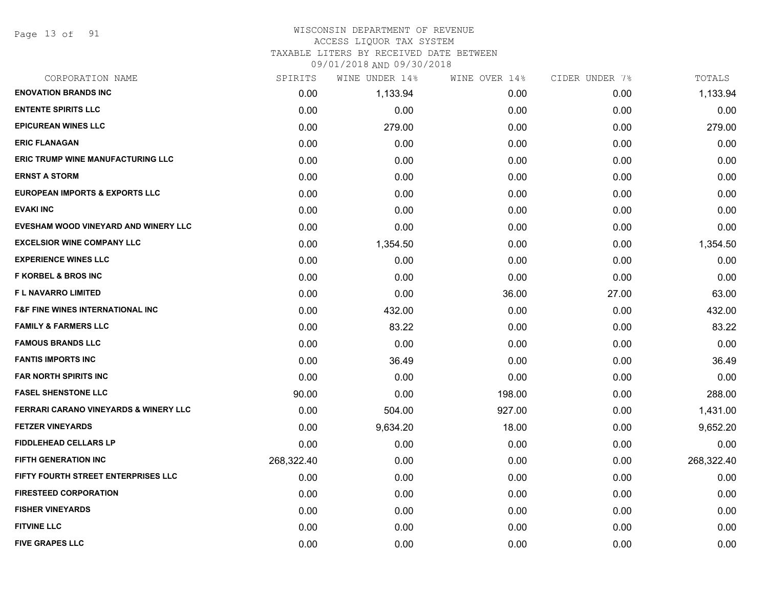Page 13 of 91

#### WISCONSIN DEPARTMENT OF REVENUE ACCESS LIQUOR TAX SYSTEM

TAXABLE LITERS BY RECEIVED DATE BETWEEN

| CORPORATION NAME                                 | SPIRITS    | WINE UNDER 14% | WINE OVER 14% | CIDER UNDER 7% | TOTALS     |
|--------------------------------------------------|------------|----------------|---------------|----------------|------------|
| <b>ENOVATION BRANDS INC</b>                      | 0.00       | 1,133.94       | 0.00          | 0.00           | 1,133.94   |
| <b>ENTENTE SPIRITS LLC</b>                       | 0.00       | 0.00           | 0.00          | 0.00           | 0.00       |
| <b>EPICUREAN WINES LLC</b>                       | 0.00       | 279.00         | 0.00          | 0.00           | 279.00     |
| <b>ERIC FLANAGAN</b>                             | 0.00       | 0.00           | 0.00          | 0.00           | 0.00       |
| <b>ERIC TRUMP WINE MANUFACTURING LLC</b>         | 0.00       | 0.00           | 0.00          | 0.00           | 0.00       |
| <b>ERNST A STORM</b>                             | 0.00       | 0.00           | 0.00          | 0.00           | 0.00       |
| <b>EUROPEAN IMPORTS &amp; EXPORTS LLC</b>        | 0.00       | 0.00           | 0.00          | 0.00           | 0.00       |
| <b>EVAKI INC</b>                                 | 0.00       | 0.00           | 0.00          | 0.00           | 0.00       |
| EVESHAM WOOD VINEYARD AND WINERY LLC             | 0.00       | 0.00           | 0.00          | 0.00           | 0.00       |
| <b>EXCELSIOR WINE COMPANY LLC</b>                | 0.00       | 1,354.50       | 0.00          | 0.00           | 1,354.50   |
| <b>EXPERIENCE WINES LLC</b>                      | 0.00       | 0.00           | 0.00          | 0.00           | 0.00       |
| <b>F KORBEL &amp; BROS INC</b>                   | 0.00       | 0.00           | 0.00          | 0.00           | 0.00       |
| F L NAVARRO LIMITED                              | 0.00       | 0.00           | 36.00         | 27.00          | 63.00      |
| <b>F&amp;F FINE WINES INTERNATIONAL INC</b>      | 0.00       | 432.00         | 0.00          | 0.00           | 432.00     |
| <b>FAMILY &amp; FARMERS LLC</b>                  | 0.00       | 83.22          | 0.00          | 0.00           | 83.22      |
| <b>FAMOUS BRANDS LLC</b>                         | 0.00       | 0.00           | 0.00          | 0.00           | 0.00       |
| <b>FANTIS IMPORTS INC</b>                        | 0.00       | 36.49          | 0.00          | 0.00           | 36.49      |
| <b>FAR NORTH SPIRITS INC</b>                     | 0.00       | 0.00           | 0.00          | 0.00           | 0.00       |
| <b>FASEL SHENSTONE LLC</b>                       | 90.00      | 0.00           | 198.00        | 0.00           | 288.00     |
| <b>FERRARI CARANO VINEYARDS &amp; WINERY LLC</b> | 0.00       | 504.00         | 927.00        | 0.00           | 1,431.00   |
| <b>FETZER VINEYARDS</b>                          | 0.00       | 9,634.20       | 18.00         | 0.00           | 9,652.20   |
| <b>FIDDLEHEAD CELLARS LP</b>                     | 0.00       | 0.00           | 0.00          | 0.00           | 0.00       |
| <b>FIFTH GENERATION INC</b>                      | 268,322.40 | 0.00           | 0.00          | 0.00           | 268,322.40 |
| <b>FIFTY FOURTH STREET ENTERPRISES LLC</b>       | 0.00       | 0.00           | 0.00          | 0.00           | 0.00       |
| <b>FIRESTEED CORPORATION</b>                     | 0.00       | 0.00           | 0.00          | 0.00           | 0.00       |
| <b>FISHER VINEYARDS</b>                          | 0.00       | 0.00           | 0.00          | 0.00           | 0.00       |
| <b>FITVINE LLC</b>                               | 0.00       | 0.00           | 0.00          | 0.00           | 0.00       |
| <b>FIVE GRAPES LLC</b>                           | 0.00       | 0.00           | 0.00          | 0.00           | 0.00       |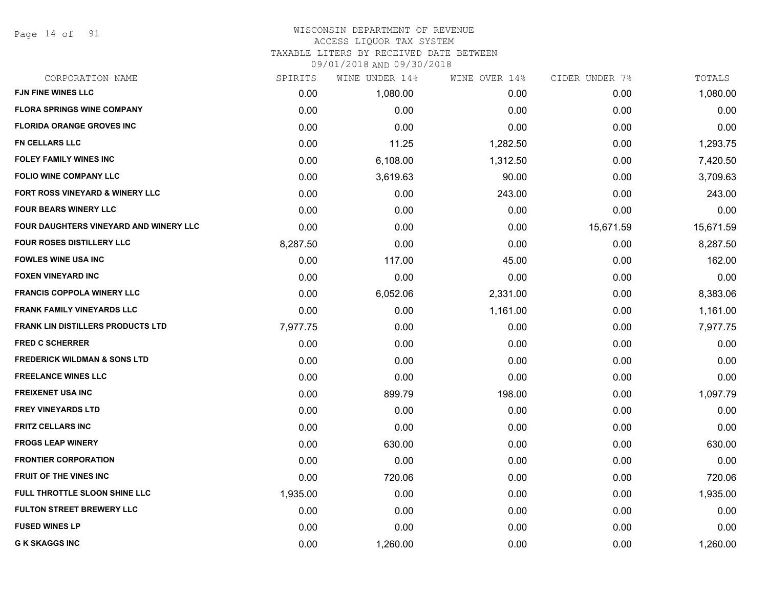Page 14 of 91

#### WISCONSIN DEPARTMENT OF REVENUE ACCESS LIQUOR TAX SYSTEM

TAXABLE LITERS BY RECEIVED DATE BETWEEN

| CORPORATION NAME                         | SPIRITS  | WINE UNDER 14% | WINE OVER 14% | CIDER UNDER 7% | TOTALS    |
|------------------------------------------|----------|----------------|---------------|----------------|-----------|
| FJN FINE WINES LLC                       | 0.00     | 1,080.00       | 0.00          | 0.00           | 1,080.00  |
| <b>FLORA SPRINGS WINE COMPANY</b>        | 0.00     | 0.00           | 0.00          | 0.00           | 0.00      |
| <b>FLORIDA ORANGE GROVES INC</b>         | 0.00     | 0.00           | 0.00          | 0.00           | 0.00      |
| <b>FN CELLARS LLC</b>                    | 0.00     | 11.25          | 1,282.50      | 0.00           | 1,293.75  |
| <b>FOLEY FAMILY WINES INC</b>            | 0.00     | 6,108.00       | 1,312.50      | 0.00           | 7,420.50  |
| <b>FOLIO WINE COMPANY LLC</b>            | 0.00     | 3,619.63       | 90.00         | 0.00           | 3,709.63  |
| FORT ROSS VINEYARD & WINERY LLC          | 0.00     | 0.00           | 243.00        | 0.00           | 243.00    |
| <b>FOUR BEARS WINERY LLC</b>             | 0.00     | 0.00           | 0.00          | 0.00           | 0.00      |
| FOUR DAUGHTERS VINEYARD AND WINERY LLC   | 0.00     | 0.00           | 0.00          | 15,671.59      | 15,671.59 |
| <b>FOUR ROSES DISTILLERY LLC</b>         | 8,287.50 | 0.00           | 0.00          | 0.00           | 8,287.50  |
| <b>FOWLES WINE USA INC</b>               | 0.00     | 117.00         | 45.00         | 0.00           | 162.00    |
| <b>FOXEN VINEYARD INC</b>                | 0.00     | 0.00           | 0.00          | 0.00           | 0.00      |
| <b>FRANCIS COPPOLA WINERY LLC</b>        | 0.00     | 6,052.06       | 2,331.00      | 0.00           | 8,383.06  |
| <b>FRANK FAMILY VINEYARDS LLC</b>        | 0.00     | 0.00           | 1,161.00      | 0.00           | 1,161.00  |
| <b>FRANK LIN DISTILLERS PRODUCTS LTD</b> | 7,977.75 | 0.00           | 0.00          | 0.00           | 7,977.75  |
| <b>FRED C SCHERRER</b>                   | 0.00     | 0.00           | 0.00          | 0.00           | 0.00      |
| <b>FREDERICK WILDMAN &amp; SONS LTD</b>  | 0.00     | 0.00           | 0.00          | 0.00           | 0.00      |
| <b>FREELANCE WINES LLC</b>               | 0.00     | 0.00           | 0.00          | 0.00           | 0.00      |
| <b>FREIXENET USA INC</b>                 | 0.00     | 899.79         | 198.00        | 0.00           | 1,097.79  |
| <b>FREY VINEYARDS LTD</b>                | 0.00     | 0.00           | 0.00          | 0.00           | 0.00      |
| <b>FRITZ CELLARS INC</b>                 | 0.00     | 0.00           | 0.00          | 0.00           | 0.00      |
| <b>FROGS LEAP WINERY</b>                 | 0.00     | 630.00         | 0.00          | 0.00           | 630.00    |
| <b>FRONTIER CORPORATION</b>              | 0.00     | 0.00           | 0.00          | 0.00           | 0.00      |
| <b>FRUIT OF THE VINES INC</b>            | 0.00     | 720.06         | 0.00          | 0.00           | 720.06    |
| FULL THROTTLE SLOON SHINE LLC            | 1,935.00 | 0.00           | 0.00          | 0.00           | 1,935.00  |
| <b>FULTON STREET BREWERY LLC</b>         | 0.00     | 0.00           | 0.00          | 0.00           | 0.00      |
| <b>FUSED WINES LP</b>                    | 0.00     | 0.00           | 0.00          | 0.00           | 0.00      |
| <b>G K SKAGGS INC</b>                    | 0.00     | 1,260.00       | 0.00          | 0.00           | 1,260.00  |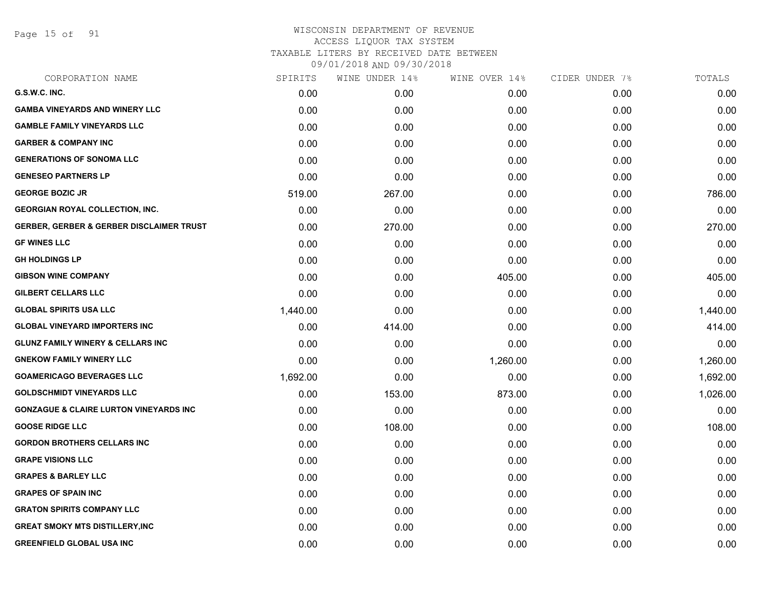Page 15 of 91

| CORPORATION NAME                                    | SPIRITS  | WINE UNDER 14% | WINE OVER 14% | CIDER UNDER 7% | TOTALS   |
|-----------------------------------------------------|----------|----------------|---------------|----------------|----------|
| G.S.W.C. INC.                                       | 0.00     | 0.00           | 0.00          | 0.00           | 0.00     |
| <b>GAMBA VINEYARDS AND WINERY LLC</b>               | 0.00     | 0.00           | 0.00          | 0.00           | 0.00     |
| <b>GAMBLE FAMILY VINEYARDS LLC</b>                  | 0.00     | 0.00           | 0.00          | 0.00           | 0.00     |
| <b>GARBER &amp; COMPANY INC</b>                     | 0.00     | 0.00           | 0.00          | 0.00           | 0.00     |
| <b>GENERATIONS OF SONOMA LLC</b>                    | 0.00     | 0.00           | 0.00          | 0.00           | 0.00     |
| <b>GENESEO PARTNERS LP</b>                          | 0.00     | 0.00           | 0.00          | 0.00           | 0.00     |
| <b>GEORGE BOZIC JR</b>                              | 519.00   | 267.00         | 0.00          | 0.00           | 786.00   |
| <b>GEORGIAN ROYAL COLLECTION, INC.</b>              | 0.00     | 0.00           | 0.00          | 0.00           | 0.00     |
| <b>GERBER, GERBER &amp; GERBER DISCLAIMER TRUST</b> | 0.00     | 270.00         | 0.00          | 0.00           | 270.00   |
| <b>GF WINES LLC</b>                                 | 0.00     | 0.00           | 0.00          | 0.00           | 0.00     |
| <b>GH HOLDINGS LP</b>                               | 0.00     | 0.00           | 0.00          | 0.00           | 0.00     |
| <b>GIBSON WINE COMPANY</b>                          | 0.00     | 0.00           | 405.00        | 0.00           | 405.00   |
| <b>GILBERT CELLARS LLC</b>                          | 0.00     | 0.00           | 0.00          | 0.00           | 0.00     |
| <b>GLOBAL SPIRITS USA LLC</b>                       | 1,440.00 | 0.00           | 0.00          | 0.00           | 1,440.00 |
| <b>GLOBAL VINEYARD IMPORTERS INC</b>                | 0.00     | 414.00         | 0.00          | 0.00           | 414.00   |
| <b>GLUNZ FAMILY WINERY &amp; CELLARS INC</b>        | 0.00     | 0.00           | 0.00          | 0.00           | 0.00     |
| <b>GNEKOW FAMILY WINERY LLC</b>                     | 0.00     | 0.00           | 1,260.00      | 0.00           | 1,260.00 |
| <b>GOAMERICAGO BEVERAGES LLC</b>                    | 1,692.00 | 0.00           | 0.00          | 0.00           | 1,692.00 |
| <b>GOLDSCHMIDT VINEYARDS LLC</b>                    | 0.00     | 153.00         | 873.00        | 0.00           | 1,026.00 |
| <b>GONZAGUE &amp; CLAIRE LURTON VINEYARDS INC</b>   | 0.00     | 0.00           | 0.00          | 0.00           | 0.00     |
| <b>GOOSE RIDGE LLC</b>                              | 0.00     | 108.00         | 0.00          | 0.00           | 108.00   |
| <b>GORDON BROTHERS CELLARS INC</b>                  | 0.00     | 0.00           | 0.00          | 0.00           | 0.00     |
| <b>GRAPE VISIONS LLC</b>                            | 0.00     | 0.00           | 0.00          | 0.00           | 0.00     |
| <b>GRAPES &amp; BARLEY LLC</b>                      | 0.00     | 0.00           | 0.00          | 0.00           | 0.00     |
| <b>GRAPES OF SPAIN INC</b>                          | 0.00     | 0.00           | 0.00          | 0.00           | 0.00     |
| <b>GRATON SPIRITS COMPANY LLC</b>                   | 0.00     | 0.00           | 0.00          | 0.00           | 0.00     |
| <b>GREAT SMOKY MTS DISTILLERY,INC</b>               | 0.00     | 0.00           | 0.00          | 0.00           | 0.00     |
| <b>GREENFIELD GLOBAL USA INC</b>                    | 0.00     | 0.00           | 0.00          | 0.00           | 0.00     |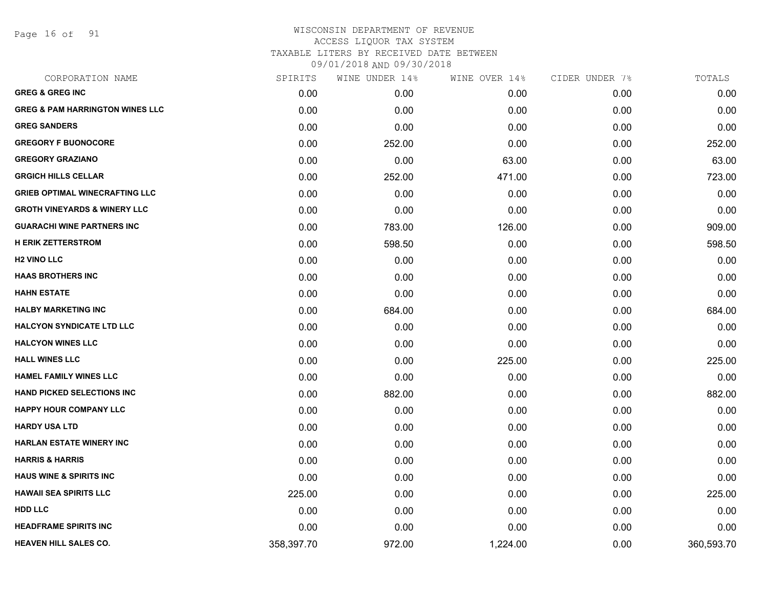Page 16 of 91

| CORPORATION NAME                           | SPIRITS    | WINE UNDER 14% | WINE OVER 14% | CIDER UNDER 7% | TOTALS     |
|--------------------------------------------|------------|----------------|---------------|----------------|------------|
| <b>GREG &amp; GREG INC</b>                 | 0.00       | 0.00           | 0.00          | 0.00           | 0.00       |
| <b>GREG &amp; PAM HARRINGTON WINES LLC</b> | 0.00       | 0.00           | 0.00          | 0.00           | 0.00       |
| <b>GREG SANDERS</b>                        | 0.00       | 0.00           | 0.00          | 0.00           | 0.00       |
| <b>GREGORY F BUONOCORE</b>                 | 0.00       | 252.00         | 0.00          | 0.00           | 252.00     |
| <b>GREGORY GRAZIANO</b>                    | 0.00       | 0.00           | 63.00         | 0.00           | 63.00      |
| <b>GRGICH HILLS CELLAR</b>                 | 0.00       | 252.00         | 471.00        | 0.00           | 723.00     |
| <b>GRIEB OPTIMAL WINECRAFTING LLC</b>      | 0.00       | 0.00           | 0.00          | 0.00           | 0.00       |
| <b>GROTH VINEYARDS &amp; WINERY LLC</b>    | 0.00       | 0.00           | 0.00          | 0.00           | 0.00       |
| <b>GUARACHI WINE PARTNERS INC</b>          | 0.00       | 783.00         | 126.00        | 0.00           | 909.00     |
| <b>H ERIK ZETTERSTROM</b>                  | 0.00       | 598.50         | 0.00          | 0.00           | 598.50     |
| <b>H2 VINO LLC</b>                         | 0.00       | 0.00           | 0.00          | 0.00           | 0.00       |
| <b>HAAS BROTHERS INC</b>                   | 0.00       | 0.00           | 0.00          | 0.00           | 0.00       |
| <b>HAHN ESTATE</b>                         | 0.00       | 0.00           | 0.00          | 0.00           | 0.00       |
| <b>HALBY MARKETING INC</b>                 | 0.00       | 684.00         | 0.00          | 0.00           | 684.00     |
| <b>HALCYON SYNDICATE LTD LLC</b>           | 0.00       | 0.00           | 0.00          | 0.00           | 0.00       |
| <b>HALCYON WINES LLC</b>                   | 0.00       | 0.00           | 0.00          | 0.00           | 0.00       |
| <b>HALL WINES LLC</b>                      | 0.00       | 0.00           | 225.00        | 0.00           | 225.00     |
| <b>HAMEL FAMILY WINES LLC</b>              | 0.00       | 0.00           | 0.00          | 0.00           | 0.00       |
| <b>HAND PICKED SELECTIONS INC</b>          | 0.00       | 882.00         | 0.00          | 0.00           | 882.00     |
| <b>HAPPY HOUR COMPANY LLC</b>              | 0.00       | 0.00           | 0.00          | 0.00           | 0.00       |
| <b>HARDY USA LTD</b>                       | 0.00       | 0.00           | 0.00          | 0.00           | 0.00       |
| <b>HARLAN ESTATE WINERY INC</b>            | 0.00       | 0.00           | 0.00          | 0.00           | 0.00       |
| <b>HARRIS &amp; HARRIS</b>                 | 0.00       | 0.00           | 0.00          | 0.00           | 0.00       |
| <b>HAUS WINE &amp; SPIRITS INC</b>         | 0.00       | 0.00           | 0.00          | 0.00           | 0.00       |
| <b>HAWAII SEA SPIRITS LLC</b>              | 225.00     | 0.00           | 0.00          | 0.00           | 225.00     |
| <b>HDD LLC</b>                             | 0.00       | 0.00           | 0.00          | 0.00           | 0.00       |
| <b>HEADFRAME SPIRITS INC</b>               | 0.00       | 0.00           | 0.00          | 0.00           | 0.00       |
| <b>HEAVEN HILL SALES CO.</b>               | 358,397.70 | 972.00         | 1,224.00      | 0.00           | 360,593.70 |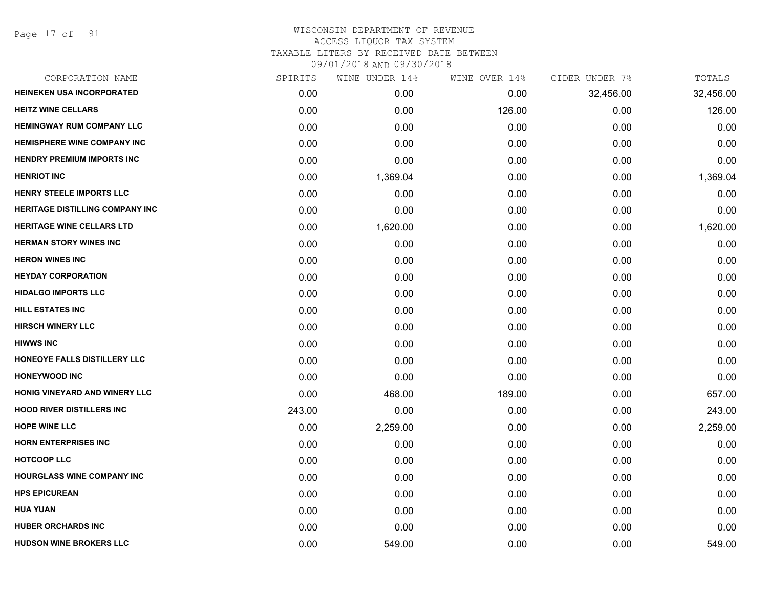Page 17 of 91

| CORPORATION NAME                       | SPIRITS | WINE UNDER 14% | WINE OVER 14% | CIDER UNDER 7% | TOTALS    |
|----------------------------------------|---------|----------------|---------------|----------------|-----------|
| HEINEKEN USA INCORPORATED              | 0.00    | 0.00           | 0.00          | 32,456.00      | 32,456.00 |
| <b>HEITZ WINE CELLARS</b>              | 0.00    | 0.00           | 126.00        | 0.00           | 126.00    |
| <b>HEMINGWAY RUM COMPANY LLC</b>       | 0.00    | 0.00           | 0.00          | 0.00           | 0.00      |
| <b>HEMISPHERE WINE COMPANY INC</b>     | 0.00    | 0.00           | 0.00          | 0.00           | 0.00      |
| <b>HENDRY PREMIUM IMPORTS INC</b>      | 0.00    | 0.00           | 0.00          | 0.00           | 0.00      |
| <b>HENRIOT INC</b>                     | 0.00    | 1,369.04       | 0.00          | 0.00           | 1,369.04  |
| <b>HENRY STEELE IMPORTS LLC</b>        | 0.00    | 0.00           | 0.00          | 0.00           | 0.00      |
| <b>HERITAGE DISTILLING COMPANY INC</b> | 0.00    | 0.00           | 0.00          | 0.00           | 0.00      |
| <b>HERITAGE WINE CELLARS LTD</b>       | 0.00    | 1,620.00       | 0.00          | 0.00           | 1,620.00  |
| <b>HERMAN STORY WINES INC</b>          | 0.00    | 0.00           | 0.00          | 0.00           | 0.00      |
| <b>HERON WINES INC</b>                 | 0.00    | 0.00           | 0.00          | 0.00           | 0.00      |
| <b>HEYDAY CORPORATION</b>              | 0.00    | 0.00           | 0.00          | 0.00           | 0.00      |
| <b>HIDALGO IMPORTS LLC</b>             | 0.00    | 0.00           | 0.00          | 0.00           | 0.00      |
| HILL ESTATES INC                       | 0.00    | 0.00           | 0.00          | 0.00           | 0.00      |
| <b>HIRSCH WINERY LLC</b>               | 0.00    | 0.00           | 0.00          | 0.00           | 0.00      |
| <b>HIWWS INC</b>                       | 0.00    | 0.00           | 0.00          | 0.00           | 0.00      |
| HONEOYE FALLS DISTILLERY LLC           | 0.00    | 0.00           | 0.00          | 0.00           | 0.00      |
| <b>HONEYWOOD INC</b>                   | 0.00    | 0.00           | 0.00          | 0.00           | 0.00      |
| HONIG VINEYARD AND WINERY LLC          | 0.00    | 468.00         | 189.00        | 0.00           | 657.00    |
| <b>HOOD RIVER DISTILLERS INC</b>       | 243.00  | 0.00           | 0.00          | 0.00           | 243.00    |
| <b>HOPE WINE LLC</b>                   | 0.00    | 2,259.00       | 0.00          | 0.00           | 2,259.00  |
| <b>HORN ENTERPRISES INC</b>            | 0.00    | 0.00           | 0.00          | 0.00           | 0.00      |
| <b>HOTCOOP LLC</b>                     | 0.00    | 0.00           | 0.00          | 0.00           | 0.00      |
| <b>HOURGLASS WINE COMPANY INC</b>      | 0.00    | 0.00           | 0.00          | 0.00           | 0.00      |
| <b>HPS EPICUREAN</b>                   | 0.00    | 0.00           | 0.00          | 0.00           | 0.00      |
| <b>HUA YUAN</b>                        | 0.00    | 0.00           | 0.00          | 0.00           | 0.00      |
| <b>HUBER ORCHARDS INC</b>              | 0.00    | 0.00           | 0.00          | 0.00           | 0.00      |
| <b>HUDSON WINE BROKERS LLC</b>         | 0.00    | 549.00         | 0.00          | 0.00           | 549.00    |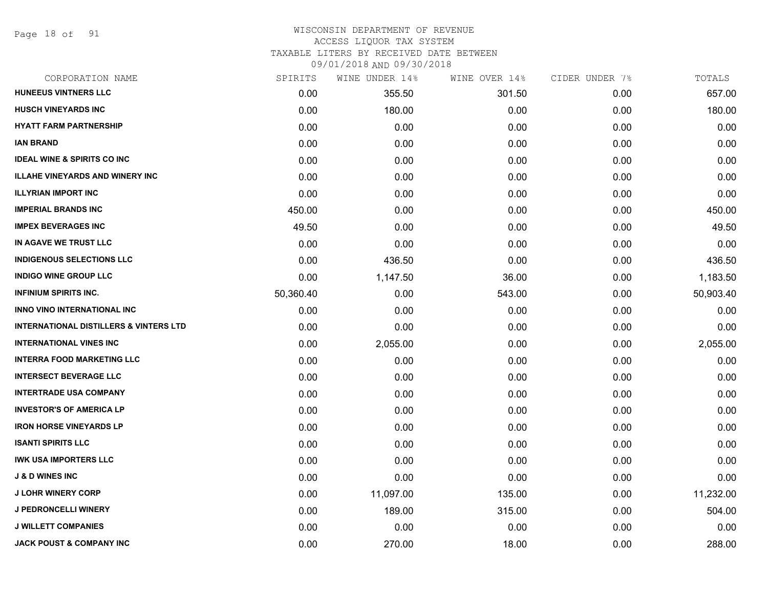Page 18 of 91

#### WISCONSIN DEPARTMENT OF REVENUE ACCESS LIQUOR TAX SYSTEM

TAXABLE LITERS BY RECEIVED DATE BETWEEN

| CORPORATION NAME                                  | SPIRITS   | WINE UNDER 14% | WINE OVER 14% | CIDER UNDER 7% | TOTALS    |
|---------------------------------------------------|-----------|----------------|---------------|----------------|-----------|
| <b>HUNEEUS VINTNERS LLC</b>                       | 0.00      | 355.50         | 301.50        | 0.00           | 657.00    |
| <b>HUSCH VINEYARDS INC</b>                        | 0.00      | 180.00         | 0.00          | 0.00           | 180.00    |
| <b>HYATT FARM PARTNERSHIP</b>                     | 0.00      | 0.00           | 0.00          | 0.00           | 0.00      |
| <b>IAN BRAND</b>                                  | 0.00      | 0.00           | 0.00          | 0.00           | 0.00      |
| <b>IDEAL WINE &amp; SPIRITS CO INC</b>            | 0.00      | 0.00           | 0.00          | 0.00           | 0.00      |
| <b>ILLAHE VINEYARDS AND WINERY INC</b>            | 0.00      | 0.00           | 0.00          | 0.00           | 0.00      |
| <b>ILLYRIAN IMPORT INC</b>                        | 0.00      | 0.00           | 0.00          | 0.00           | 0.00      |
| <b>IMPERIAL BRANDS INC</b>                        | 450.00    | 0.00           | 0.00          | 0.00           | 450.00    |
| <b>IMPEX BEVERAGES INC</b>                        | 49.50     | 0.00           | 0.00          | 0.00           | 49.50     |
| IN AGAVE WE TRUST LLC                             | 0.00      | 0.00           | 0.00          | 0.00           | 0.00      |
| <b>INDIGENOUS SELECTIONS LLC</b>                  | 0.00      | 436.50         | 0.00          | 0.00           | 436.50    |
| <b>INDIGO WINE GROUP LLC</b>                      | 0.00      | 1,147.50       | 36.00         | 0.00           | 1,183.50  |
| <b>INFINIUM SPIRITS INC.</b>                      | 50,360.40 | 0.00           | 543.00        | 0.00           | 50,903.40 |
| INNO VINO INTERNATIONAL INC                       | 0.00      | 0.00           | 0.00          | 0.00           | 0.00      |
| <b>INTERNATIONAL DISTILLERS &amp; VINTERS LTD</b> | 0.00      | 0.00           | 0.00          | 0.00           | 0.00      |
| <b>INTERNATIONAL VINES INC</b>                    | 0.00      | 2,055.00       | 0.00          | 0.00           | 2,055.00  |
| <b>INTERRA FOOD MARKETING LLC</b>                 | 0.00      | 0.00           | 0.00          | 0.00           | 0.00      |
| <b>INTERSECT BEVERAGE LLC</b>                     | 0.00      | 0.00           | 0.00          | 0.00           | 0.00      |
| <b>INTERTRADE USA COMPANY</b>                     | 0.00      | 0.00           | 0.00          | 0.00           | 0.00      |
| <b>INVESTOR'S OF AMERICA LP</b>                   | 0.00      | 0.00           | 0.00          | 0.00           | 0.00      |
| <b>IRON HORSE VINEYARDS LP</b>                    | 0.00      | 0.00           | 0.00          | 0.00           | 0.00      |
| <b>ISANTI SPIRITS LLC</b>                         | 0.00      | 0.00           | 0.00          | 0.00           | 0.00      |
| <b>IWK USA IMPORTERS LLC</b>                      | 0.00      | 0.00           | 0.00          | 0.00           | 0.00      |
| <b>J &amp; D WINES INC</b>                        | 0.00      | 0.00           | 0.00          | 0.00           | 0.00      |
| <b>J LOHR WINERY CORP</b>                         | 0.00      | 11,097.00      | 135.00        | 0.00           | 11,232.00 |
| <b>J PEDRONCELLI WINERY</b>                       | 0.00      | 189.00         | 315.00        | 0.00           | 504.00    |
| <b>J WILLETT COMPANIES</b>                        | 0.00      | 0.00           | 0.00          | 0.00           | 0.00      |
| <b>JACK POUST &amp; COMPANY INC</b>               | 0.00      | 270.00         | 18.00         | 0.00           | 288.00    |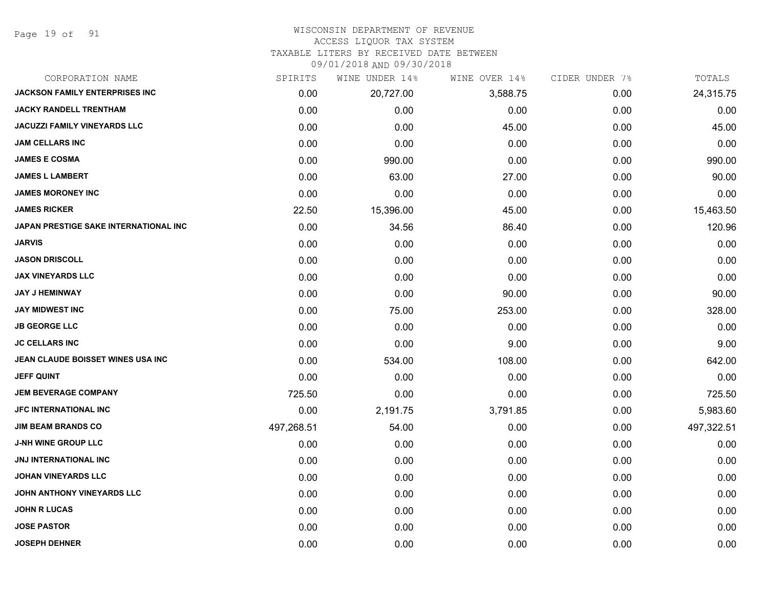Page 19 of 91

#### WISCONSIN DEPARTMENT OF REVENUE ACCESS LIQUOR TAX SYSTEM

# TAXABLE LITERS BY RECEIVED DATE BETWEEN

| CORPORATION NAME                      | SPIRITS    | WINE UNDER 14% | WINE OVER 14% | CIDER UNDER 7% | TOTALS     |
|---------------------------------------|------------|----------------|---------------|----------------|------------|
| <b>JACKSON FAMILY ENTERPRISES INC</b> | 0.00       | 20,727.00      | 3,588.75      | 0.00           | 24,315.75  |
| <b>JACKY RANDELL TRENTHAM</b>         | 0.00       | 0.00           | 0.00          | 0.00           | 0.00       |
| JACUZZI FAMILY VINEYARDS LLC          | 0.00       | 0.00           | 45.00         | 0.00           | 45.00      |
| <b>JAM CELLARS INC</b>                | 0.00       | 0.00           | 0.00          | 0.00           | 0.00       |
| <b>JAMES E COSMA</b>                  | 0.00       | 990.00         | 0.00          | 0.00           | 990.00     |
| <b>JAMES L LAMBERT</b>                | 0.00       | 63.00          | 27.00         | 0.00           | 90.00      |
| <b>JAMES MORONEY INC</b>              | 0.00       | 0.00           | 0.00          | 0.00           | 0.00       |
| <b>JAMES RICKER</b>                   | 22.50      | 15,396.00      | 45.00         | 0.00           | 15,463.50  |
| JAPAN PRESTIGE SAKE INTERNATIONAL INC | 0.00       | 34.56          | 86.40         | 0.00           | 120.96     |
| <b>JARVIS</b>                         | 0.00       | 0.00           | 0.00          | 0.00           | 0.00       |
| <b>JASON DRISCOLL</b>                 | 0.00       | 0.00           | 0.00          | 0.00           | 0.00       |
| <b>JAX VINEYARDS LLC</b>              | 0.00       | 0.00           | 0.00          | 0.00           | 0.00       |
| <b>JAY J HEMINWAY</b>                 | 0.00       | 0.00           | 90.00         | 0.00           | 90.00      |
| <b>JAY MIDWEST INC</b>                | 0.00       | 75.00          | 253.00        | 0.00           | 328.00     |
| <b>JB GEORGE LLC</b>                  | 0.00       | 0.00           | 0.00          | 0.00           | 0.00       |
| <b>JC CELLARS INC</b>                 | 0.00       | 0.00           | 9.00          | 0.00           | 9.00       |
| JEAN CLAUDE BOISSET WINES USA INC     | 0.00       | 534.00         | 108.00        | 0.00           | 642.00     |
| <b>JEFF QUINT</b>                     | 0.00       | 0.00           | 0.00          | 0.00           | 0.00       |
| <b>JEM BEVERAGE COMPANY</b>           | 725.50     | 0.00           | 0.00          | 0.00           | 725.50     |
| <b>JFC INTERNATIONAL INC</b>          | 0.00       | 2,191.75       | 3,791.85      | 0.00           | 5,983.60   |
| <b>JIM BEAM BRANDS CO</b>             | 497,268.51 | 54.00          | 0.00          | 0.00           | 497,322.51 |
| <b>J-NH WINE GROUP LLC</b>            | 0.00       | 0.00           | 0.00          | 0.00           | 0.00       |
| <b>JNJ INTERNATIONAL INC</b>          | 0.00       | 0.00           | 0.00          | 0.00           | 0.00       |
| <b>JOHAN VINEYARDS LLC</b>            | 0.00       | 0.00           | 0.00          | 0.00           | 0.00       |
| <b>JOHN ANTHONY VINEYARDS LLC</b>     | 0.00       | 0.00           | 0.00          | 0.00           | 0.00       |
| <b>JOHN R LUCAS</b>                   | 0.00       | 0.00           | 0.00          | 0.00           | 0.00       |
| <b>JOSE PASTOR</b>                    | 0.00       | 0.00           | 0.00          | 0.00           | 0.00       |
| <b>JOSEPH DEHNER</b>                  | 0.00       | 0.00           | 0.00          | 0.00           | 0.00       |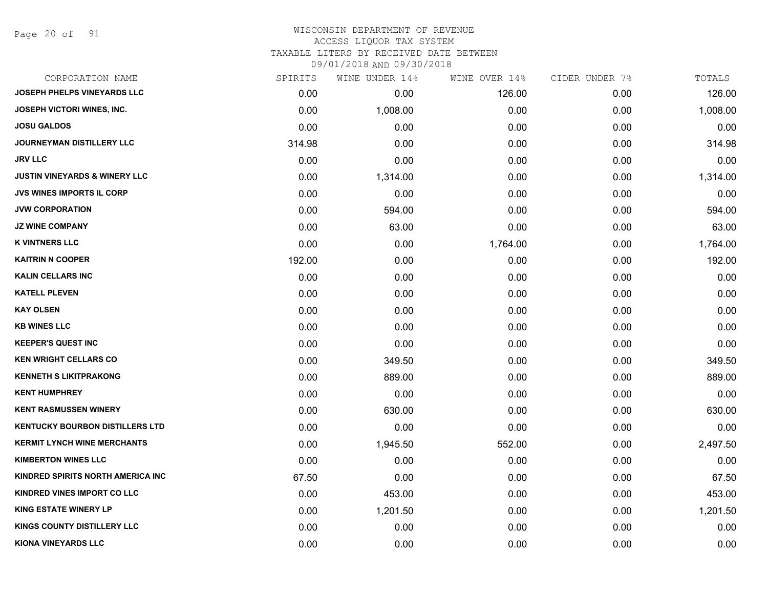Page 20 of 91

### WISCONSIN DEPARTMENT OF REVENUE ACCESS LIQUOR TAX SYSTEM

TAXABLE LITERS BY RECEIVED DATE BETWEEN

| CORPORATION NAME                         | SPIRITS | WINE UNDER 14% | WINE OVER 14% | CIDER UNDER 7% | TOTALS   |
|------------------------------------------|---------|----------------|---------------|----------------|----------|
| <b>JOSEPH PHELPS VINEYARDS LLC</b>       | 0.00    | 0.00           | 126.00        | 0.00           | 126.00   |
| JOSEPH VICTORI WINES, INC.               | 0.00    | 1,008.00       | 0.00          | 0.00           | 1,008.00 |
| <b>JOSU GALDOS</b>                       | 0.00    | 0.00           | 0.00          | 0.00           | 0.00     |
| JOURNEYMAN DISTILLERY LLC                | 314.98  | 0.00           | 0.00          | 0.00           | 314.98   |
| <b>JRV LLC</b>                           | 0.00    | 0.00           | 0.00          | 0.00           | 0.00     |
| <b>JUSTIN VINEYARDS &amp; WINERY LLC</b> | 0.00    | 1,314.00       | 0.00          | 0.00           | 1,314.00 |
| <b>JVS WINES IMPORTS IL CORP</b>         | 0.00    | 0.00           | 0.00          | 0.00           | 0.00     |
| <b>JVW CORPORATION</b>                   | 0.00    | 594.00         | 0.00          | 0.00           | 594.00   |
| <b>JZ WINE COMPANY</b>                   | 0.00    | 63.00          | 0.00          | 0.00           | 63.00    |
| <b>K VINTNERS LLC</b>                    | 0.00    | 0.00           | 1,764.00      | 0.00           | 1,764.00 |
| <b>KAITRIN N COOPER</b>                  | 192.00  | 0.00           | 0.00          | 0.00           | 192.00   |
| <b>KALIN CELLARS INC</b>                 | 0.00    | 0.00           | 0.00          | 0.00           | 0.00     |
| <b>KATELL PLEVEN</b>                     | 0.00    | 0.00           | 0.00          | 0.00           | 0.00     |
| <b>KAY OLSEN</b>                         | 0.00    | 0.00           | 0.00          | 0.00           | 0.00     |
| <b>KB WINES LLC</b>                      | 0.00    | 0.00           | 0.00          | 0.00           | 0.00     |
| <b>KEEPER'S QUEST INC</b>                | 0.00    | 0.00           | 0.00          | 0.00           | 0.00     |
| <b>KEN WRIGHT CELLARS CO</b>             | 0.00    | 349.50         | 0.00          | 0.00           | 349.50   |
| <b>KENNETH S LIKITPRAKONG</b>            | 0.00    | 889.00         | 0.00          | 0.00           | 889.00   |
| <b>KENT HUMPHREY</b>                     | 0.00    | 0.00           | 0.00          | 0.00           | 0.00     |
| <b>KENT RASMUSSEN WINERY</b>             | 0.00    | 630.00         | 0.00          | 0.00           | 630.00   |
| <b>KENTUCKY BOURBON DISTILLERS LTD</b>   | 0.00    | 0.00           | 0.00          | 0.00           | 0.00     |
| <b>KERMIT LYNCH WINE MERCHANTS</b>       | 0.00    | 1,945.50       | 552.00        | 0.00           | 2,497.50 |
| <b>KIMBERTON WINES LLC</b>               | 0.00    | 0.00           | 0.00          | 0.00           | 0.00     |
| KINDRED SPIRITS NORTH AMERICA INC        | 67.50   | 0.00           | 0.00          | 0.00           | 67.50    |
| KINDRED VINES IMPORT CO LLC              | 0.00    | 453.00         | 0.00          | 0.00           | 453.00   |
| <b>KING ESTATE WINERY LP</b>             | 0.00    | 1,201.50       | 0.00          | 0.00           | 1,201.50 |
| <b>KINGS COUNTY DISTILLERY LLC</b>       | 0.00    | 0.00           | 0.00          | 0.00           | 0.00     |
| <b>KIONA VINEYARDS LLC</b>               | 0.00    | 0.00           | 0.00          | 0.00           | 0.00     |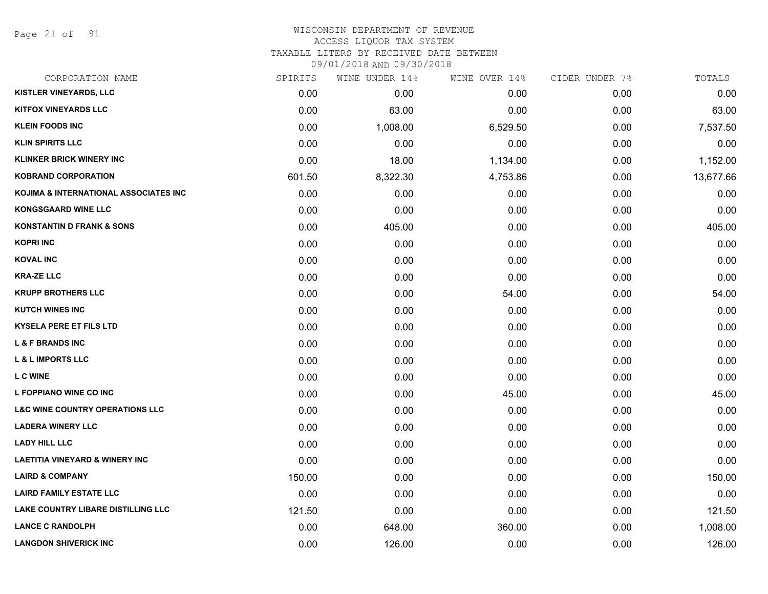Page 21 of 91

# WISCONSIN DEPARTMENT OF REVENUE ACCESS LIQUOR TAX SYSTEM

TAXABLE LITERS BY RECEIVED DATE BETWEEN

| CORPORATION NAME                           | SPIRITS | WINE UNDER 14% | WINE OVER 14% | CIDER UNDER 7% | TOTALS    |
|--------------------------------------------|---------|----------------|---------------|----------------|-----------|
| KISTLER VINEYARDS, LLC                     | 0.00    | 0.00           | 0.00          | 0.00           | 0.00      |
| <b>KITFOX VINEYARDS LLC</b>                | 0.00    | 63.00          | 0.00          | 0.00           | 63.00     |
| <b>KLEIN FOODS INC</b>                     | 0.00    | 1,008.00       | 6,529.50      | 0.00           | 7,537.50  |
| <b>KLIN SPIRITS LLC</b>                    | 0.00    | 0.00           | 0.00          | 0.00           | 0.00      |
| <b>KLINKER BRICK WINERY INC</b>            | 0.00    | 18.00          | 1,134.00      | 0.00           | 1,152.00  |
| <b>KOBRAND CORPORATION</b>                 | 601.50  | 8,322.30       | 4,753.86      | 0.00           | 13,677.66 |
| KOJIMA & INTERNATIONAL ASSOCIATES INC      | 0.00    | 0.00           | 0.00          | 0.00           | 0.00      |
| <b>KONGSGAARD WINE LLC</b>                 | 0.00    | 0.00           | 0.00          | 0.00           | 0.00      |
| <b>KONSTANTIN D FRANK &amp; SONS</b>       | 0.00    | 405.00         | 0.00          | 0.00           | 405.00    |
| <b>KOPRI INC</b>                           | 0.00    | 0.00           | 0.00          | 0.00           | 0.00      |
| <b>KOVAL INC</b>                           | 0.00    | 0.00           | 0.00          | 0.00           | 0.00      |
| <b>KRA-ZE LLC</b>                          | 0.00    | 0.00           | 0.00          | 0.00           | 0.00      |
| <b>KRUPP BROTHERS LLC</b>                  | 0.00    | 0.00           | 54.00         | 0.00           | 54.00     |
| <b>KUTCH WINES INC</b>                     | 0.00    | 0.00           | 0.00          | 0.00           | 0.00      |
| <b>KYSELA PERE ET FILS LTD</b>             | 0.00    | 0.00           | 0.00          | 0.00           | 0.00      |
| <b>L &amp; F BRANDS INC</b>                | 0.00    | 0.00           | 0.00          | 0.00           | 0.00      |
| <b>L &amp; L IMPORTS LLC</b>               | 0.00    | 0.00           | 0.00          | 0.00           | 0.00      |
| <b>LC WINE</b>                             | 0.00    | 0.00           | 0.00          | 0.00           | 0.00      |
| L FOPPIANO WINE CO INC                     | 0.00    | 0.00           | 45.00         | 0.00           | 45.00     |
| <b>L&amp;C WINE COUNTRY OPERATIONS LLC</b> | 0.00    | 0.00           | 0.00          | 0.00           | 0.00      |
| <b>LADERA WINERY LLC</b>                   | 0.00    | 0.00           | 0.00          | 0.00           | 0.00      |
| <b>LADY HILL LLC</b>                       | 0.00    | 0.00           | 0.00          | 0.00           | 0.00      |
| <b>LAETITIA VINEYARD &amp; WINERY INC</b>  | 0.00    | 0.00           | 0.00          | 0.00           | 0.00      |
| <b>LAIRD &amp; COMPANY</b>                 | 150.00  | 0.00           | 0.00          | 0.00           | 150.00    |
| <b>LAIRD FAMILY ESTATE LLC</b>             | 0.00    | 0.00           | 0.00          | 0.00           | 0.00      |
| LAKE COUNTRY LIBARE DISTILLING LLC         | 121.50  | 0.00           | 0.00          | 0.00           | 121.50    |
| <b>LANCE C RANDOLPH</b>                    | 0.00    | 648.00         | 360.00        | 0.00           | 1,008.00  |
| <b>LANGDON SHIVERICK INC</b>               | 0.00    | 126.00         | 0.00          | 0.00           | 126.00    |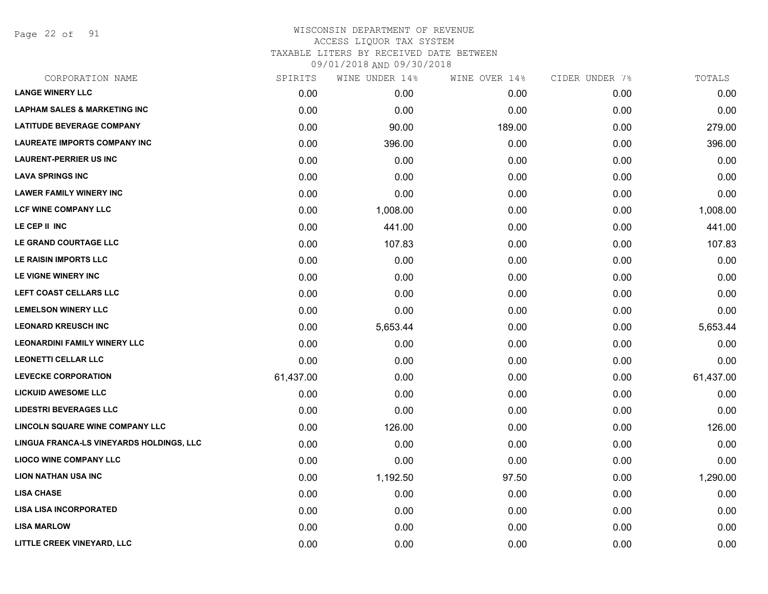Page 22 of 91

|           | WINE UNDER 14% |        | CIDER UNDER 7% | TOTALS    |
|-----------|----------------|--------|----------------|-----------|
| 0.00      | 0.00           | 0.00   | 0.00           | 0.00      |
| 0.00      | 0.00           | 0.00   | 0.00           | 0.00      |
| 0.00      | 90.00          | 189.00 | 0.00           | 279.00    |
| 0.00      | 396.00         | 0.00   | 0.00           | 396.00    |
| 0.00      | 0.00           | 0.00   | 0.00           | 0.00      |
| 0.00      | 0.00           | 0.00   | 0.00           | 0.00      |
| 0.00      | 0.00           | 0.00   | 0.00           | 0.00      |
| 0.00      | 1,008.00       | 0.00   | 0.00           | 1,008.00  |
| 0.00      | 441.00         | 0.00   | 0.00           | 441.00    |
| 0.00      | 107.83         | 0.00   | 0.00           | 107.83    |
| 0.00      | 0.00           | 0.00   | 0.00           | 0.00      |
| 0.00      | 0.00           | 0.00   | 0.00           | 0.00      |
| 0.00      | 0.00           | 0.00   | 0.00           | 0.00      |
| 0.00      | 0.00           | 0.00   | 0.00           | 0.00      |
| 0.00      | 5,653.44       | 0.00   | 0.00           | 5,653.44  |
| 0.00      | 0.00           | 0.00   | 0.00           | 0.00      |
| 0.00      | 0.00           | 0.00   | 0.00           | 0.00      |
| 61,437.00 | 0.00           | 0.00   | 0.00           | 61,437.00 |
| 0.00      | 0.00           | 0.00   | 0.00           | 0.00      |
| 0.00      | 0.00           | 0.00   | 0.00           | 0.00      |
| 0.00      | 126.00         | 0.00   | 0.00           | 126.00    |
| 0.00      | 0.00           | 0.00   | 0.00           | 0.00      |
| 0.00      | 0.00           | 0.00   | 0.00           | 0.00      |
| 0.00      | 1,192.50       | 97.50  | 0.00           | 1,290.00  |
| 0.00      | 0.00           | 0.00   | 0.00           | 0.00      |
| 0.00      | 0.00           | 0.00   | 0.00           | 0.00      |
| 0.00      | 0.00           | 0.00   | 0.00           | 0.00      |
| 0.00      | 0.00           | 0.00   | 0.00           | 0.00      |
|           | SPIRITS        |        | WINE OVER 14%  |           |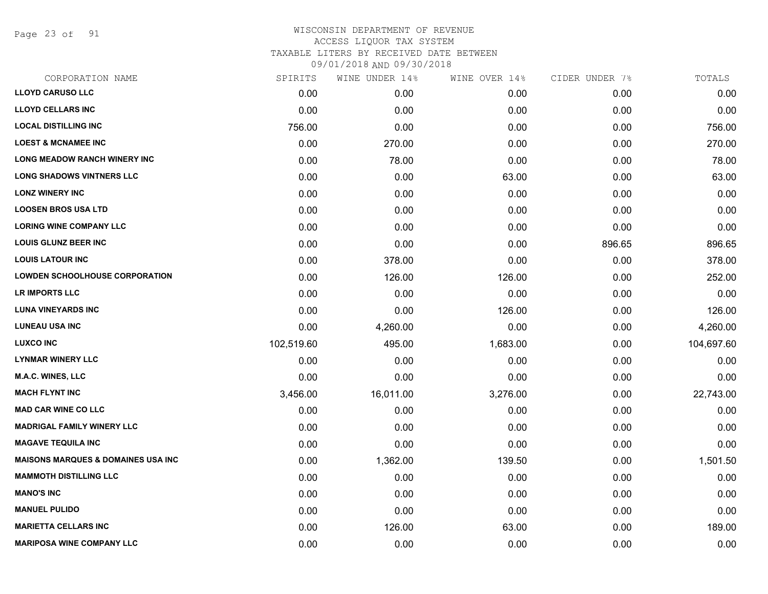Page 23 of 91

| CORPORATION NAME                               | SPIRITS    | WINE UNDER 14% | WINE OVER 14% | CIDER UNDER 7% | TOTALS     |
|------------------------------------------------|------------|----------------|---------------|----------------|------------|
| <b>LLOYD CARUSO LLC</b>                        | 0.00       | 0.00           | 0.00          | 0.00           | 0.00       |
| <b>LLOYD CELLARS INC</b>                       | 0.00       | 0.00           | 0.00          | 0.00           | 0.00       |
| <b>LOCAL DISTILLING INC</b>                    | 756.00     | 0.00           | 0.00          | 0.00           | 756.00     |
| <b>LOEST &amp; MCNAMEE INC</b>                 | 0.00       | 270.00         | 0.00          | 0.00           | 270.00     |
| <b>LONG MEADOW RANCH WINERY INC</b>            | 0.00       | 78.00          | 0.00          | 0.00           | 78.00      |
| <b>LONG SHADOWS VINTNERS LLC</b>               | 0.00       | 0.00           | 63.00         | 0.00           | 63.00      |
| <b>LONZ WINERY INC</b>                         | 0.00       | 0.00           | 0.00          | 0.00           | 0.00       |
| <b>LOOSEN BROS USA LTD</b>                     | 0.00       | 0.00           | 0.00          | 0.00           | 0.00       |
| <b>LORING WINE COMPANY LLC</b>                 | 0.00       | 0.00           | 0.00          | 0.00           | 0.00       |
| <b>LOUIS GLUNZ BEER INC</b>                    | 0.00       | 0.00           | 0.00          | 896.65         | 896.65     |
| <b>LOUIS LATOUR INC</b>                        | 0.00       | 378.00         | 0.00          | 0.00           | 378.00     |
| <b>LOWDEN SCHOOLHOUSE CORPORATION</b>          | 0.00       | 126.00         | 126.00        | 0.00           | 252.00     |
| LR IMPORTS LLC                                 | 0.00       | 0.00           | 0.00          | 0.00           | 0.00       |
| <b>LUNA VINEYARDS INC</b>                      | 0.00       | 0.00           | 126.00        | 0.00           | 126.00     |
| <b>LUNEAU USA INC</b>                          | 0.00       | 4,260.00       | 0.00          | 0.00           | 4,260.00   |
| <b>LUXCO INC</b>                               | 102,519.60 | 495.00         | 1,683.00      | 0.00           | 104,697.60 |
| <b>LYNMAR WINERY LLC</b>                       | 0.00       | 0.00           | 0.00          | 0.00           | 0.00       |
| M.A.C. WINES, LLC                              | 0.00       | 0.00           | 0.00          | 0.00           | 0.00       |
| <b>MACH FLYNT INC</b>                          | 3,456.00   | 16,011.00      | 3,276.00      | 0.00           | 22,743.00  |
| <b>MAD CAR WINE CO LLC</b>                     | 0.00       | 0.00           | 0.00          | 0.00           | 0.00       |
| <b>MADRIGAL FAMILY WINERY LLC</b>              | 0.00       | 0.00           | 0.00          | 0.00           | 0.00       |
| <b>MAGAVE TEQUILA INC</b>                      | 0.00       | 0.00           | 0.00          | 0.00           | 0.00       |
| <b>MAISONS MARQUES &amp; DOMAINES USA INC.</b> | 0.00       | 1,362.00       | 139.50        | 0.00           | 1,501.50   |
| <b>MAMMOTH DISTILLING LLC</b>                  | 0.00       | 0.00           | 0.00          | 0.00           | 0.00       |
| <b>MANO'S INC</b>                              | 0.00       | 0.00           | 0.00          | 0.00           | 0.00       |
| <b>MANUEL PULIDO</b>                           | 0.00       | 0.00           | 0.00          | 0.00           | 0.00       |
| <b>MARIETTA CELLARS INC</b>                    | 0.00       | 126.00         | 63.00         | 0.00           | 189.00     |
| <b>MARIPOSA WINE COMPANY LLC</b>               | 0.00       | 0.00           | 0.00          | 0.00           | 0.00       |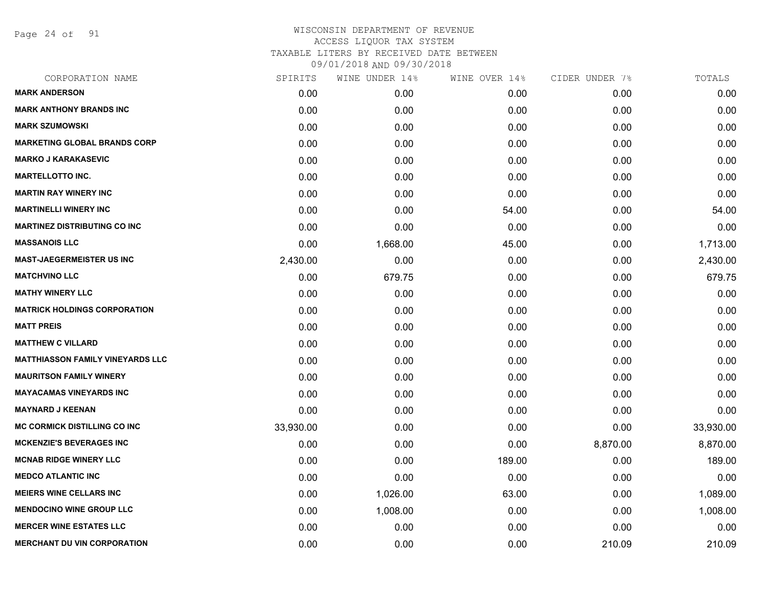Page 24 of 91

| SPIRITS   | WINE UNDER 14% |        |               | TOTALS         |
|-----------|----------------|--------|---------------|----------------|
| 0.00      | 0.00           | 0.00   | 0.00          | 0.00           |
| 0.00      | 0.00           | 0.00   | 0.00          | 0.00           |
| 0.00      | 0.00           | 0.00   | 0.00          | 0.00           |
| 0.00      | 0.00           | 0.00   | 0.00          | 0.00           |
| 0.00      | 0.00           | 0.00   | 0.00          | 0.00           |
| 0.00      | 0.00           | 0.00   | 0.00          | 0.00           |
| 0.00      | 0.00           | 0.00   | 0.00          | 0.00           |
| 0.00      | 0.00           | 54.00  | 0.00          | 54.00          |
| 0.00      | 0.00           | 0.00   | 0.00          | 0.00           |
| 0.00      | 1,668.00       | 45.00  | 0.00          | 1,713.00       |
| 2,430.00  | 0.00           | 0.00   | 0.00          | 2,430.00       |
| 0.00      | 679.75         | 0.00   | 0.00          | 679.75         |
| 0.00      | 0.00           | 0.00   | 0.00          | 0.00           |
| 0.00      | 0.00           | 0.00   | 0.00          | 0.00           |
| 0.00      | 0.00           | 0.00   | 0.00          | 0.00           |
| 0.00      | 0.00           | 0.00   | 0.00          | 0.00           |
| 0.00      | 0.00           | 0.00   | 0.00          | 0.00           |
| 0.00      | 0.00           | 0.00   | 0.00          | 0.00           |
| 0.00      | 0.00           | 0.00   | 0.00          | 0.00           |
| 0.00      | 0.00           | 0.00   | 0.00          | 0.00           |
| 33,930.00 | 0.00           | 0.00   | 0.00          | 33,930.00      |
| 0.00      | 0.00           | 0.00   | 8,870.00      | 8,870.00       |
| 0.00      | 0.00           | 189.00 | 0.00          | 189.00         |
| 0.00      | 0.00           | 0.00   | 0.00          | 0.00           |
| 0.00      | 1,026.00       | 63.00  | 0.00          | 1,089.00       |
| 0.00      | 1,008.00       | 0.00   | 0.00          | 1,008.00       |
| 0.00      | 0.00           | 0.00   | 0.00          | 0.00           |
| 0.00      | 0.00           | 0.00   | 210.09        | 210.09         |
|           |                |        | WINE OVER 14% | CIDER UNDER 7% |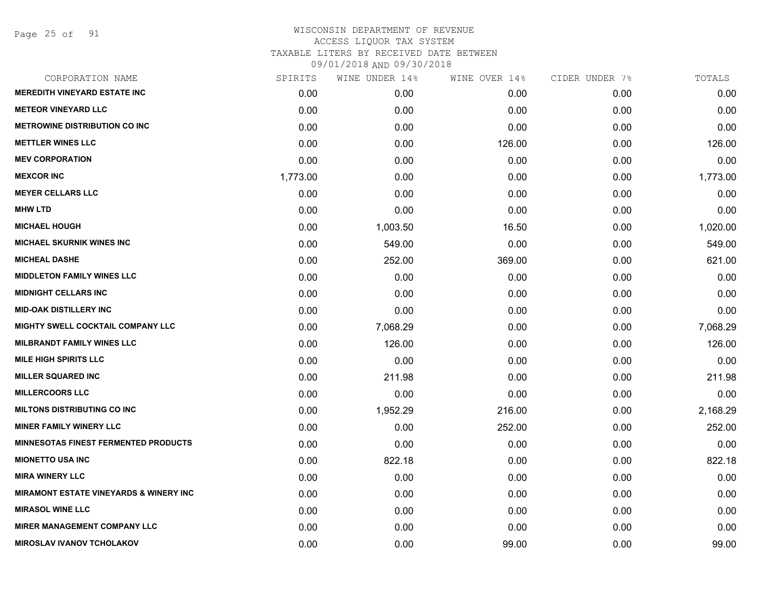Page 25 of 91

| CORPORATION NAME                                  | SPIRITS  | WINE UNDER 14% | WINE OVER 14% | CIDER UNDER 7% | TOTALS   |
|---------------------------------------------------|----------|----------------|---------------|----------------|----------|
| <b>MEREDITH VINEYARD ESTATE INC</b>               | 0.00     | 0.00           | 0.00          | 0.00           | 0.00     |
| <b>METEOR VINEYARD LLC</b>                        | 0.00     | 0.00           | 0.00          | 0.00           | 0.00     |
| <b>METROWINE DISTRIBUTION CO INC</b>              | 0.00     | 0.00           | 0.00          | 0.00           | 0.00     |
| <b>METTLER WINES LLC</b>                          | 0.00     | 0.00           | 126.00        | 0.00           | 126.00   |
| <b>MEV CORPORATION</b>                            | 0.00     | 0.00           | 0.00          | 0.00           | 0.00     |
| <b>MEXCOR INC</b>                                 | 1,773.00 | 0.00           | 0.00          | 0.00           | 1,773.00 |
| <b>MEYER CELLARS LLC</b>                          | 0.00     | 0.00           | 0.00          | 0.00           | 0.00     |
| <b>MHW LTD</b>                                    | 0.00     | 0.00           | 0.00          | 0.00           | 0.00     |
| <b>MICHAEL HOUGH</b>                              | 0.00     | 1,003.50       | 16.50         | 0.00           | 1,020.00 |
| <b>MICHAEL SKURNIK WINES INC</b>                  | 0.00     | 549.00         | 0.00          | 0.00           | 549.00   |
| <b>MICHEAL DASHE</b>                              | 0.00     | 252.00         | 369.00        | 0.00           | 621.00   |
| <b>MIDDLETON FAMILY WINES LLC</b>                 | 0.00     | 0.00           | 0.00          | 0.00           | 0.00     |
| <b>MIDNIGHT CELLARS INC</b>                       | 0.00     | 0.00           | 0.00          | 0.00           | 0.00     |
| <b>MID-OAK DISTILLERY INC</b>                     | 0.00     | 0.00           | 0.00          | 0.00           | 0.00     |
| MIGHTY SWELL COCKTAIL COMPANY LLC                 | 0.00     | 7,068.29       | 0.00          | 0.00           | 7,068.29 |
| <b>MILBRANDT FAMILY WINES LLC</b>                 | 0.00     | 126.00         | 0.00          | 0.00           | 126.00   |
| <b>MILE HIGH SPIRITS LLC</b>                      | 0.00     | 0.00           | 0.00          | 0.00           | 0.00     |
| <b>MILLER SQUARED INC</b>                         | 0.00     | 211.98         | 0.00          | 0.00           | 211.98   |
| <b>MILLERCOORS LLC</b>                            | 0.00     | 0.00           | 0.00          | 0.00           | 0.00     |
| <b>MILTONS DISTRIBUTING CO INC</b>                | 0.00     | 1,952.29       | 216.00        | 0.00           | 2,168.29 |
| <b>MINER FAMILY WINERY LLC</b>                    | 0.00     | 0.00           | 252.00        | 0.00           | 252.00   |
| <b>MINNESOTAS FINEST FERMENTED PRODUCTS</b>       | 0.00     | 0.00           | 0.00          | 0.00           | 0.00     |
| <b>MIONETTO USA INC</b>                           | 0.00     | 822.18         | 0.00          | 0.00           | 822.18   |
| <b>MIRA WINERY LLC</b>                            | 0.00     | 0.00           | 0.00          | 0.00           | 0.00     |
| <b>MIRAMONT ESTATE VINEYARDS &amp; WINERY INC</b> | 0.00     | 0.00           | 0.00          | 0.00           | 0.00     |
| <b>MIRASOL WINE LLC</b>                           | 0.00     | 0.00           | 0.00          | 0.00           | 0.00     |
| <b>MIRER MANAGEMENT COMPANY LLC</b>               | 0.00     | 0.00           | 0.00          | 0.00           | 0.00     |
| <b>MIROSLAV IVANOV TCHOLAKOV</b>                  | 0.00     | 0.00           | 99.00         | 0.00           | 99.00    |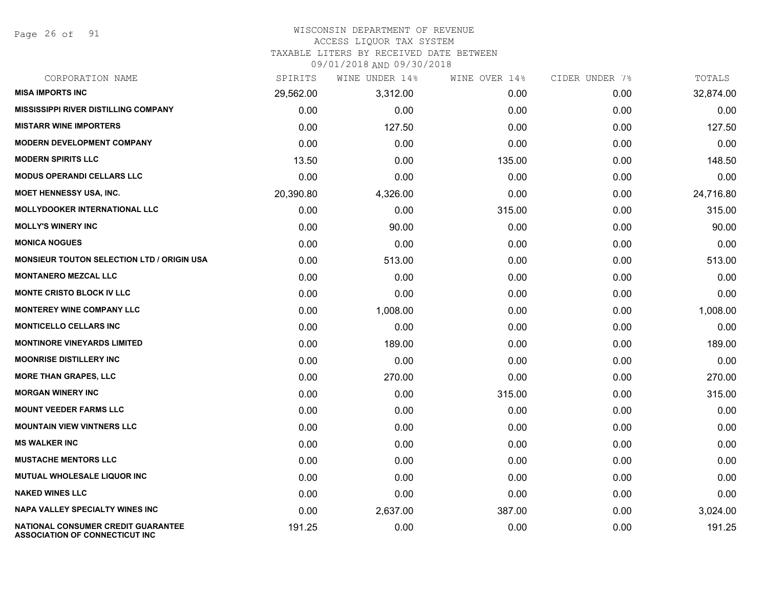Page 26 of 91

#### WISCONSIN DEPARTMENT OF REVENUE ACCESS LIQUOR TAX SYSTEM

TAXABLE LITERS BY RECEIVED DATE BETWEEN

| CORPORATION NAME                                                                   | SPIRITS   | WINE UNDER 14% | WINE OVER 14% | CIDER UNDER 7% | TOTALS    |
|------------------------------------------------------------------------------------|-----------|----------------|---------------|----------------|-----------|
| <b>MISA IMPORTS INC</b>                                                            | 29,562.00 | 3,312.00       | 0.00          | 0.00           | 32,874.00 |
| <b>MISSISSIPPI RIVER DISTILLING COMPANY</b>                                        | 0.00      | 0.00           | 0.00          | 0.00           | 0.00      |
| <b>MISTARR WINE IMPORTERS</b>                                                      | 0.00      | 127.50         | 0.00          | 0.00           | 127.50    |
| <b>MODERN DEVELOPMENT COMPANY</b>                                                  | 0.00      | 0.00           | 0.00          | 0.00           | 0.00      |
| <b>MODERN SPIRITS LLC</b>                                                          | 13.50     | 0.00           | 135.00        | 0.00           | 148.50    |
| <b>MODUS OPERANDI CELLARS LLC</b>                                                  | 0.00      | 0.00           | 0.00          | 0.00           | 0.00      |
| <b>MOET HENNESSY USA, INC.</b>                                                     | 20,390.80 | 4,326.00       | 0.00          | 0.00           | 24,716.80 |
| <b>MOLLYDOOKER INTERNATIONAL LLC</b>                                               | 0.00      | 0.00           | 315.00        | 0.00           | 315.00    |
| <b>MOLLY'S WINERY INC</b>                                                          | 0.00      | 90.00          | 0.00          | 0.00           | 90.00     |
| <b>MONICA NOGUES</b>                                                               | 0.00      | 0.00           | 0.00          | 0.00           | 0.00      |
| MONSIEUR TOUTON SELECTION LTD / ORIGIN USA                                         | 0.00      | 513.00         | 0.00          | 0.00           | 513.00    |
| <b>MONTANERO MEZCAL LLC</b>                                                        | 0.00      | 0.00           | 0.00          | 0.00           | 0.00      |
| <b>MONTE CRISTO BLOCK IV LLC</b>                                                   | 0.00      | 0.00           | 0.00          | 0.00           | 0.00      |
| <b>MONTEREY WINE COMPANY LLC</b>                                                   | 0.00      | 1,008.00       | 0.00          | 0.00           | 1,008.00  |
| <b>MONTICELLO CELLARS INC</b>                                                      | 0.00      | 0.00           | 0.00          | 0.00           | 0.00      |
| <b>MONTINORE VINEYARDS LIMITED</b>                                                 | 0.00      | 189.00         | 0.00          | 0.00           | 189.00    |
| <b>MOONRISE DISTILLERY INC</b>                                                     | 0.00      | 0.00           | 0.00          | 0.00           | 0.00      |
| <b>MORE THAN GRAPES, LLC</b>                                                       | 0.00      | 270.00         | 0.00          | 0.00           | 270.00    |
| <b>MORGAN WINERY INC</b>                                                           | 0.00      | 0.00           | 315.00        | 0.00           | 315.00    |
| <b>MOUNT VEEDER FARMS LLC</b>                                                      | 0.00      | 0.00           | 0.00          | 0.00           | 0.00      |
| <b>MOUNTAIN VIEW VINTNERS LLC</b>                                                  | 0.00      | 0.00           | 0.00          | 0.00           | 0.00      |
| <b>MS WALKER INC</b>                                                               | 0.00      | 0.00           | 0.00          | 0.00           | 0.00      |
| <b>MUSTACHE MENTORS LLC</b>                                                        | 0.00      | 0.00           | 0.00          | 0.00           | 0.00      |
| MUTUAL WHOLESALE LIQUOR INC                                                        | 0.00      | 0.00           | 0.00          | 0.00           | 0.00      |
| <b>NAKED WINES LLC</b>                                                             | 0.00      | 0.00           | 0.00          | 0.00           | 0.00      |
| <b>NAPA VALLEY SPECIALTY WINES INC</b>                                             | 0.00      | 2,637.00       | 387.00        | 0.00           | 3,024.00  |
| <b>NATIONAL CONSUMER CREDIT GUARANTEE</b><br><b>ASSOCIATION OF CONNECTICUT INC</b> | 191.25    | 0.00           | 0.00          | 0.00           | 191.25    |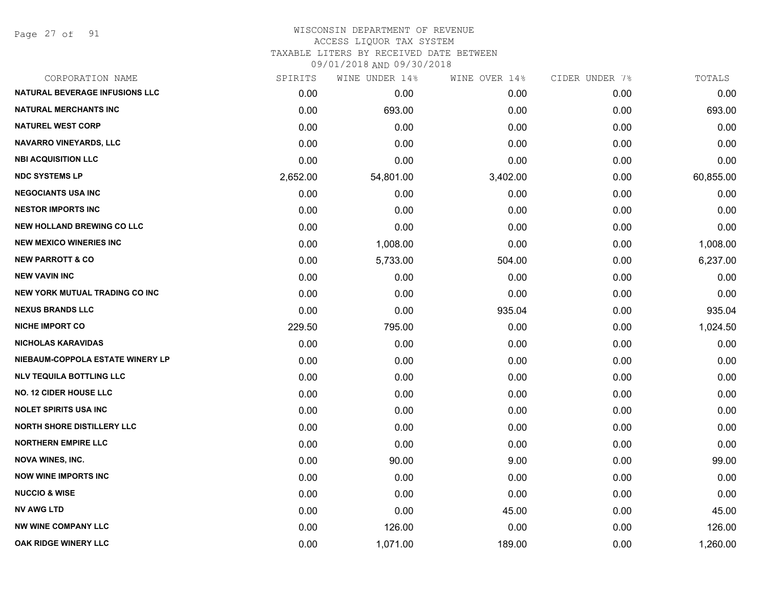Page 27 of 91

| CORPORATION NAME                      | SPIRITS  | WINE UNDER 14% | WINE OVER 14% | CIDER UNDER 7% | TOTALS    |
|---------------------------------------|----------|----------------|---------------|----------------|-----------|
| <b>NATURAL BEVERAGE INFUSIONS LLC</b> | 0.00     | 0.00           | 0.00          | 0.00           | 0.00      |
| <b>NATURAL MERCHANTS INC</b>          | 0.00     | 693.00         | 0.00          | 0.00           | 693.00    |
| <b>NATUREL WEST CORP</b>              | 0.00     | 0.00           | 0.00          | 0.00           | 0.00      |
| <b>NAVARRO VINEYARDS, LLC</b>         | 0.00     | 0.00           | 0.00          | 0.00           | 0.00      |
| <b>NBI ACQUISITION LLC</b>            | 0.00     | 0.00           | 0.00          | 0.00           | 0.00      |
| <b>NDC SYSTEMS LP</b>                 | 2,652.00 | 54,801.00      | 3,402.00      | 0.00           | 60,855.00 |
| <b>NEGOCIANTS USA INC</b>             | 0.00     | 0.00           | 0.00          | 0.00           | 0.00      |
| <b>NESTOR IMPORTS INC</b>             | 0.00     | 0.00           | 0.00          | 0.00           | 0.00      |
| <b>NEW HOLLAND BREWING CO LLC</b>     | 0.00     | 0.00           | 0.00          | 0.00           | 0.00      |
| <b>NEW MEXICO WINERIES INC</b>        | 0.00     | 1,008.00       | 0.00          | 0.00           | 1,008.00  |
| <b>NEW PARROTT &amp; CO</b>           | 0.00     | 5,733.00       | 504.00        | 0.00           | 6,237.00  |
| <b>NEW VAVIN INC</b>                  | 0.00     | 0.00           | 0.00          | 0.00           | 0.00      |
| <b>NEW YORK MUTUAL TRADING CO INC</b> | 0.00     | 0.00           | 0.00          | 0.00           | 0.00      |
| <b>NEXUS BRANDS LLC</b>               | 0.00     | 0.00           | 935.04        | 0.00           | 935.04    |
| <b>NICHE IMPORT CO</b>                | 229.50   | 795.00         | 0.00          | 0.00           | 1,024.50  |
| <b>NICHOLAS KARAVIDAS</b>             | 0.00     | 0.00           | 0.00          | 0.00           | 0.00      |
| NIEBAUM-COPPOLA ESTATE WINERY LP      | 0.00     | 0.00           | 0.00          | 0.00           | 0.00      |
| <b>NLV TEQUILA BOTTLING LLC</b>       | 0.00     | 0.00           | 0.00          | 0.00           | 0.00      |
| <b>NO. 12 CIDER HOUSE LLC</b>         | 0.00     | 0.00           | 0.00          | 0.00           | 0.00      |
| <b>NOLET SPIRITS USA INC</b>          | 0.00     | 0.00           | 0.00          | 0.00           | 0.00      |
| <b>NORTH SHORE DISTILLERY LLC</b>     | 0.00     | 0.00           | 0.00          | 0.00           | 0.00      |
| <b>NORTHERN EMPIRE LLC</b>            | 0.00     | 0.00           | 0.00          | 0.00           | 0.00      |
| <b>NOVA WINES, INC.</b>               | 0.00     | 90.00          | 9.00          | 0.00           | 99.00     |
| <b>NOW WINE IMPORTS INC</b>           | 0.00     | 0.00           | 0.00          | 0.00           | 0.00      |
| <b>NUCCIO &amp; WISE</b>              | 0.00     | 0.00           | 0.00          | 0.00           | 0.00      |
| <b>NV AWG LTD</b>                     | 0.00     | 0.00           | 45.00         | 0.00           | 45.00     |
| <b>NW WINE COMPANY LLC</b>            | 0.00     | 126.00         | 0.00          | 0.00           | 126.00    |
| OAK RIDGE WINERY LLC                  | 0.00     | 1,071.00       | 189.00        | 0.00           | 1,260.00  |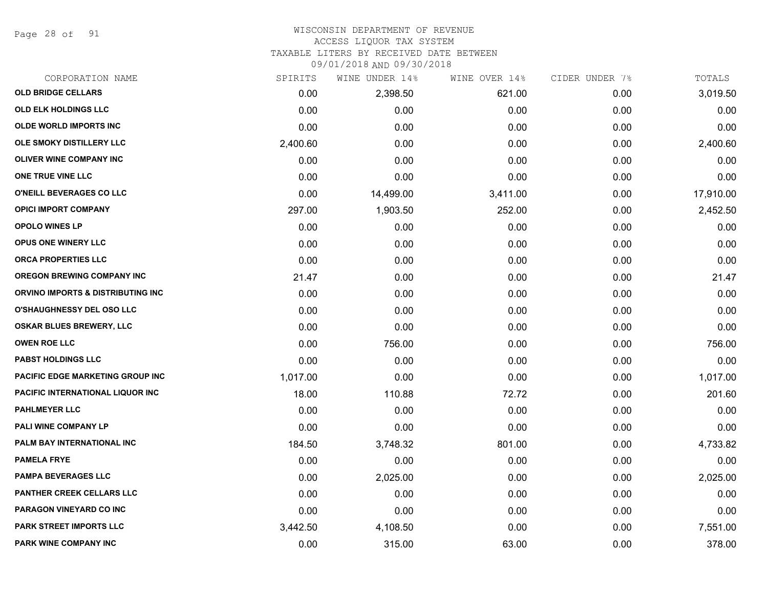Page 28 of 91

#### WISCONSIN DEPARTMENT OF REVENUE ACCESS LIQUOR TAX SYSTEM

TAXABLE LITERS BY RECEIVED DATE BETWEEN

| CORPORATION NAME                        | SPIRITS  | WINE UNDER 14% | WINE OVER 14% | CIDER UNDER 7% | TOTALS    |
|-----------------------------------------|----------|----------------|---------------|----------------|-----------|
| <b>OLD BRIDGE CELLARS</b>               | 0.00     | 2,398.50       | 621.00        | 0.00           | 3,019.50  |
| OLD ELK HOLDINGS LLC                    | 0.00     | 0.00           | 0.00          | 0.00           | 0.00      |
| <b>OLDE WORLD IMPORTS INC</b>           | 0.00     | 0.00           | 0.00          | 0.00           | 0.00      |
| OLE SMOKY DISTILLERY LLC                | 2,400.60 | 0.00           | 0.00          | 0.00           | 2,400.60  |
| <b>OLIVER WINE COMPANY INC</b>          | 0.00     | 0.00           | 0.00          | 0.00           | 0.00      |
| ONE TRUE VINE LLC                       | 0.00     | 0.00           | 0.00          | 0.00           | 0.00      |
| O'NEILL BEVERAGES CO LLC                | 0.00     | 14,499.00      | 3,411.00      | 0.00           | 17,910.00 |
| <b>OPICI IMPORT COMPANY</b>             | 297.00   | 1,903.50       | 252.00        | 0.00           | 2,452.50  |
| <b>OPOLO WINES LP</b>                   | 0.00     | 0.00           | 0.00          | 0.00           | 0.00      |
| <b>OPUS ONE WINERY LLC</b>              | 0.00     | 0.00           | 0.00          | 0.00           | 0.00      |
| ORCA PROPERTIES LLC                     | 0.00     | 0.00           | 0.00          | 0.00           | 0.00      |
| <b>OREGON BREWING COMPANY INC</b>       | 21.47    | 0.00           | 0.00          | 0.00           | 21.47     |
| ORVINO IMPORTS & DISTRIBUTING INC       | 0.00     | 0.00           | 0.00          | 0.00           | 0.00      |
| <b>O'SHAUGHNESSY DEL OSO LLC</b>        | 0.00     | 0.00           | 0.00          | 0.00           | 0.00      |
| <b>OSKAR BLUES BREWERY, LLC</b>         | 0.00     | 0.00           | 0.00          | 0.00           | 0.00      |
| <b>OWEN ROE LLC</b>                     | 0.00     | 756.00         | 0.00          | 0.00           | 756.00    |
| <b>PABST HOLDINGS LLC</b>               | 0.00     | 0.00           | 0.00          | 0.00           | 0.00      |
| <b>PACIFIC EDGE MARKETING GROUP INC</b> | 1,017.00 | 0.00           | 0.00          | 0.00           | 1,017.00  |
| PACIFIC INTERNATIONAL LIQUOR INC        | 18.00    | 110.88         | 72.72         | 0.00           | 201.60    |
| <b>PAHLMEYER LLC</b>                    | 0.00     | 0.00           | 0.00          | 0.00           | 0.00      |
| PALI WINE COMPANY LP                    | 0.00     | 0.00           | 0.00          | 0.00           | 0.00      |
| PALM BAY INTERNATIONAL INC              | 184.50   | 3,748.32       | 801.00        | 0.00           | 4,733.82  |
| <b>PAMELA FRYE</b>                      | 0.00     | 0.00           | 0.00          | 0.00           | 0.00      |
| <b>PAMPA BEVERAGES LLC</b>              | 0.00     | 2,025.00       | 0.00          | 0.00           | 2,025.00  |
| PANTHER CREEK CELLARS LLC               | 0.00     | 0.00           | 0.00          | 0.00           | 0.00      |
| PARAGON VINEYARD CO INC                 | 0.00     | 0.00           | 0.00          | 0.00           | 0.00      |
| PARK STREET IMPORTS LLC                 | 3,442.50 | 4,108.50       | 0.00          | 0.00           | 7,551.00  |
| PARK WINE COMPANY INC                   | 0.00     | 315.00         | 63.00         | 0.00           | 378.00    |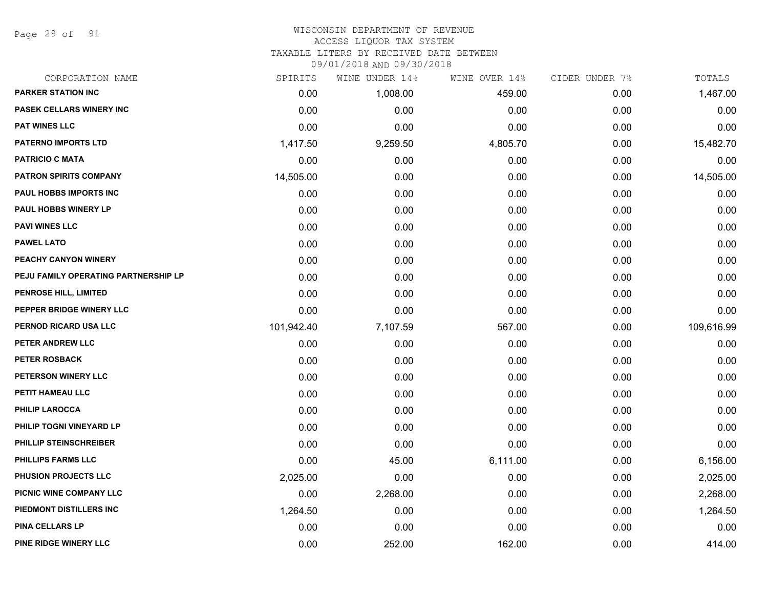Page 29 of 91

# WISCONSIN DEPARTMENT OF REVENUE

# ACCESS LIQUOR TAX SYSTEM

TAXABLE LITERS BY RECEIVED DATE BETWEEN

|     |                    | 09/01/2018 AND 09/30/2018 |       |
|-----|--------------------|---------------------------|-------|
| гто | 14% מתחוזוו תוזדות |                           | TAT " |

| CORPORATION NAME                     | SPIRITS    | WINE UNDER 14% | WINE OVER 14% | CIDER UNDER 7% | TOTALS     |
|--------------------------------------|------------|----------------|---------------|----------------|------------|
| <b>PARKER STATION INC</b>            | 0.00       | 1,008.00       | 459.00        | 0.00           | 1,467.00   |
| PASEK CELLARS WINERY INC             | 0.00       | 0.00           | 0.00          | 0.00           | 0.00       |
| <b>PAT WINES LLC</b>                 | 0.00       | 0.00           | 0.00          | 0.00           | 0.00       |
| <b>PATERNO IMPORTS LTD</b>           | 1,417.50   | 9,259.50       | 4,805.70      | 0.00           | 15,482.70  |
| <b>PATRICIO C MATA</b>               | 0.00       | 0.00           | 0.00          | 0.00           | 0.00       |
| <b>PATRON SPIRITS COMPANY</b>        | 14,505.00  | 0.00           | 0.00          | 0.00           | 14,505.00  |
| PAUL HOBBS IMPORTS INC               | 0.00       | 0.00           | 0.00          | 0.00           | 0.00       |
| PAUL HOBBS WINERY LP                 | 0.00       | 0.00           | 0.00          | 0.00           | 0.00       |
| <b>PAVI WINES LLC</b>                | 0.00       | 0.00           | 0.00          | 0.00           | 0.00       |
| <b>PAWEL LATO</b>                    | 0.00       | 0.00           | 0.00          | 0.00           | 0.00       |
| PEACHY CANYON WINERY                 | 0.00       | 0.00           | 0.00          | 0.00           | 0.00       |
| PEJU FAMILY OPERATING PARTNERSHIP LP | 0.00       | 0.00           | 0.00          | 0.00           | 0.00       |
| PENROSE HILL, LIMITED                | 0.00       | 0.00           | 0.00          | 0.00           | 0.00       |
| PEPPER BRIDGE WINERY LLC             | 0.00       | 0.00           | 0.00          | 0.00           | 0.00       |
| PERNOD RICARD USA LLC                | 101,942.40 | 7,107.59       | 567.00        | 0.00           | 109,616.99 |
| PETER ANDREW LLC                     | 0.00       | 0.00           | 0.00          | 0.00           | 0.00       |
| <b>PETER ROSBACK</b>                 | 0.00       | 0.00           | 0.00          | 0.00           | 0.00       |
| PETERSON WINERY LLC                  | 0.00       | 0.00           | 0.00          | 0.00           | 0.00       |
| PETIT HAMEAU LLC                     | 0.00       | 0.00           | 0.00          | 0.00           | 0.00       |
| <b>PHILIP LAROCCA</b>                | 0.00       | 0.00           | 0.00          | 0.00           | 0.00       |
| PHILIP TOGNI VINEYARD LP             | 0.00       | 0.00           | 0.00          | 0.00           | 0.00       |
| PHILLIP STEINSCHREIBER               | 0.00       | 0.00           | 0.00          | 0.00           | 0.00       |
| <b>PHILLIPS FARMS LLC</b>            | 0.00       | 45.00          | 6,111.00      | 0.00           | 6,156.00   |
| PHUSION PROJECTS LLC                 | 2,025.00   | 0.00           | 0.00          | 0.00           | 2,025.00   |
| PICNIC WINE COMPANY LLC              | 0.00       | 2,268.00       | 0.00          | 0.00           | 2,268.00   |
| PIEDMONT DISTILLERS INC              | 1,264.50   | 0.00           | 0.00          | 0.00           | 1,264.50   |
| <b>PINA CELLARS LP</b>               | 0.00       | 0.00           | 0.00          | 0.00           | 0.00       |
| PINE RIDGE WINERY LLC                | 0.00       | 252.00         | 162.00        | 0.00           | 414.00     |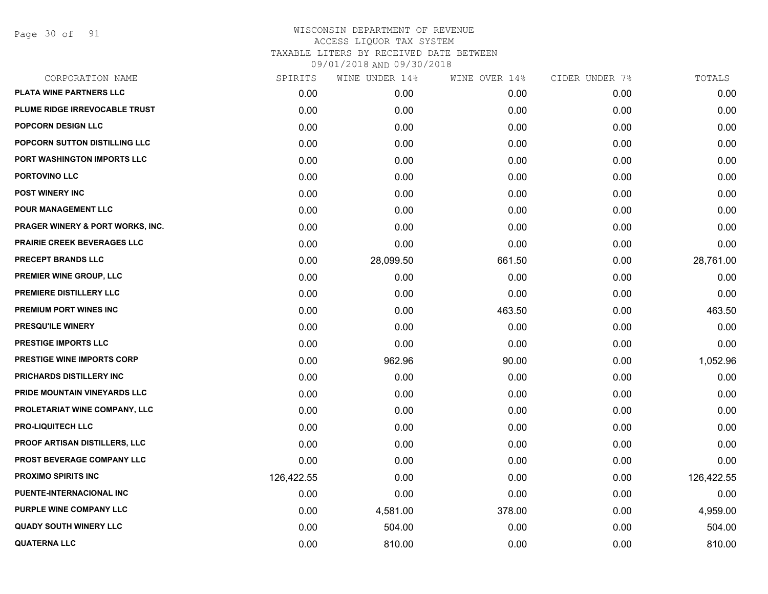Page 30 of 91

|            | WINE UNDER 14% |        |               | TOTALS         |
|------------|----------------|--------|---------------|----------------|
| 0.00       | 0.00           | 0.00   | 0.00          | 0.00           |
| 0.00       | 0.00           | 0.00   | 0.00          | 0.00           |
| 0.00       | 0.00           | 0.00   | 0.00          | 0.00           |
| 0.00       | 0.00           | 0.00   | 0.00          | 0.00           |
| 0.00       | 0.00           | 0.00   | 0.00          | 0.00           |
| 0.00       | 0.00           | 0.00   | 0.00          | 0.00           |
| 0.00       | 0.00           | 0.00   | 0.00          | 0.00           |
| 0.00       | 0.00           | 0.00   | 0.00          | 0.00           |
| 0.00       | 0.00           | 0.00   | 0.00          | 0.00           |
| 0.00       | 0.00           | 0.00   | 0.00          | 0.00           |
| 0.00       | 28,099.50      | 661.50 | 0.00          | 28,761.00      |
| 0.00       | 0.00           | 0.00   | 0.00          | 0.00           |
| 0.00       | 0.00           | 0.00   | 0.00          | 0.00           |
| 0.00       | 0.00           | 463.50 | 0.00          | 463.50         |
| 0.00       | 0.00           | 0.00   | 0.00          | 0.00           |
| 0.00       | 0.00           | 0.00   | 0.00          | 0.00           |
| 0.00       | 962.96         | 90.00  | 0.00          | 1,052.96       |
| 0.00       | 0.00           | 0.00   | 0.00          | 0.00           |
| 0.00       | 0.00           | 0.00   | 0.00          | 0.00           |
| 0.00       | 0.00           | 0.00   | 0.00          | 0.00           |
| 0.00       | 0.00           | 0.00   | 0.00          | 0.00           |
| 0.00       | 0.00           | 0.00   | 0.00          | 0.00           |
| 0.00       | 0.00           | 0.00   | 0.00          | 0.00           |
| 126,422.55 | 0.00           | 0.00   | 0.00          | 126,422.55     |
| 0.00       | 0.00           | 0.00   | 0.00          | 0.00           |
| 0.00       | 4,581.00       | 378.00 | 0.00          | 4,959.00       |
| 0.00       | 504.00         | 0.00   | 0.00          | 504.00         |
| 0.00       | 810.00         | 0.00   | 0.00          | 810.00         |
|            | SPIRITS        |        | WINE OVER 14% | CIDER UNDER 7% |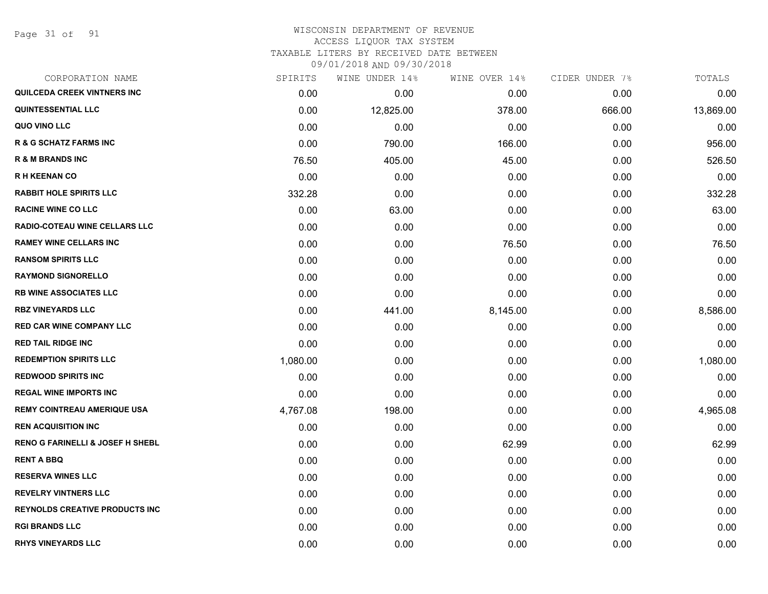Page 31 of 91

| CORPORATION NAME                            | SPIRITS  | WINE UNDER 14% | WINE OVER 14% | CIDER UNDER 7% | TOTALS    |
|---------------------------------------------|----------|----------------|---------------|----------------|-----------|
| <b>QUILCEDA CREEK VINTNERS INC</b>          | 0.00     | 0.00           | 0.00          | 0.00           | 0.00      |
| <b>QUINTESSENTIAL LLC</b>                   | 0.00     | 12,825.00      | 378.00        | 666.00         | 13,869.00 |
| QUO VINO LLC                                | 0.00     | 0.00           | 0.00          | 0.00           | 0.00      |
| <b>R &amp; G SCHATZ FARMS INC</b>           | 0.00     | 790.00         | 166.00        | 0.00           | 956.00    |
| <b>R &amp; M BRANDS INC</b>                 | 76.50    | 405.00         | 45.00         | 0.00           | 526.50    |
| <b>RH KEENAN CO</b>                         | 0.00     | 0.00           | 0.00          | 0.00           | 0.00      |
| <b>RABBIT HOLE SPIRITS LLC</b>              | 332.28   | 0.00           | 0.00          | 0.00           | 332.28    |
| <b>RACINE WINE CO LLC</b>                   | 0.00     | 63.00          | 0.00          | 0.00           | 63.00     |
| RADIO-COTEAU WINE CELLARS LLC               | 0.00     | 0.00           | 0.00          | 0.00           | 0.00      |
| <b>RAMEY WINE CELLARS INC</b>               | 0.00     | 0.00           | 76.50         | 0.00           | 76.50     |
| <b>RANSOM SPIRITS LLC</b>                   | 0.00     | 0.00           | 0.00          | 0.00           | 0.00      |
| <b>RAYMOND SIGNORELLO</b>                   | 0.00     | 0.00           | 0.00          | 0.00           | 0.00      |
| <b>RB WINE ASSOCIATES LLC</b>               | 0.00     | 0.00           | 0.00          | 0.00           | 0.00      |
| <b>RBZ VINEYARDS LLC</b>                    | 0.00     | 441.00         | 8,145.00      | 0.00           | 8,586.00  |
| <b>RED CAR WINE COMPANY LLC</b>             | 0.00     | 0.00           | 0.00          | 0.00           | 0.00      |
| <b>RED TAIL RIDGE INC</b>                   | 0.00     | 0.00           | 0.00          | 0.00           | 0.00      |
| <b>REDEMPTION SPIRITS LLC</b>               | 1,080.00 | 0.00           | 0.00          | 0.00           | 1,080.00  |
| <b>REDWOOD SPIRITS INC</b>                  | 0.00     | 0.00           | 0.00          | 0.00           | 0.00      |
| <b>REGAL WINE IMPORTS INC</b>               | 0.00     | 0.00           | 0.00          | 0.00           | 0.00      |
| <b>REMY COINTREAU AMERIQUE USA</b>          | 4,767.08 | 198.00         | 0.00          | 0.00           | 4,965.08  |
| <b>REN ACQUISITION INC</b>                  | 0.00     | 0.00           | 0.00          | 0.00           | 0.00      |
| <b>RENO G FARINELLI &amp; JOSEF H SHEBL</b> | 0.00     | 0.00           | 62.99         | 0.00           | 62.99     |
| <b>RENT A BBQ</b>                           | 0.00     | 0.00           | 0.00          | 0.00           | 0.00      |
| <b>RESERVA WINES LLC</b>                    | 0.00     | 0.00           | 0.00          | 0.00           | 0.00      |
| <b>REVELRY VINTNERS LLC</b>                 | 0.00     | 0.00           | 0.00          | 0.00           | 0.00      |
| <b>REYNOLDS CREATIVE PRODUCTS INC</b>       | 0.00     | 0.00           | 0.00          | 0.00           | 0.00      |
| <b>RGI BRANDS LLC</b>                       | 0.00     | 0.00           | 0.00          | 0.00           | 0.00      |
| <b>RHYS VINEYARDS LLC</b>                   | 0.00     | 0.00           | 0.00          | 0.00           | 0.00      |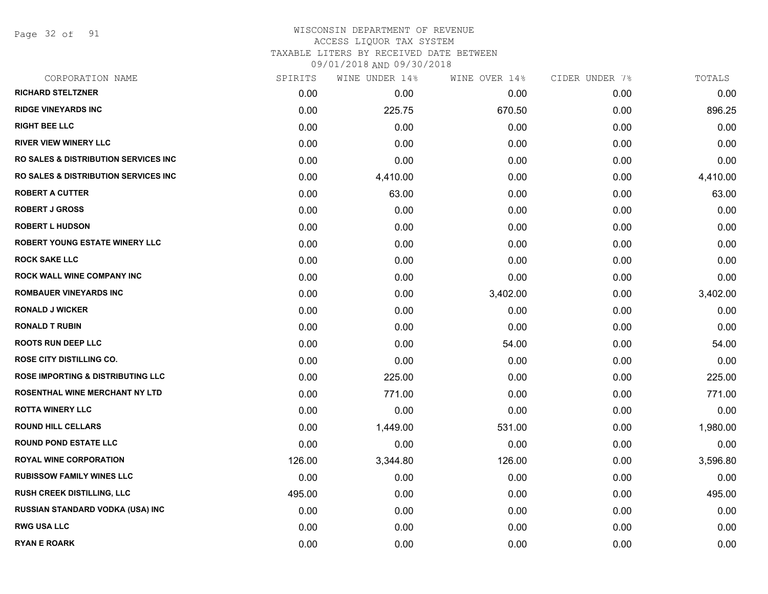Page 32 of 91

### WISCONSIN DEPARTMENT OF REVENUE ACCESS LIQUOR TAX SYSTEM TAXABLE LITERS BY RECEIVED DATE BETWEEN

| CORPORATION NAME                                 | SPIRITS | WINE UNDER 14% | WINE OVER 14% | CIDER UNDER 7% | TOTALS   |
|--------------------------------------------------|---------|----------------|---------------|----------------|----------|
| <b>RICHARD STELTZNER</b>                         | 0.00    | 0.00           | 0.00          | 0.00           | 0.00     |
| <b>RIDGE VINEYARDS INC</b>                       | 0.00    | 225.75         | 670.50        | 0.00           | 896.25   |
| <b>RIGHT BEE LLC</b>                             | 0.00    | 0.00           | 0.00          | 0.00           | 0.00     |
| <b>RIVER VIEW WINERY LLC</b>                     | 0.00    | 0.00           | 0.00          | 0.00           | 0.00     |
| <b>RO SALES &amp; DISTRIBUTION SERVICES INC.</b> | 0.00    | 0.00           | 0.00          | 0.00           | 0.00     |
| <b>RO SALES &amp; DISTRIBUTION SERVICES INC.</b> | 0.00    | 4,410.00       | 0.00          | 0.00           | 4,410.00 |
| <b>ROBERT A CUTTER</b>                           | 0.00    | 63.00          | 0.00          | 0.00           | 63.00    |
| <b>ROBERT J GROSS</b>                            | 0.00    | 0.00           | 0.00          | 0.00           | 0.00     |
| <b>ROBERT L HUDSON</b>                           | 0.00    | 0.00           | 0.00          | 0.00           | 0.00     |
| <b>ROBERT YOUNG ESTATE WINERY LLC</b>            | 0.00    | 0.00           | 0.00          | 0.00           | 0.00     |
| <b>ROCK SAKE LLC</b>                             | 0.00    | 0.00           | 0.00          | 0.00           | 0.00     |
| ROCK WALL WINE COMPANY INC                       | 0.00    | 0.00           | 0.00          | 0.00           | 0.00     |
| <b>ROMBAUER VINEYARDS INC</b>                    | 0.00    | 0.00           | 3,402.00      | 0.00           | 3,402.00 |
| <b>RONALD J WICKER</b>                           | 0.00    | 0.00           | 0.00          | 0.00           | 0.00     |
| <b>RONALD T RUBIN</b>                            | 0.00    | 0.00           | 0.00          | 0.00           | 0.00     |
| <b>ROOTS RUN DEEP LLC</b>                        | 0.00    | 0.00           | 54.00         | 0.00           | 54.00    |
| <b>ROSE CITY DISTILLING CO.</b>                  | 0.00    | 0.00           | 0.00          | 0.00           | 0.00     |
| <b>ROSE IMPORTING &amp; DISTRIBUTING LLC</b>     | 0.00    | 225.00         | 0.00          | 0.00           | 225.00   |
| <b>ROSENTHAL WINE MERCHANT NY LTD</b>            | 0.00    | 771.00         | 0.00          | 0.00           | 771.00   |
| <b>ROTTA WINERY LLC</b>                          | 0.00    | 0.00           | 0.00          | 0.00           | 0.00     |
| <b>ROUND HILL CELLARS</b>                        | 0.00    | 1,449.00       | 531.00        | 0.00           | 1,980.00 |
| <b>ROUND POND ESTATE LLC</b>                     | 0.00    | 0.00           | 0.00          | 0.00           | 0.00     |
| <b>ROYAL WINE CORPORATION</b>                    | 126.00  | 3,344.80       | 126.00        | 0.00           | 3,596.80 |
| <b>RUBISSOW FAMILY WINES LLC</b>                 | 0.00    | 0.00           | 0.00          | 0.00           | 0.00     |
| <b>RUSH CREEK DISTILLING, LLC</b>                | 495.00  | 0.00           | 0.00          | 0.00           | 495.00   |
| <b>RUSSIAN STANDARD VODKA (USA) INC</b>          | 0.00    | 0.00           | 0.00          | 0.00           | 0.00     |
| <b>RWG USA LLC</b>                               | 0.00    | 0.00           | 0.00          | 0.00           | 0.00     |
| <b>RYAN E ROARK</b>                              | 0.00    | 0.00           | 0.00          | 0.00           | 0.00     |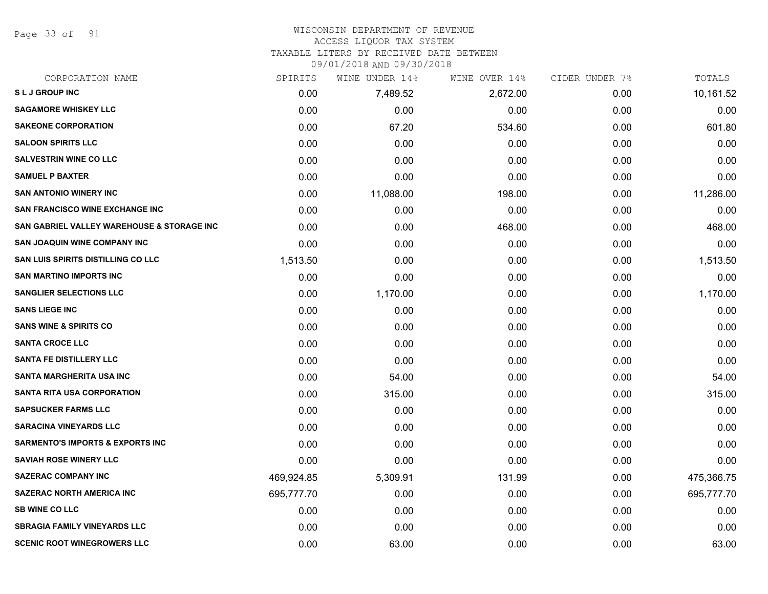Page 33 of 91

#### WISCONSIN DEPARTMENT OF REVENUE ACCESS LIQUOR TAX SYSTEM

TAXABLE LITERS BY RECEIVED DATE BETWEEN

| CORPORATION NAME                                      | SPIRITS    | WINE UNDER 14% | WINE OVER 14% | CIDER UNDER 7% | TOTALS     |
|-------------------------------------------------------|------------|----------------|---------------|----------------|------------|
| SLJ GROUP INC                                         | 0.00       | 7,489.52       | 2,672.00      | 0.00           | 10,161.52  |
| <b>SAGAMORE WHISKEY LLC</b>                           | 0.00       | 0.00           | 0.00          | 0.00           | 0.00       |
| <b>SAKEONE CORPORATION</b>                            | 0.00       | 67.20          | 534.60        | 0.00           | 601.80     |
| <b>SALOON SPIRITS LLC</b>                             | 0.00       | 0.00           | 0.00          | 0.00           | 0.00       |
| <b>SALVESTRIN WINE CO LLC</b>                         | 0.00       | 0.00           | 0.00          | 0.00           | 0.00       |
| <b>SAMUEL P BAXTER</b>                                | 0.00       | 0.00           | 0.00          | 0.00           | 0.00       |
| <b>SAN ANTONIO WINERY INC</b>                         | 0.00       | 11,088.00      | 198.00        | 0.00           | 11,286.00  |
| <b>SAN FRANCISCO WINE EXCHANGE INC</b>                | 0.00       | 0.00           | 0.00          | 0.00           | 0.00       |
| <b>SAN GABRIEL VALLEY WAREHOUSE &amp; STORAGE INC</b> | 0.00       | 0.00           | 468.00        | 0.00           | 468.00     |
| <b>SAN JOAQUIN WINE COMPANY INC</b>                   | 0.00       | 0.00           | 0.00          | 0.00           | 0.00       |
| SAN LUIS SPIRITS DISTILLING CO LLC                    | 1,513.50   | 0.00           | 0.00          | 0.00           | 1,513.50   |
| <b>SAN MARTINO IMPORTS INC</b>                        | 0.00       | 0.00           | 0.00          | 0.00           | 0.00       |
| <b>SANGLIER SELECTIONS LLC</b>                        | 0.00       | 1,170.00       | 0.00          | 0.00           | 1,170.00   |
| <b>SANS LIEGE INC</b>                                 | 0.00       | 0.00           | 0.00          | 0.00           | 0.00       |
| <b>SANS WINE &amp; SPIRITS CO</b>                     | 0.00       | 0.00           | 0.00          | 0.00           | 0.00       |
| <b>SANTA CROCE LLC</b>                                | 0.00       | 0.00           | 0.00          | 0.00           | 0.00       |
| <b>SANTA FE DISTILLERY LLC</b>                        | 0.00       | 0.00           | 0.00          | 0.00           | 0.00       |
| <b>SANTA MARGHERITA USA INC</b>                       | 0.00       | 54.00          | 0.00          | 0.00           | 54.00      |
| <b>SANTA RITA USA CORPORATION</b>                     | 0.00       | 315.00         | 0.00          | 0.00           | 315.00     |
| <b>SAPSUCKER FARMS LLC</b>                            | 0.00       | 0.00           | 0.00          | 0.00           | 0.00       |
| <b>SARACINA VINEYARDS LLC</b>                         | 0.00       | 0.00           | 0.00          | 0.00           | 0.00       |
| <b>SARMENTO'S IMPORTS &amp; EXPORTS INC</b>           | 0.00       | 0.00           | 0.00          | 0.00           | 0.00       |
| <b>SAVIAH ROSE WINERY LLC</b>                         | 0.00       | 0.00           | 0.00          | 0.00           | 0.00       |
| <b>SAZERAC COMPANY INC</b>                            | 469,924.85 | 5,309.91       | 131.99        | 0.00           | 475,366.75 |
| <b>SAZERAC NORTH AMERICA INC</b>                      | 695,777.70 | 0.00           | 0.00          | 0.00           | 695,777.70 |
| <b>SB WINE CO LLC</b>                                 | 0.00       | 0.00           | 0.00          | 0.00           | 0.00       |
| <b>SBRAGIA FAMILY VINEYARDS LLC</b>                   | 0.00       | 0.00           | 0.00          | 0.00           | 0.00       |
| <b>SCENIC ROOT WINEGROWERS LLC</b>                    | 0.00       | 63.00          | 0.00          | 0.00           | 63.00      |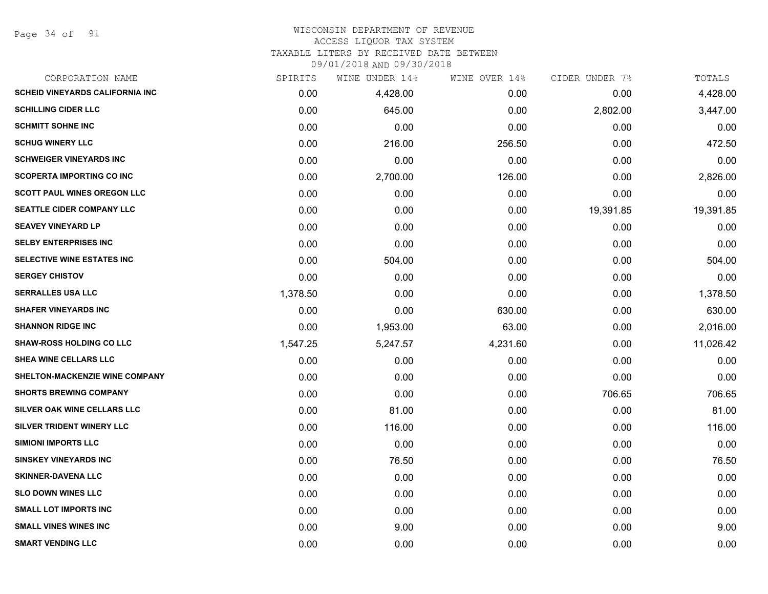Page 34 of 91

# WISCONSIN DEPARTMENT OF REVENUE ACCESS LIQUOR TAX SYSTEM TAXABLE LITERS BY RECEIVED DATE BETWEEN

| CORPORATION NAME                       | SPIRITS  | WINE UNDER 14% | WINE OVER 14% | CIDER UNDER 7% | TOTALS    |
|----------------------------------------|----------|----------------|---------------|----------------|-----------|
| <b>SCHEID VINEYARDS CALIFORNIA INC</b> | 0.00     | 4,428.00       | 0.00          | 0.00           | 4,428.00  |
| <b>SCHILLING CIDER LLC</b>             | 0.00     | 645.00         | 0.00          | 2,802.00       | 3,447.00  |
| <b>SCHMITT SOHNE INC</b>               | 0.00     | 0.00           | 0.00          | 0.00           | 0.00      |
| <b>SCHUG WINERY LLC</b>                | 0.00     | 216.00         | 256.50        | 0.00           | 472.50    |
| <b>SCHWEIGER VINEYARDS INC</b>         | 0.00     | 0.00           | 0.00          | 0.00           | 0.00      |
| <b>SCOPERTA IMPORTING CO INC</b>       | 0.00     | 2,700.00       | 126.00        | 0.00           | 2,826.00  |
| <b>SCOTT PAUL WINES OREGON LLC</b>     | 0.00     | 0.00           | 0.00          | 0.00           | 0.00      |
| <b>SEATTLE CIDER COMPANY LLC</b>       | 0.00     | 0.00           | 0.00          | 19,391.85      | 19,391.85 |
| <b>SEAVEY VINEYARD LP</b>              | 0.00     | 0.00           | 0.00          | 0.00           | 0.00      |
| <b>SELBY ENTERPRISES INC</b>           | 0.00     | 0.00           | 0.00          | 0.00           | 0.00      |
| SELECTIVE WINE ESTATES INC             | 0.00     | 504.00         | 0.00          | 0.00           | 504.00    |
| <b>SERGEY CHISTOV</b>                  | 0.00     | 0.00           | 0.00          | 0.00           | 0.00      |
| <b>SERRALLES USA LLC</b>               | 1,378.50 | 0.00           | 0.00          | 0.00           | 1,378.50  |
| <b>SHAFER VINEYARDS INC</b>            | 0.00     | 0.00           | 630.00        | 0.00           | 630.00    |
| <b>SHANNON RIDGE INC</b>               | 0.00     | 1,953.00       | 63.00         | 0.00           | 2,016.00  |
| <b>SHAW-ROSS HOLDING CO LLC</b>        | 1,547.25 | 5,247.57       | 4,231.60      | 0.00           | 11,026.42 |
| SHEA WINE CELLARS LLC                  | 0.00     | 0.00           | 0.00          | 0.00           | 0.00      |
| <b>SHELTON-MACKENZIE WINE COMPANY</b>  | 0.00     | 0.00           | 0.00          | 0.00           | 0.00      |
| <b>SHORTS BREWING COMPANY</b>          | 0.00     | 0.00           | 0.00          | 706.65         | 706.65    |
| SILVER OAK WINE CELLARS LLC            | 0.00     | 81.00          | 0.00          | 0.00           | 81.00     |
| <b>SILVER TRIDENT WINERY LLC</b>       | 0.00     | 116.00         | 0.00          | 0.00           | 116.00    |
| <b>SIMIONI IMPORTS LLC</b>             | 0.00     | 0.00           | 0.00          | 0.00           | 0.00      |
| <b>SINSKEY VINEYARDS INC</b>           | 0.00     | 76.50          | 0.00          | 0.00           | 76.50     |
| <b>SKINNER-DAVENA LLC</b>              | 0.00     | 0.00           | 0.00          | 0.00           | 0.00      |
| <b>SLO DOWN WINES LLC</b>              | 0.00     | 0.00           | 0.00          | 0.00           | 0.00      |
| <b>SMALL LOT IMPORTS INC</b>           | 0.00     | 0.00           | 0.00          | 0.00           | 0.00      |
| <b>SMALL VINES WINES INC</b>           | 0.00     | 9.00           | 0.00          | 0.00           | 9.00      |
| <b>SMART VENDING LLC</b>               | 0.00     | 0.00           | 0.00          | 0.00           | 0.00      |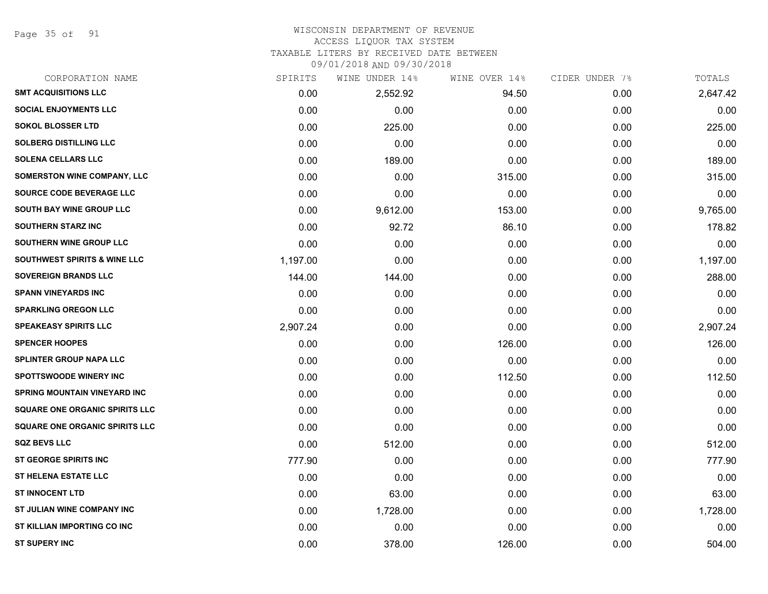Page 35 of 91

#### WISCONSIN DEPARTMENT OF REVENUE ACCESS LIQUOR TAX SYSTEM

TAXABLE LITERS BY RECEIVED DATE BETWEEN

| CORPORATION NAME                        | SPIRITS  | WINE UNDER 14% | WINE OVER 14% | CIDER UNDER 7% | TOTALS   |
|-----------------------------------------|----------|----------------|---------------|----------------|----------|
| <b>SMT ACQUISITIONS LLC</b>             | 0.00     | 2,552.92       | 94.50         | 0.00           | 2,647.42 |
| <b>SOCIAL ENJOYMENTS LLC</b>            | 0.00     | 0.00           | 0.00          | 0.00           | 0.00     |
| <b>SOKOL BLOSSER LTD</b>                | 0.00     | 225.00         | 0.00          | 0.00           | 225.00   |
| <b>SOLBERG DISTILLING LLC</b>           | 0.00     | 0.00           | 0.00          | 0.00           | 0.00     |
| <b>SOLENA CELLARS LLC</b>               | 0.00     | 189.00         | 0.00          | 0.00           | 189.00   |
| SOMERSTON WINE COMPANY, LLC             | 0.00     | 0.00           | 315.00        | 0.00           | 315.00   |
| SOURCE CODE BEVERAGE LLC                | 0.00     | 0.00           | 0.00          | 0.00           | 0.00     |
| <b>SOUTH BAY WINE GROUP LLC</b>         | 0.00     | 9,612.00       | 153.00        | 0.00           | 9,765.00 |
| <b>SOUTHERN STARZ INC</b>               | 0.00     | 92.72          | 86.10         | 0.00           | 178.82   |
| SOUTHERN WINE GROUP LLC                 | 0.00     | 0.00           | 0.00          | 0.00           | 0.00     |
| <b>SOUTHWEST SPIRITS &amp; WINE LLC</b> | 1,197.00 | 0.00           | 0.00          | 0.00           | 1,197.00 |
| <b>SOVEREIGN BRANDS LLC</b>             | 144.00   | 144.00         | 0.00          | 0.00           | 288.00   |
| <b>SPANN VINEYARDS INC</b>              | 0.00     | 0.00           | 0.00          | 0.00           | 0.00     |
| <b>SPARKLING OREGON LLC</b>             | 0.00     | 0.00           | 0.00          | 0.00           | 0.00     |
| <b>SPEAKEASY SPIRITS LLC</b>            | 2,907.24 | 0.00           | 0.00          | 0.00           | 2,907.24 |
| <b>SPENCER HOOPES</b>                   | 0.00     | 0.00           | 126.00        | 0.00           | 126.00   |
| <b>SPLINTER GROUP NAPA LLC</b>          | 0.00     | 0.00           | 0.00          | 0.00           | 0.00     |
| <b>SPOTTSWOODE WINERY INC</b>           | 0.00     | 0.00           | 112.50        | 0.00           | 112.50   |
| <b>SPRING MOUNTAIN VINEYARD INC</b>     | 0.00     | 0.00           | 0.00          | 0.00           | 0.00     |
| <b>SQUARE ONE ORGANIC SPIRITS LLC</b>   | 0.00     | 0.00           | 0.00          | 0.00           | 0.00     |
| <b>SQUARE ONE ORGANIC SPIRITS LLC</b>   | 0.00     | 0.00           | 0.00          | 0.00           | 0.00     |
| <b>SQZ BEVS LLC</b>                     | 0.00     | 512.00         | 0.00          | 0.00           | 512.00   |
| <b>ST GEORGE SPIRITS INC</b>            | 777.90   | 0.00           | 0.00          | 0.00           | 777.90   |
| <b>ST HELENA ESTATE LLC</b>             | 0.00     | 0.00           | 0.00          | 0.00           | 0.00     |
| <b>ST INNOCENT LTD</b>                  | 0.00     | 63.00          | 0.00          | 0.00           | 63.00    |
| ST JULIAN WINE COMPANY INC              | 0.00     | 1,728.00       | 0.00          | 0.00           | 1,728.00 |
| ST KILLIAN IMPORTING CO INC             | 0.00     | 0.00           | 0.00          | 0.00           | 0.00     |
| <b>ST SUPERY INC</b>                    | 0.00     | 378.00         | 126.00        | 0.00           | 504.00   |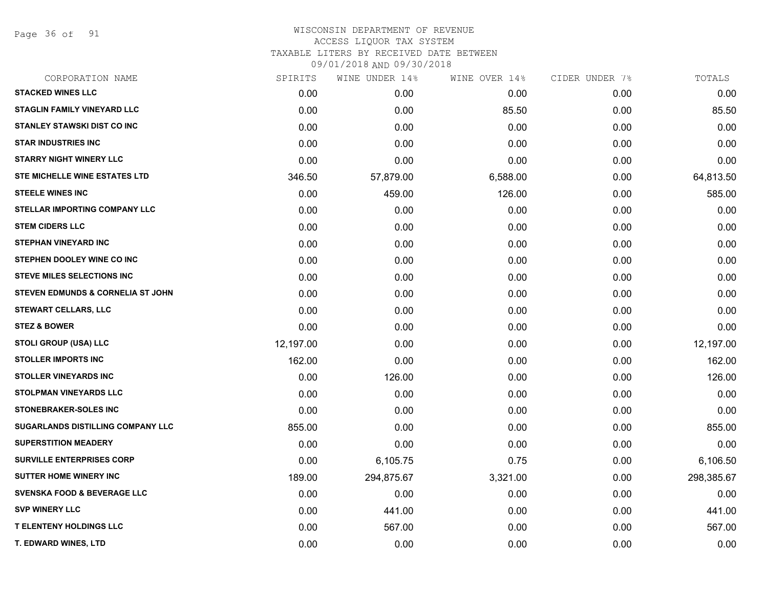Page 36 of 91

| CORPORATION NAME                       | SPIRITS   | WINE UNDER 14% | WINE OVER 14% | CIDER UNDER 7% | TOTALS     |
|----------------------------------------|-----------|----------------|---------------|----------------|------------|
| <b>STACKED WINES LLC</b>               | 0.00      | 0.00           | 0.00          | 0.00           | 0.00       |
| <b>STAGLIN FAMILY VINEYARD LLC</b>     | 0.00      | 0.00           | 85.50         | 0.00           | 85.50      |
| <b>STANLEY STAWSKI DIST CO INC</b>     | 0.00      | 0.00           | 0.00          | 0.00           | 0.00       |
| <b>STAR INDUSTRIES INC</b>             | 0.00      | 0.00           | 0.00          | 0.00           | 0.00       |
| <b>STARRY NIGHT WINERY LLC</b>         | 0.00      | 0.00           | 0.00          | 0.00           | 0.00       |
| STE MICHELLE WINE ESTATES LTD          | 346.50    | 57,879.00      | 6,588.00      | 0.00           | 64,813.50  |
| <b>STEELE WINES INC</b>                | 0.00      | 459.00         | 126.00        | 0.00           | 585.00     |
| STELLAR IMPORTING COMPANY LLC          | 0.00      | 0.00           | 0.00          | 0.00           | 0.00       |
| <b>STEM CIDERS LLC</b>                 | 0.00      | 0.00           | 0.00          | 0.00           | 0.00       |
| <b>STEPHAN VINEYARD INC</b>            | 0.00      | 0.00           | 0.00          | 0.00           | 0.00       |
| STEPHEN DOOLEY WINE CO INC             | 0.00      | 0.00           | 0.00          | 0.00           | 0.00       |
| <b>STEVE MILES SELECTIONS INC</b>      | 0.00      | 0.00           | 0.00          | 0.00           | 0.00       |
| STEVEN EDMUNDS & CORNELIA ST JOHN      | 0.00      | 0.00           | 0.00          | 0.00           | 0.00       |
| <b>STEWART CELLARS, LLC</b>            | 0.00      | 0.00           | 0.00          | 0.00           | 0.00       |
| <b>STEZ &amp; BOWER</b>                | 0.00      | 0.00           | 0.00          | 0.00           | 0.00       |
| <b>STOLI GROUP (USA) LLC</b>           | 12,197.00 | 0.00           | 0.00          | 0.00           | 12,197.00  |
| <b>STOLLER IMPORTS INC</b>             | 162.00    | 0.00           | 0.00          | 0.00           | 162.00     |
| <b>STOLLER VINEYARDS INC</b>           | 0.00      | 126.00         | 0.00          | 0.00           | 126.00     |
| <b>STOLPMAN VINEYARDS LLC</b>          | 0.00      | 0.00           | 0.00          | 0.00           | 0.00       |
| <b>STONEBRAKER-SOLES INC</b>           | 0.00      | 0.00           | 0.00          | 0.00           | 0.00       |
| SUGARLANDS DISTILLING COMPANY LLC      | 855.00    | 0.00           | 0.00          | 0.00           | 855.00     |
| <b>SUPERSTITION MEADERY</b>            | 0.00      | 0.00           | 0.00          | 0.00           | 0.00       |
| <b>SURVILLE ENTERPRISES CORP</b>       | 0.00      | 6,105.75       | 0.75          | 0.00           | 6,106.50   |
| <b>SUTTER HOME WINERY INC</b>          | 189.00    | 294,875.67     | 3,321.00      | 0.00           | 298,385.67 |
| <b>SVENSKA FOOD &amp; BEVERAGE LLC</b> | 0.00      | 0.00           | 0.00          | 0.00           | 0.00       |
| <b>SVP WINERY LLC</b>                  | 0.00      | 441.00         | 0.00          | 0.00           | 441.00     |
| <b>T ELENTENY HOLDINGS LLC</b>         | 0.00      | 567.00         | 0.00          | 0.00           | 567.00     |
| <b>T. EDWARD WINES, LTD</b>            | 0.00      | 0.00           | 0.00          | 0.00           | 0.00       |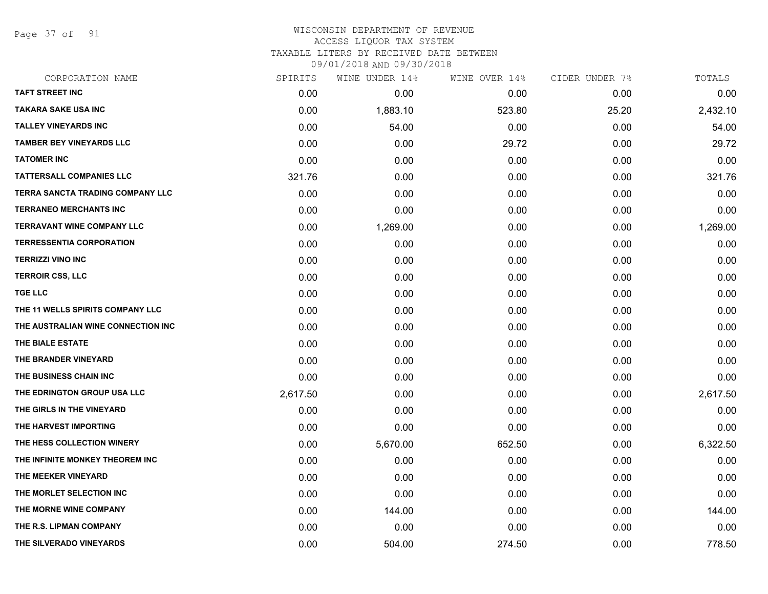Page 37 of 91

#### WISCONSIN DEPARTMENT OF REVENUE ACCESS LIQUOR TAX SYSTEM TAXABLE LITERS BY RECEIVED DATE BETWEEN

| CORPORATION NAME                   | SPIRITS  | WINE UNDER 14% | WINE OVER 14% | CIDER UNDER 7% | TOTALS   |
|------------------------------------|----------|----------------|---------------|----------------|----------|
| <b>TAFT STREET INC</b>             | 0.00     | 0.00           | 0.00          | 0.00           | 0.00     |
| <b>TAKARA SAKE USA INC</b>         | 0.00     | 1,883.10       | 523.80        | 25.20          | 2,432.10 |
| <b>TALLEY VINEYARDS INC</b>        | 0.00     | 54.00          | 0.00          | 0.00           | 54.00    |
| <b>TAMBER BEY VINEYARDS LLC</b>    | 0.00     | 0.00           | 29.72         | 0.00           | 29.72    |
| <b>TATOMER INC</b>                 | 0.00     | 0.00           | 0.00          | 0.00           | 0.00     |
| <b>TATTERSALL COMPANIES LLC</b>    | 321.76   | 0.00           | 0.00          | 0.00           | 321.76   |
| TERRA SANCTA TRADING COMPANY LLC   | 0.00     | 0.00           | 0.00          | 0.00           | 0.00     |
| <b>TERRANEO MERCHANTS INC</b>      | 0.00     | 0.00           | 0.00          | 0.00           | 0.00     |
| <b>TERRAVANT WINE COMPANY LLC</b>  | 0.00     | 1,269.00       | 0.00          | 0.00           | 1,269.00 |
| <b>TERRESSENTIA CORPORATION</b>    | 0.00     | 0.00           | 0.00          | 0.00           | 0.00     |
| <b>TERRIZZI VINO INC</b>           | 0.00     | 0.00           | 0.00          | 0.00           | 0.00     |
| <b>TERROIR CSS, LLC</b>            | 0.00     | 0.00           | 0.00          | 0.00           | 0.00     |
| <b>TGE LLC</b>                     | 0.00     | 0.00           | 0.00          | 0.00           | 0.00     |
| THE 11 WELLS SPIRITS COMPANY LLC   | 0.00     | 0.00           | 0.00          | 0.00           | 0.00     |
| THE AUSTRALIAN WINE CONNECTION INC | 0.00     | 0.00           | 0.00          | 0.00           | 0.00     |
| THE BIALE ESTATE                   | 0.00     | 0.00           | 0.00          | 0.00           | 0.00     |
| THE BRANDER VINEYARD               | 0.00     | 0.00           | 0.00          | 0.00           | 0.00     |
| THE BUSINESS CHAIN INC             | 0.00     | 0.00           | 0.00          | 0.00           | 0.00     |
| THE EDRINGTON GROUP USA LLC        | 2,617.50 | 0.00           | 0.00          | 0.00           | 2,617.50 |
| THE GIRLS IN THE VINEYARD          | 0.00     | 0.00           | 0.00          | 0.00           | 0.00     |
| THE HARVEST IMPORTING              | 0.00     | 0.00           | 0.00          | 0.00           | 0.00     |
| THE HESS COLLECTION WINERY         | 0.00     | 5,670.00       | 652.50        | 0.00           | 6,322.50 |
| THE INFINITE MONKEY THEOREM INC    | 0.00     | 0.00           | 0.00          | 0.00           | 0.00     |
| THE MEEKER VINEYARD                | 0.00     | 0.00           | 0.00          | 0.00           | 0.00     |
| THE MORLET SELECTION INC           | 0.00     | 0.00           | 0.00          | 0.00           | 0.00     |
| THE MORNE WINE COMPANY             | 0.00     | 144.00         | 0.00          | 0.00           | 144.00   |
| THE R.S. LIPMAN COMPANY            | 0.00     | 0.00           | 0.00          | 0.00           | 0.00     |
| THE SILVERADO VINEYARDS            | 0.00     | 504.00         | 274.50        | 0.00           | 778.50   |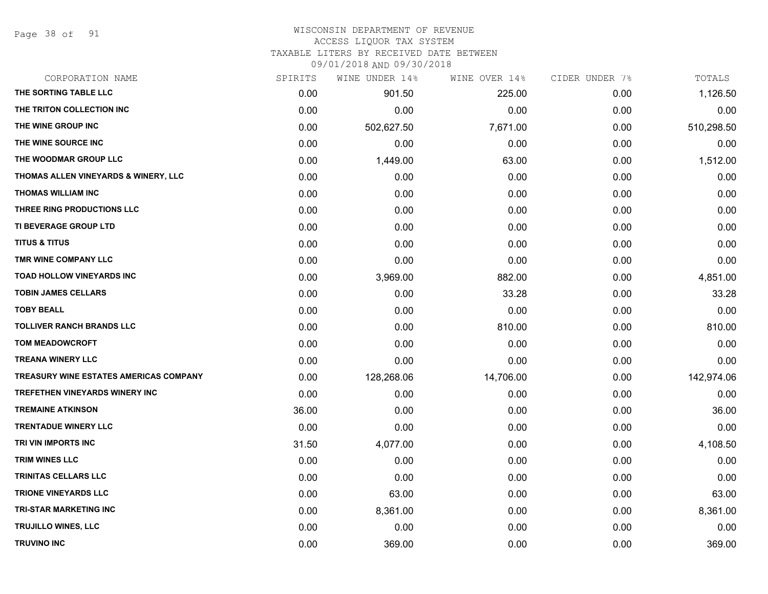Page 38 of 91

#### WISCONSIN DEPARTMENT OF REVENUE ACCESS LIQUOR TAX SYSTEM

TAXABLE LITERS BY RECEIVED DATE BETWEEN

| CORPORATION NAME                              | SPIRITS | WINE UNDER 14% | WINE OVER 14% | CIDER UNDER 7% | TOTALS     |
|-----------------------------------------------|---------|----------------|---------------|----------------|------------|
| THE SORTING TABLE LLC                         | 0.00    | 901.50         | 225.00        | 0.00           | 1,126.50   |
| THE TRITON COLLECTION INC                     | 0.00    | 0.00           | 0.00          | 0.00           | 0.00       |
| THE WINE GROUP INC                            | 0.00    | 502,627.50     | 7,671.00      | 0.00           | 510,298.50 |
| THE WINE SOURCE INC                           | 0.00    | 0.00           | 0.00          | 0.00           | 0.00       |
| THE WOODMAR GROUP LLC                         | 0.00    | 1,449.00       | 63.00         | 0.00           | 1,512.00   |
| THOMAS ALLEN VINEYARDS & WINERY, LLC          | 0.00    | 0.00           | 0.00          | 0.00           | 0.00       |
| THOMAS WILLIAM INC                            | 0.00    | 0.00           | 0.00          | 0.00           | 0.00       |
| THREE RING PRODUCTIONS LLC                    | 0.00    | 0.00           | 0.00          | 0.00           | 0.00       |
| TI BEVERAGE GROUP LTD                         | 0.00    | 0.00           | 0.00          | 0.00           | 0.00       |
| <b>TITUS &amp; TITUS</b>                      | 0.00    | 0.00           | 0.00          | 0.00           | 0.00       |
| TMR WINE COMPANY LLC                          | 0.00    | 0.00           | 0.00          | 0.00           | 0.00       |
| TOAD HOLLOW VINEYARDS INC                     | 0.00    | 3,969.00       | 882.00        | 0.00           | 4,851.00   |
| <b>TOBIN JAMES CELLARS</b>                    | 0.00    | 0.00           | 33.28         | 0.00           | 33.28      |
| <b>TOBY BEALL</b>                             | 0.00    | 0.00           | 0.00          | 0.00           | 0.00       |
| <b>TOLLIVER RANCH BRANDS LLC</b>              | 0.00    | 0.00           | 810.00        | 0.00           | 810.00     |
| <b>TOM MEADOWCROFT</b>                        | 0.00    | 0.00           | 0.00          | 0.00           | 0.00       |
| <b>TREANA WINERY LLC</b>                      | 0.00    | 0.00           | 0.00          | 0.00           | 0.00       |
| <b>TREASURY WINE ESTATES AMERICAS COMPANY</b> | 0.00    | 128,268.06     | 14,706.00     | 0.00           | 142,974.06 |
| <b>TREFETHEN VINEYARDS WINERY INC</b>         | 0.00    | 0.00           | 0.00          | 0.00           | 0.00       |
| <b>TREMAINE ATKINSON</b>                      | 36.00   | 0.00           | 0.00          | 0.00           | 36.00      |
| <b>TRENTADUE WINERY LLC</b>                   | 0.00    | 0.00           | 0.00          | 0.00           | 0.00       |
| TRI VIN IMPORTS INC                           | 31.50   | 4,077.00       | 0.00          | 0.00           | 4,108.50   |
| TRIM WINES LLC                                | 0.00    | 0.00           | 0.00          | 0.00           | 0.00       |
| TRINITAS CELLARS LLC                          | 0.00    | 0.00           | 0.00          | 0.00           | 0.00       |
| <b>TRIONE VINEYARDS LLC</b>                   | 0.00    | 63.00          | 0.00          | 0.00           | 63.00      |
| <b>TRI-STAR MARKETING INC</b>                 | 0.00    | 8,361.00       | 0.00          | 0.00           | 8,361.00   |
| TRUJILLO WINES, LLC                           | 0.00    | 0.00           | 0.00          | 0.00           | 0.00       |
| <b>TRUVINO INC</b>                            | 0.00    | 369.00         | 0.00          | 0.00           | 369.00     |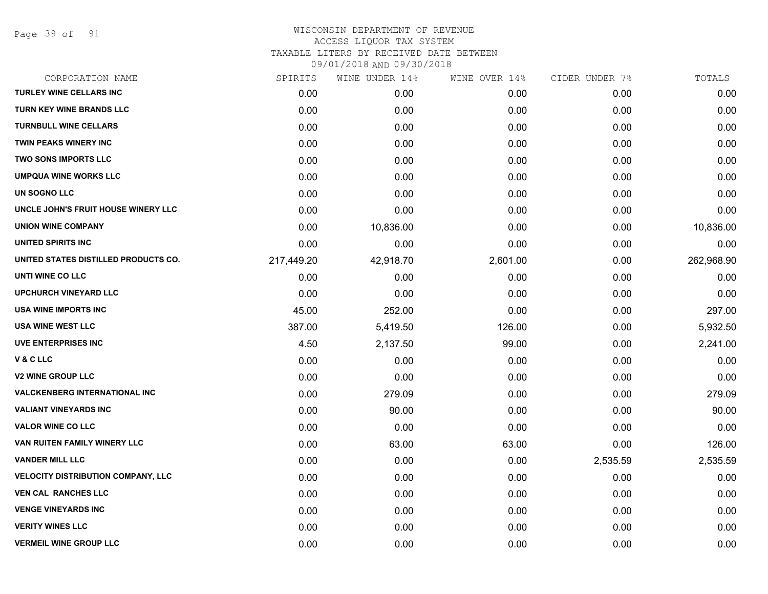Page 39 of 91

| CORPORATION NAME                          | SPIRITS    | WINE UNDER 14% | WINE OVER 14% | CIDER UNDER 7% | TOTALS     |
|-------------------------------------------|------------|----------------|---------------|----------------|------------|
| <b>TURLEY WINE CELLARS INC</b>            | 0.00       | 0.00           | 0.00          | 0.00           | 0.00       |
| <b>TURN KEY WINE BRANDS LLC</b>           | 0.00       | 0.00           | 0.00          | 0.00           | 0.00       |
| <b>TURNBULL WINE CELLARS</b>              | 0.00       | 0.00           | 0.00          | 0.00           | 0.00       |
| TWIN PEAKS WINERY INC                     | 0.00       | 0.00           | 0.00          | 0.00           | 0.00       |
| <b>TWO SONS IMPORTS LLC</b>               | 0.00       | 0.00           | 0.00          | 0.00           | 0.00       |
| <b>UMPQUA WINE WORKS LLC</b>              | 0.00       | 0.00           | 0.00          | 0.00           | 0.00       |
| UN SOGNO LLC                              | 0.00       | 0.00           | 0.00          | 0.00           | 0.00       |
| UNCLE JOHN'S FRUIT HOUSE WINERY LLC       | 0.00       | 0.00           | 0.00          | 0.00           | 0.00       |
| <b>UNION WINE COMPANY</b>                 | 0.00       | 10,836.00      | 0.00          | 0.00           | 10,836.00  |
| <b>UNITED SPIRITS INC</b>                 | 0.00       | 0.00           | 0.00          | 0.00           | 0.00       |
| UNITED STATES DISTILLED PRODUCTS CO.      | 217,449.20 | 42,918.70      | 2,601.00      | 0.00           | 262,968.90 |
| UNTI WINE CO LLC                          | 0.00       | 0.00           | 0.00          | 0.00           | 0.00       |
| <b>UPCHURCH VINEYARD LLC</b>              | 0.00       | 0.00           | 0.00          | 0.00           | 0.00       |
| USA WINE IMPORTS INC                      | 45.00      | 252.00         | 0.00          | 0.00           | 297.00     |
| USA WINE WEST LLC                         | 387.00     | 5,419.50       | 126.00        | 0.00           | 5,932.50   |
| <b>UVE ENTERPRISES INC</b>                | 4.50       | 2,137.50       | 99.00         | 0.00           | 2,241.00   |
| V&CLLC                                    | 0.00       | 0.00           | 0.00          | 0.00           | 0.00       |
| <b>V2 WINE GROUP LLC</b>                  | 0.00       | 0.00           | 0.00          | 0.00           | 0.00       |
| <b>VALCKENBERG INTERNATIONAL INC</b>      | 0.00       | 279.09         | 0.00          | 0.00           | 279.09     |
| <b>VALIANT VINEYARDS INC</b>              | 0.00       | 90.00          | 0.00          | 0.00           | 90.00      |
| <b>VALOR WINE CO LLC</b>                  | 0.00       | 0.00           | 0.00          | 0.00           | 0.00       |
| VAN RUITEN FAMILY WINERY LLC              | 0.00       | 63.00          | 63.00         | 0.00           | 126.00     |
| <b>VANDER MILL LLC</b>                    | 0.00       | 0.00           | 0.00          | 2,535.59       | 2,535.59   |
| <b>VELOCITY DISTRIBUTION COMPANY, LLC</b> | 0.00       | 0.00           | 0.00          | 0.00           | 0.00       |
| <b>VEN CAL RANCHES LLC</b>                | 0.00       | 0.00           | 0.00          | 0.00           | 0.00       |
| <b>VENGE VINEYARDS INC</b>                | 0.00       | 0.00           | 0.00          | 0.00           | 0.00       |
| <b>VERITY WINES LLC</b>                   | 0.00       | 0.00           | 0.00          | 0.00           | 0.00       |
| <b>VERMEIL WINE GROUP LLC</b>             | 0.00       | 0.00           | 0.00          | 0.00           | 0.00       |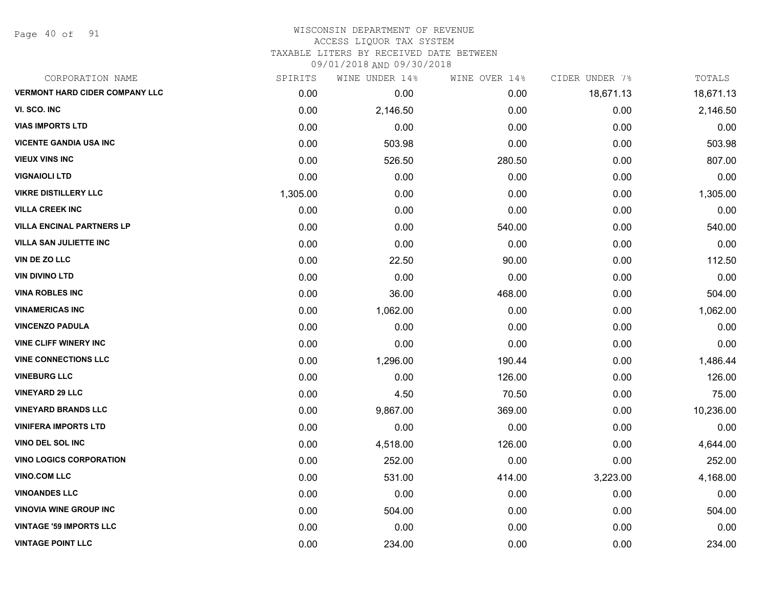Page 40 of 91

| CORPORATION NAME                      | SPIRITS  | WINE UNDER 14% | WINE OVER 14% | CIDER UNDER 7% | TOTALS    |
|---------------------------------------|----------|----------------|---------------|----------------|-----------|
| <b>VERMONT HARD CIDER COMPANY LLC</b> | 0.00     | 0.00           | 0.00          | 18,671.13      | 18,671.13 |
| VI. SCO. INC                          | 0.00     | 2,146.50       | 0.00          | 0.00           | 2,146.50  |
| <b>VIAS IMPORTS LTD</b>               | 0.00     | 0.00           | 0.00          | 0.00           | 0.00      |
| <b>VICENTE GANDIA USA INC</b>         | 0.00     | 503.98         | 0.00          | 0.00           | 503.98    |
| <b>VIEUX VINS INC</b>                 | 0.00     | 526.50         | 280.50        | 0.00           | 807.00    |
| <b>VIGNAIOLI LTD</b>                  | 0.00     | 0.00           | 0.00          | 0.00           | 0.00      |
| <b>VIKRE DISTILLERY LLC</b>           | 1,305.00 | 0.00           | 0.00          | 0.00           | 1,305.00  |
| <b>VILLA CREEK INC</b>                | 0.00     | 0.00           | 0.00          | 0.00           | 0.00      |
| <b>VILLA ENCINAL PARTNERS LP</b>      | 0.00     | 0.00           | 540.00        | 0.00           | 540.00    |
| <b>VILLA SAN JULIETTE INC</b>         | 0.00     | 0.00           | 0.00          | 0.00           | 0.00      |
| <b>VIN DE ZO LLC</b>                  | 0.00     | 22.50          | 90.00         | 0.00           | 112.50    |
| <b>VIN DIVINO LTD</b>                 | 0.00     | 0.00           | 0.00          | 0.00           | 0.00      |
| <b>VINA ROBLES INC</b>                | 0.00     | 36.00          | 468.00        | 0.00           | 504.00    |
| <b>VINAMERICAS INC</b>                | 0.00     | 1,062.00       | 0.00          | 0.00           | 1,062.00  |
| <b>VINCENZO PADULA</b>                | 0.00     | 0.00           | 0.00          | 0.00           | 0.00      |
| <b>VINE CLIFF WINERY INC</b>          | 0.00     | 0.00           | 0.00          | 0.00           | 0.00      |
| <b>VINE CONNECTIONS LLC</b>           | 0.00     | 1,296.00       | 190.44        | 0.00           | 1,486.44  |
| <b>VINEBURG LLC</b>                   | 0.00     | 0.00           | 126.00        | 0.00           | 126.00    |
| <b>VINEYARD 29 LLC</b>                | 0.00     | 4.50           | 70.50         | 0.00           | 75.00     |
| <b>VINEYARD BRANDS LLC</b>            | 0.00     | 9,867.00       | 369.00        | 0.00           | 10,236.00 |
| <b>VINIFERA IMPORTS LTD</b>           | 0.00     | 0.00           | 0.00          | 0.00           | 0.00      |
| <b>VINO DEL SOL INC</b>               | 0.00     | 4,518.00       | 126.00        | 0.00           | 4,644.00  |
| <b>VINO LOGICS CORPORATION</b>        | 0.00     | 252.00         | 0.00          | 0.00           | 252.00    |
| <b>VINO.COM LLC</b>                   | 0.00     | 531.00         | 414.00        | 3,223.00       | 4,168.00  |
| <b>VINOANDES LLC</b>                  | 0.00     | 0.00           | 0.00          | 0.00           | 0.00      |
| <b>VINOVIA WINE GROUP INC</b>         | 0.00     | 504.00         | 0.00          | 0.00           | 504.00    |
| <b>VINTAGE '59 IMPORTS LLC</b>        | 0.00     | 0.00           | 0.00          | 0.00           | 0.00      |
| <b>VINTAGE POINT LLC</b>              | 0.00     | 234.00         | 0.00          | 0.00           | 234.00    |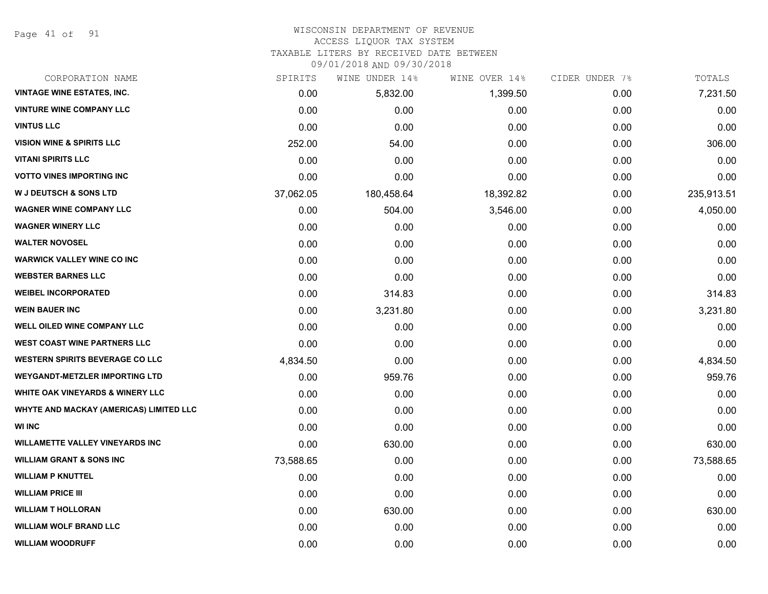Page 41 of 91

#### WISCONSIN DEPARTMENT OF REVENUE ACCESS LIQUOR TAX SYSTEM

TAXABLE LITERS BY RECEIVED DATE BETWEEN

| CORPORATION NAME                               | SPIRITS   | WINE UNDER 14% | WINE OVER 14% | CIDER UNDER 7% | TOTALS     |
|------------------------------------------------|-----------|----------------|---------------|----------------|------------|
| <b>VINTAGE WINE ESTATES, INC.</b>              | 0.00      | 5,832.00       | 1,399.50      | 0.00           | 7,231.50   |
| <b>VINTURE WINE COMPANY LLC</b>                | 0.00      | 0.00           | 0.00          | 0.00           | 0.00       |
| <b>VINTUS LLC</b>                              | 0.00      | 0.00           | 0.00          | 0.00           | 0.00       |
| <b>VISION WINE &amp; SPIRITS LLC</b>           | 252.00    | 54.00          | 0.00          | 0.00           | 306.00     |
| <b>VITANI SPIRITS LLC</b>                      | 0.00      | 0.00           | 0.00          | 0.00           | 0.00       |
| <b>VOTTO VINES IMPORTING INC</b>               | 0.00      | 0.00           | 0.00          | 0.00           | 0.00       |
| <b>W J DEUTSCH &amp; SONS LTD</b>              | 37,062.05 | 180,458.64     | 18,392.82     | 0.00           | 235,913.51 |
| <b>WAGNER WINE COMPANY LLC</b>                 | 0.00      | 504.00         | 3,546.00      | 0.00           | 4,050.00   |
| <b>WAGNER WINERY LLC</b>                       | 0.00      | 0.00           | 0.00          | 0.00           | 0.00       |
| <b>WALTER NOVOSEL</b>                          | 0.00      | 0.00           | 0.00          | 0.00           | 0.00       |
| <b>WARWICK VALLEY WINE CO INC</b>              | 0.00      | 0.00           | 0.00          | 0.00           | 0.00       |
| <b>WEBSTER BARNES LLC</b>                      | 0.00      | 0.00           | 0.00          | 0.00           | 0.00       |
| <b>WEIBEL INCORPORATED</b>                     | 0.00      | 314.83         | 0.00          | 0.00           | 314.83     |
| <b>WEIN BAUER INC</b>                          | 0.00      | 3,231.80       | 0.00          | 0.00           | 3,231.80   |
| <b>WELL OILED WINE COMPANY LLC</b>             | 0.00      | 0.00           | 0.00          | 0.00           | 0.00       |
| <b>WEST COAST WINE PARTNERS LLC</b>            | 0.00      | 0.00           | 0.00          | 0.00           | 0.00       |
| <b>WESTERN SPIRITS BEVERAGE CO LLC</b>         | 4,834.50  | 0.00           | 0.00          | 0.00           | 4,834.50   |
| <b>WEYGANDT-METZLER IMPORTING LTD</b>          | 0.00      | 959.76         | 0.00          | 0.00           | 959.76     |
| <b>WHITE OAK VINEYARDS &amp; WINERY LLC</b>    | 0.00      | 0.00           | 0.00          | 0.00           | 0.00       |
| <b>WHYTE AND MACKAY (AMERICAS) LIMITED LLC</b> | 0.00      | 0.00           | 0.00          | 0.00           | 0.00       |
| <b>WI INC</b>                                  | 0.00      | 0.00           | 0.00          | 0.00           | 0.00       |
| <b>WILLAMETTE VALLEY VINEYARDS INC</b>         | 0.00      | 630.00         | 0.00          | 0.00           | 630.00     |
| <b>WILLIAM GRANT &amp; SONS INC</b>            | 73,588.65 | 0.00           | 0.00          | 0.00           | 73,588.65  |
| <b>WILLIAM P KNUTTEL</b>                       | 0.00      | 0.00           | 0.00          | 0.00           | 0.00       |
| <b>WILLIAM PRICE III</b>                       | 0.00      | 0.00           | 0.00          | 0.00           | 0.00       |
| <b>WILLIAM T HOLLORAN</b>                      | 0.00      | 630.00         | 0.00          | 0.00           | 630.00     |
| <b>WILLIAM WOLF BRAND LLC</b>                  | 0.00      | 0.00           | 0.00          | 0.00           | 0.00       |
| <b>WILLIAM WOODRUFF</b>                        | 0.00      | 0.00           | 0.00          | 0.00           | 0.00       |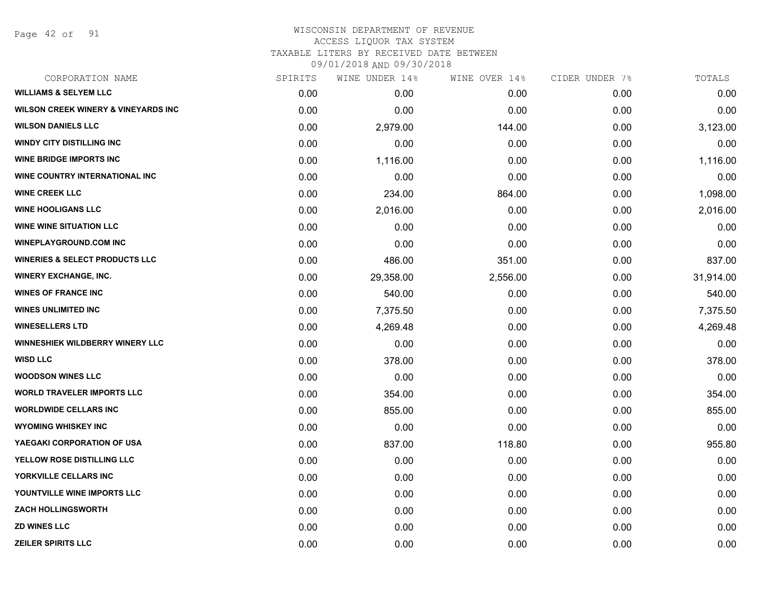Page 42 of 91

| CORPORATION NAME                               | SPIRITS | WINE UNDER 14% | WINE OVER 14% | CIDER UNDER 7% | TOTALS    |
|------------------------------------------------|---------|----------------|---------------|----------------|-----------|
| <b>WILLIAMS &amp; SELYEM LLC</b>               | 0.00    | 0.00           | 0.00          | 0.00           | 0.00      |
| <b>WILSON CREEK WINERY &amp; VINEYARDS INC</b> | 0.00    | 0.00           | 0.00          | 0.00           | 0.00      |
| <b>WILSON DANIELS LLC</b>                      | 0.00    | 2,979.00       | 144.00        | 0.00           | 3,123.00  |
| <b>WINDY CITY DISTILLING INC</b>               | 0.00    | 0.00           | 0.00          | 0.00           | 0.00      |
| <b>WINE BRIDGE IMPORTS INC</b>                 | 0.00    | 1,116.00       | 0.00          | 0.00           | 1,116.00  |
| WINE COUNTRY INTERNATIONAL INC                 | 0.00    | 0.00           | 0.00          | 0.00           | 0.00      |
| <b>WINE CREEK LLC</b>                          | 0.00    | 234.00         | 864.00        | 0.00           | 1,098.00  |
| <b>WINE HOOLIGANS LLC</b>                      | 0.00    | 2,016.00       | 0.00          | 0.00           | 2,016.00  |
| <b>WINE WINE SITUATION LLC</b>                 | 0.00    | 0.00           | 0.00          | 0.00           | 0.00      |
| <b>WINEPLAYGROUND.COM INC</b>                  | 0.00    | 0.00           | 0.00          | 0.00           | 0.00      |
| <b>WINERIES &amp; SELECT PRODUCTS LLC</b>      | 0.00    | 486.00         | 351.00        | 0.00           | 837.00    |
| <b>WINERY EXCHANGE, INC.</b>                   | 0.00    | 29,358.00      | 2,556.00      | 0.00           | 31,914.00 |
| <b>WINES OF FRANCE INC</b>                     | 0.00    | 540.00         | 0.00          | 0.00           | 540.00    |
| <b>WINES UNLIMITED INC</b>                     | 0.00    | 7,375.50       | 0.00          | 0.00           | 7,375.50  |
| <b>WINESELLERS LTD</b>                         | 0.00    | 4,269.48       | 0.00          | 0.00           | 4,269.48  |
| WINNESHIEK WILDBERRY WINERY LLC                | 0.00    | 0.00           | 0.00          | 0.00           | 0.00      |
| <b>WISD LLC</b>                                | 0.00    | 378.00         | 0.00          | 0.00           | 378.00    |
| <b>WOODSON WINES LLC</b>                       | 0.00    | 0.00           | 0.00          | 0.00           | 0.00      |
| <b>WORLD TRAVELER IMPORTS LLC</b>              | 0.00    | 354.00         | 0.00          | 0.00           | 354.00    |
| <b>WORLDWIDE CELLARS INC</b>                   | 0.00    | 855.00         | 0.00          | 0.00           | 855.00    |
| <b>WYOMING WHISKEY INC</b>                     | 0.00    | 0.00           | 0.00          | 0.00           | 0.00      |
| YAEGAKI CORPORATION OF USA                     | 0.00    | 837.00         | 118.80        | 0.00           | 955.80    |
| YELLOW ROSE DISTILLING LLC                     | 0.00    | 0.00           | 0.00          | 0.00           | 0.00      |
| YORKVILLE CELLARS INC                          | 0.00    | 0.00           | 0.00          | 0.00           | 0.00      |
| YOUNTVILLE WINE IMPORTS LLC                    | 0.00    | 0.00           | 0.00          | 0.00           | 0.00      |
| <b>ZACH HOLLINGSWORTH</b>                      | 0.00    | 0.00           | 0.00          | 0.00           | 0.00      |
| <b>ZD WINES LLC</b>                            | 0.00    | 0.00           | 0.00          | 0.00           | 0.00      |
| <b>ZEILER SPIRITS LLC</b>                      | 0.00    | 0.00           | 0.00          | 0.00           | 0.00      |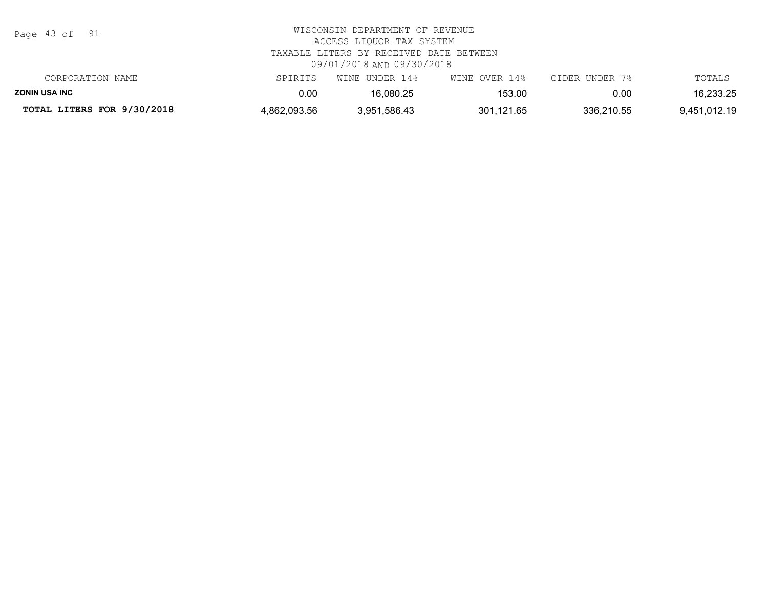| Page 43 of 91              | WISCONSIN DEPARTMENT OF REVENUE<br>ACCESS LIOUOR TAX SYSTEM<br>TAXABLE LITERS BY RECEIVED DATE BETWEEN<br>09/01/2018 AND 09/30/2018 |                |               |                |              |  |  |
|----------------------------|-------------------------------------------------------------------------------------------------------------------------------------|----------------|---------------|----------------|--------------|--|--|
| CORPORATION NAME           | SPIRITS                                                                                                                             | WINE UNDER 14% | WINE OVER 14% | CIDER UNDER 7% | TOTALS       |  |  |
| <b>ZONIN USA INC</b>       | 0.00                                                                                                                                | 16.080.25      | 153.00        | 0.00           | 16,233.25    |  |  |
| TOTAL LITERS FOR 9/30/2018 | 4,862,093.56                                                                                                                        | 3,951,586.43   | 301.121.65    | 336,210.55     | 9,451,012.19 |  |  |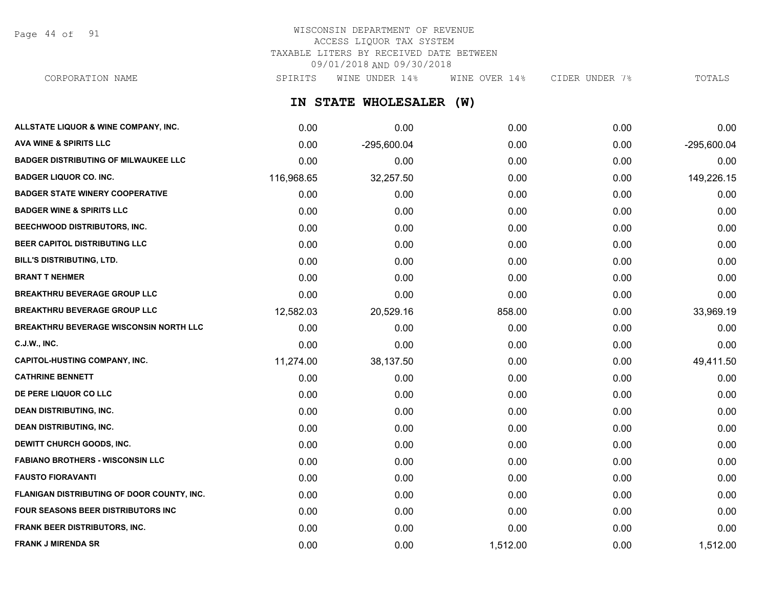Page 44 of 91

# WISCONSIN DEPARTMENT OF REVENUE ACCESS LIQUOR TAX SYSTEM TAXABLE LITERS BY RECEIVED DATE BETWEEN 09/01/2018 AND 09/30/2018

CORPORATION NAME SPIRITS WINE UNDER 14% WINE OVER 14% CIDER UNDER 7% TOTALS

**IN STATE WHOLESALER (W)**

| ALLSTATE LIQUOR & WINE COMPANY, INC.          | 0.00       | 0.00          | 0.00     | 0.00 | 0.00        |
|-----------------------------------------------|------------|---------------|----------|------|-------------|
| <b>AVA WINE &amp; SPIRITS LLC</b>             | 0.00       | $-295,600.04$ | 0.00     | 0.00 | -295,600.04 |
| <b>BADGER DISTRIBUTING OF MILWAUKEE LLC</b>   | 0.00       | 0.00          | 0.00     | 0.00 | 0.00        |
| <b>BADGER LIQUOR CO. INC.</b>                 | 116,968.65 | 32,257.50     | 0.00     | 0.00 | 149,226.15  |
| <b>BADGER STATE WINERY COOPERATIVE</b>        | 0.00       | 0.00          | 0.00     | 0.00 | 0.00        |
| <b>BADGER WINE &amp; SPIRITS LLC</b>          | 0.00       | 0.00          | 0.00     | 0.00 | 0.00        |
| BEECHWOOD DISTRIBUTORS, INC.                  | 0.00       | 0.00          | 0.00     | 0.00 | 0.00        |
| BEER CAPITOL DISTRIBUTING LLC                 | 0.00       | 0.00          | 0.00     | 0.00 | 0.00        |
| <b>BILL'S DISTRIBUTING, LTD.</b>              | 0.00       | 0.00          | 0.00     | 0.00 | 0.00        |
| <b>BRANT T NEHMER</b>                         | 0.00       | 0.00          | 0.00     | 0.00 | 0.00        |
| <b>BREAKTHRU BEVERAGE GROUP LLC</b>           | 0.00       | 0.00          | 0.00     | 0.00 | 0.00        |
| <b>BREAKTHRU BEVERAGE GROUP LLC</b>           | 12,582.03  | 20,529.16     | 858.00   | 0.00 | 33,969.19   |
| <b>BREAKTHRU BEVERAGE WISCONSIN NORTH LLC</b> | 0.00       | 0.00          | 0.00     | 0.00 | 0.00        |
| <b>C.J.W., INC.</b>                           | 0.00       | 0.00          | 0.00     | 0.00 | 0.00        |
| <b>CAPITOL-HUSTING COMPANY, INC.</b>          | 11,274.00  | 38,137.50     | 0.00     | 0.00 | 49,411.50   |
| <b>CATHRINE BENNETT</b>                       | 0.00       | 0.00          | 0.00     | 0.00 | 0.00        |
| DE PERE LIQUOR CO LLC                         | 0.00       | 0.00          | 0.00     | 0.00 | 0.00        |
| <b>DEAN DISTRIBUTING, INC.</b>                | 0.00       | 0.00          | 0.00     | 0.00 | 0.00        |
| <b>DEAN DISTRIBUTING, INC.</b>                | 0.00       | 0.00          | 0.00     | 0.00 | 0.00        |
| DEWITT CHURCH GOODS, INC.                     | 0.00       | 0.00          | 0.00     | 0.00 | 0.00        |
| <b>FABIANO BROTHERS - WISCONSIN LLC</b>       | 0.00       | 0.00          | 0.00     | 0.00 | 0.00        |
| <b>FAUSTO FIORAVANTI</b>                      | 0.00       | 0.00          | 0.00     | 0.00 | 0.00        |
| FLANIGAN DISTRIBUTING OF DOOR COUNTY, INC.    | 0.00       | 0.00          | 0.00     | 0.00 | 0.00        |
| FOUR SEASONS BEER DISTRIBUTORS INC            | 0.00       | 0.00          | 0.00     | 0.00 | 0.00        |
| FRANK BEER DISTRIBUTORS, INC.                 | 0.00       | 0.00          | 0.00     | 0.00 | 0.00        |
| <b>FRANK J MIRENDA SR</b>                     | 0.00       | 0.00          | 1,512.00 | 0.00 | 1,512.00    |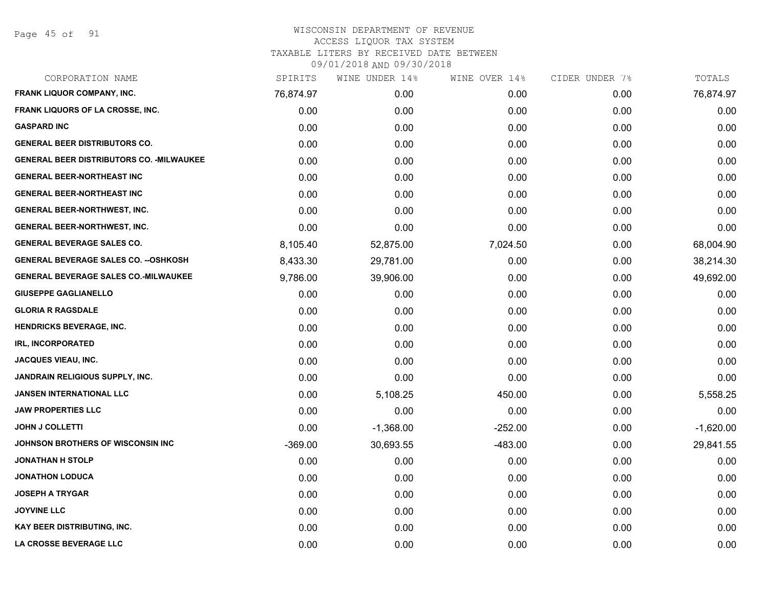| CORPORATION NAME                                 | SPIRITS   | WINE UNDER 14% | WINE OVER 14% | CIDER UNDER 7% | TOTALS      |
|--------------------------------------------------|-----------|----------------|---------------|----------------|-------------|
| <b>FRANK LIQUOR COMPANY, INC.</b>                | 76,874.97 | 0.00           | 0.00          | 0.00           | 76,874.97   |
| FRANK LIQUORS OF LA CROSSE, INC.                 | 0.00      | 0.00           | 0.00          | 0.00           | 0.00        |
| <b>GASPARD INC</b>                               | 0.00      | 0.00           | 0.00          | 0.00           | 0.00        |
| <b>GENERAL BEER DISTRIBUTORS CO.</b>             | 0.00      | 0.00           | 0.00          | 0.00           | 0.00        |
| <b>GENERAL BEER DISTRIBUTORS CO. - MILWAUKEE</b> | 0.00      | 0.00           | 0.00          | 0.00           | 0.00        |
| <b>GENERAL BEER-NORTHEAST INC</b>                | 0.00      | 0.00           | 0.00          | 0.00           | 0.00        |
| <b>GENERAL BEER-NORTHEAST INC</b>                | 0.00      | 0.00           | 0.00          | 0.00           | 0.00        |
| <b>GENERAL BEER-NORTHWEST, INC.</b>              | 0.00      | 0.00           | 0.00          | 0.00           | 0.00        |
| <b>GENERAL BEER-NORTHWEST, INC.</b>              | 0.00      | 0.00           | 0.00          | 0.00           | 0.00        |
| <b>GENERAL BEVERAGE SALES CO.</b>                | 8,105.40  | 52,875.00      | 7,024.50      | 0.00           | 68,004.90   |
| <b>GENERAL BEVERAGE SALES CO. -- OSHKOSH</b>     | 8,433.30  | 29,781.00      | 0.00          | 0.00           | 38,214.30   |
| <b>GENERAL BEVERAGE SALES CO.-MILWAUKEE</b>      | 9,786.00  | 39,906.00      | 0.00          | 0.00           | 49,692.00   |
| <b>GIUSEPPE GAGLIANELLO</b>                      | 0.00      | 0.00           | 0.00          | 0.00           | 0.00        |
| <b>GLORIA R RAGSDALE</b>                         | 0.00      | 0.00           | 0.00          | 0.00           | 0.00        |
| <b>HENDRICKS BEVERAGE, INC.</b>                  | 0.00      | 0.00           | 0.00          | 0.00           | 0.00        |
| <b>IRL, INCORPORATED</b>                         | 0.00      | 0.00           | 0.00          | 0.00           | 0.00        |
| <b>JACQUES VIEAU, INC.</b>                       | 0.00      | 0.00           | 0.00          | 0.00           | 0.00        |
| <b>JANDRAIN RELIGIOUS SUPPLY, INC.</b>           | 0.00      | 0.00           | 0.00          | 0.00           | 0.00        |
| <b>JANSEN INTERNATIONAL LLC</b>                  | 0.00      | 5,108.25       | 450.00        | 0.00           | 5,558.25    |
| <b>JAW PROPERTIES LLC</b>                        | 0.00      | 0.00           | 0.00          | 0.00           | 0.00        |
| <b>JOHN J COLLETTI</b>                           | 0.00      | $-1,368.00$    | $-252.00$     | 0.00           | $-1,620.00$ |
| JOHNSON BROTHERS OF WISCONSIN INC                | $-369.00$ | 30,693.55      | $-483.00$     | 0.00           | 29,841.55   |
| <b>JONATHAN H STOLP</b>                          | 0.00      | 0.00           | 0.00          | 0.00           | 0.00        |
| <b>JONATHON LODUCA</b>                           | 0.00      | 0.00           | 0.00          | 0.00           | 0.00        |
| <b>JOSEPH A TRYGAR</b>                           | 0.00      | 0.00           | 0.00          | 0.00           | 0.00        |
| <b>JOYVINE LLC</b>                               | 0.00      | 0.00           | 0.00          | 0.00           | 0.00        |
| <b>KAY BEER DISTRIBUTING, INC.</b>               | 0.00      | 0.00           | 0.00          | 0.00           | 0.00        |
| LA CROSSE BEVERAGE LLC                           | 0.00      | 0.00           | 0.00          | 0.00           | 0.00        |
|                                                  |           |                |               |                |             |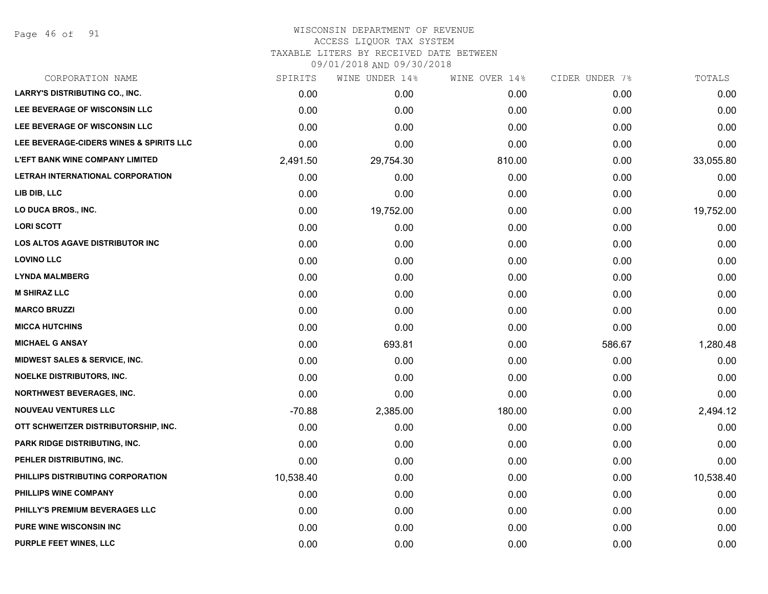Page 46 of 91

#### WISCONSIN DEPARTMENT OF REVENUE ACCESS LIQUOR TAX SYSTEM

TAXABLE LITERS BY RECEIVED DATE BETWEEN

| CORPORATION NAME                         | SPIRITS   | WINE UNDER 14% | WINE OVER 14% | CIDER UNDER 7% | TOTALS    |
|------------------------------------------|-----------|----------------|---------------|----------------|-----------|
| <b>LARRY'S DISTRIBUTING CO., INC.</b>    | 0.00      | 0.00           | 0.00          | 0.00           | 0.00      |
| LEE BEVERAGE OF WISCONSIN LLC            | 0.00      | 0.00           | 0.00          | 0.00           | 0.00      |
| LEE BEVERAGE OF WISCONSIN LLC            | 0.00      | 0.00           | 0.00          | 0.00           | 0.00      |
| LEE BEVERAGE-CIDERS WINES & SPIRITS LLC  | 0.00      | 0.00           | 0.00          | 0.00           | 0.00      |
| <b>L'EFT BANK WINE COMPANY LIMITED</b>   | 2,491.50  | 29,754.30      | 810.00        | 0.00           | 33,055.80 |
| LETRAH INTERNATIONAL CORPORATION         | 0.00      | 0.00           | 0.00          | 0.00           | 0.00      |
| LIB DIB, LLC                             | 0.00      | 0.00           | 0.00          | 0.00           | 0.00      |
| LO DUCA BROS., INC.                      | 0.00      | 19,752.00      | 0.00          | 0.00           | 19,752.00 |
| <b>LORI SCOTT</b>                        | 0.00      | 0.00           | 0.00          | 0.00           | 0.00      |
| <b>LOS ALTOS AGAVE DISTRIBUTOR INC</b>   | 0.00      | 0.00           | 0.00          | 0.00           | 0.00      |
| <b>LOVINO LLC</b>                        | 0.00      | 0.00           | 0.00          | 0.00           | 0.00      |
| <b>LYNDA MALMBERG</b>                    | 0.00      | 0.00           | 0.00          | 0.00           | 0.00      |
| <b>M SHIRAZ LLC</b>                      | 0.00      | 0.00           | 0.00          | 0.00           | 0.00      |
| <b>MARCO BRUZZI</b>                      | 0.00      | 0.00           | 0.00          | 0.00           | 0.00      |
| <b>MICCA HUTCHINS</b>                    | 0.00      | 0.00           | 0.00          | 0.00           | 0.00      |
| <b>MICHAEL G ANSAY</b>                   | 0.00      | 693.81         | 0.00          | 586.67         | 1,280.48  |
| <b>MIDWEST SALES &amp; SERVICE, INC.</b> | 0.00      | 0.00           | 0.00          | 0.00           | 0.00      |
| <b>NOELKE DISTRIBUTORS, INC.</b>         | 0.00      | 0.00           | 0.00          | 0.00           | 0.00      |
| <b>NORTHWEST BEVERAGES, INC.</b>         | 0.00      | 0.00           | 0.00          | 0.00           | 0.00      |
| <b>NOUVEAU VENTURES LLC</b>              | $-70.88$  | 2,385.00       | 180.00        | 0.00           | 2,494.12  |
| OTT SCHWEITZER DISTRIBUTORSHIP, INC.     | 0.00      | 0.00           | 0.00          | 0.00           | 0.00      |
| PARK RIDGE DISTRIBUTING, INC.            | 0.00      | 0.00           | 0.00          | 0.00           | 0.00      |
| PEHLER DISTRIBUTING, INC.                | 0.00      | 0.00           | 0.00          | 0.00           | 0.00      |
| PHILLIPS DISTRIBUTING CORPORATION        | 10,538.40 | 0.00           | 0.00          | 0.00           | 10,538.40 |
| PHILLIPS WINE COMPANY                    | 0.00      | 0.00           | 0.00          | 0.00           | 0.00      |
| PHILLY'S PREMIUM BEVERAGES LLC           | 0.00      | 0.00           | 0.00          | 0.00           | 0.00      |
| <b>PURE WINE WISCONSIN INC</b>           | 0.00      | 0.00           | 0.00          | 0.00           | 0.00      |
| PURPLE FEET WINES, LLC                   | 0.00      | 0.00           | 0.00          | 0.00           | 0.00      |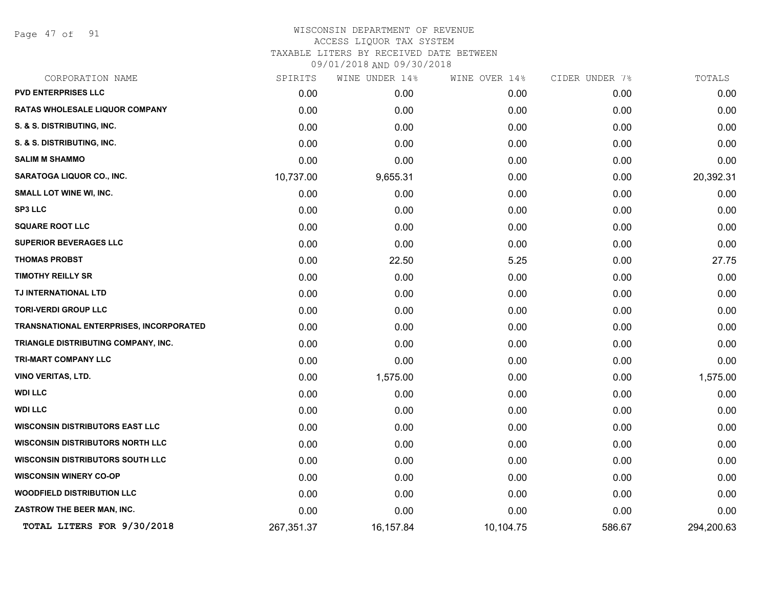Page 47 of 91

| CORPORATION NAME                        | SPIRITS    | WINE UNDER 14% | WINE OVER 14% | CIDER UNDER 7% | TOTALS     |
|-----------------------------------------|------------|----------------|---------------|----------------|------------|
| <b>PVD ENTERPRISES LLC</b>              | 0.00       | 0.00           | 0.00          | 0.00           | 0.00       |
| RATAS WHOLESALE LIQUOR COMPANY          | 0.00       | 0.00           | 0.00          | 0.00           | 0.00       |
| S. & S. DISTRIBUTING, INC.              | 0.00       | 0.00           | 0.00          | 0.00           | 0.00       |
| S. & S. DISTRIBUTING, INC.              | 0.00       | 0.00           | 0.00          | 0.00           | 0.00       |
| <b>SALIM M SHAMMO</b>                   | 0.00       | 0.00           | 0.00          | 0.00           | 0.00       |
| SARATOGA LIQUOR CO., INC.               | 10,737.00  | 9,655.31       | 0.00          | 0.00           | 20,392.31  |
| SMALL LOT WINE WI, INC.                 | 0.00       | 0.00           | 0.00          | 0.00           | 0.00       |
| <b>SP3 LLC</b>                          | 0.00       | 0.00           | 0.00          | 0.00           | 0.00       |
| <b>SQUARE ROOT LLC</b>                  | 0.00       | 0.00           | 0.00          | 0.00           | 0.00       |
| <b>SUPERIOR BEVERAGES LLC</b>           | 0.00       | 0.00           | 0.00          | 0.00           | 0.00       |
| <b>THOMAS PROBST</b>                    | 0.00       | 22.50          | 5.25          | 0.00           | 27.75      |
| <b>TIMOTHY REILLY SR</b>                | 0.00       | 0.00           | 0.00          | 0.00           | 0.00       |
| TJ INTERNATIONAL LTD                    | 0.00       | 0.00           | 0.00          | 0.00           | 0.00       |
| <b>TORI-VERDI GROUP LLC</b>             | 0.00       | 0.00           | 0.00          | 0.00           | 0.00       |
| TRANSNATIONAL ENTERPRISES, INCORPORATED | 0.00       | 0.00           | 0.00          | 0.00           | 0.00       |
| TRIANGLE DISTRIBUTING COMPANY, INC.     | 0.00       | 0.00           | 0.00          | 0.00           | 0.00       |
| TRI-MART COMPANY LLC                    | 0.00       | 0.00           | 0.00          | 0.00           | 0.00       |
| <b>VINO VERITAS, LTD.</b>               | 0.00       | 1,575.00       | 0.00          | 0.00           | 1,575.00   |
| <b>WDI LLC</b>                          | 0.00       | 0.00           | 0.00          | 0.00           | 0.00       |
| <b>WDI LLC</b>                          | 0.00       | 0.00           | 0.00          | 0.00           | 0.00       |
| <b>WISCONSIN DISTRIBUTORS EAST LLC</b>  | 0.00       | 0.00           | 0.00          | 0.00           | 0.00       |
| <b>WISCONSIN DISTRIBUTORS NORTH LLC</b> | 0.00       | 0.00           | 0.00          | 0.00           | 0.00       |
| <b>WISCONSIN DISTRIBUTORS SOUTH LLC</b> | 0.00       | 0.00           | 0.00          | 0.00           | 0.00       |
| <b>WISCONSIN WINERY CO-OP</b>           | 0.00       | 0.00           | 0.00          | 0.00           | 0.00       |
| <b>WOODFIELD DISTRIBUTION LLC</b>       | 0.00       | 0.00           | 0.00          | 0.00           | 0.00       |
| ZASTROW THE BEER MAN, INC.              | 0.00       | 0.00           | 0.00          | 0.00           | 0.00       |
| TOTAL LITERS FOR 9/30/2018              | 267,351.37 | 16,157.84      | 10,104.75     | 586.67         | 294,200.63 |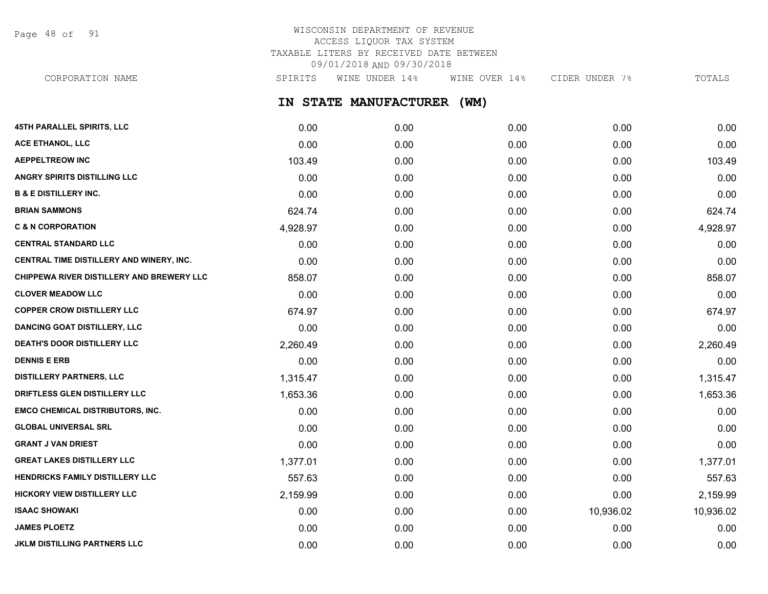Page 48 of 91

## WISCONSIN DEPARTMENT OF REVENUE ACCESS LIQUOR TAX SYSTEM TAXABLE LITERS BY RECEIVED DATE BETWEEN 09/01/2018 AND 09/30/2018

**IN STATE MANUFACTURER (WM) 45TH PARALLEL SPIRITS, LLC** 0.00 0.00 0.00 0.00 0.00 **ACE ETHANOL, LLC** 0.00 0.00 0.00 0.00 0.00 **AEPPELTREOW INC** 103.49 0.00 0.00 0.00 103.49 CORPORATION NAME SPIRITS WINE UNDER 14% WINE OVER 14% CIDER UNDER 7% TOTALS

**ANGRY SPIRITS DISTILLING LLC** 0.00 0.00 0.00 0.00 0.00 **B & E DISTILLERY INC.** 0.00 0.00 0.00 0.00 0.00 **BRIAN SAMMONS** 624.74 0.00 0.00 0.00 624.74 **C & N CORPORATION** 4,928.97 0.00 0.00 0.00 4,928.97 **CENTRAL STANDARD LLC** 0.00 0.00 0.00 0.00 0.00 **CENTRAL TIME DISTILLERY AND WINERY, INC.** 0.00 0.00 0.00 0.00 0.00 **CHIPPEWA RIVER DISTILLERY AND BREWERY LLC** 858.07 0.00 0.00 0.00 858.07 **CLOVER MEADOW LLC** 0.00 0.00 0.00 0.00 0.00 **COPPER CROW DISTILLERY LLC** 674.97 674.97 0.00 0.00 0.00 0.00 0.00 0.00 0.00 674.97 **DANCING GOAT DISTILLERY, LLC** 0.00 0.00 0.00 0.00 0.00 **DEATH'S DOOR DISTILLERY LLC** 2,260.49 0.00 0.00 0.00 2,260.49 **DENNIS E ERB** 0.00 0.00 0.00 0.00 0.00 **DISTILLERY PARTNERS, LLC** 1,315.47 0.00 0.00 0.00 1,315.47 **DRIFTLESS GLEN DISTILLERY LLC** 1,653.36 0.00 0.00 0.00 1,653.36 **EMCO CHEMICAL DISTRIBUTORS, INC.** 0.00 0.00 0.00 0.00 0.00 **GLOBAL UNIVERSAL SRL** 0.00 0.00 0.00 0.00 0.00 **GRANT J VAN DRIEST** 0.00 0.00 0.00 0.00 0.00 **GREAT LAKES DISTILLERY LLC** 1,377.01 0.00 0.00 0.00 1,377.01 **HENDRICKS FAMILY DISTILLERY LLC** 557.63 0.00 0.00 0.00 557.63 **HICKORY VIEW DISTILLERY LLC** 2,159.99 0.00 0.00 0.00 2,159.99 **ISAAC SHOWAKI** 0.00 0.00 0.00 10,936.02 10,936.02 **JAMES PLOETZ** 0.00 0.00 0.00 0.00 0.00

**JKLM DISTILLING PARTNERS LLC** 0.00 0.00 0.00 0.00 0.00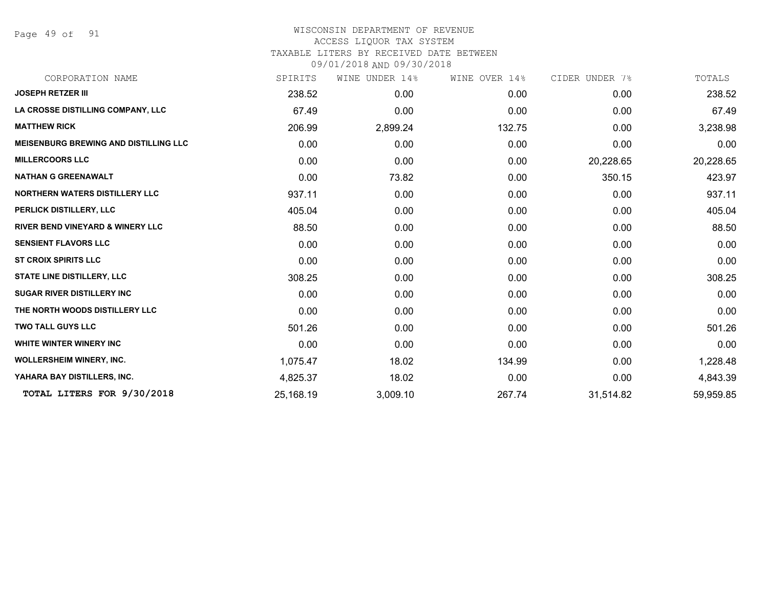Page 49 of 91

| CORPORATION NAME                             | SPIRITS   | WINE UNDER 14% | WINE OVER 14% | CIDER UNDER 7% | TOTALS    |
|----------------------------------------------|-----------|----------------|---------------|----------------|-----------|
| <b>JOSEPH RETZER III</b>                     | 238.52    | 0.00           | 0.00          | 0.00           | 238.52    |
| LA CROSSE DISTILLING COMPANY, LLC            | 67.49     | 0.00           | 0.00          | 0.00           | 67.49     |
| <b>MATTHEW RICK</b>                          | 206.99    | 2,899.24       | 132.75        | 0.00           | 3,238.98  |
| <b>MEISENBURG BREWING AND DISTILLING LLC</b> | 0.00      | 0.00           | 0.00          | 0.00           | 0.00      |
| <b>MILLERCOORS LLC</b>                       | 0.00      | 0.00           | 0.00          | 20,228.65      | 20,228.65 |
| <b>NATHAN G GREENAWALT</b>                   | 0.00      | 73.82          | 0.00          | 350.15         | 423.97    |
| NORTHERN WATERS DISTILLERY LLC               | 937.11    | 0.00           | 0.00          | 0.00           | 937.11    |
| PERLICK DISTILLERY, LLC                      | 405.04    | 0.00           | 0.00          | 0.00           | 405.04    |
| <b>RIVER BEND VINEYARD &amp; WINERY LLC</b>  | 88.50     | 0.00           | 0.00          | 0.00           | 88.50     |
| <b>SENSIENT FLAVORS LLC</b>                  | 0.00      | 0.00           | 0.00          | 0.00           | 0.00      |
| <b>ST CROIX SPIRITS LLC</b>                  | 0.00      | 0.00           | 0.00          | 0.00           | 0.00      |
| <b>STATE LINE DISTILLERY, LLC</b>            | 308.25    | 0.00           | 0.00          | 0.00           | 308.25    |
| <b>SUGAR RIVER DISTILLERY INC</b>            | 0.00      | 0.00           | 0.00          | 0.00           | 0.00      |
| THE NORTH WOODS DISTILLERY LLC               | 0.00      | 0.00           | 0.00          | 0.00           | 0.00      |
| <b>TWO TALL GUYS LLC</b>                     | 501.26    | 0.00           | 0.00          | 0.00           | 501.26    |
| WHITE WINTER WINERY INC                      | 0.00      | 0.00           | 0.00          | 0.00           | 0.00      |
| <b>WOLLERSHEIM WINERY, INC.</b>              | 1,075.47  | 18.02          | 134.99        | 0.00           | 1,228.48  |
| YAHARA BAY DISTILLERS, INC.                  | 4,825.37  | 18.02          | 0.00          | 0.00           | 4,843.39  |
| TOTAL LITERS FOR 9/30/2018                   | 25,168.19 | 3,009.10       | 267.74        | 31,514.82      | 59,959.85 |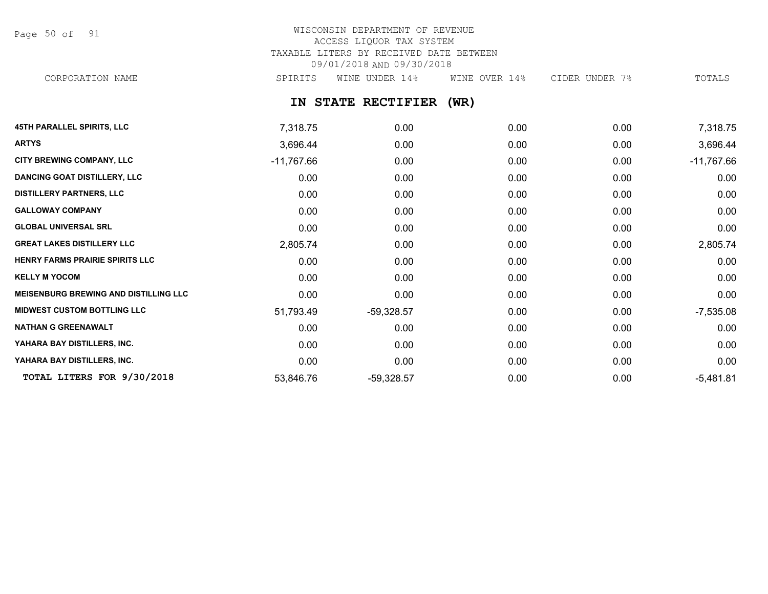Page 50 of 91

# WISCONSIN DEPARTMENT OF REVENUE ACCESS LIQUOR TAX SYSTEM TAXABLE LITERS BY RECEIVED DATE BETWEEN 09/01/2018 AND 09/30/2018

CORPORATION NAME SPIRITS WINE UNDER 14% WINE OVER 14% CIDER UNDER 7% TOTALS

**IN STATE RECTIFIER (WR)**

| <b>45TH PARALLEL SPIRITS, LLC</b>            | 7,318.75     | 0.00         | 0.00 | 0.00 | 7,318.75     |
|----------------------------------------------|--------------|--------------|------|------|--------------|
| <b>ARTYS</b>                                 | 3,696.44     | 0.00         | 0.00 | 0.00 | 3,696.44     |
| CITY BREWING COMPANY, LLC                    | $-11,767.66$ | 0.00         | 0.00 | 0.00 | $-11,767.66$ |
| <b>DANCING GOAT DISTILLERY, LLC</b>          | 0.00         | 0.00         | 0.00 | 0.00 | 0.00         |
| <b>DISTILLERY PARTNERS, LLC</b>              | 0.00         | 0.00         | 0.00 | 0.00 | 0.00         |
| <b>GALLOWAY COMPANY</b>                      | 0.00         | 0.00         | 0.00 | 0.00 | 0.00         |
| <b>GLOBAL UNIVERSAL SRL</b>                  | 0.00         | 0.00         | 0.00 | 0.00 | 0.00         |
| <b>GREAT LAKES DISTILLERY LLC</b>            | 2,805.74     | 0.00         | 0.00 | 0.00 | 2,805.74     |
| HENRY FARMS PRAIRIE SPIRITS LLC              | 0.00         | 0.00         | 0.00 | 0.00 | 0.00         |
| <b>KELLY M YOCOM</b>                         | 0.00         | 0.00         | 0.00 | 0.00 | 0.00         |
| <b>MEISENBURG BREWING AND DISTILLING LLC</b> | 0.00         | 0.00         | 0.00 | 0.00 | 0.00         |
| <b>MIDWEST CUSTOM BOTTLING LLC</b>           | 51,793.49    | $-59,328.57$ | 0.00 | 0.00 | $-7,535.08$  |
| <b>NATHAN G GREENAWALT</b>                   | 0.00         | 0.00         | 0.00 | 0.00 | 0.00         |
| YAHARA BAY DISTILLERS, INC.                  | 0.00         | 0.00         | 0.00 | 0.00 | 0.00         |
| YAHARA BAY DISTILLERS, INC.                  | 0.00         | 0.00         | 0.00 | 0.00 | 0.00         |
| TOTAL LITERS FOR 9/30/2018                   | 53,846.76    | $-59,328.57$ | 0.00 | 0.00 | $-5,481.81$  |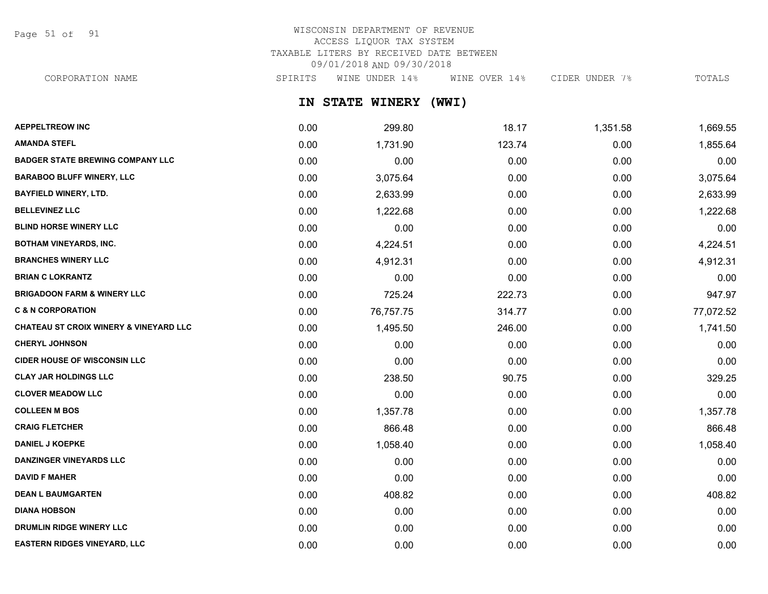Page 51 of 91

# WISCONSIN DEPARTMENT OF REVENUE ACCESS LIQUOR TAX SYSTEM TAXABLE LITERS BY RECEIVED DATE BETWEEN 09/01/2018 AND 09/30/2018

CORPORATION NAME SPIRITS WINE UNDER 14% WINE OVER 14% CIDER UNDER 7% TOTALS

**IN STATE WINERY (WWI)**

| <b>AEPPELTREOW INC</b>                            | 0.00 | 299.80    | 18.17  | 1,351.58 | 1,669.55  |
|---------------------------------------------------|------|-----------|--------|----------|-----------|
| <b>AMANDA STEFL</b>                               | 0.00 | 1,731.90  | 123.74 | 0.00     | 1,855.64  |
| <b>BADGER STATE BREWING COMPANY LLC</b>           | 0.00 | 0.00      | 0.00   | 0.00     | 0.00      |
| <b>BARABOO BLUFF WINERY, LLC</b>                  | 0.00 | 3,075.64  | 0.00   | 0.00     | 3,075.64  |
| <b>BAYFIELD WINERY, LTD.</b>                      | 0.00 | 2,633.99  | 0.00   | 0.00     | 2,633.99  |
| <b>BELLEVINEZ LLC</b>                             | 0.00 | 1,222.68  | 0.00   | 0.00     | 1,222.68  |
| <b>BLIND HORSE WINERY LLC</b>                     | 0.00 | 0.00      | 0.00   | 0.00     | 0.00      |
| <b>BOTHAM VINEYARDS, INC.</b>                     | 0.00 | 4,224.51  | 0.00   | 0.00     | 4,224.51  |
| <b>BRANCHES WINERY LLC</b>                        | 0.00 | 4,912.31  | 0.00   | 0.00     | 4,912.31  |
| <b>BRIAN C LOKRANTZ</b>                           | 0.00 | 0.00      | 0.00   | 0.00     | 0.00      |
| <b>BRIGADOON FARM &amp; WINERY LLC</b>            | 0.00 | 725.24    | 222.73 | 0.00     | 947.97    |
| <b>C &amp; N CORPORATION</b>                      | 0.00 | 76,757.75 | 314.77 | 0.00     | 77,072.52 |
| <b>CHATEAU ST CROIX WINERY &amp; VINEYARD LLC</b> | 0.00 | 1,495.50  | 246.00 | 0.00     | 1,741.50  |
| <b>CHERYL JOHNSON</b>                             | 0.00 | 0.00      | 0.00   | 0.00     | 0.00      |
| <b>CIDER HOUSE OF WISCONSIN LLC</b>               | 0.00 | 0.00      | 0.00   | 0.00     | 0.00      |
| <b>CLAY JAR HOLDINGS LLC</b>                      | 0.00 | 238.50    | 90.75  | 0.00     | 329.25    |
| <b>CLOVER MEADOW LLC</b>                          | 0.00 | 0.00      | 0.00   | 0.00     | 0.00      |
| <b>COLLEEN M BOS</b>                              | 0.00 | 1,357.78  | 0.00   | 0.00     | 1,357.78  |
| <b>CRAIG FLETCHER</b>                             | 0.00 | 866.48    | 0.00   | 0.00     | 866.48    |
| <b>DANIEL J KOEPKE</b>                            | 0.00 | 1,058.40  | 0.00   | 0.00     | 1,058.40  |
| <b>DANZINGER VINEYARDS LLC</b>                    | 0.00 | 0.00      | 0.00   | 0.00     | 0.00      |
| <b>DAVID F MAHER</b>                              | 0.00 | 0.00      | 0.00   | 0.00     | 0.00      |
| <b>DEAN L BAUMGARTEN</b>                          | 0.00 | 408.82    | 0.00   | 0.00     | 408.82    |
| <b>DIANA HOBSON</b>                               | 0.00 | 0.00      | 0.00   | 0.00     | 0.00      |
| <b>DRUMLIN RIDGE WINERY LLC</b>                   | 0.00 | 0.00      | 0.00   | 0.00     | 0.00      |
| <b>EASTERN RIDGES VINEYARD, LLC</b>               | 0.00 | 0.00      | 0.00   | 0.00     | 0.00      |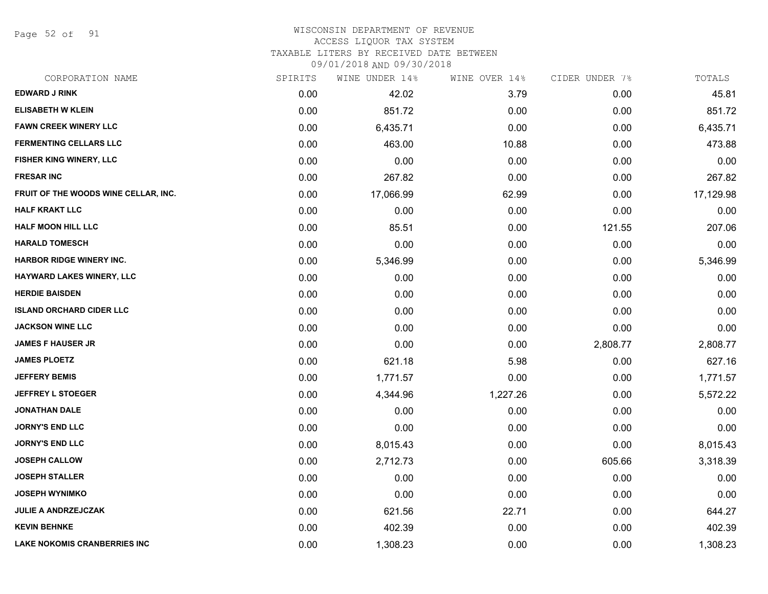Page 52 of 91

#### WISCONSIN DEPARTMENT OF REVENUE ACCESS LIQUOR TAX SYSTEM

TAXABLE LITERS BY RECEIVED DATE BETWEEN

| CORPORATION NAME                     | SPIRITS | WINE UNDER 14% | WINE OVER 14% | CIDER UNDER 7% | TOTALS    |
|--------------------------------------|---------|----------------|---------------|----------------|-----------|
| <b>EDWARD J RINK</b>                 | 0.00    | 42.02          | 3.79          | 0.00           | 45.81     |
| <b>ELISABETH W KLEIN</b>             | 0.00    | 851.72         | 0.00          | 0.00           | 851.72    |
| <b>FAWN CREEK WINERY LLC</b>         | 0.00    | 6,435.71       | 0.00          | 0.00           | 6,435.71  |
| <b>FERMENTING CELLARS LLC</b>        | 0.00    | 463.00         | 10.88         | 0.00           | 473.88    |
| FISHER KING WINERY, LLC              | 0.00    | 0.00           | 0.00          | 0.00           | 0.00      |
| <b>FRESAR INC</b>                    | 0.00    | 267.82         | 0.00          | 0.00           | 267.82    |
| FRUIT OF THE WOODS WINE CELLAR, INC. | 0.00    | 17,066.99      | 62.99         | 0.00           | 17,129.98 |
| <b>HALF KRAKT LLC</b>                | 0.00    | 0.00           | 0.00          | 0.00           | 0.00      |
| <b>HALF MOON HILL LLC</b>            | 0.00    | 85.51          | 0.00          | 121.55         | 207.06    |
| <b>HARALD TOMESCH</b>                | 0.00    | 0.00           | 0.00          | 0.00           | 0.00      |
| <b>HARBOR RIDGE WINERY INC.</b>      | 0.00    | 5,346.99       | 0.00          | 0.00           | 5,346.99  |
| HAYWARD LAKES WINERY, LLC            | 0.00    | 0.00           | 0.00          | 0.00           | 0.00      |
| <b>HERDIE BAISDEN</b>                | 0.00    | 0.00           | 0.00          | 0.00           | 0.00      |
| <b>ISLAND ORCHARD CIDER LLC</b>      | 0.00    | 0.00           | 0.00          | 0.00           | 0.00      |
| <b>JACKSON WINE LLC</b>              | 0.00    | 0.00           | 0.00          | 0.00           | 0.00      |
| <b>JAMES F HAUSER JR</b>             | 0.00    | 0.00           | 0.00          | 2,808.77       | 2,808.77  |
| <b>JAMES PLOETZ</b>                  | 0.00    | 621.18         | 5.98          | 0.00           | 627.16    |
| <b>JEFFERY BEMIS</b>                 | 0.00    | 1,771.57       | 0.00          | 0.00           | 1,771.57  |
| <b>JEFFREY L STOEGER</b>             | 0.00    | 4,344.96       | 1,227.26      | 0.00           | 5,572.22  |
| <b>JONATHAN DALE</b>                 | 0.00    | 0.00           | 0.00          | 0.00           | 0.00      |
| <b>JORNY'S END LLC</b>               | 0.00    | 0.00           | 0.00          | 0.00           | 0.00      |
| <b>JORNY'S END LLC</b>               | 0.00    | 8,015.43       | 0.00          | 0.00           | 8,015.43  |
| <b>JOSEPH CALLOW</b>                 | 0.00    | 2,712.73       | 0.00          | 605.66         | 3,318.39  |
| <b>JOSEPH STALLER</b>                | 0.00    | 0.00           | 0.00          | 0.00           | 0.00      |
| <b>JOSEPH WYNIMKO</b>                | 0.00    | 0.00           | 0.00          | 0.00           | 0.00      |
| JULIE A ANDRZEJCZAK                  | 0.00    | 621.56         | 22.71         | 0.00           | 644.27    |
| <b>KEVIN BEHNKE</b>                  | 0.00    | 402.39         | 0.00          | 0.00           | 402.39    |
| <b>LAKE NOKOMIS CRANBERRIES INC</b>  | 0.00    | 1,308.23       | 0.00          | 0.00           | 1,308.23  |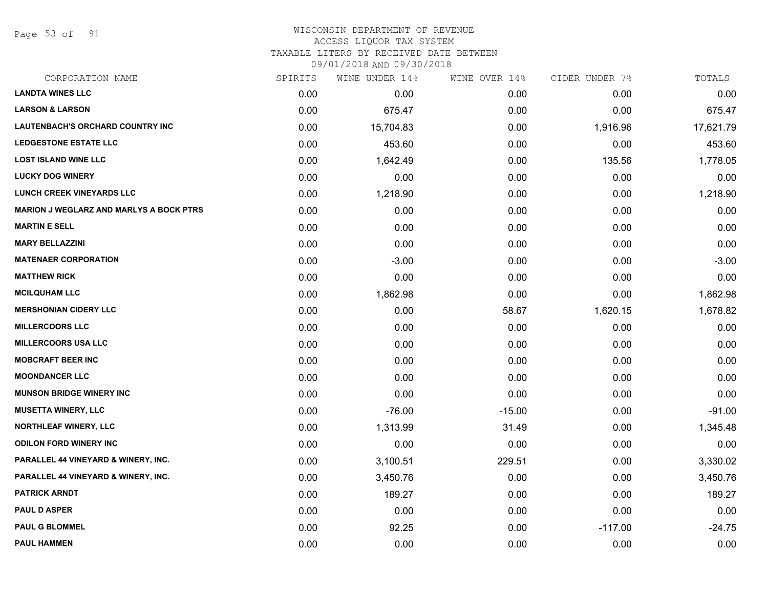Page 53 of 91

#### WISCONSIN DEPARTMENT OF REVENUE ACCESS LIQUOR TAX SYSTEM TAXABLE LITERS BY RECEIVED DATE BETWEEN

| CORPORATION NAME                               | SPIRITS | WINE UNDER 14% | WINE OVER 14% | CIDER UNDER 7% | TOTALS    |
|------------------------------------------------|---------|----------------|---------------|----------------|-----------|
| <b>LANDTA WINES LLC</b>                        | 0.00    | 0.00           | 0.00          | 0.00           | 0.00      |
| <b>LARSON &amp; LARSON</b>                     | 0.00    | 675.47         | 0.00          | 0.00           | 675.47    |
| <b>LAUTENBACH'S ORCHARD COUNTRY INC</b>        | 0.00    | 15,704.83      | 0.00          | 1,916.96       | 17,621.79 |
| <b>LEDGESTONE ESTATE LLC</b>                   | 0.00    | 453.60         | 0.00          | 0.00           | 453.60    |
| <b>LOST ISLAND WINE LLC</b>                    | 0.00    | 1,642.49       | 0.00          | 135.56         | 1,778.05  |
| <b>LUCKY DOG WINERY</b>                        | 0.00    | 0.00           | 0.00          | 0.00           | 0.00      |
| <b>LUNCH CREEK VINEYARDS LLC</b>               | 0.00    | 1,218.90       | 0.00          | 0.00           | 1,218.90  |
| <b>MARION J WEGLARZ AND MARLYS A BOCK PTRS</b> | 0.00    | 0.00           | 0.00          | 0.00           | 0.00      |
| <b>MARTIN E SELL</b>                           | 0.00    | 0.00           | 0.00          | 0.00           | 0.00      |
| <b>MARY BELLAZZINI</b>                         | 0.00    | 0.00           | 0.00          | 0.00           | 0.00      |
| <b>MATENAER CORPORATION</b>                    | 0.00    | $-3.00$        | 0.00          | 0.00           | $-3.00$   |
| <b>MATTHEW RICK</b>                            | 0.00    | 0.00           | 0.00          | 0.00           | 0.00      |
| <b>MCILQUHAM LLC</b>                           | 0.00    | 1,862.98       | 0.00          | 0.00           | 1,862.98  |
| <b>MERSHONIAN CIDERY LLC</b>                   | 0.00    | 0.00           | 58.67         | 1,620.15       | 1,678.82  |
| <b>MILLERCOORS LLC</b>                         | 0.00    | 0.00           | 0.00          | 0.00           | 0.00      |
| <b>MILLERCOORS USA LLC</b>                     | 0.00    | 0.00           | 0.00          | 0.00           | 0.00      |
| <b>MOBCRAFT BEER INC</b>                       | 0.00    | 0.00           | 0.00          | 0.00           | 0.00      |
| <b>MOONDANCER LLC</b>                          | 0.00    | 0.00           | 0.00          | 0.00           | 0.00      |
| <b>MUNSON BRIDGE WINERY INC</b>                | 0.00    | 0.00           | 0.00          | 0.00           | 0.00      |
| <b>MUSETTA WINERY, LLC</b>                     | 0.00    | $-76.00$       | $-15.00$      | 0.00           | $-91.00$  |
| <b>NORTHLEAF WINERY, LLC</b>                   | 0.00    | 1,313.99       | 31.49         | 0.00           | 1,345.48  |
| <b>ODILON FORD WINERY INC</b>                  | 0.00    | 0.00           | 0.00          | 0.00           | 0.00      |
| PARALLEL 44 VINEYARD & WINERY, INC.            | 0.00    | 3,100.51       | 229.51        | 0.00           | 3,330.02  |
| PARALLEL 44 VINEYARD & WINERY, INC.            | 0.00    | 3,450.76       | 0.00          | 0.00           | 3,450.76  |
| <b>PATRICK ARNDT</b>                           | 0.00    | 189.27         | 0.00          | 0.00           | 189.27    |
| <b>PAUL D ASPER</b>                            | 0.00    | 0.00           | 0.00          | 0.00           | 0.00      |
| <b>PAUL G BLOMMEL</b>                          | 0.00    | 92.25          | 0.00          | $-117.00$      | $-24.75$  |
| <b>PAUL HAMMEN</b>                             | 0.00    | 0.00           | 0.00          | 0.00           | 0.00      |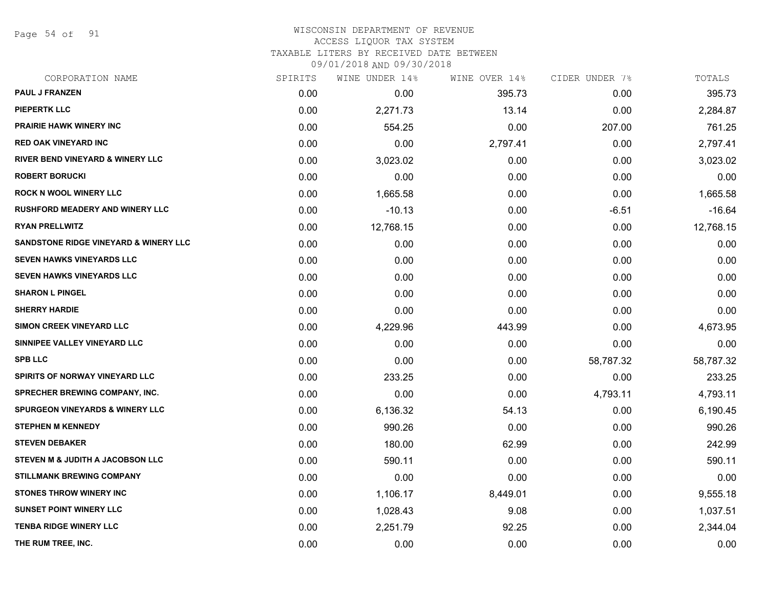Page 54 of 91

# WISCONSIN DEPARTMENT OF REVENUE ACCESS LIQUOR TAX SYSTEM TAXABLE LITERS BY RECEIVED DATE BETWEEN

| CORPORATION NAME                                 | SPIRITS | WINE UNDER 14% | WINE OVER 14% | CIDER UNDER 7% | TOTALS    |
|--------------------------------------------------|---------|----------------|---------------|----------------|-----------|
| <b>PAUL J FRANZEN</b>                            | 0.00    | 0.00           | 395.73        | 0.00           | 395.73    |
| <b>PIEPERTK LLC</b>                              | 0.00    | 2,271.73       | 13.14         | 0.00           | 2,284.87  |
| <b>PRAIRIE HAWK WINERY INC</b>                   | 0.00    | 554.25         | 0.00          | 207.00         | 761.25    |
| <b>RED OAK VINEYARD INC</b>                      | 0.00    | 0.00           | 2,797.41      | 0.00           | 2,797.41  |
| <b>RIVER BEND VINEYARD &amp; WINERY LLC</b>      | 0.00    | 3,023.02       | 0.00          | 0.00           | 3,023.02  |
| <b>ROBERT BORUCKI</b>                            | 0.00    | 0.00           | 0.00          | 0.00           | 0.00      |
| <b>ROCK N WOOL WINERY LLC</b>                    | 0.00    | 1,665.58       | 0.00          | 0.00           | 1,665.58  |
| RUSHFORD MEADERY AND WINERY LLC                  | 0.00    | $-10.13$       | 0.00          | $-6.51$        | $-16.64$  |
| <b>RYAN PRELLWITZ</b>                            | 0.00    | 12,768.15      | 0.00          | 0.00           | 12,768.15 |
| <b>SANDSTONE RIDGE VINEYARD &amp; WINERY LLC</b> | 0.00    | 0.00           | 0.00          | 0.00           | 0.00      |
| <b>SEVEN HAWKS VINEYARDS LLC</b>                 | 0.00    | 0.00           | 0.00          | 0.00           | 0.00      |
| <b>SEVEN HAWKS VINEYARDS LLC</b>                 | 0.00    | 0.00           | 0.00          | 0.00           | 0.00      |
| <b>SHARON L PINGEL</b>                           | 0.00    | 0.00           | 0.00          | 0.00           | 0.00      |
| <b>SHERRY HARDIE</b>                             | 0.00    | 0.00           | 0.00          | 0.00           | 0.00      |
| SIMON CREEK VINEYARD LLC                         | 0.00    | 4,229.96       | 443.99        | 0.00           | 4,673.95  |
| SINNIPEE VALLEY VINEYARD LLC                     | 0.00    | 0.00           | 0.00          | 0.00           | 0.00      |
| <b>SPB LLC</b>                                   | 0.00    | 0.00           | 0.00          | 58,787.32      | 58,787.32 |
| <b>SPIRITS OF NORWAY VINEYARD LLC</b>            | 0.00    | 233.25         | 0.00          | 0.00           | 233.25    |
| <b>SPRECHER BREWING COMPANY, INC.</b>            | 0.00    | 0.00           | 0.00          | 4,793.11       | 4,793.11  |
| <b>SPURGEON VINEYARDS &amp; WINERY LLC</b>       | 0.00    | 6,136.32       | 54.13         | 0.00           | 6,190.45  |
| <b>STEPHEN M KENNEDY</b>                         | 0.00    | 990.26         | 0.00          | 0.00           | 990.26    |
| <b>STEVEN DEBAKER</b>                            | 0.00    | 180.00         | 62.99         | 0.00           | 242.99    |
| <b>STEVEN M &amp; JUDITH A JACOBSON LLC</b>      | 0.00    | 590.11         | 0.00          | 0.00           | 590.11    |
| <b>STILLMANK BREWING COMPANY</b>                 | 0.00    | 0.00           | 0.00          | 0.00           | 0.00      |
| <b>STONES THROW WINERY INC</b>                   | 0.00    | 1,106.17       | 8,449.01      | 0.00           | 9,555.18  |
| <b>SUNSET POINT WINERY LLC</b>                   | 0.00    | 1,028.43       | 9.08          | 0.00           | 1,037.51  |
| <b>TENBA RIDGE WINERY LLC</b>                    | 0.00    | 2,251.79       | 92.25         | 0.00           | 2,344.04  |
| THE RUM TREE, INC.                               | 0.00    | 0.00           | 0.00          | 0.00           | 0.00      |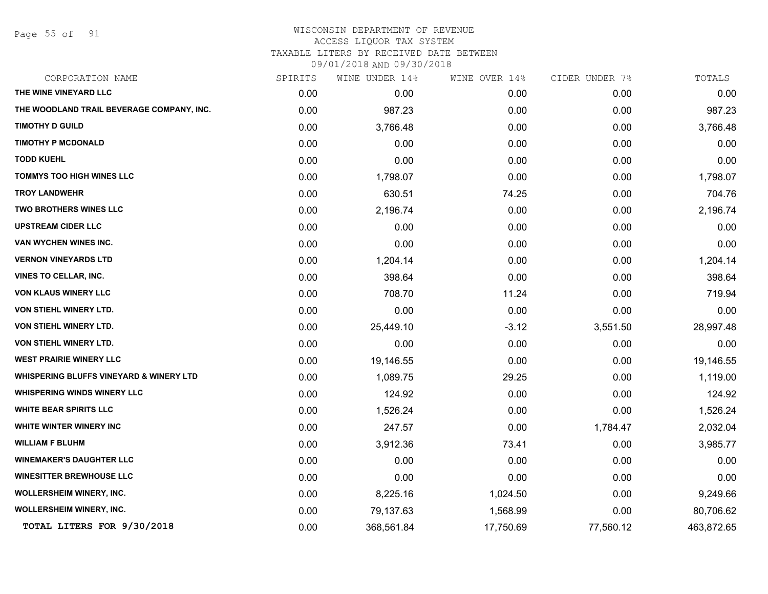Page 55 of 91

#### WISCONSIN DEPARTMENT OF REVENUE ACCESS LIQUOR TAX SYSTEM

TAXABLE LITERS BY RECEIVED DATE BETWEEN

| CORPORATION NAME                                   | SPIRITS | WINE UNDER 14% | WINE OVER 14% | CIDER UNDER 7% | TOTALS     |
|----------------------------------------------------|---------|----------------|---------------|----------------|------------|
| THE WINE VINEYARD LLC                              | 0.00    | 0.00           | 0.00          | 0.00           | 0.00       |
| THE WOODLAND TRAIL BEVERAGE COMPANY, INC.          | 0.00    | 987.23         | 0.00          | 0.00           | 987.23     |
| <b>TIMOTHY D GUILD</b>                             | 0.00    | 3,766.48       | 0.00          | 0.00           | 3,766.48   |
| <b>TIMOTHY P MCDONALD</b>                          | 0.00    | 0.00           | 0.00          | 0.00           | 0.00       |
| <b>TODD KUEHL</b>                                  | 0.00    | 0.00           | 0.00          | 0.00           | 0.00       |
| <b>TOMMYS TOO HIGH WINES LLC</b>                   | 0.00    | 1,798.07       | 0.00          | 0.00           | 1,798.07   |
| <b>TROY LANDWEHR</b>                               | 0.00    | 630.51         | 74.25         | 0.00           | 704.76     |
| TWO BROTHERS WINES LLC                             | 0.00    | 2,196.74       | 0.00          | 0.00           | 2,196.74   |
| <b>UPSTREAM CIDER LLC</b>                          | 0.00    | 0.00           | 0.00          | 0.00           | 0.00       |
| VAN WYCHEN WINES INC.                              | 0.00    | 0.00           | 0.00          | 0.00           | 0.00       |
| <b>VERNON VINEYARDS LTD</b>                        | 0.00    | 1,204.14       | 0.00          | 0.00           | 1,204.14   |
| <b>VINES TO CELLAR, INC.</b>                       | 0.00    | 398.64         | 0.00          | 0.00           | 398.64     |
| VON KLAUS WINERY LLC                               | 0.00    | 708.70         | 11.24         | 0.00           | 719.94     |
| <b>VON STIEHL WINERY LTD.</b>                      | 0.00    | 0.00           | 0.00          | 0.00           | 0.00       |
| VON STIEHL WINERY LTD.                             | 0.00    | 25,449.10      | $-3.12$       | 3,551.50       | 28,997.48  |
| VON STIEHL WINERY LTD.                             | 0.00    | 0.00           | 0.00          | 0.00           | 0.00       |
| <b>WEST PRAIRIE WINERY LLC</b>                     | 0.00    | 19,146.55      | 0.00          | 0.00           | 19,146.55  |
| <b>WHISPERING BLUFFS VINEYARD &amp; WINERY LTD</b> | 0.00    | 1,089.75       | 29.25         | 0.00           | 1,119.00   |
| <b>WHISPERING WINDS WINERY LLC</b>                 | 0.00    | 124.92         | 0.00          | 0.00           | 124.92     |
| <b>WHITE BEAR SPIRITS LLC</b>                      | 0.00    | 1,526.24       | 0.00          | 0.00           | 1,526.24   |
| WHITE WINTER WINERY INC                            | 0.00    | 247.57         | 0.00          | 1,784.47       | 2,032.04   |
| <b>WILLIAM F BLUHM</b>                             | 0.00    | 3,912.36       | 73.41         | 0.00           | 3,985.77   |
| <b>WINEMAKER'S DAUGHTER LLC</b>                    | 0.00    | 0.00           | 0.00          | 0.00           | 0.00       |
| <b>WINESITTER BREWHOUSE LLC</b>                    | 0.00    | 0.00           | 0.00          | 0.00           | 0.00       |
| <b>WOLLERSHEIM WINERY, INC.</b>                    | 0.00    | 8,225.16       | 1,024.50      | 0.00           | 9,249.66   |
| <b>WOLLERSHEIM WINERY, INC.</b>                    | 0.00    | 79,137.63      | 1,568.99      | 0.00           | 80,706.62  |
| TOTAL LITERS FOR 9/30/2018                         | 0.00    | 368,561.84     | 17,750.69     | 77,560.12      | 463,872.65 |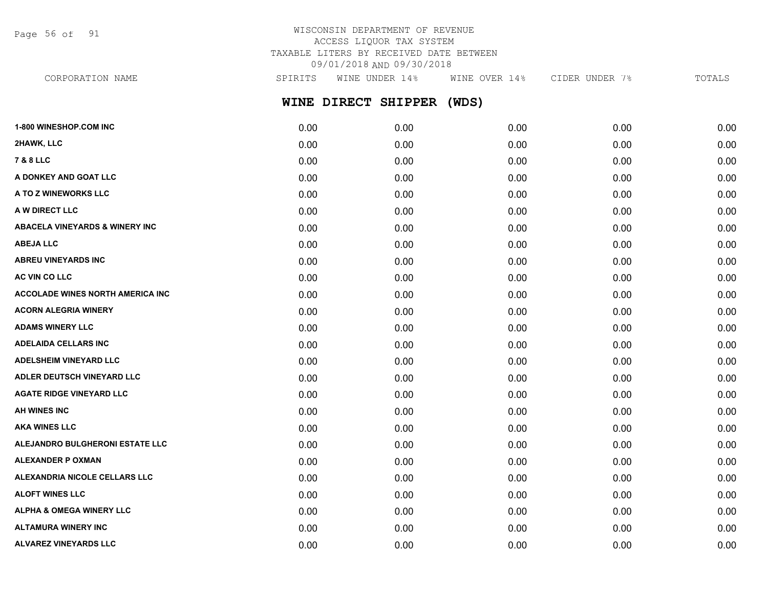Page 56 of 91

## WISCONSIN DEPARTMENT OF REVENUE ACCESS LIQUOR TAX SYSTEM TAXABLE LITERS BY RECEIVED DATE BETWEEN 09/01/2018 AND 09/30/2018

**WINE DIRECT SHIPPER (WDS) 1-800 WINESHOP.COM INC** 0.00 0.00 0.00 0.00 0.00 **2HAWK, LLC** 0.00 0.00 0.00 0.00 0.00 **7 & 8 LLC** 0.00 0.00 0.00 0.00 0.00 **A DONKEY AND GOAT LLC** 0.00 0.00 0.00 0.00 0.00 **A TO Z WINEWORKS LLC** 0.00 0.00 0.00 0.00 0.00 **A W DIRECT LLC** 0.00 0.00 0.00 0.00 0.00 **ABACELA VINEYARDS & WINERY INC** 0.00 0.00 0.00 0.00 0.00 **ABEJA LLC** 0.00 0.00 0.00 0.00 0.00 **ABREU VINEYARDS INC** 0.00 0.00 0.00 0.00 0.00 **AC VIN CO LLC** 0.00 0.00 0.00 0.00 0.00 **ACCOLADE WINES NORTH AMERICA INC** 0.00 0.00 0.00 0.00 0.00 **ACORN ALEGRIA WINERY** 0.00 0.00 0.00 0.00 0.00 **ADAMS WINERY LLC** 0.00 0.00 0.00 0.00 0.00 CORPORATION NAME SPIRITS WINE UNDER 14% WINE OVER 14% CIDER UNDER 7% TOTALS

**ADELAIDA CELLARS INC** 0.00 0.00 0.00 0.00 0.00 **ADELSHEIM VINEYARD LLC** 0.00 0.00 0.00 0.00 0.00 **ADLER DEUTSCH VINEYARD LLC** 0.00 0.00 0.00 0.00 0.00 **AGATE RIDGE VINEYARD LLC** 0.00 0.00 0.00 0.00 0.00 **AH WINES INC** 0.00 0.00 0.00 0.00 0.00 **AKA WINES LLC** 0.00 0.00 0.00 0.00 0.00 **ALEJANDRO BULGHERONI ESTATE LLC** 0.00 0.00 0.00 0.00 0.00 **ALEXANDER P OXMAN** 0.00 0.00 0.00 0.00 0.00 **ALEXANDRIA NICOLE CELLARS LLC** 0.00 0.00 0.00 0.00 0.00 **ALOFT WINES LLC** 0.00 0.00 0.00 0.00 0.00 **ALPHA & OMEGA WINERY LLC**  $\begin{array}{ccc} 0.00 & 0.00 & 0.00 & 0.00 & 0.00 & 0.00 \end{array}$ **ALTAMURA WINERY INC** 0.00 0.00 0.00 0.00 0.00 **ALVAREZ VINEYARDS LLC** 0.00 0.00 0.00 0.00 0.00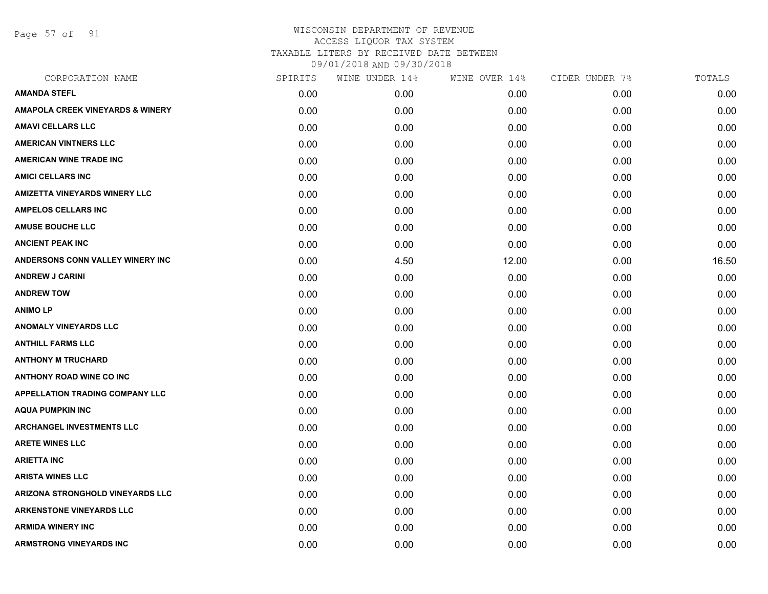Page 57 of 91

| CORPORATION NAME                            | SPIRITS | WINE UNDER 14% | WINE OVER 14% | CIDER UNDER 7% | TOTALS |
|---------------------------------------------|---------|----------------|---------------|----------------|--------|
| <b>AMANDA STEFL</b>                         | 0.00    | 0.00           | 0.00          | 0.00           | 0.00   |
| <b>AMAPOLA CREEK VINEYARDS &amp; WINERY</b> | 0.00    | 0.00           | 0.00          | 0.00           | 0.00   |
| <b>AMAVI CELLARS LLC</b>                    | 0.00    | 0.00           | 0.00          | 0.00           | 0.00   |
| <b>AMERICAN VINTNERS LLC</b>                | 0.00    | 0.00           | 0.00          | 0.00           | 0.00   |
| <b>AMERICAN WINE TRADE INC</b>              | 0.00    | 0.00           | 0.00          | 0.00           | 0.00   |
| <b>AMICI CELLARS INC</b>                    | 0.00    | 0.00           | 0.00          | 0.00           | 0.00   |
| <b>AMIZETTA VINEYARDS WINERY LLC</b>        | 0.00    | 0.00           | 0.00          | 0.00           | 0.00   |
| <b>AMPELOS CELLARS INC</b>                  | 0.00    | 0.00           | 0.00          | 0.00           | 0.00   |
| <b>AMUSE BOUCHE LLC</b>                     | 0.00    | 0.00           | 0.00          | 0.00           | 0.00   |
| <b>ANCIENT PEAK INC</b>                     | 0.00    | 0.00           | 0.00          | 0.00           | 0.00   |
| ANDERSONS CONN VALLEY WINERY INC            | 0.00    | 4.50           | 12.00         | 0.00           | 16.50  |
| <b>ANDREW J CARINI</b>                      | 0.00    | 0.00           | 0.00          | 0.00           | 0.00   |
| <b>ANDREW TOW</b>                           | 0.00    | 0.00           | 0.00          | 0.00           | 0.00   |
| <b>ANIMOLP</b>                              | 0.00    | 0.00           | 0.00          | 0.00           | 0.00   |
| <b>ANOMALY VINEYARDS LLC</b>                | 0.00    | 0.00           | 0.00          | 0.00           | 0.00   |
| <b>ANTHILL FARMS LLC</b>                    | 0.00    | 0.00           | 0.00          | 0.00           | 0.00   |
| <b>ANTHONY M TRUCHARD</b>                   | 0.00    | 0.00           | 0.00          | 0.00           | 0.00   |
| <b>ANTHONY ROAD WINE CO INC</b>             | 0.00    | 0.00           | 0.00          | 0.00           | 0.00   |
| <b>APPELLATION TRADING COMPANY LLC</b>      | 0.00    | 0.00           | 0.00          | 0.00           | 0.00   |
| <b>AQUA PUMPKIN INC</b>                     | 0.00    | 0.00           | 0.00          | 0.00           | 0.00   |
| <b>ARCHANGEL INVESTMENTS LLC</b>            | 0.00    | 0.00           | 0.00          | 0.00           | 0.00   |
| <b>ARETE WINES LLC</b>                      | 0.00    | 0.00           | 0.00          | 0.00           | 0.00   |
| <b>ARIETTA INC</b>                          | 0.00    | 0.00           | 0.00          | 0.00           | 0.00   |
| <b>ARISTA WINES LLC</b>                     | 0.00    | 0.00           | 0.00          | 0.00           | 0.00   |
| ARIZONA STRONGHOLD VINEYARDS LLC            | 0.00    | 0.00           | 0.00          | 0.00           | 0.00   |
| <b>ARKENSTONE VINEYARDS LLC</b>             | 0.00    | 0.00           | 0.00          | 0.00           | 0.00   |
| <b>ARMIDA WINERY INC</b>                    | 0.00    | 0.00           | 0.00          | 0.00           | 0.00   |
| <b>ARMSTRONG VINEYARDS INC</b>              | 0.00    | 0.00           | 0.00          | 0.00           | 0.00   |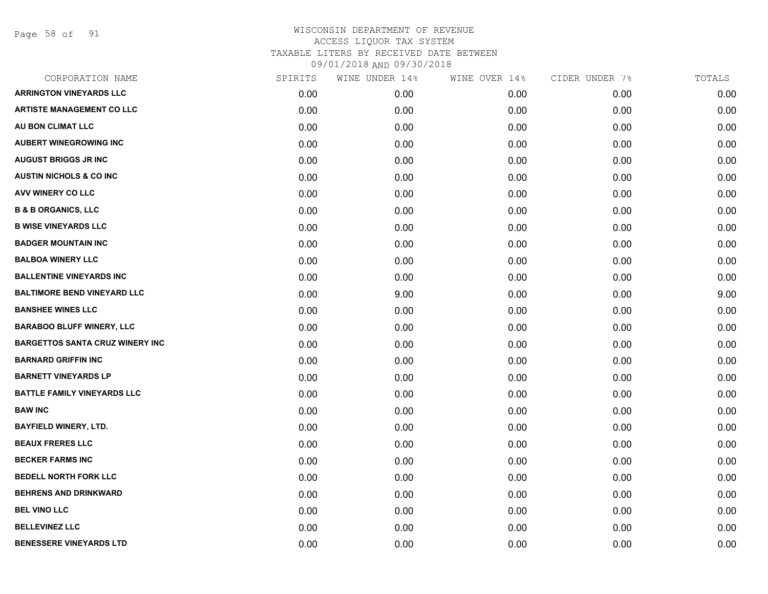Page 58 of 91

| CORPORATION NAME                       | SPIRITS | WINE UNDER 14% | WINE OVER 14% | CIDER UNDER 7% | TOTALS |
|----------------------------------------|---------|----------------|---------------|----------------|--------|
| <b>ARRINGTON VINEYARDS LLC</b>         | 0.00    | 0.00           | 0.00          | 0.00           | 0.00   |
| <b>ARTISTE MANAGEMENT CO LLC</b>       | 0.00    | 0.00           | 0.00          | 0.00           | 0.00   |
| AU BON CLIMAT LLC                      | 0.00    | 0.00           | 0.00          | 0.00           | 0.00   |
| <b>AUBERT WINEGROWING INC</b>          | 0.00    | 0.00           | 0.00          | 0.00           | 0.00   |
| <b>AUGUST BRIGGS JR INC</b>            | 0.00    | 0.00           | 0.00          | 0.00           | 0.00   |
| <b>AUSTIN NICHOLS &amp; CO INC</b>     | 0.00    | 0.00           | 0.00          | 0.00           | 0.00   |
| AVV WINERY CO LLC                      | 0.00    | 0.00           | 0.00          | 0.00           | 0.00   |
| <b>B &amp; B ORGANICS, LLC</b>         | 0.00    | 0.00           | 0.00          | 0.00           | 0.00   |
| <b>B WISE VINEYARDS LLC</b>            | 0.00    | 0.00           | 0.00          | 0.00           | 0.00   |
| <b>BADGER MOUNTAIN INC</b>             | 0.00    | 0.00           | 0.00          | 0.00           | 0.00   |
| <b>BALBOA WINERY LLC</b>               | 0.00    | 0.00           | 0.00          | 0.00           | 0.00   |
| <b>BALLENTINE VINEYARDS INC</b>        | 0.00    | 0.00           | 0.00          | 0.00           | 0.00   |
| <b>BALTIMORE BEND VINEYARD LLC</b>     | 0.00    | 9.00           | 0.00          | 0.00           | 9.00   |
| <b>BANSHEE WINES LLC</b>               | 0.00    | 0.00           | 0.00          | 0.00           | 0.00   |
| <b>BARABOO BLUFF WINERY, LLC</b>       | 0.00    | 0.00           | 0.00          | 0.00           | 0.00   |
| <b>BARGETTOS SANTA CRUZ WINERY INC</b> | 0.00    | 0.00           | 0.00          | 0.00           | 0.00   |
| <b>BARNARD GRIFFIN INC</b>             | 0.00    | 0.00           | 0.00          | 0.00           | 0.00   |
| <b>BARNETT VINEYARDS LP</b>            | 0.00    | 0.00           | 0.00          | 0.00           | 0.00   |
| <b>BATTLE FAMILY VINEYARDS LLC</b>     | 0.00    | 0.00           | 0.00          | 0.00           | 0.00   |
| <b>BAW INC</b>                         | 0.00    | 0.00           | 0.00          | 0.00           | 0.00   |
| <b>BAYFIELD WINERY, LTD.</b>           | 0.00    | 0.00           | 0.00          | 0.00           | 0.00   |
| <b>BEAUX FRERES LLC</b>                | 0.00    | 0.00           | 0.00          | 0.00           | 0.00   |
| <b>BECKER FARMS INC</b>                | 0.00    | 0.00           | 0.00          | 0.00           | 0.00   |
| <b>BEDELL NORTH FORK LLC</b>           | 0.00    | 0.00           | 0.00          | 0.00           | 0.00   |
| <b>BEHRENS AND DRINKWARD</b>           | 0.00    | 0.00           | 0.00          | 0.00           | 0.00   |
| <b>BEL VINO LLC</b>                    | 0.00    | 0.00           | 0.00          | 0.00           | 0.00   |
| <b>BELLEVINEZ LLC</b>                  | 0.00    | 0.00           | 0.00          | 0.00           | 0.00   |
| <b>BENESSERE VINEYARDS LTD</b>         | 0.00    | 0.00           | 0.00          | 0.00           | 0.00   |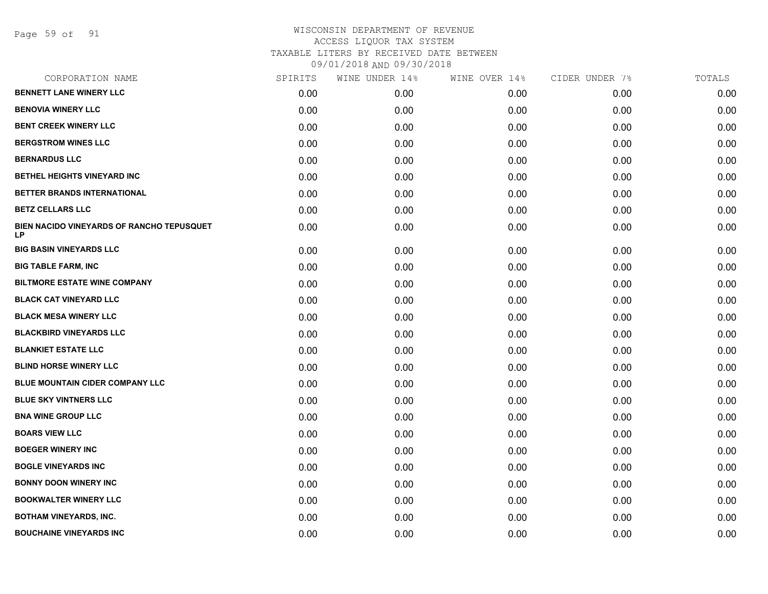Page 59 of 91

| CORPORATION NAME                                | SPIRITS | WINE UNDER 14% | WINE OVER 14% | CIDER UNDER 7% | TOTALS |
|-------------------------------------------------|---------|----------------|---------------|----------------|--------|
| <b>BENNETT LANE WINERY LLC</b>                  | 0.00    | 0.00           | 0.00          | 0.00           | 0.00   |
| <b>BENOVIA WINERY LLC</b>                       | 0.00    | 0.00           | 0.00          | 0.00           | 0.00   |
| <b>BENT CREEK WINERY LLC</b>                    | 0.00    | 0.00           | 0.00          | 0.00           | 0.00   |
| <b>BERGSTROM WINES LLC</b>                      | 0.00    | 0.00           | 0.00          | 0.00           | 0.00   |
| <b>BERNARDUS LLC</b>                            | 0.00    | 0.00           | 0.00          | 0.00           | 0.00   |
| BETHEL HEIGHTS VINEYARD INC                     | 0.00    | 0.00           | 0.00          | 0.00           | 0.00   |
| BETTER BRANDS INTERNATIONAL                     | 0.00    | 0.00           | 0.00          | 0.00           | 0.00   |
| <b>BETZ CELLARS LLC</b>                         | 0.00    | 0.00           | 0.00          | 0.00           | 0.00   |
| BIEN NACIDO VINEYARDS OF RANCHO TEPUSQUET<br>LP | 0.00    | 0.00           | 0.00          | 0.00           | 0.00   |
| <b>BIG BASIN VINEYARDS LLC</b>                  | 0.00    | 0.00           | 0.00          | 0.00           | 0.00   |
| <b>BIG TABLE FARM, INC</b>                      | 0.00    | 0.00           | 0.00          | 0.00           | 0.00   |
| <b>BILTMORE ESTATE WINE COMPANY</b>             | 0.00    | 0.00           | 0.00          | 0.00           | 0.00   |
| <b>BLACK CAT VINEYARD LLC</b>                   | 0.00    | 0.00           | 0.00          | 0.00           | 0.00   |
| <b>BLACK MESA WINERY LLC</b>                    | 0.00    | 0.00           | 0.00          | 0.00           | 0.00   |
| <b>BLACKBIRD VINEYARDS LLC</b>                  | 0.00    | 0.00           | 0.00          | 0.00           | 0.00   |
| <b>BLANKIET ESTATE LLC</b>                      | 0.00    | 0.00           | 0.00          | 0.00           | 0.00   |
| <b>BLIND HORSE WINERY LLC</b>                   | 0.00    | 0.00           | 0.00          | 0.00           | 0.00   |
| BLUE MOUNTAIN CIDER COMPANY LLC                 | 0.00    | 0.00           | 0.00          | 0.00           | 0.00   |
| <b>BLUE SKY VINTNERS LLC</b>                    | 0.00    | 0.00           | 0.00          | 0.00           | 0.00   |
| <b>BNA WINE GROUP LLC</b>                       | 0.00    | 0.00           | 0.00          | 0.00           | 0.00   |
| <b>BOARS VIEW LLC</b>                           | 0.00    | 0.00           | 0.00          | 0.00           | 0.00   |
| <b>BOEGER WINERY INC</b>                        | 0.00    | 0.00           | 0.00          | 0.00           | 0.00   |
| <b>BOGLE VINEYARDS INC</b>                      | 0.00    | 0.00           | 0.00          | 0.00           | 0.00   |
| <b>BONNY DOON WINERY INC</b>                    | 0.00    | 0.00           | 0.00          | 0.00           | 0.00   |
| <b>BOOKWALTER WINERY LLC</b>                    | 0.00    | 0.00           | 0.00          | 0.00           | 0.00   |
| <b>BOTHAM VINEYARDS, INC.</b>                   | 0.00    | 0.00           | 0.00          | 0.00           | 0.00   |
| <b>BOUCHAINE VINEYARDS INC</b>                  | 0.00    | 0.00           | 0.00          | 0.00           | 0.00   |
|                                                 |         |                |               |                |        |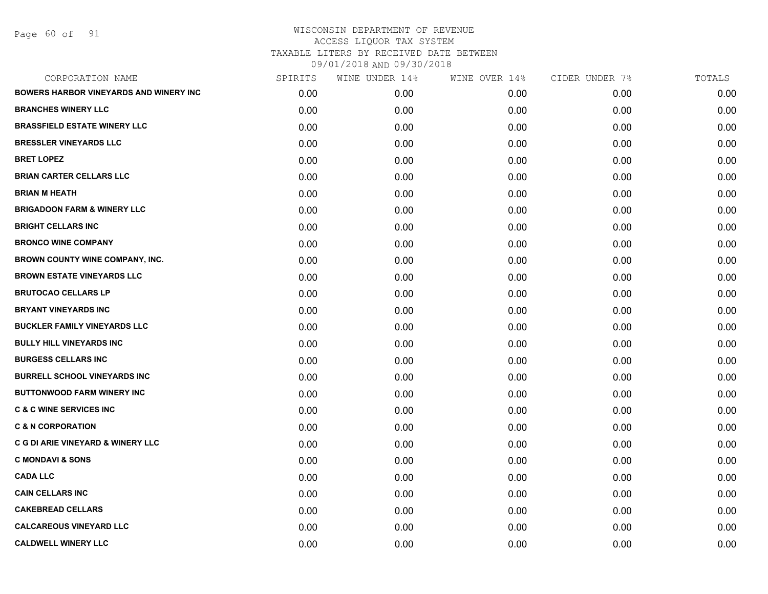Page 60 of 91

| CORPORATION NAME                             | SPIRITS | WINE UNDER 14% | WINE OVER 14% | CIDER UNDER 7% | TOTALS |
|----------------------------------------------|---------|----------------|---------------|----------------|--------|
| BOWERS HARBOR VINEYARDS AND WINERY INC       | 0.00    | 0.00           | 0.00          | 0.00           | 0.00   |
| <b>BRANCHES WINERY LLC</b>                   | 0.00    | 0.00           | 0.00          | 0.00           | 0.00   |
| <b>BRASSFIELD ESTATE WINERY LLC</b>          | 0.00    | 0.00           | 0.00          | 0.00           | 0.00   |
| <b>BRESSLER VINEYARDS LLC</b>                | 0.00    | 0.00           | 0.00          | 0.00           | 0.00   |
| <b>BRET LOPEZ</b>                            | 0.00    | 0.00           | 0.00          | 0.00           | 0.00   |
| <b>BRIAN CARTER CELLARS LLC</b>              | 0.00    | 0.00           | 0.00          | 0.00           | 0.00   |
| <b>BRIAN M HEATH</b>                         | 0.00    | 0.00           | 0.00          | 0.00           | 0.00   |
| <b>BRIGADOON FARM &amp; WINERY LLC</b>       | 0.00    | 0.00           | 0.00          | 0.00           | 0.00   |
| <b>BRIGHT CELLARS INC</b>                    | 0.00    | 0.00           | 0.00          | 0.00           | 0.00   |
| <b>BRONCO WINE COMPANY</b>                   | 0.00    | 0.00           | 0.00          | 0.00           | 0.00   |
| <b>BROWN COUNTY WINE COMPANY, INC.</b>       | 0.00    | 0.00           | 0.00          | 0.00           | 0.00   |
| <b>BROWN ESTATE VINEYARDS LLC</b>            | 0.00    | 0.00           | 0.00          | 0.00           | 0.00   |
| <b>BRUTOCAO CELLARS LP</b>                   | 0.00    | 0.00           | 0.00          | 0.00           | 0.00   |
| <b>BRYANT VINEYARDS INC</b>                  | 0.00    | 0.00           | 0.00          | 0.00           | 0.00   |
| <b>BUCKLER FAMILY VINEYARDS LLC</b>          | 0.00    | 0.00           | 0.00          | 0.00           | 0.00   |
| <b>BULLY HILL VINEYARDS INC</b>              | 0.00    | 0.00           | 0.00          | 0.00           | 0.00   |
| <b>BURGESS CELLARS INC</b>                   | 0.00    | 0.00           | 0.00          | 0.00           | 0.00   |
| <b>BURRELL SCHOOL VINEYARDS INC</b>          | 0.00    | 0.00           | 0.00          | 0.00           | 0.00   |
| <b>BUTTONWOOD FARM WINERY INC</b>            | 0.00    | 0.00           | 0.00          | 0.00           | 0.00   |
| <b>C &amp; C WINE SERVICES INC</b>           | 0.00    | 0.00           | 0.00          | 0.00           | 0.00   |
| <b>C &amp; N CORPORATION</b>                 | 0.00    | 0.00           | 0.00          | 0.00           | 0.00   |
| <b>C G DI ARIE VINEYARD &amp; WINERY LLC</b> | 0.00    | 0.00           | 0.00          | 0.00           | 0.00   |
| <b>C MONDAVI &amp; SONS</b>                  | 0.00    | 0.00           | 0.00          | 0.00           | 0.00   |
| <b>CADA LLC</b>                              | 0.00    | 0.00           | 0.00          | 0.00           | 0.00   |
| <b>CAIN CELLARS INC</b>                      | 0.00    | 0.00           | 0.00          | 0.00           | 0.00   |
| <b>CAKEBREAD CELLARS</b>                     | 0.00    | 0.00           | 0.00          | 0.00           | 0.00   |
| <b>CALCAREOUS VINEYARD LLC</b>               | 0.00    | 0.00           | 0.00          | 0.00           | 0.00   |
| <b>CALDWELL WINERY LLC</b>                   | 0.00    | 0.00           | 0.00          | 0.00           | 0.00   |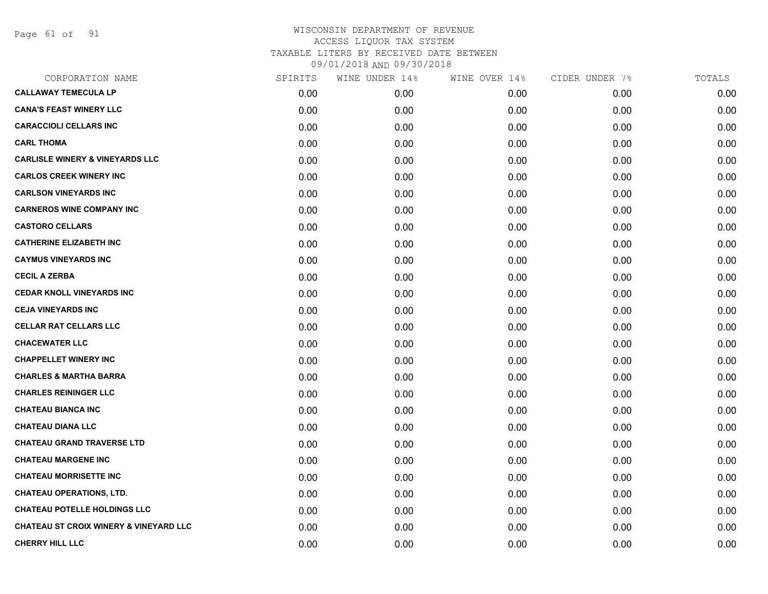Page 61 of 91

| CORPORATION NAME                                  | SPIRITS | WINE UNDER 14% | WINE OVER 14% | CIDER UNDER 7% | TOTALS |
|---------------------------------------------------|---------|----------------|---------------|----------------|--------|
| <b>CALLAWAY TEMECULA LP</b>                       | 0.00    | 0.00           | 0.00          | 0.00           | 0.00   |
| <b>CANA'S FEAST WINERY LLC</b>                    | 0.00    | 0.00           | 0.00          | 0.00           | 0.00   |
| <b>CARACCIOLI CELLARS INC</b>                     | 0.00    | 0.00           | 0.00          | 0.00           | 0.00   |
| <b>CARL THOMA</b>                                 | 0.00    | 0.00           | 0.00          | 0.00           | 0.00   |
| <b>CARLISLE WINERY &amp; VINEYARDS LLC</b>        | 0.00    | 0.00           | 0.00          | 0.00           | 0.00   |
| <b>CARLOS CREEK WINERY INC</b>                    | 0.00    | 0.00           | 0.00          | 0.00           | 0.00   |
| <b>CARLSON VINEYARDS INC</b>                      | 0.00    | 0.00           | 0.00          | 0.00           | 0.00   |
| <b>CARNEROS WINE COMPANY INC</b>                  | 0.00    | 0.00           | 0.00          | 0.00           | 0.00   |
| <b>CASTORO CELLARS</b>                            | 0.00    | 0.00           | 0.00          | 0.00           | 0.00   |
| <b>CATHERINE ELIZABETH INC</b>                    | 0.00    | 0.00           | 0.00          | 0.00           | 0.00   |
| <b>CAYMUS VINEYARDS INC</b>                       | 0.00    | 0.00           | 0.00          | 0.00           | 0.00   |
| <b>CECIL A ZERBA</b>                              | 0.00    | 0.00           | 0.00          | 0.00           | 0.00   |
| <b>CEDAR KNOLL VINEYARDS INC</b>                  | 0.00    | 0.00           | 0.00          | 0.00           | 0.00   |
| <b>CEJA VINEYARDS INC</b>                         | 0.00    | 0.00           | 0.00          | 0.00           | 0.00   |
| <b>CELLAR RAT CELLARS LLC</b>                     | 0.00    | 0.00           | 0.00          | 0.00           | 0.00   |
| <b>CHACEWATER LLC</b>                             | 0.00    | 0.00           | 0.00          | 0.00           | 0.00   |
| <b>CHAPPELLET WINERY INC</b>                      | 0.00    | 0.00           | 0.00          | 0.00           | 0.00   |
| <b>CHARLES &amp; MARTHA BARRA</b>                 | 0.00    | 0.00           | 0.00          | 0.00           | 0.00   |
| <b>CHARLES REININGER LLC</b>                      | 0.00    | 0.00           | 0.00          | 0.00           | 0.00   |
| <b>CHATEAU BIANCA INC</b>                         | 0.00    | 0.00           | 0.00          | 0.00           | 0.00   |
| <b>CHATEAU DIANA LLC</b>                          | 0.00    | 0.00           | 0.00          | 0.00           | 0.00   |
| <b>CHATEAU GRAND TRAVERSE LTD</b>                 | 0.00    | 0.00           | 0.00          | 0.00           | 0.00   |
| <b>CHATEAU MARGENE INC</b>                        | 0.00    | 0.00           | 0.00          | 0.00           | 0.00   |
| <b>CHATEAU MORRISETTE INC</b>                     | 0.00    | 0.00           | 0.00          | 0.00           | 0.00   |
| <b>CHATEAU OPERATIONS, LTD.</b>                   | 0.00    | 0.00           | 0.00          | 0.00           | 0.00   |
| <b>CHATEAU POTELLE HOLDINGS LLC</b>               | 0.00    | 0.00           | 0.00          | 0.00           | 0.00   |
| <b>CHATEAU ST CROIX WINERY &amp; VINEYARD LLC</b> | 0.00    | 0.00           | 0.00          | 0.00           | 0.00   |
| <b>CHERRY HILL LLC</b>                            | 0.00    | 0.00           | 0.00          | 0.00           | 0.00   |
|                                                   |         |                |               |                |        |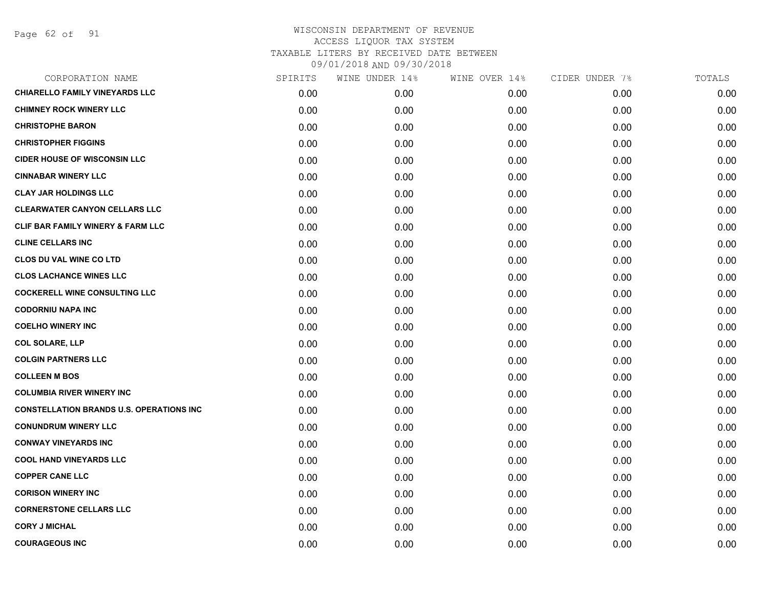Page 62 of 91

| CORPORATION NAME                                 | SPIRITS | WINE UNDER 14% | WINE OVER 14% | CIDER UNDER 7% | TOTALS |
|--------------------------------------------------|---------|----------------|---------------|----------------|--------|
| <b>CHIARELLO FAMILY VINEYARDS LLC</b>            | 0.00    | 0.00           | 0.00          | 0.00           | 0.00   |
| <b>CHIMNEY ROCK WINERY LLC</b>                   | 0.00    | 0.00           | 0.00          | 0.00           | 0.00   |
| <b>CHRISTOPHE BARON</b>                          | 0.00    | 0.00           | 0.00          | 0.00           | 0.00   |
| <b>CHRISTOPHER FIGGINS</b>                       | 0.00    | 0.00           | 0.00          | 0.00           | 0.00   |
| <b>CIDER HOUSE OF WISCONSIN LLC</b>              | 0.00    | 0.00           | 0.00          | 0.00           | 0.00   |
| <b>CINNABAR WINERY LLC</b>                       | 0.00    | 0.00           | 0.00          | 0.00           | 0.00   |
| <b>CLAY JAR HOLDINGS LLC</b>                     | 0.00    | 0.00           | 0.00          | 0.00           | 0.00   |
| <b>CLEARWATER CANYON CELLARS LLC</b>             | 0.00    | 0.00           | 0.00          | 0.00           | 0.00   |
| <b>CLIF BAR FAMILY WINERY &amp; FARM LLC</b>     | 0.00    | 0.00           | 0.00          | 0.00           | 0.00   |
| <b>CLINE CELLARS INC</b>                         | 0.00    | 0.00           | 0.00          | 0.00           | 0.00   |
| <b>CLOS DU VAL WINE CO LTD</b>                   | 0.00    | 0.00           | 0.00          | 0.00           | 0.00   |
| <b>CLOS LACHANCE WINES LLC</b>                   | 0.00    | 0.00           | 0.00          | 0.00           | 0.00   |
| <b>COCKERELL WINE CONSULTING LLC</b>             | 0.00    | 0.00           | 0.00          | 0.00           | 0.00   |
| <b>CODORNIU NAPA INC</b>                         | 0.00    | 0.00           | 0.00          | 0.00           | 0.00   |
| <b>COELHO WINERY INC</b>                         | 0.00    | 0.00           | 0.00          | 0.00           | 0.00   |
| <b>COL SOLARE, LLP</b>                           | 0.00    | 0.00           | 0.00          | 0.00           | 0.00   |
| <b>COLGIN PARTNERS LLC</b>                       | 0.00    | 0.00           | 0.00          | 0.00           | 0.00   |
| <b>COLLEEN M BOS</b>                             | 0.00    | 0.00           | 0.00          | 0.00           | 0.00   |
| <b>COLUMBIA RIVER WINERY INC</b>                 | 0.00    | 0.00           | 0.00          | 0.00           | 0.00   |
| <b>CONSTELLATION BRANDS U.S. OPERATIONS INC.</b> | 0.00    | 0.00           | 0.00          | 0.00           | 0.00   |
| <b>CONUNDRUM WINERY LLC</b>                      | 0.00    | 0.00           | 0.00          | 0.00           | 0.00   |
| <b>CONWAY VINEYARDS INC</b>                      | 0.00    | 0.00           | 0.00          | 0.00           | 0.00   |
| <b>COOL HAND VINEYARDS LLC</b>                   | 0.00    | 0.00           | 0.00          | 0.00           | 0.00   |
| <b>COPPER CANE LLC</b>                           | 0.00    | 0.00           | 0.00          | 0.00           | 0.00   |
| <b>CORISON WINERY INC</b>                        | 0.00    | 0.00           | 0.00          | 0.00           | 0.00   |
| <b>CORNERSTONE CELLARS LLC</b>                   | 0.00    | 0.00           | 0.00          | 0.00           | 0.00   |
| <b>CORY J MICHAL</b>                             | 0.00    | 0.00           | 0.00          | 0.00           | 0.00   |
| <b>COURAGEOUS INC</b>                            | 0.00    | 0.00           | 0.00          | 0.00           | 0.00   |
|                                                  |         |                |               |                |        |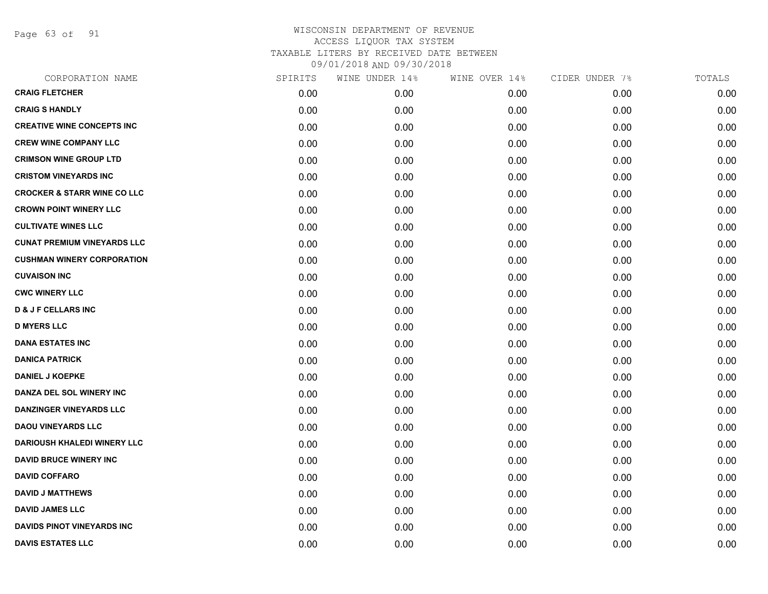Page 63 of 91

| CORPORATION NAME                       | SPIRITS | WINE UNDER 14% | WINE OVER 14% | CIDER UNDER 7% | TOTALS |
|----------------------------------------|---------|----------------|---------------|----------------|--------|
| <b>CRAIG FLETCHER</b>                  | 0.00    | 0.00           | 0.00          | 0.00           | 0.00   |
| <b>CRAIG S HANDLY</b>                  | 0.00    | 0.00           | 0.00          | 0.00           | 0.00   |
| <b>CREATIVE WINE CONCEPTS INC</b>      | 0.00    | 0.00           | 0.00          | 0.00           | 0.00   |
| <b>CREW WINE COMPANY LLC</b>           | 0.00    | 0.00           | 0.00          | 0.00           | 0.00   |
| <b>CRIMSON WINE GROUP LTD</b>          | 0.00    | 0.00           | 0.00          | 0.00           | 0.00   |
| <b>CRISTOM VINEYARDS INC</b>           | 0.00    | 0.00           | 0.00          | 0.00           | 0.00   |
| <b>CROCKER &amp; STARR WINE CO LLC</b> | 0.00    | 0.00           | 0.00          | 0.00           | 0.00   |
| <b>CROWN POINT WINERY LLC</b>          | 0.00    | 0.00           | 0.00          | 0.00           | 0.00   |
| <b>CULTIVATE WINES LLC</b>             | 0.00    | 0.00           | 0.00          | 0.00           | 0.00   |
| <b>CUNAT PREMIUM VINEYARDS LLC</b>     | 0.00    | 0.00           | 0.00          | 0.00           | 0.00   |
| <b>CUSHMAN WINERY CORPORATION</b>      | 0.00    | 0.00           | 0.00          | 0.00           | 0.00   |
| <b>CUVAISON INC</b>                    | 0.00    | 0.00           | 0.00          | 0.00           | 0.00   |
| <b>CWC WINERY LLC</b>                  | 0.00    | 0.00           | 0.00          | 0.00           | 0.00   |
| <b>D &amp; J F CELLARS INC</b>         | 0.00    | 0.00           | 0.00          | 0.00           | 0.00   |
| <b>D MYERS LLC</b>                     | 0.00    | 0.00           | 0.00          | 0.00           | 0.00   |
| <b>DANA ESTATES INC</b>                | 0.00    | 0.00           | 0.00          | 0.00           | 0.00   |
| <b>DANICA PATRICK</b>                  | 0.00    | 0.00           | 0.00          | 0.00           | 0.00   |
| <b>DANIEL J KOEPKE</b>                 | 0.00    | 0.00           | 0.00          | 0.00           | 0.00   |
| DANZA DEL SOL WINERY INC               | 0.00    | 0.00           | 0.00          | 0.00           | 0.00   |
| <b>DANZINGER VINEYARDS LLC</b>         | 0.00    | 0.00           | 0.00          | 0.00           | 0.00   |
| <b>DAOU VINEYARDS LLC</b>              | 0.00    | 0.00           | 0.00          | 0.00           | 0.00   |
| <b>DARIOUSH KHALEDI WINERY LLC</b>     | 0.00    | 0.00           | 0.00          | 0.00           | 0.00   |
| <b>DAVID BRUCE WINERY INC</b>          | 0.00    | 0.00           | 0.00          | 0.00           | 0.00   |
| <b>DAVID COFFARO</b>                   | 0.00    | 0.00           | 0.00          | 0.00           | 0.00   |
| <b>DAVID J MATTHEWS</b>                | 0.00    | 0.00           | 0.00          | 0.00           | 0.00   |
| <b>DAVID JAMES LLC</b>                 | 0.00    | 0.00           | 0.00          | 0.00           | 0.00   |
| <b>DAVIDS PINOT VINEYARDS INC</b>      | 0.00    | 0.00           | 0.00          | 0.00           | 0.00   |
| <b>DAVIS ESTATES LLC</b>               | 0.00    | 0.00           | 0.00          | 0.00           | 0.00   |
|                                        |         |                |               |                |        |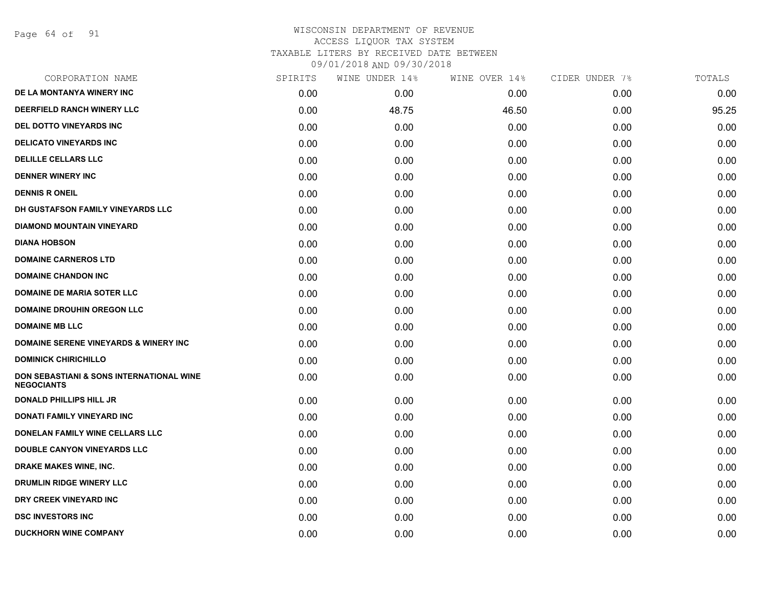Page 64 of 91

| CORPORATION NAME                                              | SPIRITS | WINE UNDER 14% | WINE OVER 14% | CIDER UNDER 7% | TOTALS |
|---------------------------------------------------------------|---------|----------------|---------------|----------------|--------|
| DE LA MONTANYA WINERY INC                                     | 0.00    | 0.00           | 0.00          | 0.00           | 0.00   |
| <b>DEERFIELD RANCH WINERY LLC</b>                             | 0.00    | 48.75          | 46.50         | 0.00           | 95.25  |
| <b>DEL DOTTO VINEYARDS INC</b>                                | 0.00    | 0.00           | 0.00          | 0.00           | 0.00   |
| <b>DELICATO VINEYARDS INC</b>                                 | 0.00    | 0.00           | 0.00          | 0.00           | 0.00   |
| <b>DELILLE CELLARS LLC</b>                                    | 0.00    | 0.00           | 0.00          | 0.00           | 0.00   |
| <b>DENNER WINERY INC</b>                                      | 0.00    | 0.00           | 0.00          | 0.00           | 0.00   |
| <b>DENNIS R ONEIL</b>                                         | 0.00    | 0.00           | 0.00          | 0.00           | 0.00   |
| DH GUSTAFSON FAMILY VINEYARDS LLC                             | 0.00    | 0.00           | 0.00          | 0.00           | 0.00   |
| <b>DIAMOND MOUNTAIN VINEYARD</b>                              | 0.00    | 0.00           | 0.00          | 0.00           | 0.00   |
| <b>DIANA HOBSON</b>                                           | 0.00    | 0.00           | 0.00          | 0.00           | 0.00   |
| <b>DOMAINE CARNEROS LTD</b>                                   | 0.00    | 0.00           | 0.00          | 0.00           | 0.00   |
| <b>DOMAINE CHANDON INC</b>                                    | 0.00    | 0.00           | 0.00          | 0.00           | 0.00   |
| <b>DOMAINE DE MARIA SOTER LLC</b>                             | 0.00    | 0.00           | 0.00          | 0.00           | 0.00   |
| <b>DOMAINE DROUHIN OREGON LLC</b>                             | 0.00    | 0.00           | 0.00          | 0.00           | 0.00   |
| <b>DOMAINE MB LLC</b>                                         | 0.00    | 0.00           | 0.00          | 0.00           | 0.00   |
| <b>DOMAINE SERENE VINEYARDS &amp; WINERY INC</b>              | 0.00    | 0.00           | 0.00          | 0.00           | 0.00   |
| <b>DOMINICK CHIRICHILLO</b>                                   | 0.00    | 0.00           | 0.00          | 0.00           | 0.00   |
| DON SEBASTIANI & SONS INTERNATIONAL WINE<br><b>NEGOCIANTS</b> | 0.00    | 0.00           | 0.00          | 0.00           | 0.00   |
| <b>DONALD PHILLIPS HILL JR</b>                                | 0.00    | 0.00           | 0.00          | 0.00           | 0.00   |
| <b>DONATI FAMILY VINEYARD INC</b>                             | 0.00    | 0.00           | 0.00          | 0.00           | 0.00   |
| DONELAN FAMILY WINE CELLARS LLC                               | 0.00    | 0.00           | 0.00          | 0.00           | 0.00   |
| DOUBLE CANYON VINEYARDS LLC                                   | 0.00    | 0.00           | 0.00          | 0.00           | 0.00   |
| DRAKE MAKES WINE, INC.                                        | 0.00    | 0.00           | 0.00          | 0.00           | 0.00   |
| <b>DRUMLIN RIDGE WINERY LLC</b>                               | 0.00    | 0.00           | 0.00          | 0.00           | 0.00   |
| DRY CREEK VINEYARD INC                                        | 0.00    | 0.00           | 0.00          | 0.00           | 0.00   |
| <b>DSC INVESTORS INC</b>                                      | 0.00    | 0.00           | 0.00          | 0.00           | 0.00   |
| <b>DUCKHORN WINE COMPANY</b>                                  | 0.00    | 0.00           | 0.00          | 0.00           | 0.00   |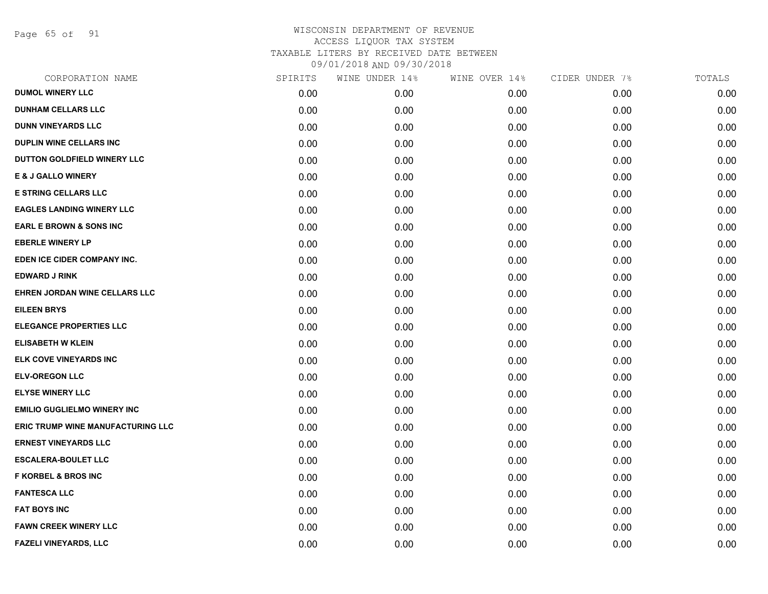Page 65 of 91

| CORPORATION NAME                         | SPIRITS | WINE UNDER 14% | WINE OVER 14% | CIDER UNDER 7% | TOTALS |
|------------------------------------------|---------|----------------|---------------|----------------|--------|
| <b>DUMOL WINERY LLC</b>                  | 0.00    | 0.00           | 0.00          | 0.00           | 0.00   |
| <b>DUNHAM CELLARS LLC</b>                | 0.00    | 0.00           | 0.00          | 0.00           | 0.00   |
| <b>DUNN VINEYARDS LLC</b>                | 0.00    | 0.00           | 0.00          | 0.00           | 0.00   |
| <b>DUPLIN WINE CELLARS INC</b>           | 0.00    | 0.00           | 0.00          | 0.00           | 0.00   |
| DUTTON GOLDFIELD WINERY LLC              | 0.00    | 0.00           | 0.00          | 0.00           | 0.00   |
| <b>E &amp; J GALLO WINERY</b>            | 0.00    | 0.00           | 0.00          | 0.00           | 0.00   |
| <b>E STRING CELLARS LLC</b>              | 0.00    | 0.00           | 0.00          | 0.00           | 0.00   |
| <b>EAGLES LANDING WINERY LLC</b>         | 0.00    | 0.00           | 0.00          | 0.00           | 0.00   |
| <b>EARL E BROWN &amp; SONS INC</b>       | 0.00    | 0.00           | 0.00          | 0.00           | 0.00   |
| <b>EBERLE WINERY LP</b>                  | 0.00    | 0.00           | 0.00          | 0.00           | 0.00   |
| EDEN ICE CIDER COMPANY INC.              | 0.00    | 0.00           | 0.00          | 0.00           | 0.00   |
| <b>EDWARD J RINK</b>                     | 0.00    | 0.00           | 0.00          | 0.00           | 0.00   |
| EHREN JORDAN WINE CELLARS LLC            | 0.00    | 0.00           | 0.00          | 0.00           | 0.00   |
| <b>EILEEN BRYS</b>                       | 0.00    | 0.00           | 0.00          | 0.00           | 0.00   |
| <b>ELEGANCE PROPERTIES LLC</b>           | 0.00    | 0.00           | 0.00          | 0.00           | 0.00   |
| <b>ELISABETH W KLEIN</b>                 | 0.00    | 0.00           | 0.00          | 0.00           | 0.00   |
| ELK COVE VINEYARDS INC                   | 0.00    | 0.00           | 0.00          | 0.00           | 0.00   |
| <b>ELV-OREGON LLC</b>                    | 0.00    | 0.00           | 0.00          | 0.00           | 0.00   |
| <b>ELYSE WINERY LLC</b>                  | 0.00    | 0.00           | 0.00          | 0.00           | 0.00   |
| <b>EMILIO GUGLIELMO WINERY INC</b>       | 0.00    | 0.00           | 0.00          | 0.00           | 0.00   |
| <b>ERIC TRUMP WINE MANUFACTURING LLC</b> | 0.00    | 0.00           | 0.00          | 0.00           | 0.00   |
| <b>ERNEST VINEYARDS LLC</b>              | 0.00    | 0.00           | 0.00          | 0.00           | 0.00   |
| <b>ESCALERA-BOULET LLC</b>               | 0.00    | 0.00           | 0.00          | 0.00           | 0.00   |
| <b>F KORBEL &amp; BROS INC</b>           | 0.00    | 0.00           | 0.00          | 0.00           | 0.00   |
| <b>FANTESCA LLC</b>                      | 0.00    | 0.00           | 0.00          | 0.00           | 0.00   |
| <b>FAT BOYS INC</b>                      | 0.00    | 0.00           | 0.00          | 0.00           | 0.00   |
| <b>FAWN CREEK WINERY LLC</b>             | 0.00    | 0.00           | 0.00          | 0.00           | 0.00   |
| FAZELI VINEYARDS, LLC                    | 0.00    | 0.00           | 0.00          | 0.00           | 0.00   |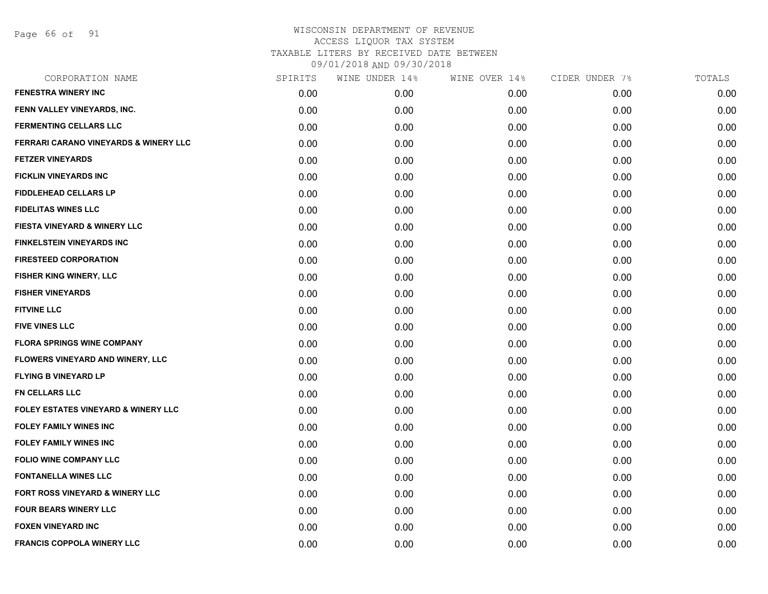Page 66 of 91

| CORPORATION NAME                                 | SPIRITS | WINE UNDER 14% | WINE OVER 14% | CIDER UNDER 7% | TOTALS |
|--------------------------------------------------|---------|----------------|---------------|----------------|--------|
| <b>FENESTRA WINERY INC</b>                       | 0.00    | 0.00           | 0.00          | 0.00           | 0.00   |
| FENN VALLEY VINEYARDS, INC.                      | 0.00    | 0.00           | 0.00          | 0.00           | 0.00   |
| <b>FERMENTING CELLARS LLC</b>                    | 0.00    | 0.00           | 0.00          | 0.00           | 0.00   |
| <b>FERRARI CARANO VINEYARDS &amp; WINERY LLC</b> | 0.00    | 0.00           | 0.00          | 0.00           | 0.00   |
| <b>FETZER VINEYARDS</b>                          | 0.00    | 0.00           | 0.00          | 0.00           | 0.00   |
| <b>FICKLIN VINEYARDS INC</b>                     | 0.00    | 0.00           | 0.00          | 0.00           | 0.00   |
| <b>FIDDLEHEAD CELLARS LP</b>                     | 0.00    | 0.00           | 0.00          | 0.00           | 0.00   |
| <b>FIDELITAS WINES LLC</b>                       | 0.00    | 0.00           | 0.00          | 0.00           | 0.00   |
| FIESTA VINEYARD & WINERY LLC                     | 0.00    | 0.00           | 0.00          | 0.00           | 0.00   |
| <b>FINKELSTEIN VINEYARDS INC</b>                 | 0.00    | 0.00           | 0.00          | 0.00           | 0.00   |
| <b>FIRESTEED CORPORATION</b>                     | 0.00    | 0.00           | 0.00          | 0.00           | 0.00   |
| FISHER KING WINERY, LLC                          | 0.00    | 0.00           | 0.00          | 0.00           | 0.00   |
| <b>FISHER VINEYARDS</b>                          | 0.00    | 0.00           | 0.00          | 0.00           | 0.00   |
| <b>FITVINE LLC</b>                               | 0.00    | 0.00           | 0.00          | 0.00           | 0.00   |
| <b>FIVE VINES LLC</b>                            | 0.00    | 0.00           | 0.00          | 0.00           | 0.00   |
| <b>FLORA SPRINGS WINE COMPANY</b>                | 0.00    | 0.00           | 0.00          | 0.00           | 0.00   |
| FLOWERS VINEYARD AND WINERY, LLC                 | 0.00    | 0.00           | 0.00          | 0.00           | 0.00   |
| <b>FLYING B VINEYARD LP</b>                      | 0.00    | 0.00           | 0.00          | 0.00           | 0.00   |
| <b>FN CELLARS LLC</b>                            | 0.00    | 0.00           | 0.00          | 0.00           | 0.00   |
| <b>FOLEY ESTATES VINEYARD &amp; WINERY LLC</b>   | 0.00    | 0.00           | 0.00          | 0.00           | 0.00   |
| <b>FOLEY FAMILY WINES INC</b>                    | 0.00    | 0.00           | 0.00          | 0.00           | 0.00   |
| <b>FOLEY FAMILY WINES INC</b>                    | 0.00    | 0.00           | 0.00          | 0.00           | 0.00   |
| <b>FOLIO WINE COMPANY LLC</b>                    | 0.00    | 0.00           | 0.00          | 0.00           | 0.00   |
| <b>FONTANELLA WINES LLC</b>                      | 0.00    | 0.00           | 0.00          | 0.00           | 0.00   |
| FORT ROSS VINEYARD & WINERY LLC                  | 0.00    | 0.00           | 0.00          | 0.00           | 0.00   |
| <b>FOUR BEARS WINERY LLC</b>                     | 0.00    | 0.00           | 0.00          | 0.00           | 0.00   |
| <b>FOXEN VINEYARD INC</b>                        | 0.00    | 0.00           | 0.00          | 0.00           | 0.00   |
| <b>FRANCIS COPPOLA WINERY LLC</b>                | 0.00    | 0.00           | 0.00          | 0.00           | 0.00   |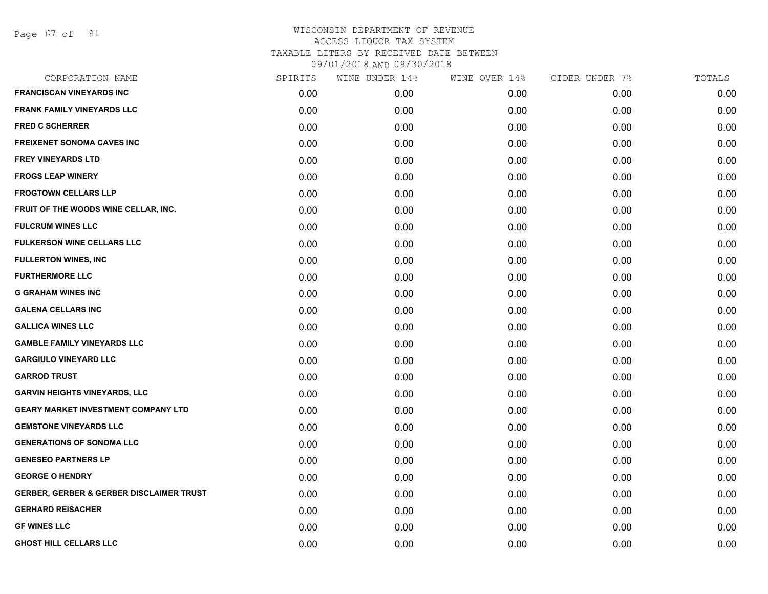Page 67 of 91

| CORPORATION NAME                                    | SPIRITS | WINE UNDER 14% | WINE OVER 14% | CIDER UNDER 7% | TOTALS |
|-----------------------------------------------------|---------|----------------|---------------|----------------|--------|
| <b>FRANCISCAN VINEYARDS INC</b>                     | 0.00    | 0.00           | 0.00          | 0.00           | 0.00   |
| <b>FRANK FAMILY VINEYARDS LLC</b>                   | 0.00    | 0.00           | 0.00          | 0.00           | 0.00   |
| <b>FRED C SCHERRER</b>                              | 0.00    | 0.00           | 0.00          | 0.00           | 0.00   |
| <b>FREIXENET SONOMA CAVES INC</b>                   | 0.00    | 0.00           | 0.00          | 0.00           | 0.00   |
| <b>FREY VINEYARDS LTD</b>                           | 0.00    | 0.00           | 0.00          | 0.00           | 0.00   |
| <b>FROGS LEAP WINERY</b>                            | 0.00    | 0.00           | 0.00          | 0.00           | 0.00   |
| <b>FROGTOWN CELLARS LLP</b>                         | 0.00    | 0.00           | 0.00          | 0.00           | 0.00   |
| FRUIT OF THE WOODS WINE CELLAR, INC.                | 0.00    | 0.00           | 0.00          | 0.00           | 0.00   |
| <b>FULCRUM WINES LLC</b>                            | 0.00    | 0.00           | 0.00          | 0.00           | 0.00   |
| <b>FULKERSON WINE CELLARS LLC</b>                   | 0.00    | 0.00           | 0.00          | 0.00           | 0.00   |
| <b>FULLERTON WINES, INC</b>                         | 0.00    | 0.00           | 0.00          | 0.00           | 0.00   |
| <b>FURTHERMORE LLC</b>                              | 0.00    | 0.00           | 0.00          | 0.00           | 0.00   |
| <b>G GRAHAM WINES INC</b>                           | 0.00    | 0.00           | 0.00          | 0.00           | 0.00   |
| <b>GALENA CELLARS INC</b>                           | 0.00    | 0.00           | 0.00          | 0.00           | 0.00   |
| <b>GALLICA WINES LLC</b>                            | 0.00    | 0.00           | 0.00          | 0.00           | 0.00   |
| <b>GAMBLE FAMILY VINEYARDS LLC</b>                  | 0.00    | 0.00           | 0.00          | 0.00           | 0.00   |
| <b>GARGIULO VINEYARD LLC</b>                        | 0.00    | 0.00           | 0.00          | 0.00           | 0.00   |
| <b>GARROD TRUST</b>                                 | 0.00    | 0.00           | 0.00          | 0.00           | 0.00   |
| <b>GARVIN HEIGHTS VINEYARDS, LLC</b>                | 0.00    | 0.00           | 0.00          | 0.00           | 0.00   |
| <b>GEARY MARKET INVESTMENT COMPANY LTD</b>          | 0.00    | 0.00           | 0.00          | 0.00           | 0.00   |
| <b>GEMSTONE VINEYARDS LLC</b>                       | 0.00    | 0.00           | 0.00          | 0.00           | 0.00   |
| <b>GENERATIONS OF SONOMA LLC</b>                    | 0.00    | 0.00           | 0.00          | 0.00           | 0.00   |
| <b>GENESEO PARTNERS LP</b>                          | 0.00    | 0.00           | 0.00          | 0.00           | 0.00   |
| <b>GEORGE O HENDRY</b>                              | 0.00    | 0.00           | 0.00          | 0.00           | 0.00   |
| <b>GERBER, GERBER &amp; GERBER DISCLAIMER TRUST</b> | 0.00    | 0.00           | 0.00          | 0.00           | 0.00   |
| <b>GERHARD REISACHER</b>                            | 0.00    | 0.00           | 0.00          | 0.00           | 0.00   |
| <b>GF WINES LLC</b>                                 | 0.00    | 0.00           | 0.00          | 0.00           | 0.00   |
| <b>GHOST HILL CELLARS LLC</b>                       | 0.00    | 0.00           | 0.00          | 0.00           | 0.00   |
|                                                     |         |                |               |                |        |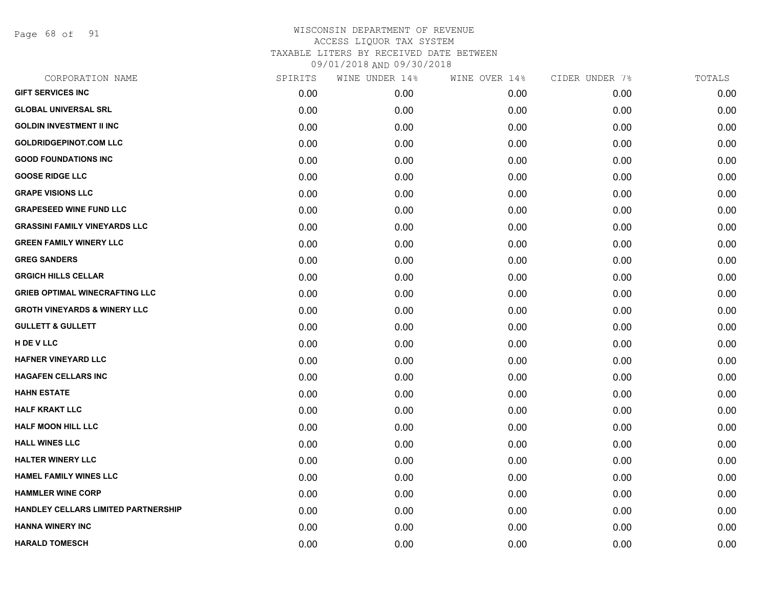Page 68 of 91

| CORPORATION NAME                        | SPIRITS | WINE UNDER 14% | WINE OVER 14% | CIDER UNDER 7% | TOTALS |
|-----------------------------------------|---------|----------------|---------------|----------------|--------|
| <b>GIFT SERVICES INC</b>                | 0.00    | 0.00           | 0.00          | 0.00           | 0.00   |
| <b>GLOBAL UNIVERSAL SRL</b>             | 0.00    | 0.00           | 0.00          | 0.00           | 0.00   |
| <b>GOLDIN INVESTMENT II INC</b>         | 0.00    | 0.00           | 0.00          | 0.00           | 0.00   |
| <b>GOLDRIDGEPINOT.COM LLC</b>           | 0.00    | 0.00           | 0.00          | 0.00           | 0.00   |
| <b>GOOD FOUNDATIONS INC</b>             | 0.00    | 0.00           | 0.00          | 0.00           | 0.00   |
| <b>GOOSE RIDGE LLC</b>                  | 0.00    | 0.00           | 0.00          | 0.00           | 0.00   |
| <b>GRAPE VISIONS LLC</b>                | 0.00    | 0.00           | 0.00          | 0.00           | 0.00   |
| <b>GRAPESEED WINE FUND LLC</b>          | 0.00    | 0.00           | 0.00          | 0.00           | 0.00   |
| <b>GRASSINI FAMILY VINEYARDS LLC</b>    | 0.00    | 0.00           | 0.00          | 0.00           | 0.00   |
| <b>GREEN FAMILY WINERY LLC</b>          | 0.00    | 0.00           | 0.00          | 0.00           | 0.00   |
| <b>GREG SANDERS</b>                     | 0.00    | 0.00           | 0.00          | 0.00           | 0.00   |
| <b>GRGICH HILLS CELLAR</b>              | 0.00    | 0.00           | 0.00          | 0.00           | 0.00   |
| <b>GRIEB OPTIMAL WINECRAFTING LLC</b>   | 0.00    | 0.00           | 0.00          | 0.00           | 0.00   |
| <b>GROTH VINEYARDS &amp; WINERY LLC</b> | 0.00    | 0.00           | 0.00          | 0.00           | 0.00   |
| <b>GULLETT &amp; GULLETT</b>            | 0.00    | 0.00           | 0.00          | 0.00           | 0.00   |
| H DE V LLC                              | 0.00    | 0.00           | 0.00          | 0.00           | 0.00   |
| <b>HAFNER VINEYARD LLC</b>              | 0.00    | 0.00           | 0.00          | 0.00           | 0.00   |
| <b>HAGAFEN CELLARS INC</b>              | 0.00    | 0.00           | 0.00          | 0.00           | 0.00   |
| <b>HAHN ESTATE</b>                      | 0.00    | 0.00           | 0.00          | 0.00           | 0.00   |
| <b>HALF KRAKT LLC</b>                   | 0.00    | 0.00           | 0.00          | 0.00           | 0.00   |
| <b>HALF MOON HILL LLC</b>               | 0.00    | 0.00           | 0.00          | 0.00           | 0.00   |
| <b>HALL WINES LLC</b>                   | 0.00    | 0.00           | 0.00          | 0.00           | 0.00   |
| <b>HALTER WINERY LLC</b>                | 0.00    | 0.00           | 0.00          | 0.00           | 0.00   |
| HAMEL FAMILY WINES LLC                  | 0.00    | 0.00           | 0.00          | 0.00           | 0.00   |
| <b>HAMMLER WINE CORP</b>                | 0.00    | 0.00           | 0.00          | 0.00           | 0.00   |
| HANDLEY CELLARS LIMITED PARTNERSHIP     | 0.00    | 0.00           | 0.00          | 0.00           | 0.00   |
| <b>HANNA WINERY INC</b>                 | 0.00    | 0.00           | 0.00          | 0.00           | 0.00   |
| <b>HARALD TOMESCH</b>                   | 0.00    | 0.00           | 0.00          | 0.00           | 0.00   |
|                                         |         |                |               |                |        |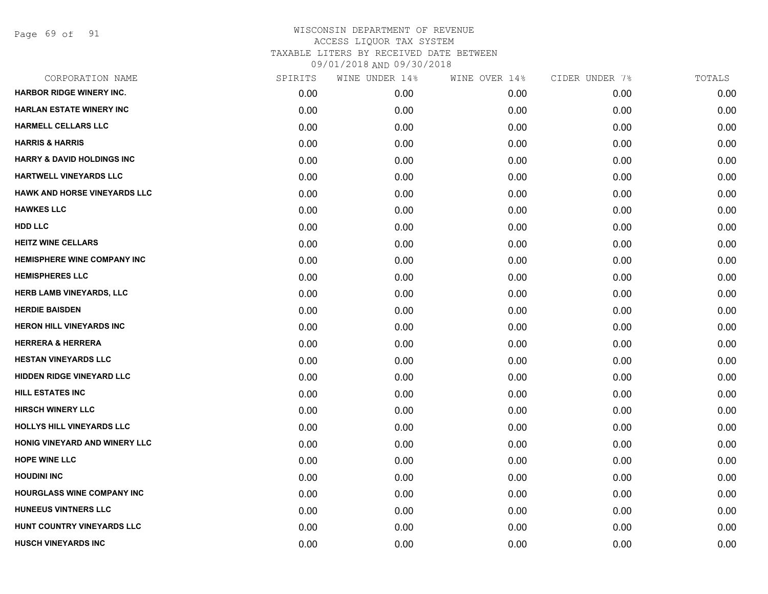Page 69 of 91

| CORPORATION NAME                      | SPIRITS | WINE UNDER 14% | WINE OVER 14% | CIDER UNDER 7% | TOTALS |
|---------------------------------------|---------|----------------|---------------|----------------|--------|
| <b>HARBOR RIDGE WINERY INC.</b>       | 0.00    | 0.00           | 0.00          | 0.00           | 0.00   |
| <b>HARLAN ESTATE WINERY INC</b>       | 0.00    | 0.00           | 0.00          | 0.00           | 0.00   |
| <b>HARMELL CELLARS LLC</b>            | 0.00    | 0.00           | 0.00          | 0.00           | 0.00   |
| <b>HARRIS &amp; HARRIS</b>            | 0.00    | 0.00           | 0.00          | 0.00           | 0.00   |
| <b>HARRY &amp; DAVID HOLDINGS INC</b> | 0.00    | 0.00           | 0.00          | 0.00           | 0.00   |
| HARTWELL VINEYARDS LLC                | 0.00    | 0.00           | 0.00          | 0.00           | 0.00   |
| HAWK AND HORSE VINEYARDS LLC          | 0.00    | 0.00           | 0.00          | 0.00           | 0.00   |
| <b>HAWKES LLC</b>                     | 0.00    | 0.00           | 0.00          | 0.00           | 0.00   |
| <b>HDD LLC</b>                        | 0.00    | 0.00           | 0.00          | 0.00           | 0.00   |
| <b>HEITZ WINE CELLARS</b>             | 0.00    | 0.00           | 0.00          | 0.00           | 0.00   |
| <b>HEMISPHERE WINE COMPANY INC</b>    | 0.00    | 0.00           | 0.00          | 0.00           | 0.00   |
| <b>HEMISPHERES LLC</b>                | 0.00    | 0.00           | 0.00          | 0.00           | 0.00   |
| HERB LAMB VINEYARDS, LLC              | 0.00    | 0.00           | 0.00          | 0.00           | 0.00   |
| <b>HERDIE BAISDEN</b>                 | 0.00    | 0.00           | 0.00          | 0.00           | 0.00   |
| <b>HERON HILL VINEYARDS INC</b>       | 0.00    | 0.00           | 0.00          | 0.00           | 0.00   |
| <b>HERRERA &amp; HERRERA</b>          | 0.00    | 0.00           | 0.00          | 0.00           | 0.00   |
| <b>HESTAN VINEYARDS LLC</b>           | 0.00    | 0.00           | 0.00          | 0.00           | 0.00   |
| <b>HIDDEN RIDGE VINEYARD LLC</b>      | 0.00    | 0.00           | 0.00          | 0.00           | 0.00   |
| <b>HILL ESTATES INC</b>               | 0.00    | 0.00           | 0.00          | 0.00           | 0.00   |
| <b>HIRSCH WINERY LLC</b>              | 0.00    | 0.00           | 0.00          | 0.00           | 0.00   |
| HOLLYS HILL VINEYARDS LLC             | 0.00    | 0.00           | 0.00          | 0.00           | 0.00   |
| HONIG VINEYARD AND WINERY LLC         | 0.00    | 0.00           | 0.00          | 0.00           | 0.00   |
| <b>HOPE WINE LLC</b>                  | 0.00    | 0.00           | 0.00          | 0.00           | 0.00   |
| <b>HOUDINI INC</b>                    | 0.00    | 0.00           | 0.00          | 0.00           | 0.00   |
| <b>HOURGLASS WINE COMPANY INC</b>     | 0.00    | 0.00           | 0.00          | 0.00           | 0.00   |
| HUNEEUS VINTNERS LLC                  | 0.00    | 0.00           | 0.00          | 0.00           | 0.00   |
| HUNT COUNTRY VINEYARDS LLC            | 0.00    | 0.00           | 0.00          | 0.00           | 0.00   |
| <b>HUSCH VINEYARDS INC</b>            | 0.00    | 0.00           | 0.00          | 0.00           | 0.00   |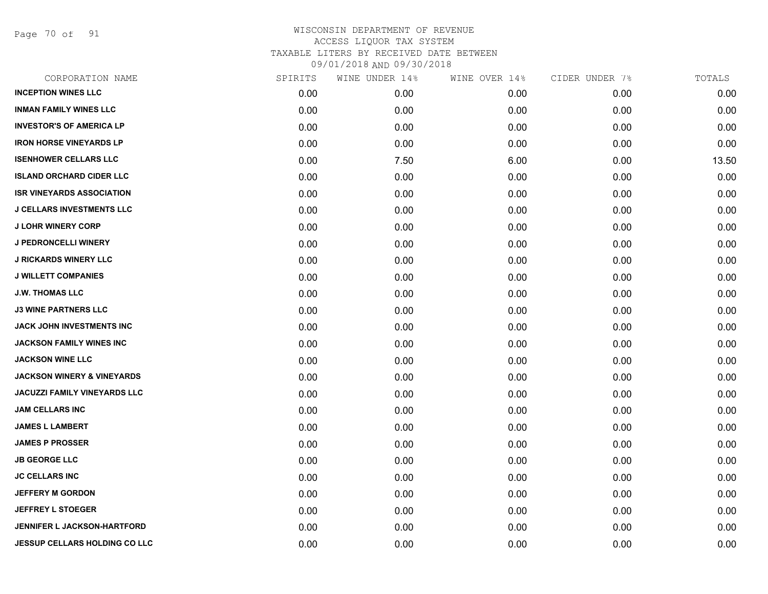Page 70 of 91

| CORPORATION NAME                      | SPIRITS | WINE UNDER 14% | WINE OVER 14% | CIDER UNDER 7% | TOTALS |
|---------------------------------------|---------|----------------|---------------|----------------|--------|
| <b>INCEPTION WINES LLC</b>            | 0.00    | 0.00           | 0.00          | 0.00           | 0.00   |
| <b>INMAN FAMILY WINES LLC</b>         | 0.00    | 0.00           | 0.00          | 0.00           | 0.00   |
| <b>INVESTOR'S OF AMERICA LP</b>       | 0.00    | 0.00           | 0.00          | 0.00           | 0.00   |
| <b>IRON HORSE VINEYARDS LP</b>        | 0.00    | 0.00           | 0.00          | 0.00           | 0.00   |
| <b>ISENHOWER CELLARS LLC</b>          | 0.00    | 7.50           | 6.00          | 0.00           | 13.50  |
| <b>ISLAND ORCHARD CIDER LLC</b>       | 0.00    | 0.00           | 0.00          | 0.00           | 0.00   |
| <b>ISR VINEYARDS ASSOCIATION</b>      | 0.00    | 0.00           | 0.00          | 0.00           | 0.00   |
| <b>J CELLARS INVESTMENTS LLC</b>      | 0.00    | 0.00           | 0.00          | 0.00           | 0.00   |
| <b>J LOHR WINERY CORP</b>             | 0.00    | 0.00           | 0.00          | 0.00           | 0.00   |
| J PEDRONCELLI WINERY                  | 0.00    | 0.00           | 0.00          | 0.00           | 0.00   |
| <b>J RICKARDS WINERY LLC</b>          | 0.00    | 0.00           | 0.00          | 0.00           | 0.00   |
| <b>J WILLETT COMPANIES</b>            | 0.00    | 0.00           | 0.00          | 0.00           | 0.00   |
| <b>J.W. THOMAS LLC</b>                | 0.00    | 0.00           | 0.00          | 0.00           | 0.00   |
| <b>J3 WINE PARTNERS LLC</b>           | 0.00    | 0.00           | 0.00          | 0.00           | 0.00   |
| JACK JOHN INVESTMENTS INC             | 0.00    | 0.00           | 0.00          | 0.00           | 0.00   |
| <b>JACKSON FAMILY WINES INC</b>       | 0.00    | 0.00           | 0.00          | 0.00           | 0.00   |
| <b>JACKSON WINE LLC</b>               | 0.00    | 0.00           | 0.00          | 0.00           | 0.00   |
| <b>JACKSON WINERY &amp; VINEYARDS</b> | 0.00    | 0.00           | 0.00          | 0.00           | 0.00   |
| JACUZZI FAMILY VINEYARDS LLC          | 0.00    | 0.00           | 0.00          | 0.00           | 0.00   |
| <b>JAM CELLARS INC</b>                | 0.00    | 0.00           | 0.00          | 0.00           | 0.00   |
| <b>JAMES L LAMBERT</b>                | 0.00    | 0.00           | 0.00          | 0.00           | 0.00   |
| <b>JAMES P PROSSER</b>                | 0.00    | 0.00           | 0.00          | 0.00           | 0.00   |
| <b>JB GEORGE LLC</b>                  | 0.00    | 0.00           | 0.00          | 0.00           | 0.00   |
| <b>JC CELLARS INC</b>                 | 0.00    | 0.00           | 0.00          | 0.00           | 0.00   |
| <b>JEFFERY M GORDON</b>               | 0.00    | 0.00           | 0.00          | 0.00           | 0.00   |
| <b>JEFFREY L STOEGER</b>              | 0.00    | 0.00           | 0.00          | 0.00           | 0.00   |
| <b>JENNIFER L JACKSON-HARTFORD</b>    | 0.00    | 0.00           | 0.00          | 0.00           | 0.00   |
| JESSUP CELLARS HOLDING CO LLC         | 0.00    | 0.00           | 0.00          | 0.00           | 0.00   |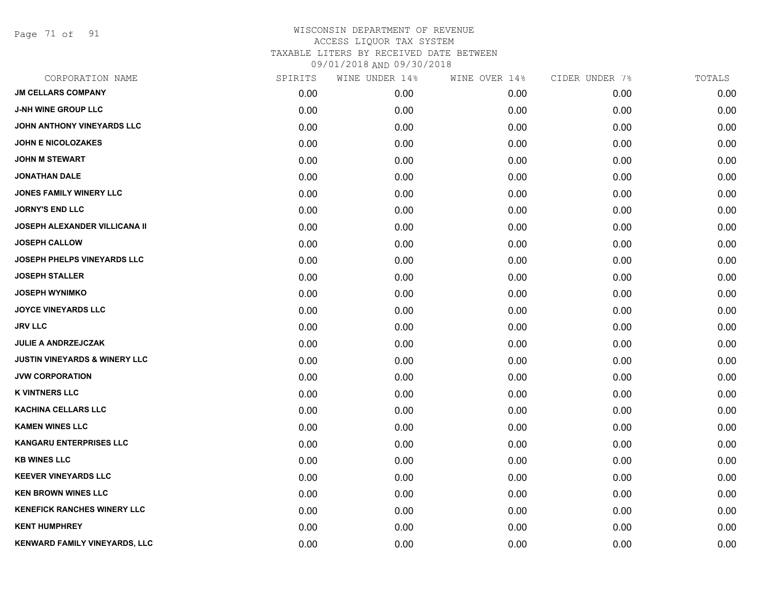Page 71 of 91

| CORPORATION NAME                         | SPIRITS | WINE UNDER 14% | WINE OVER 14% | CIDER UNDER 7% | TOTALS |
|------------------------------------------|---------|----------------|---------------|----------------|--------|
| <b>JM CELLARS COMPANY</b>                | 0.00    | 0.00           | 0.00          | 0.00           | 0.00   |
| <b>J-NH WINE GROUP LLC</b>               | 0.00    | 0.00           | 0.00          | 0.00           | 0.00   |
| JOHN ANTHONY VINEYARDS LLC               | 0.00    | 0.00           | 0.00          | 0.00           | 0.00   |
| <b>JOHN E NICOLOZAKES</b>                | 0.00    | 0.00           | 0.00          | 0.00           | 0.00   |
| <b>JOHN M STEWART</b>                    | 0.00    | 0.00           | 0.00          | 0.00           | 0.00   |
| <b>JONATHAN DALE</b>                     | 0.00    | 0.00           | 0.00          | 0.00           | 0.00   |
| <b>JONES FAMILY WINERY LLC</b>           | 0.00    | 0.00           | 0.00          | 0.00           | 0.00   |
| <b>JORNY'S END LLC</b>                   | 0.00    | 0.00           | 0.00          | 0.00           | 0.00   |
| <b>JOSEPH ALEXANDER VILLICANA II</b>     | 0.00    | 0.00           | 0.00          | 0.00           | 0.00   |
| <b>JOSEPH CALLOW</b>                     | 0.00    | 0.00           | 0.00          | 0.00           | 0.00   |
| JOSEPH PHELPS VINEYARDS LLC              | 0.00    | 0.00           | 0.00          | 0.00           | 0.00   |
| <b>JOSEPH STALLER</b>                    | 0.00    | 0.00           | 0.00          | 0.00           | 0.00   |
| <b>JOSEPH WYNIMKO</b>                    | 0.00    | 0.00           | 0.00          | 0.00           | 0.00   |
| <b>JOYCE VINEYARDS LLC</b>               | 0.00    | 0.00           | 0.00          | 0.00           | 0.00   |
| <b>JRV LLC</b>                           | 0.00    | 0.00           | 0.00          | 0.00           | 0.00   |
| <b>JULIE A ANDRZEJCZAK</b>               | 0.00    | 0.00           | 0.00          | 0.00           | 0.00   |
| <b>JUSTIN VINEYARDS &amp; WINERY LLC</b> | 0.00    | 0.00           | 0.00          | 0.00           | 0.00   |
| <b>JVW CORPORATION</b>                   | 0.00    | 0.00           | 0.00          | 0.00           | 0.00   |
| <b>K VINTNERS LLC</b>                    | 0.00    | 0.00           | 0.00          | 0.00           | 0.00   |
| <b>KACHINA CELLARS LLC</b>               | 0.00    | 0.00           | 0.00          | 0.00           | 0.00   |
| <b>KAMEN WINES LLC</b>                   | 0.00    | 0.00           | 0.00          | 0.00           | 0.00   |
| KANGARU ENTERPRISES LLC                  | 0.00    | 0.00           | 0.00          | 0.00           | 0.00   |
| <b>KB WINES LLC</b>                      | 0.00    | 0.00           | 0.00          | 0.00           | 0.00   |
| <b>KEEVER VINEYARDS LLC</b>              | 0.00    | 0.00           | 0.00          | 0.00           | 0.00   |
| <b>KEN BROWN WINES LLC</b>               | 0.00    | 0.00           | 0.00          | 0.00           | 0.00   |
| <b>KENEFICK RANCHES WINERY LLC</b>       | 0.00    | 0.00           | 0.00          | 0.00           | 0.00   |
| <b>KENT HUMPHREY</b>                     | 0.00    | 0.00           | 0.00          | 0.00           | 0.00   |
| KENWARD FAMILY VINEYARDS, LLC            | 0.00    | 0.00           | 0.00          | 0.00           | 0.00   |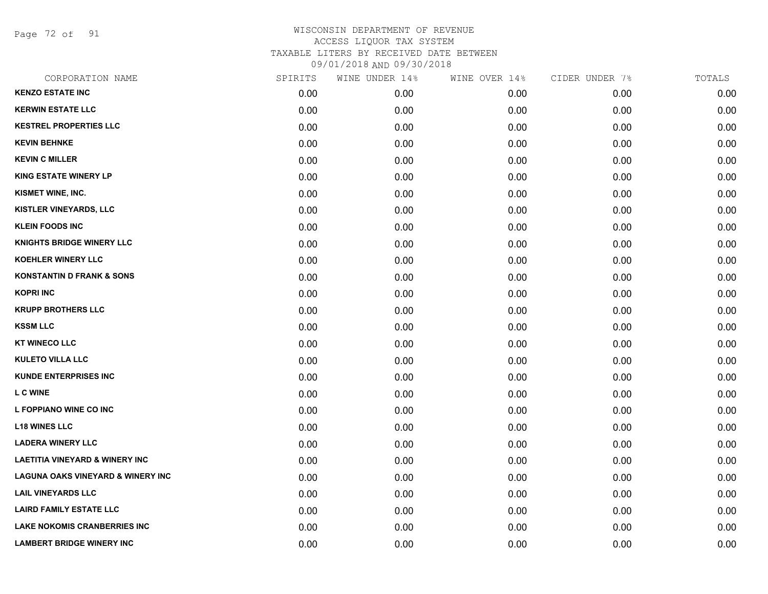Page 72 of 91

| CORPORATION NAME                             | SPIRITS | WINE UNDER 14% | WINE OVER 14% | CIDER UNDER 7% | TOTALS |
|----------------------------------------------|---------|----------------|---------------|----------------|--------|
| <b>KENZO ESTATE INC</b>                      | 0.00    | 0.00           | 0.00          | 0.00           | 0.00   |
| <b>KERWIN ESTATE LLC</b>                     | 0.00    | 0.00           | 0.00          | 0.00           | 0.00   |
| <b>KESTREL PROPERTIES LLC</b>                | 0.00    | 0.00           | 0.00          | 0.00           | 0.00   |
| <b>KEVIN BEHNKE</b>                          | 0.00    | 0.00           | 0.00          | 0.00           | 0.00   |
| <b>KEVIN C MILLER</b>                        | 0.00    | 0.00           | 0.00          | 0.00           | 0.00   |
| <b>KING ESTATE WINERY LP</b>                 | 0.00    | 0.00           | 0.00          | 0.00           | 0.00   |
| KISMET WINE, INC.                            | 0.00    | 0.00           | 0.00          | 0.00           | 0.00   |
| KISTLER VINEYARDS, LLC                       | 0.00    | 0.00           | 0.00          | 0.00           | 0.00   |
| <b>KLEIN FOODS INC</b>                       | 0.00    | 0.00           | 0.00          | 0.00           | 0.00   |
| <b>KNIGHTS BRIDGE WINERY LLC</b>             | 0.00    | 0.00           | 0.00          | 0.00           | 0.00   |
| <b>KOEHLER WINERY LLC</b>                    | 0.00    | 0.00           | 0.00          | 0.00           | 0.00   |
| <b>KONSTANTIN D FRANK &amp; SONS</b>         | 0.00    | 0.00           | 0.00          | 0.00           | 0.00   |
| <b>KOPRI INC</b>                             | 0.00    | 0.00           | 0.00          | 0.00           | 0.00   |
| <b>KRUPP BROTHERS LLC</b>                    | 0.00    | 0.00           | 0.00          | 0.00           | 0.00   |
| <b>KSSM LLC</b>                              | 0.00    | 0.00           | 0.00          | 0.00           | 0.00   |
| <b>KT WINECO LLC</b>                         | 0.00    | 0.00           | 0.00          | 0.00           | 0.00   |
| <b>KULETO VILLA LLC</b>                      | 0.00    | 0.00           | 0.00          | 0.00           | 0.00   |
| <b>KUNDE ENTERPRISES INC</b>                 | 0.00    | 0.00           | 0.00          | 0.00           | 0.00   |
| <b>LC WINE</b>                               | 0.00    | 0.00           | 0.00          | 0.00           | 0.00   |
| L FOPPIANO WINE CO INC                       | 0.00    | 0.00           | 0.00          | 0.00           | 0.00   |
| <b>L18 WINES LLC</b>                         | 0.00    | 0.00           | 0.00          | 0.00           | 0.00   |
| <b>LADERA WINERY LLC</b>                     | 0.00    | 0.00           | 0.00          | 0.00           | 0.00   |
| <b>LAETITIA VINEYARD &amp; WINERY INC</b>    | 0.00    | 0.00           | 0.00          | 0.00           | 0.00   |
| <b>LAGUNA OAKS VINEYARD &amp; WINERY INC</b> | 0.00    | 0.00           | 0.00          | 0.00           | 0.00   |
| <b>LAIL VINEYARDS LLC</b>                    | 0.00    | 0.00           | 0.00          | 0.00           | 0.00   |
| <b>LAIRD FAMILY ESTATE LLC</b>               | 0.00    | 0.00           | 0.00          | 0.00           | 0.00   |
| LAKE NOKOMIS CRANBERRIES INC                 | 0.00    | 0.00           | 0.00          | 0.00           | 0.00   |
| <b>LAMBERT BRIDGE WINERY INC</b>             | 0.00    | 0.00           | 0.00          | 0.00           | 0.00   |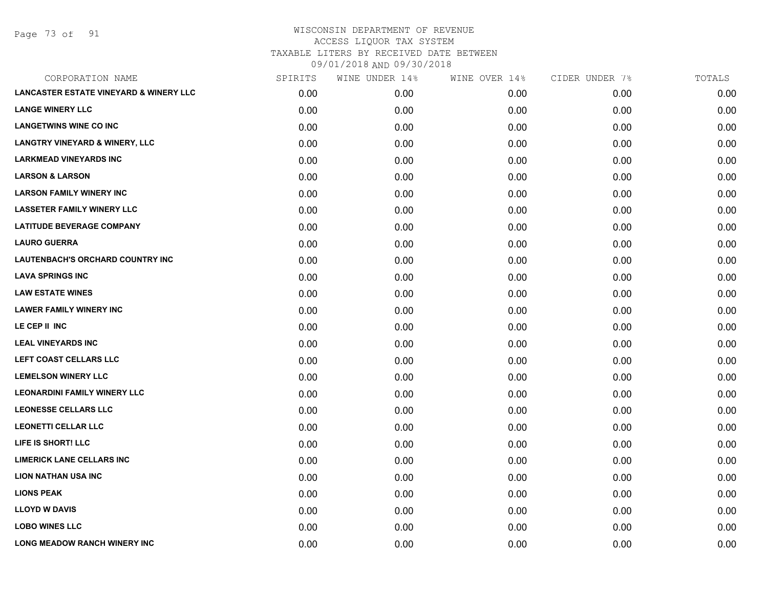Page 73 of 91

| CORPORATION NAME                                  | SPIRITS | WINE UNDER 14% | WINE OVER 14% | CIDER UNDER 7% | TOTALS |
|---------------------------------------------------|---------|----------------|---------------|----------------|--------|
| <b>LANCASTER ESTATE VINEYARD &amp; WINERY LLC</b> | 0.00    | 0.00           | 0.00          | 0.00           | 0.00   |
| <b>LANGE WINERY LLC</b>                           | 0.00    | 0.00           | 0.00          | 0.00           | 0.00   |
| <b>LANGETWINS WINE CO INC</b>                     | 0.00    | 0.00           | 0.00          | 0.00           | 0.00   |
| <b>LANGTRY VINEYARD &amp; WINERY, LLC</b>         | 0.00    | 0.00           | 0.00          | 0.00           | 0.00   |
| <b>LARKMEAD VINEYARDS INC</b>                     | 0.00    | 0.00           | 0.00          | 0.00           | 0.00   |
| <b>LARSON &amp; LARSON</b>                        | 0.00    | 0.00           | 0.00          | 0.00           | 0.00   |
| <b>LARSON FAMILY WINERY INC</b>                   | 0.00    | 0.00           | 0.00          | 0.00           | 0.00   |
| <b>LASSETER FAMILY WINERY LLC</b>                 | 0.00    | 0.00           | 0.00          | 0.00           | 0.00   |
| <b>LATITUDE BEVERAGE COMPANY</b>                  | 0.00    | 0.00           | 0.00          | 0.00           | 0.00   |
| <b>LAURO GUERRA</b>                               | 0.00    | 0.00           | 0.00          | 0.00           | 0.00   |
| <b>LAUTENBACH'S ORCHARD COUNTRY INC</b>           | 0.00    | 0.00           | 0.00          | 0.00           | 0.00   |
| <b>LAVA SPRINGS INC</b>                           | 0.00    | 0.00           | 0.00          | 0.00           | 0.00   |
| <b>LAW ESTATE WINES</b>                           | 0.00    | 0.00           | 0.00          | 0.00           | 0.00   |
| <b>LAWER FAMILY WINERY INC</b>                    | 0.00    | 0.00           | 0.00          | 0.00           | 0.00   |
| LE CEP II INC                                     | 0.00    | 0.00           | 0.00          | 0.00           | 0.00   |
| <b>LEAL VINEYARDS INC</b>                         | 0.00    | 0.00           | 0.00          | 0.00           | 0.00   |
| <b>LEFT COAST CELLARS LLC</b>                     | 0.00    | 0.00           | 0.00          | 0.00           | 0.00   |
| <b>LEMELSON WINERY LLC</b>                        | 0.00    | 0.00           | 0.00          | 0.00           | 0.00   |
| <b>LEONARDINI FAMILY WINERY LLC</b>               | 0.00    | 0.00           | 0.00          | 0.00           | 0.00   |
| <b>LEONESSE CELLARS LLC</b>                       | 0.00    | 0.00           | 0.00          | 0.00           | 0.00   |
| <b>LEONETTI CELLAR LLC</b>                        | 0.00    | 0.00           | 0.00          | 0.00           | 0.00   |
| LIFE IS SHORT! LLC                                | 0.00    | 0.00           | 0.00          | 0.00           | 0.00   |
| <b>LIMERICK LANE CELLARS INC</b>                  | 0.00    | 0.00           | 0.00          | 0.00           | 0.00   |
| <b>LION NATHAN USA INC</b>                        | 0.00    | 0.00           | 0.00          | 0.00           | 0.00   |
| <b>LIONS PEAK</b>                                 | 0.00    | 0.00           | 0.00          | 0.00           | 0.00   |
| <b>LLOYD W DAVIS</b>                              | 0.00    | 0.00           | 0.00          | 0.00           | 0.00   |
| <b>LOBO WINES LLC</b>                             | 0.00    | 0.00           | 0.00          | 0.00           | 0.00   |
| LONG MEADOW RANCH WINERY INC                      | 0.00    | 0.00           | 0.00          | 0.00           | 0.00   |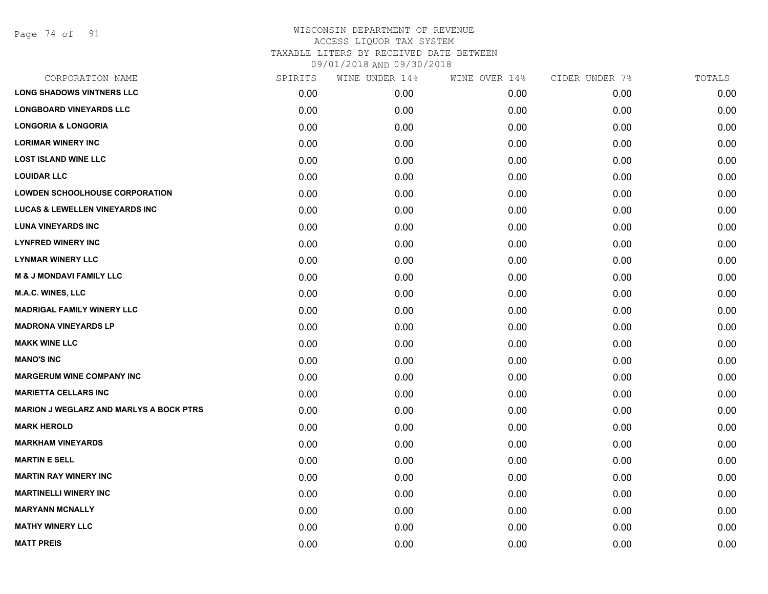Page 74 of 91

| CORPORATION NAME                               | SPIRITS | WINE UNDER 14% | WINE OVER 14% | CIDER UNDER 7% | TOTALS |
|------------------------------------------------|---------|----------------|---------------|----------------|--------|
| <b>LONG SHADOWS VINTNERS LLC</b>               | 0.00    | 0.00           | 0.00          | 0.00           | 0.00   |
| <b>LONGBOARD VINEYARDS LLC</b>                 | 0.00    | 0.00           | 0.00          | 0.00           | 0.00   |
| <b>LONGORIA &amp; LONGORIA</b>                 | 0.00    | 0.00           | 0.00          | 0.00           | 0.00   |
| <b>LORIMAR WINERY INC</b>                      | 0.00    | 0.00           | 0.00          | 0.00           | 0.00   |
| <b>LOST ISLAND WINE LLC</b>                    | 0.00    | 0.00           | 0.00          | 0.00           | 0.00   |
| <b>LOUIDAR LLC</b>                             | 0.00    | 0.00           | 0.00          | 0.00           | 0.00   |
| <b>LOWDEN SCHOOLHOUSE CORPORATION</b>          | 0.00    | 0.00           | 0.00          | 0.00           | 0.00   |
| <b>LUCAS &amp; LEWELLEN VINEYARDS INC</b>      | 0.00    | 0.00           | 0.00          | 0.00           | 0.00   |
| <b>LUNA VINEYARDS INC</b>                      | 0.00    | 0.00           | 0.00          | 0.00           | 0.00   |
| <b>LYNFRED WINERY INC</b>                      | 0.00    | 0.00           | 0.00          | 0.00           | 0.00   |
| <b>LYNMAR WINERY LLC</b>                       | 0.00    | 0.00           | 0.00          | 0.00           | 0.00   |
| <b>M &amp; J MONDAVI FAMILY LLC</b>            | 0.00    | 0.00           | 0.00          | 0.00           | 0.00   |
| M.A.C. WINES, LLC                              | 0.00    | 0.00           | 0.00          | 0.00           | 0.00   |
| <b>MADRIGAL FAMILY WINERY LLC</b>              | 0.00    | 0.00           | 0.00          | 0.00           | 0.00   |
| <b>MADRONA VINEYARDS LP</b>                    | 0.00    | 0.00           | 0.00          | 0.00           | 0.00   |
| <b>MAKK WINE LLC</b>                           | 0.00    | 0.00           | 0.00          | 0.00           | 0.00   |
| <b>MANO'S INC</b>                              | 0.00    | 0.00           | 0.00          | 0.00           | 0.00   |
| <b>MARGERUM WINE COMPANY INC</b>               | 0.00    | 0.00           | 0.00          | 0.00           | 0.00   |
| <b>MARIETTA CELLARS INC</b>                    | 0.00    | 0.00           | 0.00          | 0.00           | 0.00   |
| <b>MARION J WEGLARZ AND MARLYS A BOCK PTRS</b> | 0.00    | 0.00           | 0.00          | 0.00           | 0.00   |
| <b>MARK HEROLD</b>                             | 0.00    | 0.00           | 0.00          | 0.00           | 0.00   |
| <b>MARKHAM VINEYARDS</b>                       | 0.00    | 0.00           | 0.00          | 0.00           | 0.00   |
| <b>MARTIN E SELL</b>                           | 0.00    | 0.00           | 0.00          | 0.00           | 0.00   |
| <b>MARTIN RAY WINERY INC</b>                   | 0.00    | 0.00           | 0.00          | 0.00           | 0.00   |
| <b>MARTINELLI WINERY INC</b>                   | 0.00    | 0.00           | 0.00          | 0.00           | 0.00   |
| <b>MARYANN MCNALLY</b>                         | 0.00    | 0.00           | 0.00          | 0.00           | 0.00   |
| <b>MATHY WINERY LLC</b>                        | 0.00    | 0.00           | 0.00          | 0.00           | 0.00   |
| <b>MATT PREIS</b>                              | 0.00    | 0.00           | 0.00          | 0.00           | 0.00   |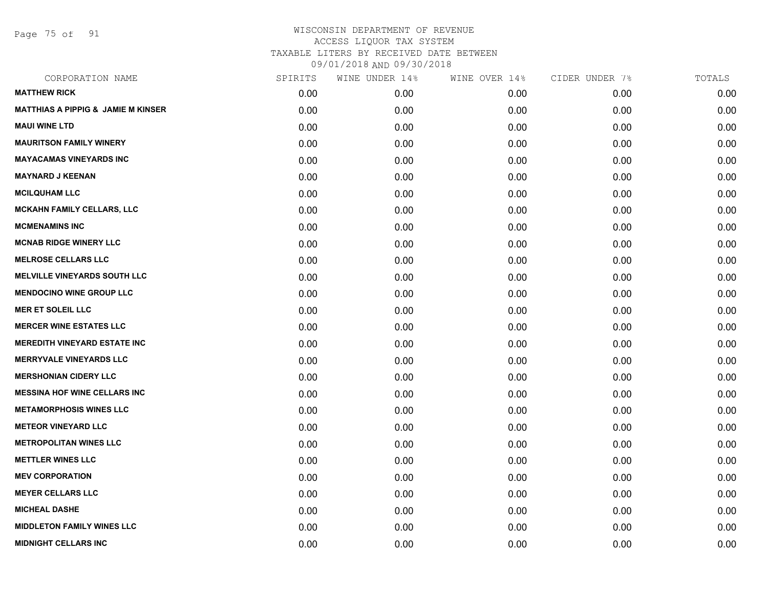Page 75 of 91

| CORPORATION NAME                              | SPIRITS | WINE UNDER 14% | WINE OVER 14% | CIDER UNDER 7% | TOTALS |
|-----------------------------------------------|---------|----------------|---------------|----------------|--------|
| <b>MATTHEW RICK</b>                           | 0.00    | 0.00           | 0.00          | 0.00           | 0.00   |
| <b>MATTHIAS A PIPPIG &amp; JAMIE M KINSER</b> | 0.00    | 0.00           | 0.00          | 0.00           | 0.00   |
| <b>MAUI WINE LTD</b>                          | 0.00    | 0.00           | 0.00          | 0.00           | 0.00   |
| <b>MAURITSON FAMILY WINERY</b>                | 0.00    | 0.00           | 0.00          | 0.00           | 0.00   |
| <b>MAYACAMAS VINEYARDS INC</b>                | 0.00    | 0.00           | 0.00          | 0.00           | 0.00   |
| <b>MAYNARD J KEENAN</b>                       | 0.00    | 0.00           | 0.00          | 0.00           | 0.00   |
| <b>MCILQUHAM LLC</b>                          | 0.00    | 0.00           | 0.00          | 0.00           | 0.00   |
| <b>MCKAHN FAMILY CELLARS, LLC</b>             | 0.00    | 0.00           | 0.00          | 0.00           | 0.00   |
| <b>MCMENAMINS INC</b>                         | 0.00    | 0.00           | 0.00          | 0.00           | 0.00   |
| <b>MCNAB RIDGE WINERY LLC</b>                 | 0.00    | 0.00           | 0.00          | 0.00           | 0.00   |
| <b>MELROSE CELLARS LLC</b>                    | 0.00    | 0.00           | 0.00          | 0.00           | 0.00   |
| <b>MELVILLE VINEYARDS SOUTH LLC</b>           | 0.00    | 0.00           | 0.00          | 0.00           | 0.00   |
| <b>MENDOCINO WINE GROUP LLC</b>               | 0.00    | 0.00           | 0.00          | 0.00           | 0.00   |
| <b>MER ET SOLEIL LLC</b>                      | 0.00    | 0.00           | 0.00          | 0.00           | 0.00   |
| <b>MERCER WINE ESTATES LLC</b>                | 0.00    | 0.00           | 0.00          | 0.00           | 0.00   |
| <b>MEREDITH VINEYARD ESTATE INC</b>           | 0.00    | 0.00           | 0.00          | 0.00           | 0.00   |
| <b>MERRYVALE VINEYARDS LLC</b>                | 0.00    | 0.00           | 0.00          | 0.00           | 0.00   |
| <b>MERSHONIAN CIDERY LLC</b>                  | 0.00    | 0.00           | 0.00          | 0.00           | 0.00   |
| <b>MESSINA HOF WINE CELLARS INC</b>           | 0.00    | 0.00           | 0.00          | 0.00           | 0.00   |
| <b>METAMORPHOSIS WINES LLC</b>                | 0.00    | 0.00           | 0.00          | 0.00           | 0.00   |
| <b>METEOR VINEYARD LLC</b>                    | 0.00    | 0.00           | 0.00          | 0.00           | 0.00   |
| <b>METROPOLITAN WINES LLC</b>                 | 0.00    | 0.00           | 0.00          | 0.00           | 0.00   |
| <b>METTLER WINES LLC</b>                      | 0.00    | 0.00           | 0.00          | 0.00           | 0.00   |
| <b>MEV CORPORATION</b>                        | 0.00    | 0.00           | 0.00          | 0.00           | 0.00   |
| <b>MEYER CELLARS LLC</b>                      | 0.00    | 0.00           | 0.00          | 0.00           | 0.00   |
| <b>MICHEAL DASHE</b>                          | 0.00    | 0.00           | 0.00          | 0.00           | 0.00   |
| <b>MIDDLETON FAMILY WINES LLC</b>             | 0.00    | 0.00           | 0.00          | 0.00           | 0.00   |
| <b>MIDNIGHT CELLARS INC</b>                   | 0.00    | 0.00           | 0.00          | 0.00           | 0.00   |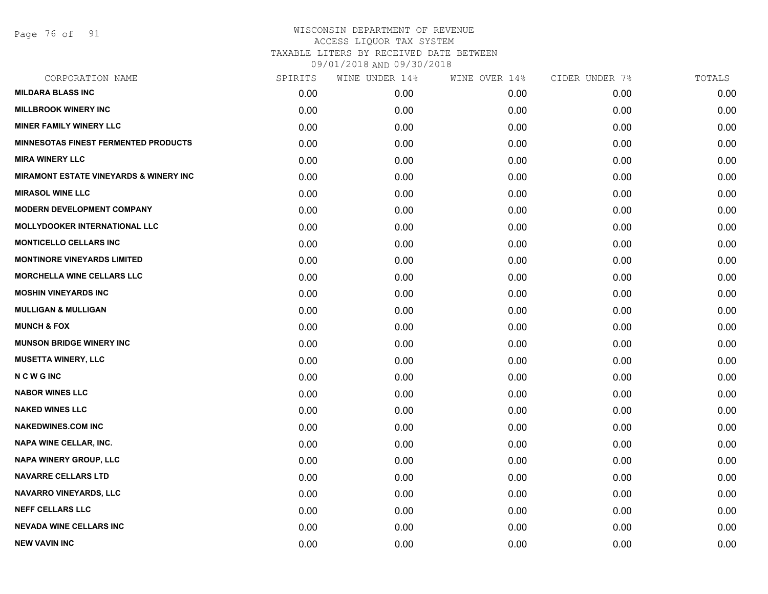Page 76 of 91

| CORPORATION NAME                                  | SPIRITS | WINE UNDER 14% | WINE OVER 14% | CIDER UNDER 7% | TOTALS |
|---------------------------------------------------|---------|----------------|---------------|----------------|--------|
| <b>MILDARA BLASS INC</b>                          | 0.00    | 0.00           | 0.00          | 0.00           | 0.00   |
| <b>MILLBROOK WINERY INC</b>                       | 0.00    | 0.00           | 0.00          | 0.00           | 0.00   |
| <b>MINER FAMILY WINERY LLC</b>                    | 0.00    | 0.00           | 0.00          | 0.00           | 0.00   |
| <b>MINNESOTAS FINEST FERMENTED PRODUCTS</b>       | 0.00    | 0.00           | 0.00          | 0.00           | 0.00   |
| <b>MIRA WINERY LLC</b>                            | 0.00    | 0.00           | 0.00          | 0.00           | 0.00   |
| <b>MIRAMONT ESTATE VINEYARDS &amp; WINERY INC</b> | 0.00    | 0.00           | 0.00          | 0.00           | 0.00   |
| <b>MIRASOL WINE LLC</b>                           | 0.00    | 0.00           | 0.00          | 0.00           | 0.00   |
| <b>MODERN DEVELOPMENT COMPANY</b>                 | 0.00    | 0.00           | 0.00          | 0.00           | 0.00   |
| <b>MOLLYDOOKER INTERNATIONAL LLC</b>              | 0.00    | 0.00           | 0.00          | 0.00           | 0.00   |
| <b>MONTICELLO CELLARS INC</b>                     | 0.00    | 0.00           | 0.00          | 0.00           | 0.00   |
| <b>MONTINORE VINEYARDS LIMITED</b>                | 0.00    | 0.00           | 0.00          | 0.00           | 0.00   |
| <b>MORCHELLA WINE CELLARS LLC</b>                 | 0.00    | 0.00           | 0.00          | 0.00           | 0.00   |
| <b>MOSHIN VINEYARDS INC</b>                       | 0.00    | 0.00           | 0.00          | 0.00           | 0.00   |
| <b>MULLIGAN &amp; MULLIGAN</b>                    | 0.00    | 0.00           | 0.00          | 0.00           | 0.00   |
| <b>MUNCH &amp; FOX</b>                            | 0.00    | 0.00           | 0.00          | 0.00           | 0.00   |
| <b>MUNSON BRIDGE WINERY INC</b>                   | 0.00    | 0.00           | 0.00          | 0.00           | 0.00   |
| <b>MUSETTA WINERY, LLC</b>                        | 0.00    | 0.00           | 0.00          | 0.00           | 0.00   |
| <b>NCWGINC</b>                                    | 0.00    | 0.00           | 0.00          | 0.00           | 0.00   |
| <b>NABOR WINES LLC</b>                            | 0.00    | 0.00           | 0.00          | 0.00           | 0.00   |
| <b>NAKED WINES LLC</b>                            | 0.00    | 0.00           | 0.00          | 0.00           | 0.00   |
| <b>NAKEDWINES.COM INC</b>                         | 0.00    | 0.00           | 0.00          | 0.00           | 0.00   |
| NAPA WINE CELLAR, INC.                            | 0.00    | 0.00           | 0.00          | 0.00           | 0.00   |
| <b>NAPA WINERY GROUP, LLC</b>                     | 0.00    | 0.00           | 0.00          | 0.00           | 0.00   |
| <b>NAVARRE CELLARS LTD</b>                        | 0.00    | 0.00           | 0.00          | 0.00           | 0.00   |
| <b>NAVARRO VINEYARDS, LLC</b>                     | 0.00    | 0.00           | 0.00          | 0.00           | 0.00   |
| <b>NEFF CELLARS LLC</b>                           | 0.00    | 0.00           | 0.00          | 0.00           | 0.00   |
| <b>NEVADA WINE CELLARS INC</b>                    | 0.00    | 0.00           | 0.00          | 0.00           | 0.00   |
| <b>NEW VAVIN INC</b>                              | 0.00    | 0.00           | 0.00          | 0.00           | 0.00   |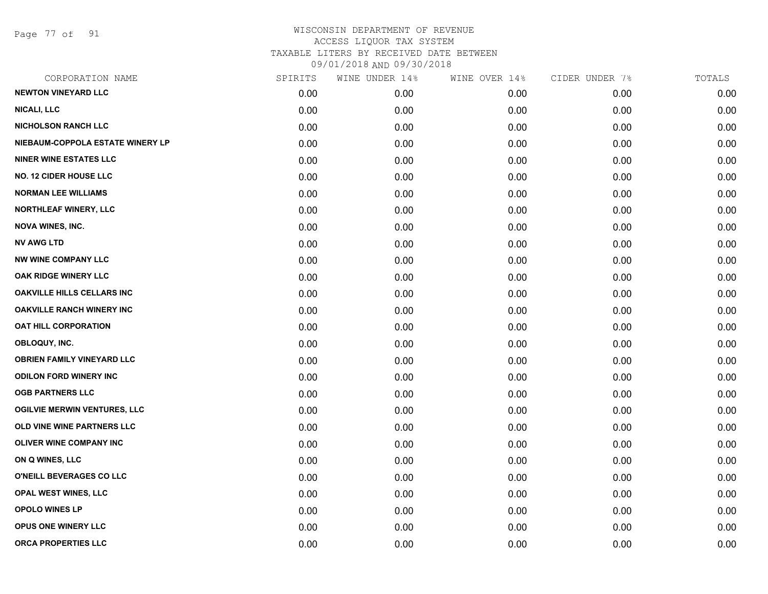Page 77 of 91

| CORPORATION NAME                    | SPIRITS | WINE UNDER 14% | WINE OVER 14% | CIDER UNDER 7% | TOTALS |
|-------------------------------------|---------|----------------|---------------|----------------|--------|
| <b>NEWTON VINEYARD LLC</b>          | 0.00    | 0.00           | 0.00          | 0.00           | 0.00   |
| <b>NICALI, LLC</b>                  | 0.00    | 0.00           | 0.00          | 0.00           | 0.00   |
| <b>NICHOLSON RANCH LLC</b>          | 0.00    | 0.00           | 0.00          | 0.00           | 0.00   |
| NIEBAUM-COPPOLA ESTATE WINERY LP    | 0.00    | 0.00           | 0.00          | 0.00           | 0.00   |
| <b>NINER WINE ESTATES LLC</b>       | 0.00    | 0.00           | 0.00          | 0.00           | 0.00   |
| <b>NO. 12 CIDER HOUSE LLC</b>       | 0.00    | 0.00           | 0.00          | 0.00           | 0.00   |
| <b>NORMAN LEE WILLIAMS</b>          | 0.00    | 0.00           | 0.00          | 0.00           | 0.00   |
| <b>NORTHLEAF WINERY, LLC</b>        | 0.00    | 0.00           | 0.00          | 0.00           | 0.00   |
| <b>NOVA WINES, INC.</b>             | 0.00    | 0.00           | 0.00          | 0.00           | 0.00   |
| <b>NV AWG LTD</b>                   | 0.00    | 0.00           | 0.00          | 0.00           | 0.00   |
| <b>NW WINE COMPANY LLC</b>          | 0.00    | 0.00           | 0.00          | 0.00           | 0.00   |
| OAK RIDGE WINERY LLC                | 0.00    | 0.00           | 0.00          | 0.00           | 0.00   |
| OAKVILLE HILLS CELLARS INC          | 0.00    | 0.00           | 0.00          | 0.00           | 0.00   |
| <b>OAKVILLE RANCH WINERY INC</b>    | 0.00    | 0.00           | 0.00          | 0.00           | 0.00   |
| <b>OAT HILL CORPORATION</b>         | 0.00    | 0.00           | 0.00          | 0.00           | 0.00   |
| OBLOQUY, INC.                       | 0.00    | 0.00           | 0.00          | 0.00           | 0.00   |
| <b>OBRIEN FAMILY VINEYARD LLC</b>   | 0.00    | 0.00           | 0.00          | 0.00           | 0.00   |
| <b>ODILON FORD WINERY INC</b>       | 0.00    | 0.00           | 0.00          | 0.00           | 0.00   |
| <b>OGB PARTNERS LLC</b>             | 0.00    | 0.00           | 0.00          | 0.00           | 0.00   |
| <b>OGILVIE MERWIN VENTURES, LLC</b> | 0.00    | 0.00           | 0.00          | 0.00           | 0.00   |
| OLD VINE WINE PARTNERS LLC          | 0.00    | 0.00           | 0.00          | 0.00           | 0.00   |
| <b>OLIVER WINE COMPANY INC</b>      | 0.00    | 0.00           | 0.00          | 0.00           | 0.00   |
| ON Q WINES, LLC                     | 0.00    | 0.00           | 0.00          | 0.00           | 0.00   |
| O'NEILL BEVERAGES CO LLC            | 0.00    | 0.00           | 0.00          | 0.00           | 0.00   |
| OPAL WEST WINES, LLC                | 0.00    | 0.00           | 0.00          | 0.00           | 0.00   |
| <b>OPOLO WINES LP</b>               | 0.00    | 0.00           | 0.00          | 0.00           | 0.00   |
| OPUS ONE WINERY LLC                 | 0.00    | 0.00           | 0.00          | 0.00           | 0.00   |
| ORCA PROPERTIES LLC                 | 0.00    | 0.00           | 0.00          | 0.00           | 0.00   |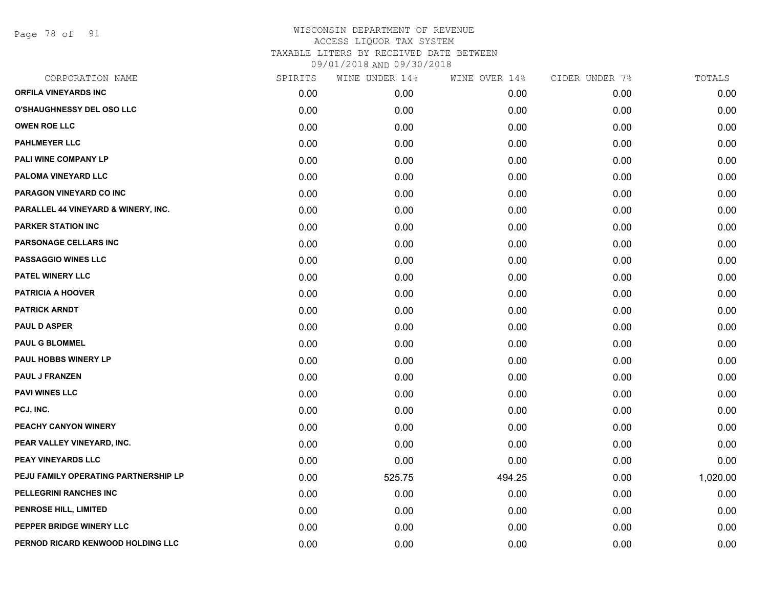Page 78 of 91

| SPIRITS | WINE UNDER 14% | WINE OVER 14% | CIDER UNDER 7% | TOTALS   |
|---------|----------------|---------------|----------------|----------|
| 0.00    | 0.00           | 0.00          | 0.00           | 0.00     |
| 0.00    | 0.00           | 0.00          | 0.00           | 0.00     |
| 0.00    | 0.00           | 0.00          | 0.00           | 0.00     |
| 0.00    | 0.00           | 0.00          | 0.00           | 0.00     |
| 0.00    | 0.00           | 0.00          | 0.00           | 0.00     |
| 0.00    | 0.00           | 0.00          | 0.00           | 0.00     |
| 0.00    | 0.00           | 0.00          | 0.00           | 0.00     |
| 0.00    | 0.00           | 0.00          | 0.00           | 0.00     |
| 0.00    | 0.00           | 0.00          | 0.00           | 0.00     |
| 0.00    | 0.00           | 0.00          | 0.00           | 0.00     |
| 0.00    | 0.00           | 0.00          | 0.00           | 0.00     |
| 0.00    | 0.00           | 0.00          | 0.00           | 0.00     |
| 0.00    | 0.00           | 0.00          | 0.00           | 0.00     |
| 0.00    | 0.00           | 0.00          | 0.00           | 0.00     |
| 0.00    | 0.00           | 0.00          | 0.00           | 0.00     |
| 0.00    | 0.00           | 0.00          | 0.00           | 0.00     |
| 0.00    | 0.00           | 0.00          | 0.00           | 0.00     |
| 0.00    | 0.00           | 0.00          | 0.00           | 0.00     |
| 0.00    | 0.00           | 0.00          | 0.00           | 0.00     |
| 0.00    | 0.00           | 0.00          | 0.00           | 0.00     |
| 0.00    | 0.00           | 0.00          | 0.00           | 0.00     |
| 0.00    | 0.00           | 0.00          | 0.00           | 0.00     |
| 0.00    | 0.00           | 0.00          | 0.00           | 0.00     |
| 0.00    | 525.75         | 494.25        | 0.00           | 1,020.00 |
| 0.00    | 0.00           | 0.00          | 0.00           | 0.00     |
| 0.00    | 0.00           | 0.00          | 0.00           | 0.00     |
| 0.00    | 0.00           | 0.00          | 0.00           | 0.00     |
| 0.00    | 0.00           | 0.00          | 0.00           | 0.00     |
|         |                |               |                |          |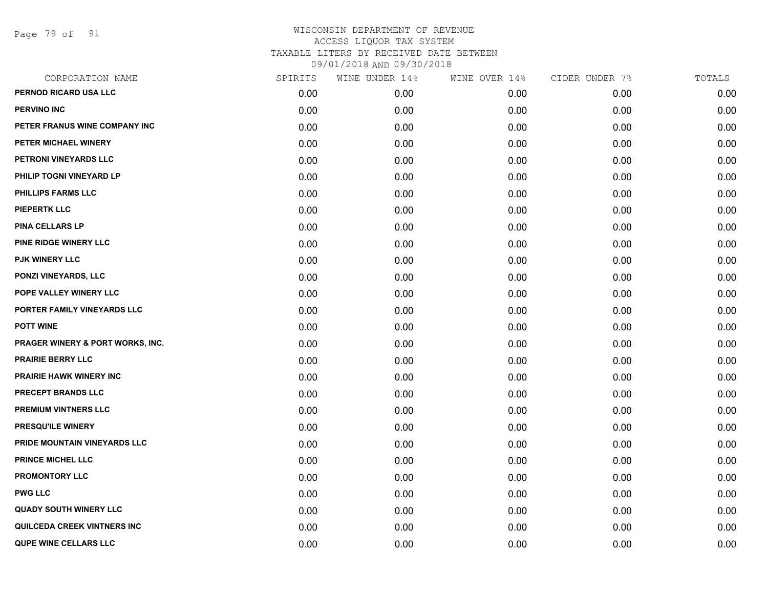Page 79 of 91

| CORPORATION NAME                   | SPIRITS | WINE UNDER 14% | WINE OVER 14% | CIDER UNDER 7% | TOTALS |
|------------------------------------|---------|----------------|---------------|----------------|--------|
| PERNOD RICARD USA LLC              | 0.00    | 0.00           | 0.00          | 0.00           | 0.00   |
| <b>PERVINO INC</b>                 | 0.00    | 0.00           | 0.00          | 0.00           | 0.00   |
| PETER FRANUS WINE COMPANY INC      | 0.00    | 0.00           | 0.00          | 0.00           | 0.00   |
| PETER MICHAEL WINERY               | 0.00    | 0.00           | 0.00          | 0.00           | 0.00   |
| PETRONI VINEYARDS LLC              | 0.00    | 0.00           | 0.00          | 0.00           | 0.00   |
| PHILIP TOGNI VINEYARD LP           | 0.00    | 0.00           | 0.00          | 0.00           | 0.00   |
| <b>PHILLIPS FARMS LLC</b>          | 0.00    | 0.00           | 0.00          | 0.00           | 0.00   |
| <b>PIEPERTK LLC</b>                | 0.00    | 0.00           | 0.00          | 0.00           | 0.00   |
| PINA CELLARS LP                    | 0.00    | 0.00           | 0.00          | 0.00           | 0.00   |
| PINE RIDGE WINERY LLC              | 0.00    | 0.00           | 0.00          | 0.00           | 0.00   |
| <b>PJK WINERY LLC</b>              | 0.00    | 0.00           | 0.00          | 0.00           | 0.00   |
| PONZI VINEYARDS, LLC               | 0.00    | 0.00           | 0.00          | 0.00           | 0.00   |
| POPE VALLEY WINERY LLC             | 0.00    | 0.00           | 0.00          | 0.00           | 0.00   |
| PORTER FAMILY VINEYARDS LLC        | 0.00    | 0.00           | 0.00          | 0.00           | 0.00   |
| <b>POTT WINE</b>                   | 0.00    | 0.00           | 0.00          | 0.00           | 0.00   |
| PRAGER WINERY & PORT WORKS, INC.   | 0.00    | 0.00           | 0.00          | 0.00           | 0.00   |
| <b>PRAIRIE BERRY LLC</b>           | 0.00    | 0.00           | 0.00          | 0.00           | 0.00   |
| <b>PRAIRIE HAWK WINERY INC</b>     | 0.00    | 0.00           | 0.00          | 0.00           | 0.00   |
| PRECEPT BRANDS LLC                 | 0.00    | 0.00           | 0.00          | 0.00           | 0.00   |
| <b>PREMIUM VINTNERS LLC</b>        | 0.00    | 0.00           | 0.00          | 0.00           | 0.00   |
| <b>PRESQU'ILE WINERY</b>           | 0.00    | 0.00           | 0.00          | 0.00           | 0.00   |
| PRIDE MOUNTAIN VINEYARDS LLC       | 0.00    | 0.00           | 0.00          | 0.00           | 0.00   |
| <b>PRINCE MICHEL LLC</b>           | 0.00    | 0.00           | 0.00          | 0.00           | 0.00   |
| <b>PROMONTORY LLC</b>              | 0.00    | 0.00           | 0.00          | 0.00           | 0.00   |
| <b>PWG LLC</b>                     | 0.00    | 0.00           | 0.00          | 0.00           | 0.00   |
| <b>QUADY SOUTH WINERY LLC</b>      | 0.00    | 0.00           | 0.00          | 0.00           | 0.00   |
| <b>QUILCEDA CREEK VINTNERS INC</b> | 0.00    | 0.00           | 0.00          | 0.00           | 0.00   |
| <b>QUPE WINE CELLARS LLC</b>       | 0.00    | 0.00           | 0.00          | 0.00           | 0.00   |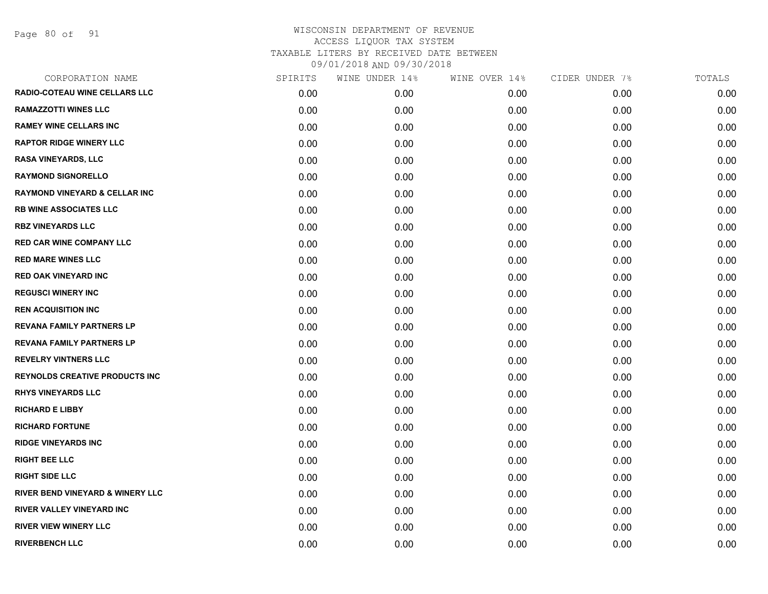Page 80 of 91

|      | WINE UNDER 14% | WINE OVER 14% | CIDER UNDER 7% | TOTALS |
|------|----------------|---------------|----------------|--------|
| 0.00 | 0.00           | 0.00          | 0.00           | 0.00   |
| 0.00 | 0.00           | 0.00          | 0.00           | 0.00   |
| 0.00 | 0.00           | 0.00          | 0.00           | 0.00   |
| 0.00 | 0.00           | 0.00          | 0.00           | 0.00   |
| 0.00 | 0.00           | 0.00          | 0.00           | 0.00   |
| 0.00 | 0.00           | 0.00          | 0.00           | 0.00   |
| 0.00 | 0.00           | 0.00          | 0.00           | 0.00   |
| 0.00 | 0.00           | 0.00          | 0.00           | 0.00   |
| 0.00 | 0.00           | 0.00          | 0.00           | 0.00   |
| 0.00 | 0.00           | 0.00          | 0.00           | 0.00   |
| 0.00 | 0.00           | 0.00          | 0.00           | 0.00   |
| 0.00 | 0.00           | 0.00          | 0.00           | 0.00   |
| 0.00 | 0.00           | 0.00          | 0.00           | 0.00   |
| 0.00 | 0.00           | 0.00          | 0.00           | 0.00   |
| 0.00 | 0.00           | 0.00          | 0.00           | 0.00   |
| 0.00 | 0.00           | 0.00          | 0.00           | 0.00   |
| 0.00 | 0.00           | 0.00          | 0.00           | 0.00   |
| 0.00 | 0.00           | 0.00          | 0.00           | 0.00   |
| 0.00 | 0.00           | 0.00          | 0.00           | 0.00   |
| 0.00 | 0.00           | 0.00          | 0.00           | 0.00   |
| 0.00 | 0.00           | 0.00          | 0.00           | 0.00   |
| 0.00 | 0.00           | 0.00          | 0.00           | 0.00   |
| 0.00 | 0.00           | 0.00          | 0.00           | 0.00   |
| 0.00 | 0.00           | 0.00          | 0.00           | 0.00   |
| 0.00 | 0.00           | 0.00          | 0.00           | 0.00   |
| 0.00 | 0.00           | 0.00          | 0.00           | 0.00   |
| 0.00 | 0.00           | 0.00          | 0.00           | 0.00   |
| 0.00 | 0.00           | 0.00          | 0.00           | 0.00   |
|      | SPIRITS        |               |                |        |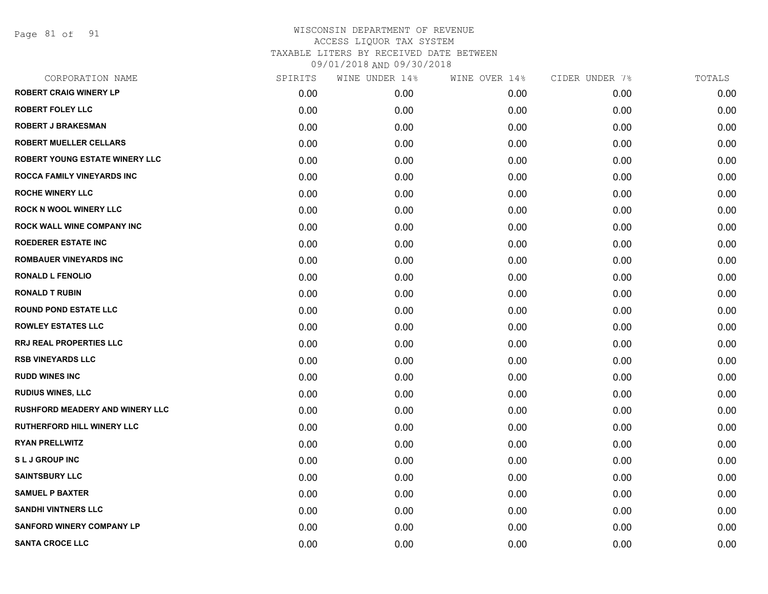Page 81 of 91

| CORPORATION NAME                       | SPIRITS | WINE UNDER 14% | WINE OVER 14% | CIDER UNDER 7% | TOTALS |
|----------------------------------------|---------|----------------|---------------|----------------|--------|
| <b>ROBERT CRAIG WINERY LP</b>          | 0.00    | 0.00           | 0.00          | 0.00           | 0.00   |
| <b>ROBERT FOLEY LLC</b>                | 0.00    | 0.00           | 0.00          | 0.00           | 0.00   |
| <b>ROBERT J BRAKESMAN</b>              | 0.00    | 0.00           | 0.00          | 0.00           | 0.00   |
| <b>ROBERT MUELLER CELLARS</b>          | 0.00    | 0.00           | 0.00          | 0.00           | 0.00   |
| <b>ROBERT YOUNG ESTATE WINERY LLC</b>  | 0.00    | 0.00           | 0.00          | 0.00           | 0.00   |
| ROCCA FAMILY VINEYARDS INC             | 0.00    | 0.00           | 0.00          | 0.00           | 0.00   |
| <b>ROCHE WINERY LLC</b>                | 0.00    | 0.00           | 0.00          | 0.00           | 0.00   |
| <b>ROCK N WOOL WINERY LLC</b>          | 0.00    | 0.00           | 0.00          | 0.00           | 0.00   |
| <b>ROCK WALL WINE COMPANY INC</b>      | 0.00    | 0.00           | 0.00          | 0.00           | 0.00   |
| <b>ROEDERER ESTATE INC</b>             | 0.00    | 0.00           | 0.00          | 0.00           | 0.00   |
| <b>ROMBAUER VINEYARDS INC</b>          | 0.00    | 0.00           | 0.00          | 0.00           | 0.00   |
| <b>RONALD L FENOLIO</b>                | 0.00    | 0.00           | 0.00          | 0.00           | 0.00   |
| <b>RONALD T RUBIN</b>                  | 0.00    | 0.00           | 0.00          | 0.00           | 0.00   |
| <b>ROUND POND ESTATE LLC</b>           | 0.00    | 0.00           | 0.00          | 0.00           | 0.00   |
| <b>ROWLEY ESTATES LLC</b>              | 0.00    | 0.00           | 0.00          | 0.00           | 0.00   |
| RRJ REAL PROPERTIES LLC                | 0.00    | 0.00           | 0.00          | 0.00           | 0.00   |
| <b>RSB VINEYARDS LLC</b>               | 0.00    | 0.00           | 0.00          | 0.00           | 0.00   |
| <b>RUDD WINES INC</b>                  | 0.00    | 0.00           | 0.00          | 0.00           | 0.00   |
| <b>RUDIUS WINES, LLC</b>               | 0.00    | 0.00           | 0.00          | 0.00           | 0.00   |
| <b>RUSHFORD MEADERY AND WINERY LLC</b> | 0.00    | 0.00           | 0.00          | 0.00           | 0.00   |
| <b>RUTHERFORD HILL WINERY LLC</b>      | 0.00    | 0.00           | 0.00          | 0.00           | 0.00   |
| <b>RYAN PRELLWITZ</b>                  | 0.00    | 0.00           | 0.00          | 0.00           | 0.00   |
| <b>SLJ GROUP INC</b>                   | 0.00    | 0.00           | 0.00          | 0.00           | 0.00   |
| <b>SAINTSBURY LLC</b>                  | 0.00    | 0.00           | 0.00          | 0.00           | 0.00   |
| <b>SAMUEL P BAXTER</b>                 | 0.00    | 0.00           | 0.00          | 0.00           | 0.00   |
| <b>SANDHI VINTNERS LLC</b>             | 0.00    | 0.00           | 0.00          | 0.00           | 0.00   |
| <b>SANFORD WINERY COMPANY LP</b>       | 0.00    | 0.00           | 0.00          | 0.00           | 0.00   |
| <b>SANTA CROCE LLC</b>                 | 0.00    | 0.00           | 0.00          | 0.00           | 0.00   |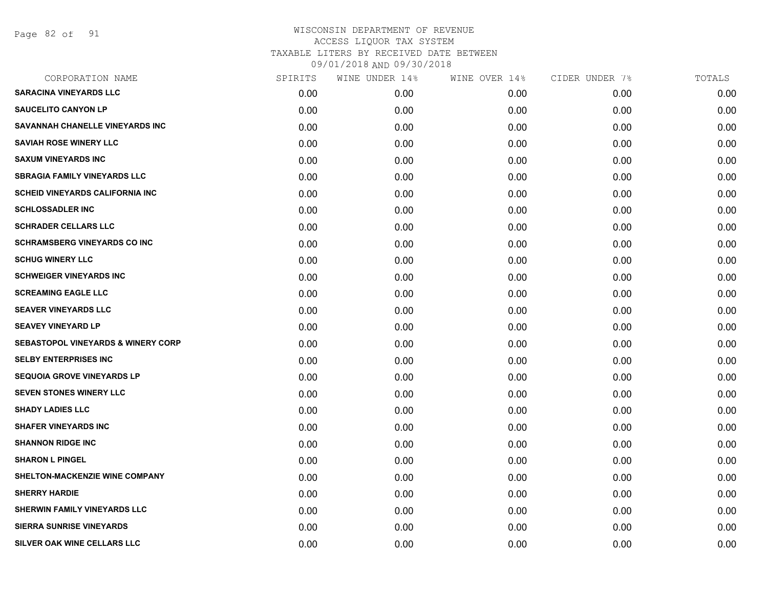Page 82 of 91

| CORPORATION NAME                              | SPIRITS | WINE UNDER 14% | WINE OVER 14% | CIDER UNDER 7% | TOTALS |
|-----------------------------------------------|---------|----------------|---------------|----------------|--------|
| <b>SARACINA VINEYARDS LLC</b>                 | 0.00    | 0.00           | 0.00          | 0.00           | 0.00   |
| <b>SAUCELITO CANYON LP</b>                    | 0.00    | 0.00           | 0.00          | 0.00           | 0.00   |
| SAVANNAH CHANELLE VINEYARDS INC               | 0.00    | 0.00           | 0.00          | 0.00           | 0.00   |
| <b>SAVIAH ROSE WINERY LLC</b>                 | 0.00    | 0.00           | 0.00          | 0.00           | 0.00   |
| <b>SAXUM VINEYARDS INC</b>                    | 0.00    | 0.00           | 0.00          | 0.00           | 0.00   |
| <b>SBRAGIA FAMILY VINEYARDS LLC</b>           | 0.00    | 0.00           | 0.00          | 0.00           | 0.00   |
| <b>SCHEID VINEYARDS CALIFORNIA INC</b>        | 0.00    | 0.00           | 0.00          | 0.00           | 0.00   |
| <b>SCHLOSSADLER INC</b>                       | 0.00    | 0.00           | 0.00          | 0.00           | 0.00   |
| <b>SCHRADER CELLARS LLC</b>                   | 0.00    | 0.00           | 0.00          | 0.00           | 0.00   |
| <b>SCHRAMSBERG VINEYARDS CO INC</b>           | 0.00    | 0.00           | 0.00          | 0.00           | 0.00   |
| <b>SCHUG WINERY LLC</b>                       | 0.00    | 0.00           | 0.00          | 0.00           | 0.00   |
| <b>SCHWEIGER VINEYARDS INC</b>                | 0.00    | 0.00           | 0.00          | 0.00           | 0.00   |
| <b>SCREAMING EAGLE LLC</b>                    | 0.00    | 0.00           | 0.00          | 0.00           | 0.00   |
| <b>SEAVER VINEYARDS LLC</b>                   | 0.00    | 0.00           | 0.00          | 0.00           | 0.00   |
| <b>SEAVEY VINEYARD LP</b>                     | 0.00    | 0.00           | 0.00          | 0.00           | 0.00   |
| <b>SEBASTOPOL VINEYARDS &amp; WINERY CORP</b> | 0.00    | 0.00           | 0.00          | 0.00           | 0.00   |
| <b>SELBY ENTERPRISES INC</b>                  | 0.00    | 0.00           | 0.00          | 0.00           | 0.00   |
| <b>SEQUOIA GROVE VINEYARDS LP</b>             | 0.00    | 0.00           | 0.00          | 0.00           | 0.00   |
| <b>SEVEN STONES WINERY LLC</b>                | 0.00    | 0.00           | 0.00          | 0.00           | 0.00   |
| <b>SHADY LADIES LLC</b>                       | 0.00    | 0.00           | 0.00          | 0.00           | 0.00   |
| <b>SHAFER VINEYARDS INC</b>                   | 0.00    | 0.00           | 0.00          | 0.00           | 0.00   |
| <b>SHANNON RIDGE INC</b>                      | 0.00    | 0.00           | 0.00          | 0.00           | 0.00   |
| <b>SHARON L PINGEL</b>                        | 0.00    | 0.00           | 0.00          | 0.00           | 0.00   |
| <b>SHELTON-MACKENZIE WINE COMPANY</b>         | 0.00    | 0.00           | 0.00          | 0.00           | 0.00   |
| <b>SHERRY HARDIE</b>                          | 0.00    | 0.00           | 0.00          | 0.00           | 0.00   |
| SHERWIN FAMILY VINEYARDS LLC                  | 0.00    | 0.00           | 0.00          | 0.00           | 0.00   |
| <b>SIERRA SUNRISE VINEYARDS</b>               | 0.00    | 0.00           | 0.00          | 0.00           | 0.00   |
| SILVER OAK WINE CELLARS LLC                   | 0.00    | 0.00           | 0.00          | 0.00           | 0.00   |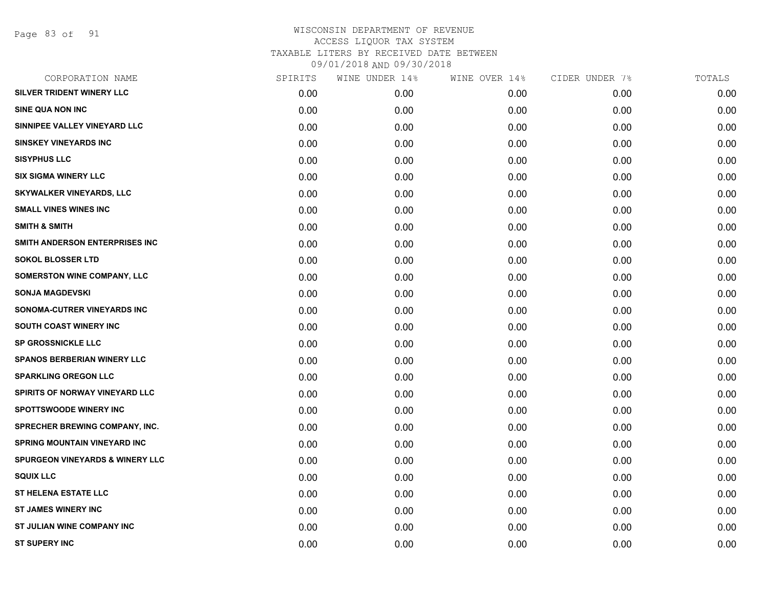Page 83 of 91

| CORPORATION NAME                           | SPIRITS | WINE UNDER 14% | WINE OVER 14% | CIDER UNDER 7% | TOTALS |
|--------------------------------------------|---------|----------------|---------------|----------------|--------|
| SILVER TRIDENT WINERY LLC                  | 0.00    | 0.00           | 0.00          | 0.00           | 0.00   |
| <b>SINE QUA NON INC</b>                    | 0.00    | 0.00           | 0.00          | 0.00           | 0.00   |
| SINNIPEE VALLEY VINEYARD LLC               | 0.00    | 0.00           | 0.00          | 0.00           | 0.00   |
| <b>SINSKEY VINEYARDS INC</b>               | 0.00    | 0.00           | 0.00          | 0.00           | 0.00   |
| <b>SISYPHUS LLC</b>                        | 0.00    | 0.00           | 0.00          | 0.00           | 0.00   |
| <b>SIX SIGMA WINERY LLC</b>                | 0.00    | 0.00           | 0.00          | 0.00           | 0.00   |
| <b>SKYWALKER VINEYARDS, LLC</b>            | 0.00    | 0.00           | 0.00          | 0.00           | 0.00   |
| <b>SMALL VINES WINES INC</b>               | 0.00    | 0.00           | 0.00          | 0.00           | 0.00   |
| <b>SMITH &amp; SMITH</b>                   | 0.00    | 0.00           | 0.00          | 0.00           | 0.00   |
| SMITH ANDERSON ENTERPRISES INC             | 0.00    | 0.00           | 0.00          | 0.00           | 0.00   |
| <b>SOKOL BLOSSER LTD</b>                   | 0.00    | 0.00           | 0.00          | 0.00           | 0.00   |
| SOMERSTON WINE COMPANY, LLC                | 0.00    | 0.00           | 0.00          | 0.00           | 0.00   |
| <b>SONJA MAGDEVSKI</b>                     | 0.00    | 0.00           | 0.00          | 0.00           | 0.00   |
| <b>SONOMA-CUTRER VINEYARDS INC</b>         | 0.00    | 0.00           | 0.00          | 0.00           | 0.00   |
| SOUTH COAST WINERY INC                     | 0.00    | 0.00           | 0.00          | 0.00           | 0.00   |
| <b>SP GROSSNICKLE LLC</b>                  | 0.00    | 0.00           | 0.00          | 0.00           | 0.00   |
| <b>SPANOS BERBERIAN WINERY LLC</b>         | 0.00    | 0.00           | 0.00          | 0.00           | 0.00   |
| <b>SPARKLING OREGON LLC</b>                | 0.00    | 0.00           | 0.00          | 0.00           | 0.00   |
| SPIRITS OF NORWAY VINEYARD LLC             | 0.00    | 0.00           | 0.00          | 0.00           | 0.00   |
| <b>SPOTTSWOODE WINERY INC</b>              | 0.00    | 0.00           | 0.00          | 0.00           | 0.00   |
| <b>SPRECHER BREWING COMPANY, INC.</b>      | 0.00    | 0.00           | 0.00          | 0.00           | 0.00   |
| <b>SPRING MOUNTAIN VINEYARD INC</b>        | 0.00    | 0.00           | 0.00          | 0.00           | 0.00   |
| <b>SPURGEON VINEYARDS &amp; WINERY LLC</b> | 0.00    | 0.00           | 0.00          | 0.00           | 0.00   |
| <b>SQUIX LLC</b>                           | 0.00    | 0.00           | 0.00          | 0.00           | 0.00   |
| <b>ST HELENA ESTATE LLC</b>                | 0.00    | 0.00           | 0.00          | 0.00           | 0.00   |
| <b>ST JAMES WINERY INC</b>                 | 0.00    | 0.00           | 0.00          | 0.00           | 0.00   |
| ST JULIAN WINE COMPANY INC                 | 0.00    | 0.00           | 0.00          | 0.00           | 0.00   |
| <b>ST SUPERY INC</b>                       | 0.00    | 0.00           | 0.00          | 0.00           | 0.00   |
|                                            |         |                |               |                |        |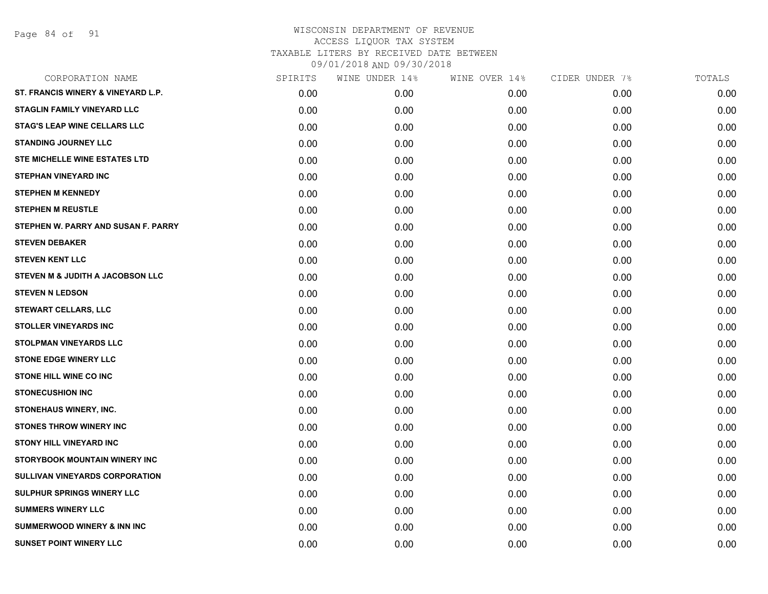Page 84 of 91

| CORPORATION NAME                       | SPIRITS | WINE UNDER 14% | WINE OVER 14% | CIDER UNDER 7% | TOTALS |
|----------------------------------------|---------|----------------|---------------|----------------|--------|
| ST. FRANCIS WINERY & VINEYARD L.P.     | 0.00    | 0.00           | 0.00          | 0.00           | 0.00   |
| <b>STAGLIN FAMILY VINEYARD LLC</b>     | 0.00    | 0.00           | 0.00          | 0.00           | 0.00   |
| <b>STAG'S LEAP WINE CELLARS LLC</b>    | 0.00    | 0.00           | 0.00          | 0.00           | 0.00   |
| <b>STANDING JOURNEY LLC</b>            | 0.00    | 0.00           | 0.00          | 0.00           | 0.00   |
| STE MICHELLE WINE ESTATES LTD          | 0.00    | 0.00           | 0.00          | 0.00           | 0.00   |
| <b>STEPHAN VINEYARD INC</b>            | 0.00    | 0.00           | 0.00          | 0.00           | 0.00   |
| <b>STEPHEN M KENNEDY</b>               | 0.00    | 0.00           | 0.00          | 0.00           | 0.00   |
| <b>STEPHEN M REUSTLE</b>               | 0.00    | 0.00           | 0.00          | 0.00           | 0.00   |
| STEPHEN W. PARRY AND SUSAN F. PARRY    | 0.00    | 0.00           | 0.00          | 0.00           | 0.00   |
| <b>STEVEN DEBAKER</b>                  | 0.00    | 0.00           | 0.00          | 0.00           | 0.00   |
| <b>STEVEN KENT LLC</b>                 | 0.00    | 0.00           | 0.00          | 0.00           | 0.00   |
| STEVEN M & JUDITH A JACOBSON LLC       | 0.00    | 0.00           | 0.00          | 0.00           | 0.00   |
| <b>STEVEN N LEDSON</b>                 | 0.00    | 0.00           | 0.00          | 0.00           | 0.00   |
| <b>STEWART CELLARS, LLC</b>            | 0.00    | 0.00           | 0.00          | 0.00           | 0.00   |
| <b>STOLLER VINEYARDS INC</b>           | 0.00    | 0.00           | 0.00          | 0.00           | 0.00   |
| STOLPMAN VINEYARDS LLC                 | 0.00    | 0.00           | 0.00          | 0.00           | 0.00   |
| <b>STONE EDGE WINERY LLC</b>           | 0.00    | 0.00           | 0.00          | 0.00           | 0.00   |
| <b>STONE HILL WINE CO INC</b>          | 0.00    | 0.00           | 0.00          | 0.00           | 0.00   |
| <b>STONECUSHION INC</b>                | 0.00    | 0.00           | 0.00          | 0.00           | 0.00   |
| STONEHAUS WINERY, INC.                 | 0.00    | 0.00           | 0.00          | 0.00           | 0.00   |
| <b>STONES THROW WINERY INC</b>         | 0.00    | 0.00           | 0.00          | 0.00           | 0.00   |
| <b>STONY HILL VINEYARD INC</b>         | 0.00    | 0.00           | 0.00          | 0.00           | 0.00   |
| STORYBOOK MOUNTAIN WINERY INC          | 0.00    | 0.00           | 0.00          | 0.00           | 0.00   |
| SULLIVAN VINEYARDS CORPORATION         | 0.00    | 0.00           | 0.00          | 0.00           | 0.00   |
| <b>SULPHUR SPRINGS WINERY LLC</b>      | 0.00    | 0.00           | 0.00          | 0.00           | 0.00   |
| <b>SUMMERS WINERY LLC</b>              | 0.00    | 0.00           | 0.00          | 0.00           | 0.00   |
| <b>SUMMERWOOD WINERY &amp; INN INC</b> | 0.00    | 0.00           | 0.00          | 0.00           | 0.00   |
| <b>SUNSET POINT WINERY LLC</b>         | 0.00    | 0.00           | 0.00          | 0.00           | 0.00   |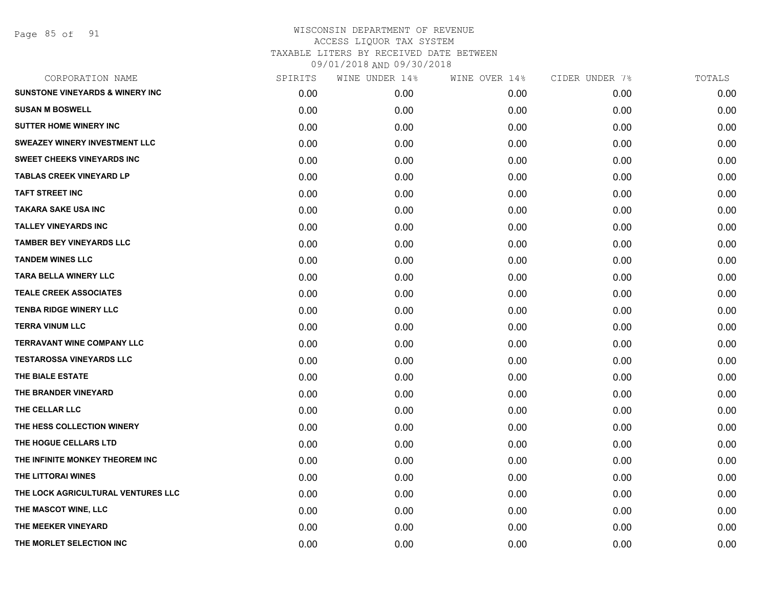| CORPORATION NAME                           | SPIRITS | WINE UNDER 14% | WINE OVER 14% | CIDER UNDER 7% | TOTALS |
|--------------------------------------------|---------|----------------|---------------|----------------|--------|
| <b>SUNSTONE VINEYARDS &amp; WINERY INC</b> | 0.00    | 0.00           | 0.00          | 0.00           | 0.00   |
| <b>SUSAN M BOSWELL</b>                     | 0.00    | 0.00           | 0.00          | 0.00           | 0.00   |
| <b>SUTTER HOME WINERY INC</b>              | 0.00    | 0.00           | 0.00          | 0.00           | 0.00   |
| <b>SWEAZEY WINERY INVESTMENT LLC</b>       | 0.00    | 0.00           | 0.00          | 0.00           | 0.00   |
| <b>SWEET CHEEKS VINEYARDS INC</b>          | 0.00    | 0.00           | 0.00          | 0.00           | 0.00   |
| <b>TABLAS CREEK VINEYARD LP</b>            | 0.00    | 0.00           | 0.00          | 0.00           | 0.00   |
| <b>TAFT STREET INC</b>                     | 0.00    | 0.00           | 0.00          | 0.00           | 0.00   |
| <b>TAKARA SAKE USA INC</b>                 | 0.00    | 0.00           | 0.00          | 0.00           | 0.00   |
| <b>TALLEY VINEYARDS INC</b>                | 0.00    | 0.00           | 0.00          | 0.00           | 0.00   |
| <b>TAMBER BEY VINEYARDS LLC</b>            | 0.00    | 0.00           | 0.00          | 0.00           | 0.00   |
| <b>TANDEM WINES LLC</b>                    | 0.00    | 0.00           | 0.00          | 0.00           | 0.00   |
| <b>TARA BELLA WINERY LLC</b>               | 0.00    | 0.00           | 0.00          | 0.00           | 0.00   |
| <b>TEALE CREEK ASSOCIATES</b>              | 0.00    | 0.00           | 0.00          | 0.00           | 0.00   |
| <b>TENBA RIDGE WINERY LLC</b>              | 0.00    | 0.00           | 0.00          | 0.00           | 0.00   |
| <b>TERRA VINUM LLC</b>                     | 0.00    | 0.00           | 0.00          | 0.00           | 0.00   |
| <b>TERRAVANT WINE COMPANY LLC</b>          | 0.00    | 0.00           | 0.00          | 0.00           | 0.00   |
| <b>TESTAROSSA VINEYARDS LLC</b>            | 0.00    | 0.00           | 0.00          | 0.00           | 0.00   |
| THE BIALE ESTATE                           | 0.00    | 0.00           | 0.00          | 0.00           | 0.00   |
| THE BRANDER VINEYARD                       | 0.00    | 0.00           | 0.00          | 0.00           | 0.00   |
| THE CELLAR LLC                             | 0.00    | 0.00           | 0.00          | 0.00           | 0.00   |
| THE HESS COLLECTION WINERY                 | 0.00    | 0.00           | 0.00          | 0.00           | 0.00   |
| THE HOGUE CELLARS LTD                      | 0.00    | 0.00           | 0.00          | 0.00           | 0.00   |
| THE INFINITE MONKEY THEOREM INC            | 0.00    | 0.00           | 0.00          | 0.00           | 0.00   |
| THE LITTORAI WINES                         | 0.00    | 0.00           | 0.00          | 0.00           | 0.00   |
| THE LOCK AGRICULTURAL VENTURES LLC         | 0.00    | 0.00           | 0.00          | 0.00           | 0.00   |
| THE MASCOT WINE, LLC                       | 0.00    | 0.00           | 0.00          | 0.00           | 0.00   |
| THE MEEKER VINEYARD                        | 0.00    | 0.00           | 0.00          | 0.00           | 0.00   |
| THE MORLET SELECTION INC                   | 0.00    | 0.00           | 0.00          | 0.00           | 0.00   |
|                                            |         |                |               |                |        |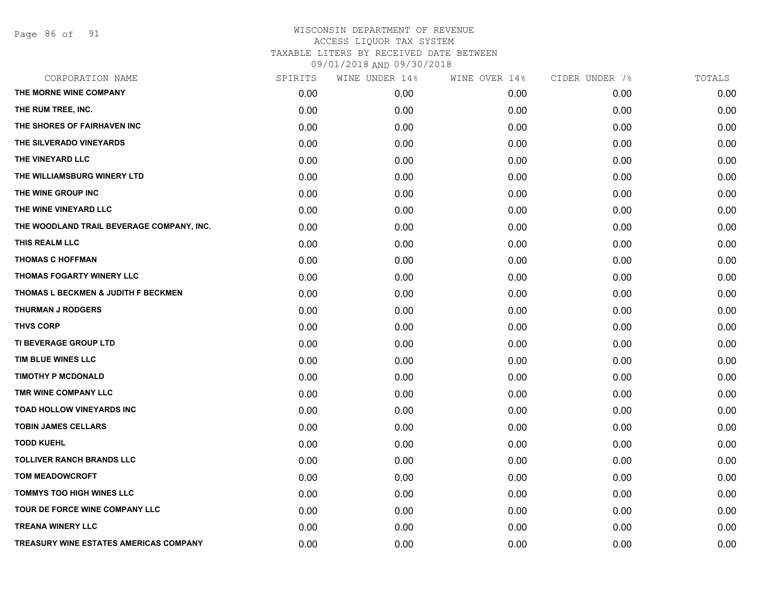Page 86 of 91

| CORPORATION NAME                          | SPIRITS | WINE UNDER 14% | WINE OVER 14% | CIDER UNDER 7% | TOTALS |
|-------------------------------------------|---------|----------------|---------------|----------------|--------|
| THE MORNE WINE COMPANY                    | 0.00    | 0.00           | 0.00          | 0.00           | 0.00   |
| THE RUM TREE, INC.                        | 0.00    | 0.00           | 0.00          | 0.00           | 0.00   |
| THE SHORES OF FAIRHAVEN INC               | 0.00    | 0.00           | 0.00          | 0.00           | 0.00   |
| THE SILVERADO VINEYARDS                   | 0.00    | 0.00           | 0.00          | 0.00           | 0.00   |
| THE VINEYARD LLC                          | 0.00    | 0.00           | 0.00          | 0.00           | 0.00   |
| THE WILLIAMSBURG WINERY LTD               | 0.00    | 0.00           | 0.00          | 0.00           | 0.00   |
| THE WINE GROUP INC                        | 0.00    | 0.00           | 0.00          | 0.00           | 0.00   |
| THE WINE VINEYARD LLC                     | 0.00    | 0.00           | 0.00          | 0.00           | 0.00   |
| THE WOODLAND TRAIL BEVERAGE COMPANY, INC. | 0.00    | 0.00           | 0.00          | 0.00           | 0.00   |
| THIS REALM LLC                            | 0.00    | 0.00           | 0.00          | 0.00           | 0.00   |
| <b>THOMAS C HOFFMAN</b>                   | 0.00    | 0.00           | 0.00          | 0.00           | 0.00   |
| THOMAS FOGARTY WINERY LLC                 | 0.00    | 0.00           | 0.00          | 0.00           | 0.00   |
| THOMAS L BECKMEN & JUDITH F BECKMEN       | 0.00    | 0.00           | 0.00          | 0.00           | 0.00   |
| <b>THURMAN J RODGERS</b>                  | 0.00    | 0.00           | 0.00          | 0.00           | 0.00   |
| <b>THVS CORP</b>                          | 0.00    | 0.00           | 0.00          | 0.00           | 0.00   |
| TI BEVERAGE GROUP LTD                     | 0.00    | 0.00           | 0.00          | 0.00           | 0.00   |
| TIM BLUE WINES LLC                        | 0.00    | 0.00           | 0.00          | 0.00           | 0.00   |
| <b>TIMOTHY P MCDONALD</b>                 | 0.00    | 0.00           | 0.00          | 0.00           | 0.00   |
| TMR WINE COMPANY LLC                      | 0.00    | 0.00           | 0.00          | 0.00           | 0.00   |
| <b>TOAD HOLLOW VINEYARDS INC</b>          | 0.00    | 0.00           | 0.00          | 0.00           | 0.00   |
| <b>TOBIN JAMES CELLARS</b>                | 0.00    | 0.00           | 0.00          | 0.00           | 0.00   |
| <b>TODD KUEHL</b>                         | 0.00    | 0.00           | 0.00          | 0.00           | 0.00   |
| <b>TOLLIVER RANCH BRANDS LLC</b>          | 0.00    | 0.00           | 0.00          | 0.00           | 0.00   |
| <b>TOM MEADOWCROFT</b>                    | 0.00    | 0.00           | 0.00          | 0.00           | 0.00   |
| <b>TOMMYS TOO HIGH WINES LLC</b>          | 0.00    | 0.00           | 0.00          | 0.00           | 0.00   |
| TOUR DE FORCE WINE COMPANY LLC            | 0.00    | 0.00           | 0.00          | 0.00           | 0.00   |
| <b>TREANA WINERY LLC</b>                  | 0.00    | 0.00           | 0.00          | 0.00           | 0.00   |
| TREASURY WINE ESTATES AMERICAS COMPANY    | 0.00    | 0.00           | 0.00          | 0.00           | 0.00   |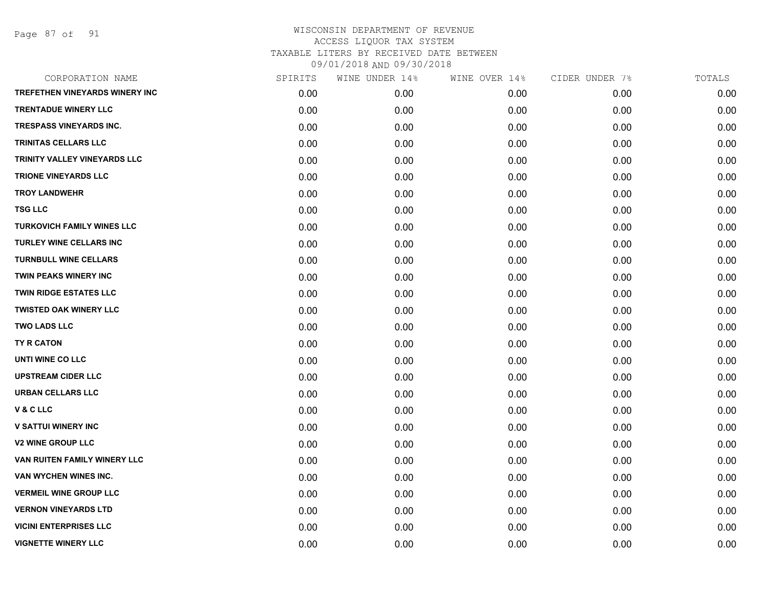Page 87 of 91

| CORPORATION NAME                  | SPIRITS | WINE UNDER 14% | WINE OVER 14% | CIDER UNDER 7% | TOTALS |
|-----------------------------------|---------|----------------|---------------|----------------|--------|
| TREFETHEN VINEYARDS WINERY INC    | 0.00    | 0.00           | 0.00          | 0.00           | 0.00   |
| <b>TRENTADUE WINERY LLC</b>       | 0.00    | 0.00           | 0.00          | 0.00           | 0.00   |
| TRESPASS VINEYARDS INC.           | 0.00    | 0.00           | 0.00          | 0.00           | 0.00   |
| TRINITAS CELLARS LLC              | 0.00    | 0.00           | 0.00          | 0.00           | 0.00   |
| TRINITY VALLEY VINEYARDS LLC      | 0.00    | 0.00           | 0.00          | 0.00           | 0.00   |
| <b>TRIONE VINEYARDS LLC</b>       | 0.00    | 0.00           | 0.00          | 0.00           | 0.00   |
| <b>TROY LANDWEHR</b>              | 0.00    | 0.00           | 0.00          | 0.00           | 0.00   |
| <b>TSG LLC</b>                    | 0.00    | 0.00           | 0.00          | 0.00           | 0.00   |
| <b>TURKOVICH FAMILY WINES LLC</b> | 0.00    | 0.00           | 0.00          | 0.00           | 0.00   |
| <b>TURLEY WINE CELLARS INC</b>    | 0.00    | 0.00           | 0.00          | 0.00           | 0.00   |
| <b>TURNBULL WINE CELLARS</b>      | 0.00    | 0.00           | 0.00          | 0.00           | 0.00   |
| <b>TWIN PEAKS WINERY INC</b>      | 0.00    | 0.00           | 0.00          | 0.00           | 0.00   |
| <b>TWIN RIDGE ESTATES LLC</b>     | 0.00    | 0.00           | 0.00          | 0.00           | 0.00   |
| <b>TWISTED OAK WINERY LLC</b>     | 0.00    | 0.00           | 0.00          | 0.00           | 0.00   |
| <b>TWO LADS LLC</b>               | 0.00    | 0.00           | 0.00          | 0.00           | 0.00   |
| TY R CATON                        | 0.00    | 0.00           | 0.00          | 0.00           | 0.00   |
| <b>UNTI WINE CO LLC</b>           | 0.00    | 0.00           | 0.00          | 0.00           | 0.00   |
| <b>UPSTREAM CIDER LLC</b>         | 0.00    | 0.00           | 0.00          | 0.00           | 0.00   |
| <b>URBAN CELLARS LLC</b>          | 0.00    | 0.00           | 0.00          | 0.00           | 0.00   |
| <b>V&amp;CLLC</b>                 | 0.00    | 0.00           | 0.00          | 0.00           | 0.00   |
| <b>V SATTUI WINERY INC</b>        | 0.00    | 0.00           | 0.00          | 0.00           | 0.00   |
| <b>V2 WINE GROUP LLC</b>          | 0.00    | 0.00           | 0.00          | 0.00           | 0.00   |
| VAN RUITEN FAMILY WINERY LLC      | 0.00    | 0.00           | 0.00          | 0.00           | 0.00   |
| VAN WYCHEN WINES INC.             | 0.00    | 0.00           | 0.00          | 0.00           | 0.00   |
| <b>VERMEIL WINE GROUP LLC</b>     | 0.00    | 0.00           | 0.00          | 0.00           | 0.00   |
| <b>VERNON VINEYARDS LTD</b>       | 0.00    | 0.00           | 0.00          | 0.00           | 0.00   |
| <b>VICINI ENTERPRISES LLC</b>     | 0.00    | 0.00           | 0.00          | 0.00           | 0.00   |
| <b>VIGNETTE WINERY LLC</b>        | 0.00    | 0.00           | 0.00          | 0.00           | 0.00   |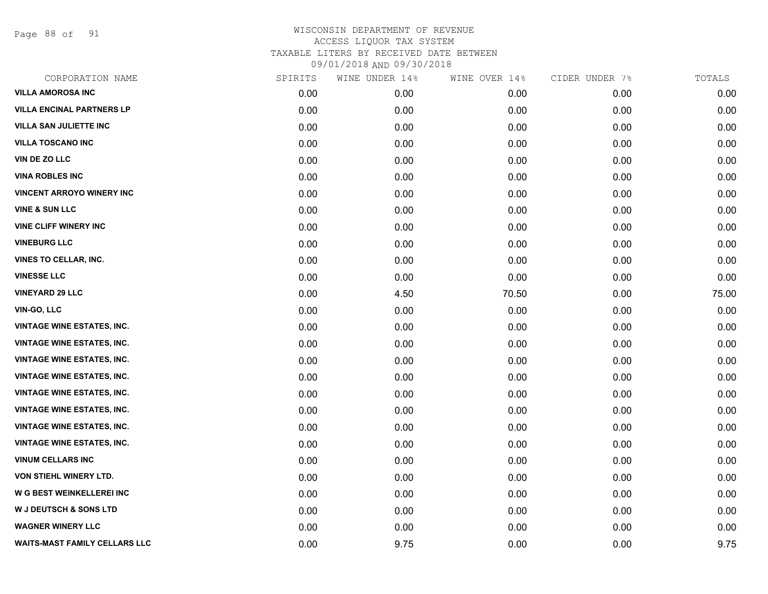Page 88 of 91

| SPIRITS | WINE UNDER 14% | WINE OVER 14% | CIDER UNDER 7% | TOTALS |
|---------|----------------|---------------|----------------|--------|
| 0.00    | 0.00           | 0.00          | 0.00           | 0.00   |
| 0.00    | 0.00           | 0.00          | 0.00           | 0.00   |
| 0.00    | 0.00           | 0.00          | 0.00           | 0.00   |
| 0.00    | 0.00           | 0.00          | 0.00           | 0.00   |
| 0.00    | 0.00           | 0.00          | 0.00           | 0.00   |
| 0.00    | 0.00           | 0.00          | 0.00           | 0.00   |
| 0.00    | 0.00           | 0.00          | 0.00           | 0.00   |
| 0.00    | 0.00           | 0.00          | 0.00           | 0.00   |
| 0.00    | 0.00           | 0.00          | 0.00           | 0.00   |
| 0.00    | 0.00           | 0.00          | 0.00           | 0.00   |
| 0.00    | 0.00           | 0.00          | 0.00           | 0.00   |
| 0.00    | 0.00           | 0.00          | 0.00           | 0.00   |
| 0.00    | 4.50           | 70.50         | 0.00           | 75.00  |
| 0.00    | 0.00           | 0.00          | 0.00           | 0.00   |
| 0.00    | 0.00           | 0.00          | 0.00           | 0.00   |
| 0.00    | 0.00           | 0.00          | 0.00           | 0.00   |
| 0.00    | 0.00           | 0.00          | 0.00           | 0.00   |
| 0.00    | 0.00           | 0.00          | 0.00           | 0.00   |
| 0.00    | 0.00           | 0.00          | 0.00           | 0.00   |
| 0.00    | 0.00           | 0.00          | 0.00           | 0.00   |
| 0.00    | 0.00           | 0.00          | 0.00           | 0.00   |
| 0.00    | 0.00           | 0.00          | 0.00           | 0.00   |
| 0.00    | 0.00           | 0.00          | 0.00           | 0.00   |
| 0.00    | 0.00           | 0.00          | 0.00           | 0.00   |
| 0.00    | 0.00           | 0.00          | 0.00           | 0.00   |
| 0.00    | 0.00           | 0.00          | 0.00           | 0.00   |
| 0.00    | 0.00           | 0.00          | 0.00           | 0.00   |
| 0.00    | 9.75           | 0.00          | 0.00           | 9.75   |
|         |                |               |                |        |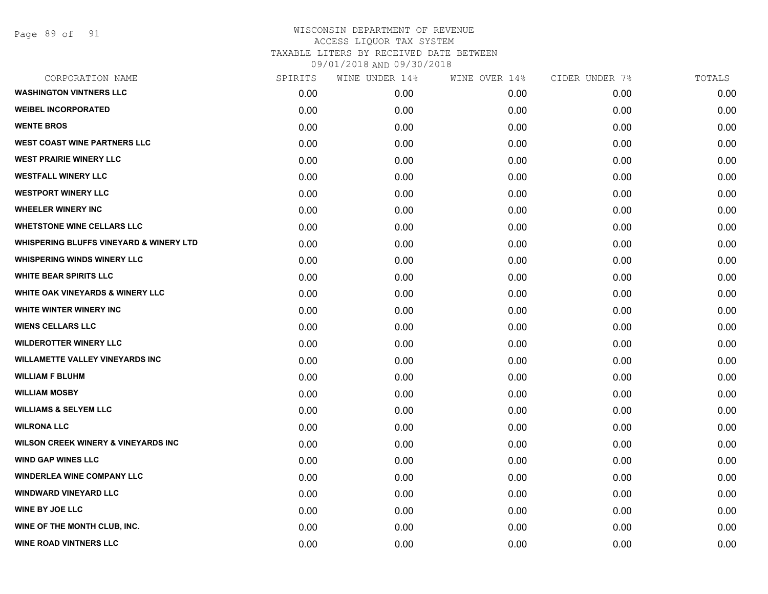Page 89 of 91

| CORPORATION NAME                                   | SPIRITS | WINE UNDER 14% | WINE OVER 14% | CIDER UNDER 7% | TOTALS |
|----------------------------------------------------|---------|----------------|---------------|----------------|--------|
| <b>WASHINGTON VINTNERS LLC</b>                     | 0.00    | 0.00           | 0.00          | 0.00           | 0.00   |
| <b>WEIBEL INCORPORATED</b>                         | 0.00    | 0.00           | 0.00          | 0.00           | 0.00   |
| <b>WENTE BROS</b>                                  | 0.00    | 0.00           | 0.00          | 0.00           | 0.00   |
| <b>WEST COAST WINE PARTNERS LLC</b>                | 0.00    | 0.00           | 0.00          | 0.00           | 0.00   |
| <b>WEST PRAIRIE WINERY LLC</b>                     | 0.00    | 0.00           | 0.00          | 0.00           | 0.00   |
| <b>WESTFALL WINERY LLC</b>                         | 0.00    | 0.00           | 0.00          | 0.00           | 0.00   |
| <b>WESTPORT WINERY LLC</b>                         | 0.00    | 0.00           | 0.00          | 0.00           | 0.00   |
| <b>WHEELER WINERY INC</b>                          | 0.00    | 0.00           | 0.00          | 0.00           | 0.00   |
| <b>WHETSTONE WINE CELLARS LLC</b>                  | 0.00    | 0.00           | 0.00          | 0.00           | 0.00   |
| <b>WHISPERING BLUFFS VINEYARD &amp; WINERY LTD</b> | 0.00    | 0.00           | 0.00          | 0.00           | 0.00   |
| <b>WHISPERING WINDS WINERY LLC</b>                 | 0.00    | 0.00           | 0.00          | 0.00           | 0.00   |
| <b>WHITE BEAR SPIRITS LLC</b>                      | 0.00    | 0.00           | 0.00          | 0.00           | 0.00   |
| <b>WHITE OAK VINEYARDS &amp; WINERY LLC</b>        | 0.00    | 0.00           | 0.00          | 0.00           | 0.00   |
| <b>WHITE WINTER WINERY INC.</b>                    | 0.00    | 0.00           | 0.00          | 0.00           | 0.00   |
| <b>WIENS CELLARS LLC</b>                           | 0.00    | 0.00           | 0.00          | 0.00           | 0.00   |
| <b>WILDEROTTER WINERY LLC</b>                      | 0.00    | 0.00           | 0.00          | 0.00           | 0.00   |
| <b>WILLAMETTE VALLEY VINEYARDS INC</b>             | 0.00    | 0.00           | 0.00          | 0.00           | 0.00   |
| <b>WILLIAM F BLUHM</b>                             | 0.00    | 0.00           | 0.00          | 0.00           | 0.00   |
| <b>WILLIAM MOSBY</b>                               | 0.00    | 0.00           | 0.00          | 0.00           | 0.00   |
| <b>WILLIAMS &amp; SELYEM LLC</b>                   | 0.00    | 0.00           | 0.00          | 0.00           | 0.00   |
| <b>WILRONA LLC</b>                                 | 0.00    | 0.00           | 0.00          | 0.00           | 0.00   |
| <b>WILSON CREEK WINERY &amp; VINEYARDS INC</b>     | 0.00    | 0.00           | 0.00          | 0.00           | 0.00   |
| <b>WIND GAP WINES LLC</b>                          | 0.00    | 0.00           | 0.00          | 0.00           | 0.00   |
| <b>WINDERLEA WINE COMPANY LLC</b>                  | 0.00    | 0.00           | 0.00          | 0.00           | 0.00   |
| <b>WINDWARD VINEYARD LLC</b>                       | 0.00    | 0.00           | 0.00          | 0.00           | 0.00   |
| <b>WINE BY JOE LLC</b>                             | 0.00    | 0.00           | 0.00          | 0.00           | 0.00   |
| WINE OF THE MONTH CLUB, INC.                       | 0.00    | 0.00           | 0.00          | 0.00           | 0.00   |
| <b>WINE ROAD VINTNERS LLC</b>                      | 0.00    | 0.00           | 0.00          | 0.00           | 0.00   |
|                                                    |         |                |               |                |        |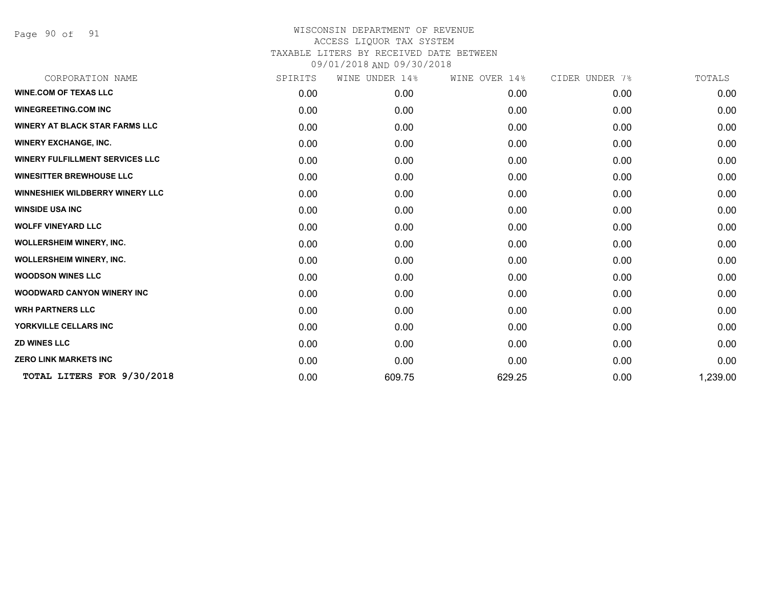Page 90 of 91

| SPIRITS | WINE UNDER 14% | WINE OVER 14% | CIDER UNDER 7% | TOTALS   |
|---------|----------------|---------------|----------------|----------|
| 0.00    | 0.00           | 0.00          | 0.00           | 0.00     |
| 0.00    | 0.00           | 0.00          | 0.00           | 0.00     |
| 0.00    | 0.00           | 0.00          | 0.00           | 0.00     |
| 0.00    | 0.00           | 0.00          | 0.00           | 0.00     |
| 0.00    | 0.00           | 0.00          | 0.00           | 0.00     |
| 0.00    | 0.00           | 0.00          | 0.00           | 0.00     |
| 0.00    | 0.00           | 0.00          | 0.00           | 0.00     |
| 0.00    | 0.00           | 0.00          | 0.00           | 0.00     |
| 0.00    | 0.00           | 0.00          | 0.00           | 0.00     |
| 0.00    | 0.00           | 0.00          | 0.00           | 0.00     |
| 0.00    | 0.00           | 0.00          | 0.00           | 0.00     |
| 0.00    | 0.00           | 0.00          | 0.00           | 0.00     |
| 0.00    | 0.00           | 0.00          | 0.00           | 0.00     |
| 0.00    | 0.00           | 0.00          | 0.00           | 0.00     |
| 0.00    | 0.00           | 0.00          | 0.00           | 0.00     |
| 0.00    | 0.00           | 0.00          | 0.00           | 0.00     |
| 0.00    | 0.00           | 0.00          | 0.00           | 0.00     |
| 0.00    | 609.75         | 629.25        | 0.00           | 1,239.00 |
|         |                |               |                |          |